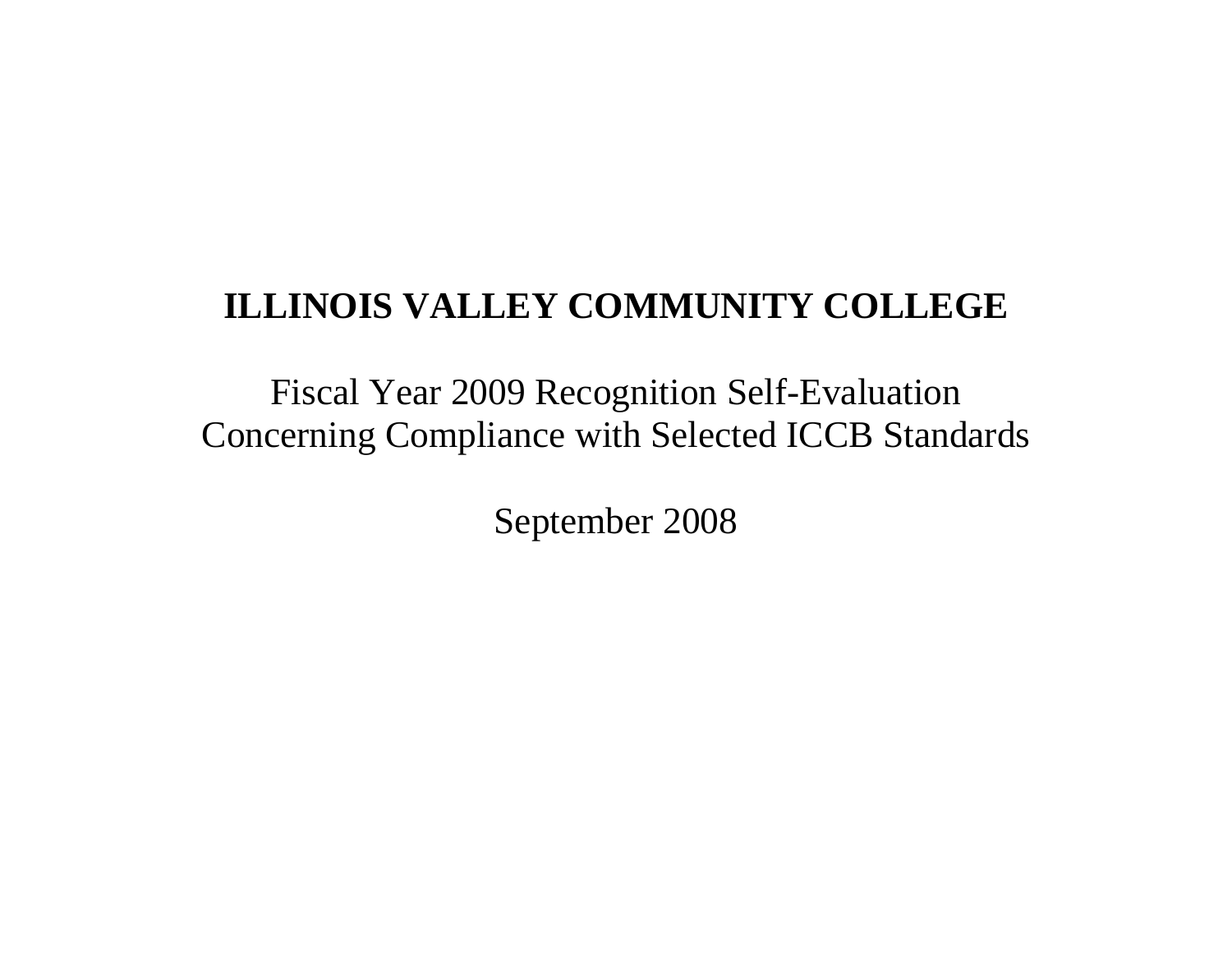# **ILLINOIS VALLEY COMMUNITY COLLEGE**

Fiscal Year 2009 Recognition Self-Evaluation Concerning Compliance with Selected ICCB Standards

September 2008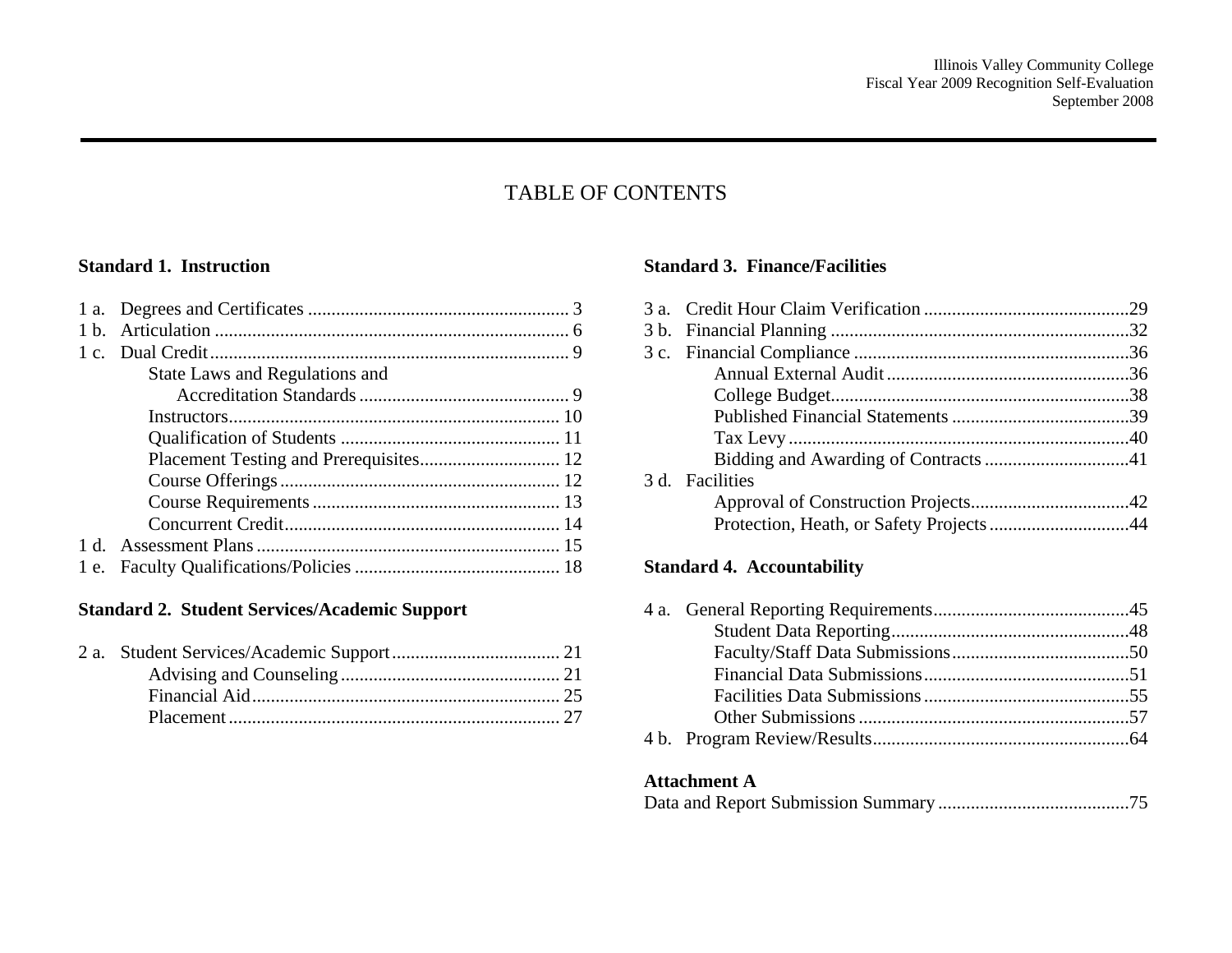## TABLE OF CONTENTS

#### **Standard 1. Instruction**

| State Laws and Regulations and |  |
|--------------------------------|--|
|                                |  |
|                                |  |
|                                |  |
|                                |  |
|                                |  |
|                                |  |
|                                |  |
|                                |  |
|                                |  |
|                                |  |

### **Standard 2. Student Services/Academic Support**

#### **Standard 3. Finance/Facilities**

| 3 d. Facilities |
|-----------------|

#### **Standard 4. Accountability**

### **Attachment A**

|--|--|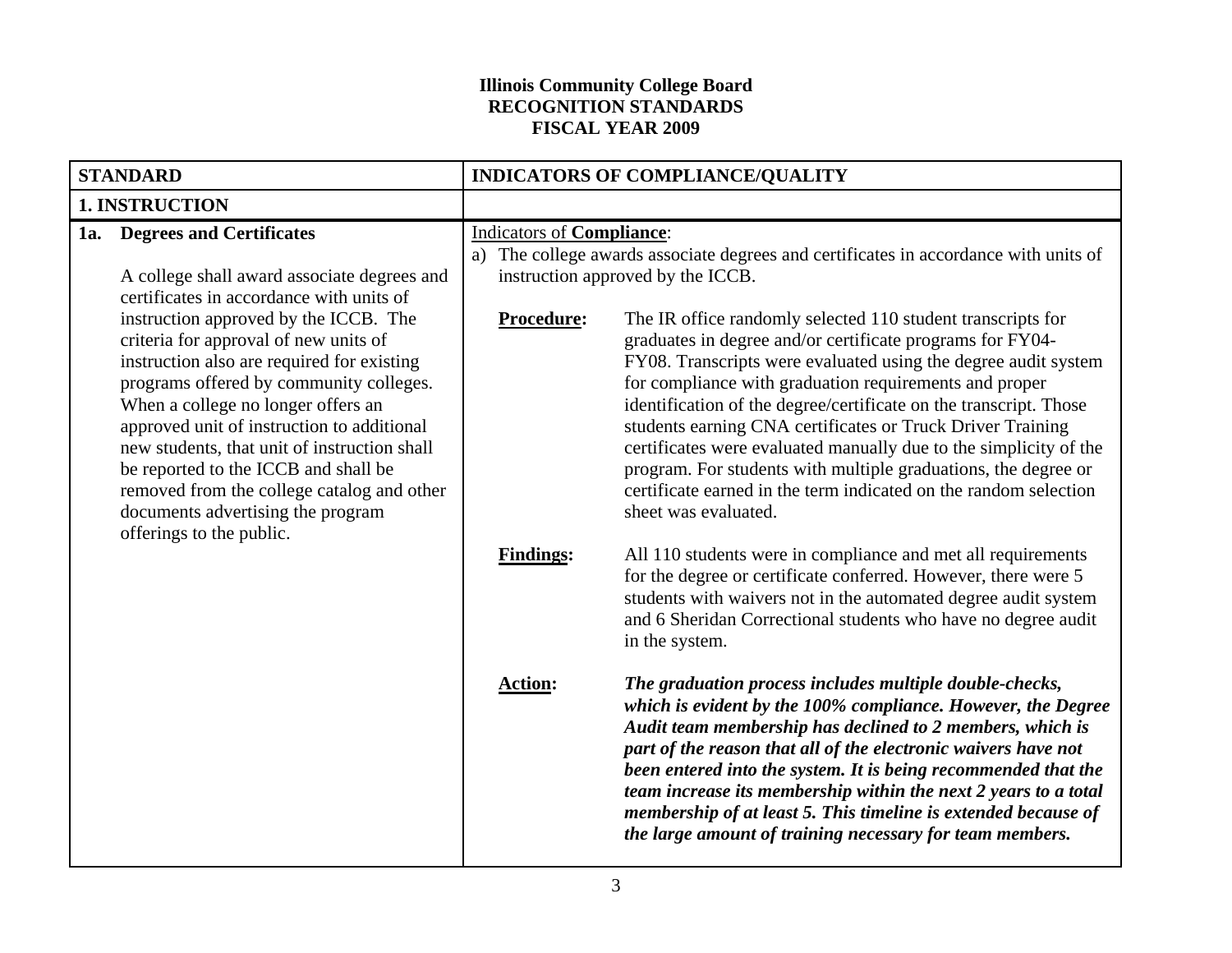#### **Illinois Community College Board RECOGNITION STANDARDS FISCAL YEAR 2009**

| <b>STANDARD</b>       |                                                                                                                                                                                                                                                                                                                                                                                                                                                                                                                                                                                               | INDICATORS OF COMPLIANCE/QUALITY                            |                                                                                                                                                                                                                                                                                                                                                                                                                                                                                                                                                                                                                                                                                                                                                      |
|-----------------------|-----------------------------------------------------------------------------------------------------------------------------------------------------------------------------------------------------------------------------------------------------------------------------------------------------------------------------------------------------------------------------------------------------------------------------------------------------------------------------------------------------------------------------------------------------------------------------------------------|-------------------------------------------------------------|------------------------------------------------------------------------------------------------------------------------------------------------------------------------------------------------------------------------------------------------------------------------------------------------------------------------------------------------------------------------------------------------------------------------------------------------------------------------------------------------------------------------------------------------------------------------------------------------------------------------------------------------------------------------------------------------------------------------------------------------------|
| <b>1. INSTRUCTION</b> |                                                                                                                                                                                                                                                                                                                                                                                                                                                                                                                                                                                               |                                                             |                                                                                                                                                                                                                                                                                                                                                                                                                                                                                                                                                                                                                                                                                                                                                      |
|                       | 1a. Degrees and Certificates<br>A college shall award associate degrees and<br>certificates in accordance with units of<br>instruction approved by the ICCB. The<br>criteria for approval of new units of<br>instruction also are required for existing<br>programs offered by community colleges.<br>When a college no longer offers an<br>approved unit of instruction to additional<br>new students, that unit of instruction shall<br>be reported to the ICCB and shall be<br>removed from the college catalog and other<br>documents advertising the program<br>offerings to the public. | <b>Indicators of Compliance:</b><br>a)<br><b>Procedure:</b> | The college awards associate degrees and certificates in accordance with units of<br>instruction approved by the ICCB.<br>The IR office randomly selected 110 student transcripts for<br>graduates in degree and/or certificate programs for FY04-<br>FY08. Transcripts were evaluated using the degree audit system<br>for compliance with graduation requirements and proper<br>identification of the degree/certificate on the transcript. Those<br>students earning CNA certificates or Truck Driver Training<br>certificates were evaluated manually due to the simplicity of the<br>program. For students with multiple graduations, the degree or<br>certificate earned in the term indicated on the random selection<br>sheet was evaluated. |
|                       |                                                                                                                                                                                                                                                                                                                                                                                                                                                                                                                                                                                               | <b>Findings:</b>                                            | All 110 students were in compliance and met all requirements<br>for the degree or certificate conferred. However, there were 5<br>students with waivers not in the automated degree audit system<br>and 6 Sheridan Correctional students who have no degree audit<br>in the system.                                                                                                                                                                                                                                                                                                                                                                                                                                                                  |
|                       |                                                                                                                                                                                                                                                                                                                                                                                                                                                                                                                                                                                               | <b>Action:</b>                                              | The graduation process includes multiple double-checks,<br>which is evident by the 100% compliance. However, the Degree<br>Audit team membership has declined to 2 members, which is<br>part of the reason that all of the electronic waivers have not<br>been entered into the system. It is being recommended that the<br>team increase its membership within the next 2 years to a total<br>membership of at least 5. This timeline is extended because of<br>the large amount of training necessary for team members.                                                                                                                                                                                                                            |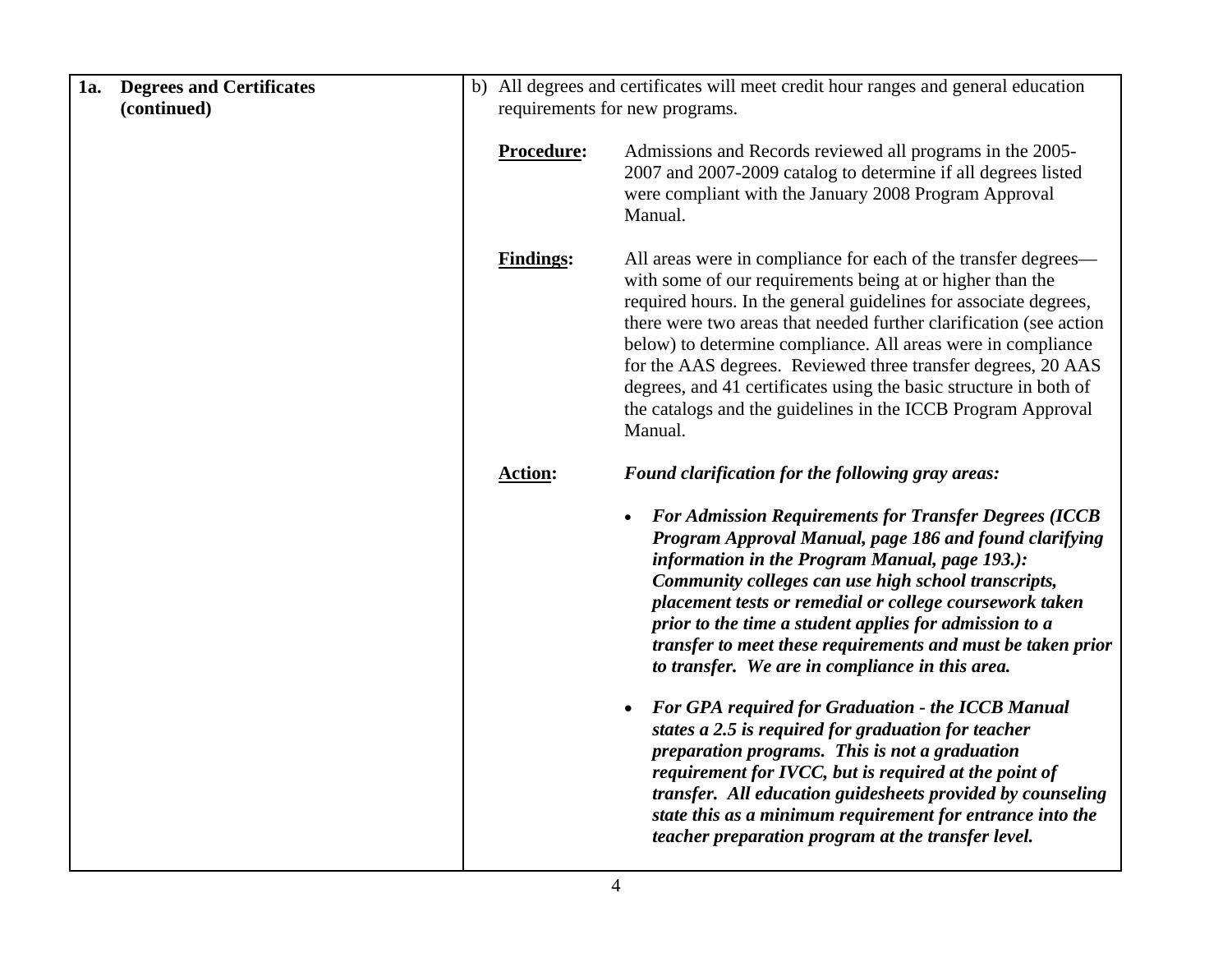| 1a. | <b>Degrees and Certificates</b> |                                | b) All degrees and certificates will meet credit hour ranges and general education                                                                                                                                                                                                                                                                                                                                                                                                                                                                    |  |
|-----|---------------------------------|--------------------------------|-------------------------------------------------------------------------------------------------------------------------------------------------------------------------------------------------------------------------------------------------------------------------------------------------------------------------------------------------------------------------------------------------------------------------------------------------------------------------------------------------------------------------------------------------------|--|
|     | (continued)                     | requirements for new programs. |                                                                                                                                                                                                                                                                                                                                                                                                                                                                                                                                                       |  |
|     |                                 | Procedure:                     | Admissions and Records reviewed all programs in the 2005-<br>2007 and 2007-2009 catalog to determine if all degrees listed<br>were compliant with the January 2008 Program Approval<br>Manual.                                                                                                                                                                                                                                                                                                                                                        |  |
|     |                                 | <b>Findings:</b>               | All areas were in compliance for each of the transfer degrees—<br>with some of our requirements being at or higher than the<br>required hours. In the general guidelines for associate degrees,<br>there were two areas that needed further clarification (see action<br>below) to determine compliance. All areas were in compliance<br>for the AAS degrees. Reviewed three transfer degrees, 20 AAS<br>degrees, and 41 certificates using the basic structure in both of<br>the catalogs and the guidelines in the ICCB Program Approval<br>Manual. |  |
|     |                                 | <b>Action:</b>                 | Found clarification for the following gray areas:                                                                                                                                                                                                                                                                                                                                                                                                                                                                                                     |  |
|     |                                 |                                | <b>For Admission Requirements for Transfer Degrees (ICCB</b><br>$\bullet$<br>Program Approval Manual, page 186 and found clarifying<br>information in the Program Manual, page 193.):<br>Community colleges can use high school transcripts,<br>placement tests or remedial or college coursework taken<br>prior to the time a student applies for admission to a<br>transfer to meet these requirements and must be taken prior<br>to transfer. We are in compliance in this area.                                                                   |  |
|     |                                 |                                | <b>For GPA required for Graduation - the ICCB Manual</b><br>$\bullet$<br>states a 2.5 is required for graduation for teacher<br>preparation programs. This is not a graduation<br>requirement for IVCC, but is required at the point of<br>transfer. All education guidesheets provided by counseling<br>state this as a minimum requirement for entrance into the<br>teacher preparation program at the transfer level.                                                                                                                              |  |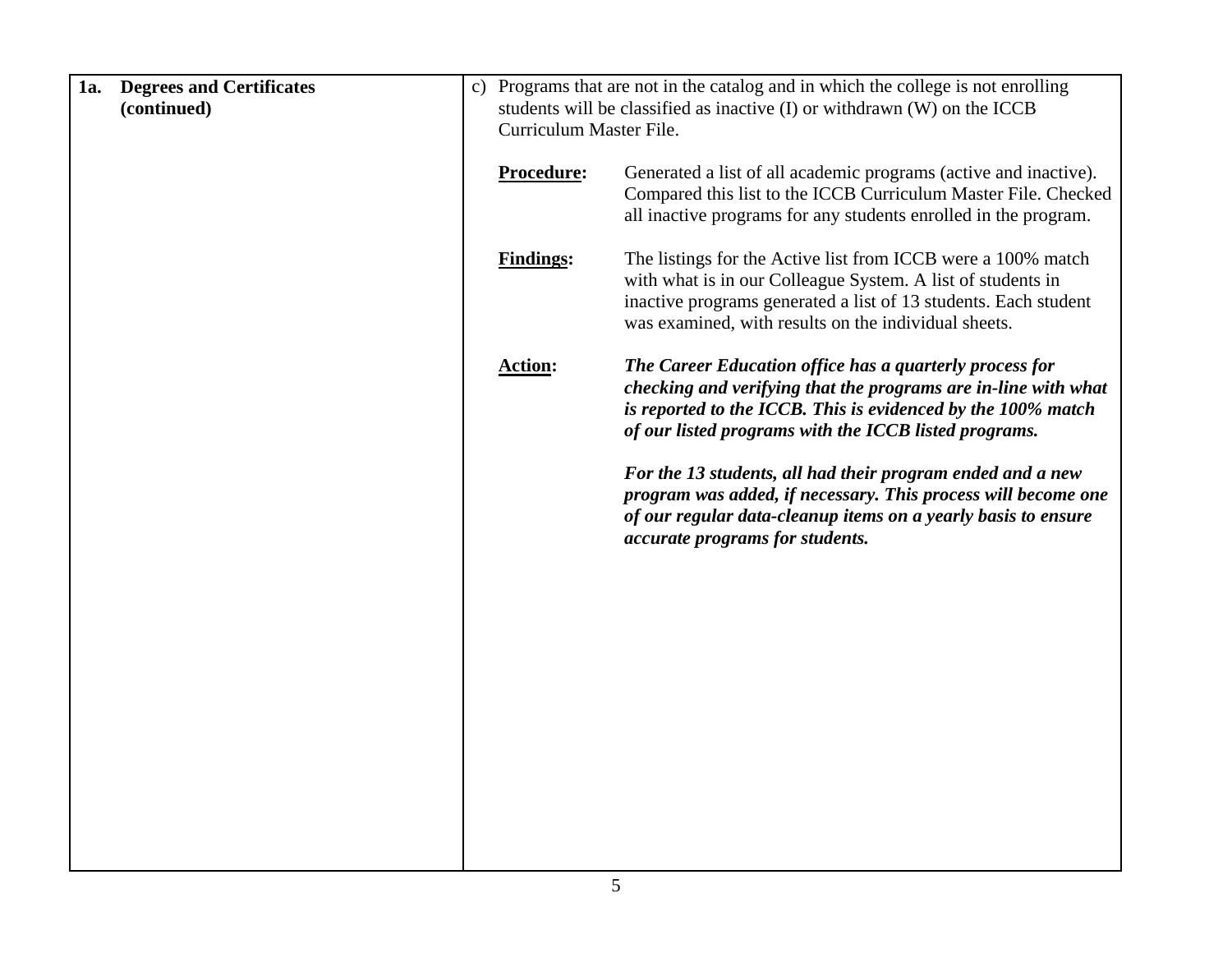| 1a.<br><b>Degrees and Certificates</b><br>(continued) | students will be classified as inactive (I) or withdrawn (W) on the ICCB<br>Curriculum Master File.                                                                                                                                                                        | c) Programs that are not in the catalog and in which the college is not enrolling |  |  |
|-------------------------------------------------------|----------------------------------------------------------------------------------------------------------------------------------------------------------------------------------------------------------------------------------------------------------------------------|-----------------------------------------------------------------------------------|--|--|
|                                                       | Procedure:<br>Generated a list of all academic programs (active and inactive).<br>Compared this list to the ICCB Curriculum Master File. Checked<br>all inactive programs for any students enrolled in the program.                                                        |                                                                                   |  |  |
|                                                       | <b>Findings:</b><br>The listings for the Active list from ICCB were a 100% match<br>with what is in our Colleague System. A list of students in<br>inactive programs generated a list of 13 students. Each student<br>was examined, with results on the individual sheets. |                                                                                   |  |  |
|                                                       | <b>Action:</b><br>The Career Education office has a quarterly process for<br>checking and verifying that the programs are in-line with what<br>is reported to the ICCB. This is evidenced by the 100% match<br>of our listed programs with the ICCB listed programs.       |                                                                                   |  |  |
|                                                       | For the 13 students, all had their program ended and a new<br>program was added, if necessary. This process will become one<br>of our regular data-cleanup items on a yearly basis to ensure<br>accurate programs for students.                                            |                                                                                   |  |  |
|                                                       |                                                                                                                                                                                                                                                                            |                                                                                   |  |  |
|                                                       |                                                                                                                                                                                                                                                                            |                                                                                   |  |  |
|                                                       |                                                                                                                                                                                                                                                                            |                                                                                   |  |  |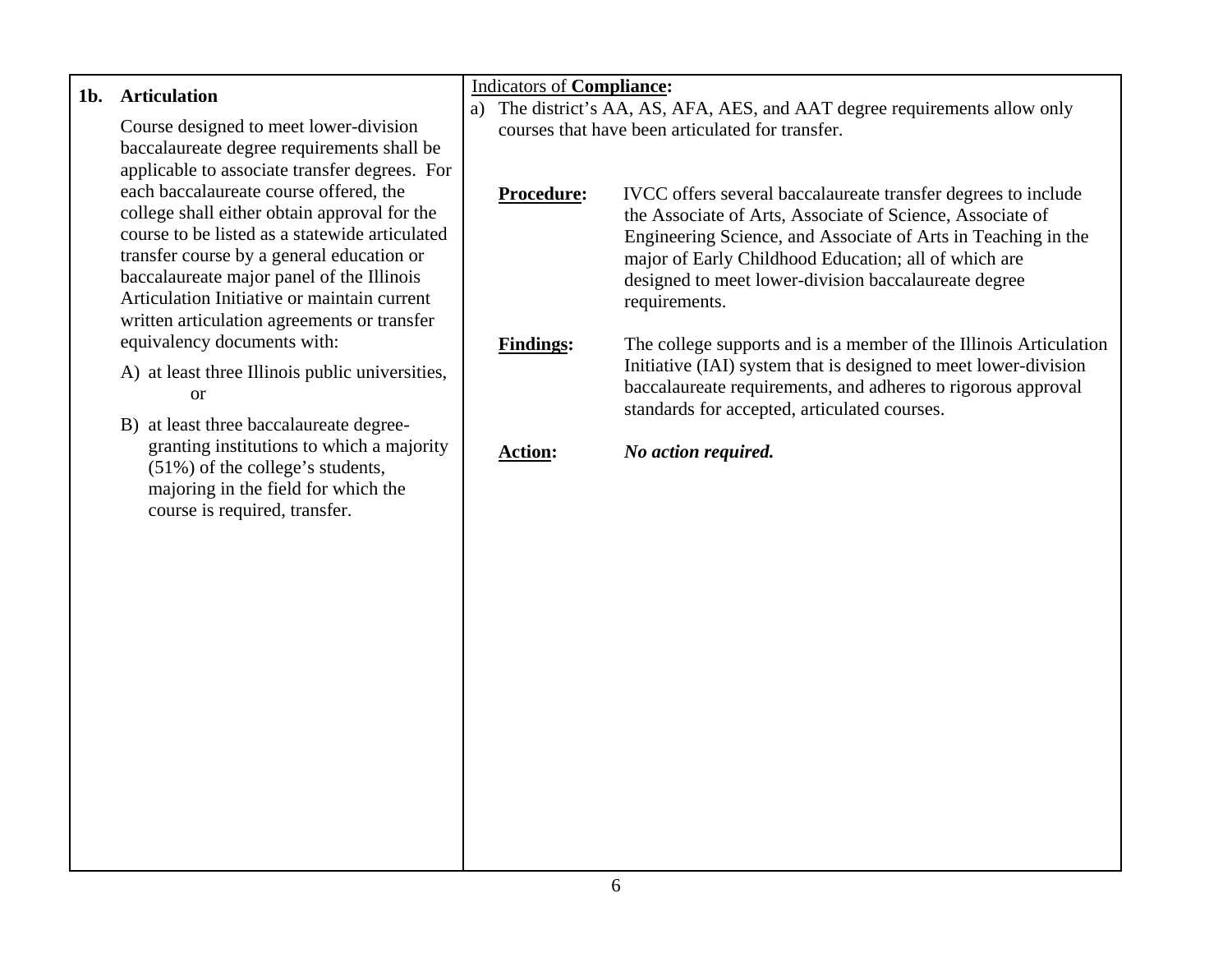| $1b$ . | <b>Articulation</b>                                                                                                                                                                       | <b>Indicators of Compliance:</b>                                                                                                  |                                                                                                                                                                                                                                                      |  |
|--------|-------------------------------------------------------------------------------------------------------------------------------------------------------------------------------------------|-----------------------------------------------------------------------------------------------------------------------------------|------------------------------------------------------------------------------------------------------------------------------------------------------------------------------------------------------------------------------------------------------|--|
|        | Course designed to meet lower-division<br>baccalaureate degree requirements shall be                                                                                                      | The district's AA, AS, AFA, AES, and AAT degree requirements allow only<br>a)<br>courses that have been articulated for transfer. |                                                                                                                                                                                                                                                      |  |
|        | applicable to associate transfer degrees. For<br>each baccalaureate course offered, the<br>college shall either obtain approval for the<br>course to be listed as a statewide articulated | Procedure:                                                                                                                        | IVCC offers several baccalaureate transfer degrees to include<br>the Associate of Arts, Associate of Science, Associate of<br>Engineering Science, and Associate of Arts in Teaching in the                                                          |  |
|        | transfer course by a general education or<br>baccalaureate major panel of the Illinois<br>Articulation Initiative or maintain current<br>written articulation agreements or transfer      |                                                                                                                                   | major of Early Childhood Education; all of which are<br>designed to meet lower-division baccalaureate degree<br>requirements.                                                                                                                        |  |
|        | equivalency documents with:<br>A) at least three Illinois public universities,<br><sub>or</sub><br>B) at least three baccalaureate degree-                                                | <b>Findings:</b>                                                                                                                  | The college supports and is a member of the Illinois Articulation<br>Initiative (IAI) system that is designed to meet lower-division<br>baccalaureate requirements, and adheres to rigorous approval<br>standards for accepted, articulated courses. |  |
|        | granting institutions to which a majority<br>(51%) of the college's students,<br>majoring in the field for which the<br>course is required, transfer.                                     | <b>Action:</b>                                                                                                                    | No action required.                                                                                                                                                                                                                                  |  |
|        |                                                                                                                                                                                           |                                                                                                                                   |                                                                                                                                                                                                                                                      |  |
|        |                                                                                                                                                                                           |                                                                                                                                   |                                                                                                                                                                                                                                                      |  |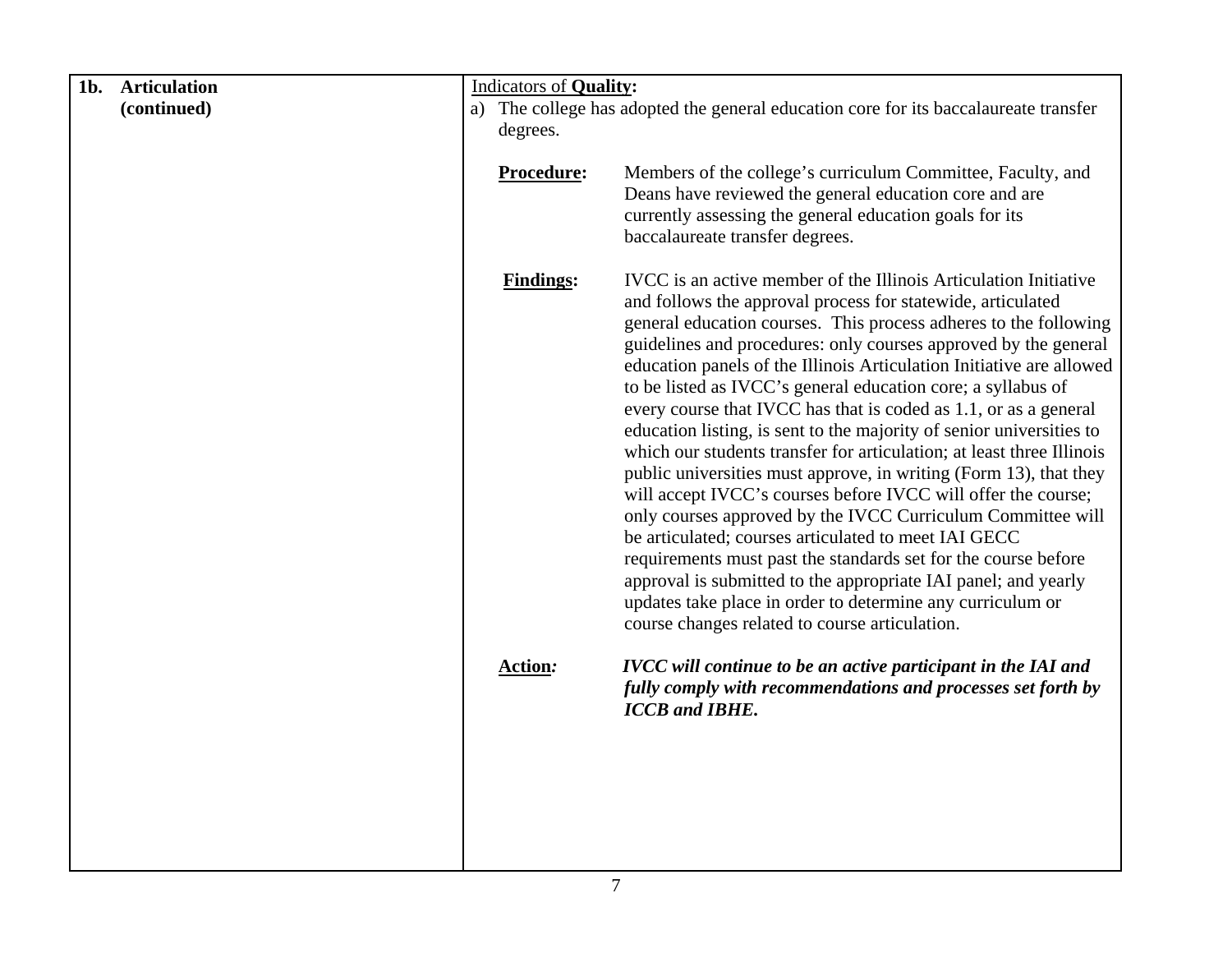| 1b.<br><b>Articulation</b> | <b>Indicators of Quality:</b>                                                        |                                                                                                                                                                                                                                                                                                                                                                                                                                                                                                                                                                                                                                                                                                                                                                                                                                                                                                                                                                                                                                                                                                                                                      |  |
|----------------------------|--------------------------------------------------------------------------------------|------------------------------------------------------------------------------------------------------------------------------------------------------------------------------------------------------------------------------------------------------------------------------------------------------------------------------------------------------------------------------------------------------------------------------------------------------------------------------------------------------------------------------------------------------------------------------------------------------------------------------------------------------------------------------------------------------------------------------------------------------------------------------------------------------------------------------------------------------------------------------------------------------------------------------------------------------------------------------------------------------------------------------------------------------------------------------------------------------------------------------------------------------|--|
| (continued)                | a) The college has adopted the general education core for its baccalaureate transfer |                                                                                                                                                                                                                                                                                                                                                                                                                                                                                                                                                                                                                                                                                                                                                                                                                                                                                                                                                                                                                                                                                                                                                      |  |
|                            | degrees.                                                                             |                                                                                                                                                                                                                                                                                                                                                                                                                                                                                                                                                                                                                                                                                                                                                                                                                                                                                                                                                                                                                                                                                                                                                      |  |
|                            | Procedure:                                                                           | Members of the college's curriculum Committee, Faculty, and<br>Deans have reviewed the general education core and are<br>currently assessing the general education goals for its<br>baccalaureate transfer degrees.                                                                                                                                                                                                                                                                                                                                                                                                                                                                                                                                                                                                                                                                                                                                                                                                                                                                                                                                  |  |
|                            | <b>Findings:</b>                                                                     | IVCC is an active member of the Illinois Articulation Initiative<br>and follows the approval process for statewide, articulated<br>general education courses. This process adheres to the following<br>guidelines and procedures: only courses approved by the general<br>education panels of the Illinois Articulation Initiative are allowed<br>to be listed as IVCC's general education core; a syllabus of<br>every course that IVCC has that is coded as 1.1, or as a general<br>education listing, is sent to the majority of senior universities to<br>which our students transfer for articulation; at least three Illinois<br>public universities must approve, in writing (Form 13), that they<br>will accept IVCC's courses before IVCC will offer the course;<br>only courses approved by the IVCC Curriculum Committee will<br>be articulated; courses articulated to meet IAI GECC<br>requirements must past the standards set for the course before<br>approval is submitted to the appropriate IAI panel; and yearly<br>updates take place in order to determine any curriculum or<br>course changes related to course articulation. |  |
|                            | <b>Action:</b>                                                                       | <b>IVCC</b> will continue to be an active participant in the IAI and<br>fully comply with recommendations and processes set forth by<br><b>ICCB</b> and <b>IBHE</b> .                                                                                                                                                                                                                                                                                                                                                                                                                                                                                                                                                                                                                                                                                                                                                                                                                                                                                                                                                                                |  |
|                            |                                                                                      |                                                                                                                                                                                                                                                                                                                                                                                                                                                                                                                                                                                                                                                                                                                                                                                                                                                                                                                                                                                                                                                                                                                                                      |  |
|                            |                                                                                      |                                                                                                                                                                                                                                                                                                                                                                                                                                                                                                                                                                                                                                                                                                                                                                                                                                                                                                                                                                                                                                                                                                                                                      |  |
|                            |                                                                                      |                                                                                                                                                                                                                                                                                                                                                                                                                                                                                                                                                                                                                                                                                                                                                                                                                                                                                                                                                                                                                                                                                                                                                      |  |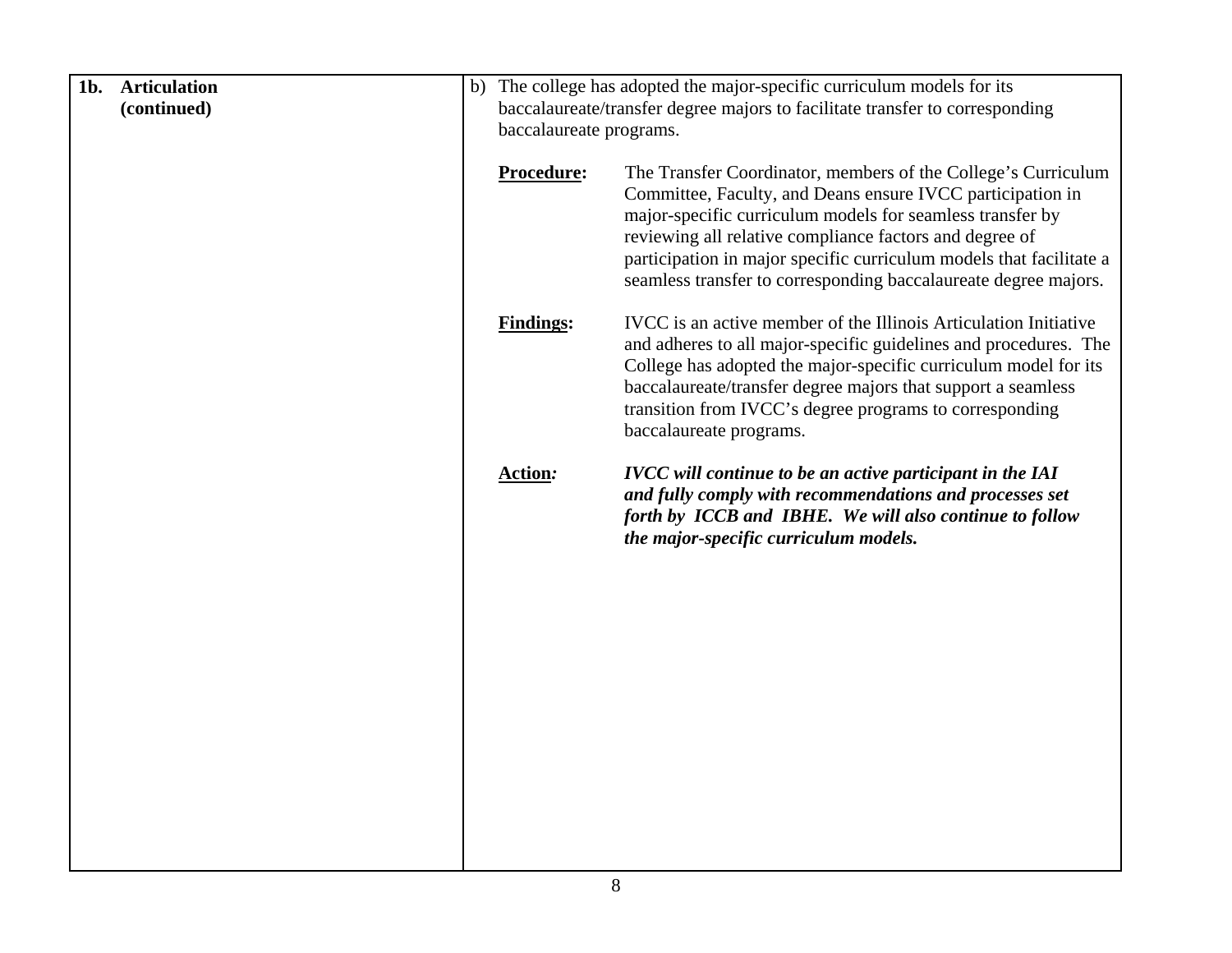| $1b$ .<br><b>Articulation</b> |                                                                              | b) The college has adopted the major-specific curriculum models for its                                                                                                                                                                                                                                                                                                                       |
|-------------------------------|------------------------------------------------------------------------------|-----------------------------------------------------------------------------------------------------------------------------------------------------------------------------------------------------------------------------------------------------------------------------------------------------------------------------------------------------------------------------------------------|
| (continued)                   | baccalaureate/transfer degree majors to facilitate transfer to corresponding |                                                                                                                                                                                                                                                                                                                                                                                               |
|                               | baccalaureate programs.                                                      |                                                                                                                                                                                                                                                                                                                                                                                               |
|                               | Procedure:                                                                   | The Transfer Coordinator, members of the College's Curriculum<br>Committee, Faculty, and Deans ensure IVCC participation in<br>major-specific curriculum models for seamless transfer by<br>reviewing all relative compliance factors and degree of<br>participation in major specific curriculum models that facilitate a<br>seamless transfer to corresponding baccalaureate degree majors. |
|                               | <b>Findings:</b>                                                             | IVCC is an active member of the Illinois Articulation Initiative<br>and adheres to all major-specific guidelines and procedures. The<br>College has adopted the major-specific curriculum model for its<br>baccalaureate/transfer degree majors that support a seamless<br>transition from IVCC's degree programs to corresponding<br>baccalaureate programs.                                 |
|                               | <b>Action:</b>                                                               | <b>IVCC</b> will continue to be an active participant in the IAI<br>and fully comply with recommendations and processes set<br>forth by ICCB and IBHE. We will also continue to follow<br>the major-specific curriculum models.                                                                                                                                                               |
|                               |                                                                              |                                                                                                                                                                                                                                                                                                                                                                                               |
|                               |                                                                              |                                                                                                                                                                                                                                                                                                                                                                                               |
|                               |                                                                              |                                                                                                                                                                                                                                                                                                                                                                                               |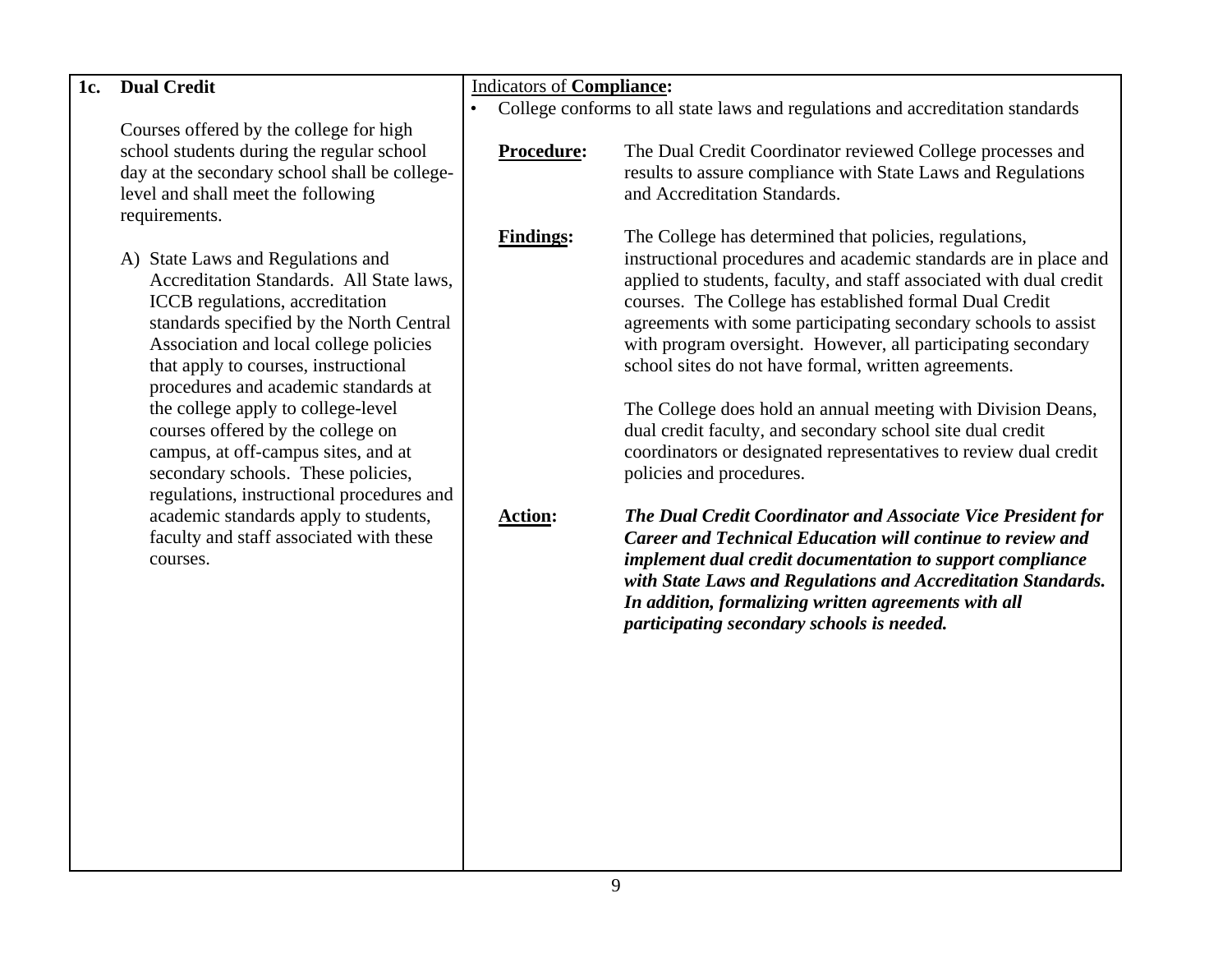| 1c. | <b>Dual Credit</b>                            |           |                                  |                                                                                |  |
|-----|-----------------------------------------------|-----------|----------------------------------|--------------------------------------------------------------------------------|--|
|     |                                               |           | <b>Indicators of Compliance:</b> |                                                                                |  |
|     |                                               | $\bullet$ |                                  | College conforms to all state laws and regulations and accreditation standards |  |
|     | Courses offered by the college for high       |           |                                  |                                                                                |  |
|     | school students during the regular school     |           | Procedure:                       | The Dual Credit Coordinator reviewed College processes and                     |  |
|     | day at the secondary school shall be college- |           |                                  | results to assure compliance with State Laws and Regulations                   |  |
|     | level and shall meet the following            |           |                                  | and Accreditation Standards.                                                   |  |
|     | requirements.                                 |           |                                  |                                                                                |  |
|     |                                               |           | <b>Findings:</b>                 | The College has determined that policies, regulations,                         |  |
|     | A) State Laws and Regulations and             |           |                                  | instructional procedures and academic standards are in place and               |  |
|     | Accreditation Standards. All State laws,      |           |                                  | applied to students, faculty, and staff associated with dual credit            |  |
|     | ICCB regulations, accreditation               |           |                                  | courses. The College has established formal Dual Credit                        |  |
|     | standards specified by the North Central      |           |                                  | agreements with some participating secondary schools to assist                 |  |
|     | Association and local college policies        |           |                                  | with program oversight. However, all participating secondary                   |  |
|     |                                               |           |                                  |                                                                                |  |
|     | that apply to courses, instructional          |           |                                  | school sites do not have formal, written agreements.                           |  |
|     | procedures and academic standards at          |           |                                  |                                                                                |  |
|     | the college apply to college-level            |           |                                  | The College does hold an annual meeting with Division Deans,                   |  |
|     | courses offered by the college on             |           |                                  | dual credit faculty, and secondary school site dual credit                     |  |
|     | campus, at off-campus sites, and at           |           |                                  | coordinators or designated representatives to review dual credit               |  |
|     | secondary schools. These policies,            |           |                                  | policies and procedures.                                                       |  |
|     | regulations, instructional procedures and     |           |                                  |                                                                                |  |
|     | academic standards apply to students,         |           | <b>Action:</b>                   | The Dual Credit Coordinator and Associate Vice President for                   |  |
|     | faculty and staff associated with these       |           |                                  | <b>Career and Technical Education will continue to review and</b>              |  |
|     | courses.                                      |           |                                  | implement dual credit documentation to support compliance                      |  |
|     |                                               |           |                                  | with State Laws and Regulations and Accreditation Standards.                   |  |
|     |                                               |           |                                  | In addition, formalizing written agreements with all                           |  |
|     |                                               |           |                                  | participating secondary schools is needed.                                     |  |
|     |                                               |           |                                  |                                                                                |  |
|     |                                               |           |                                  |                                                                                |  |
|     |                                               |           |                                  |                                                                                |  |
|     |                                               |           |                                  |                                                                                |  |
|     |                                               |           |                                  |                                                                                |  |
|     |                                               |           |                                  |                                                                                |  |
|     |                                               |           |                                  |                                                                                |  |
|     |                                               |           |                                  |                                                                                |  |
|     |                                               |           |                                  |                                                                                |  |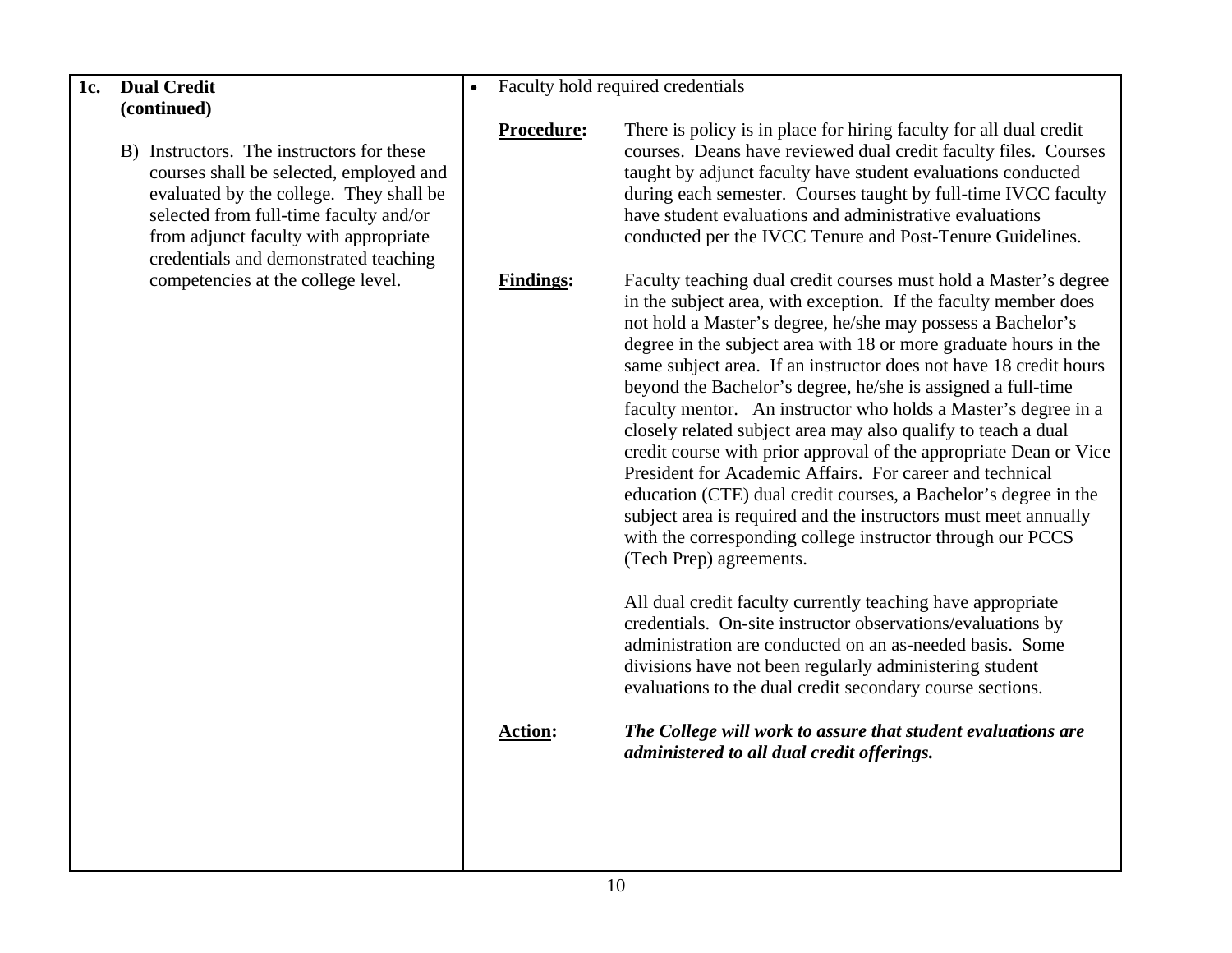B) Instructors. The instructors for these courses shall be selected, employed and evaluated by the college. They shall be selected from full-time faculty and/or from adjunct faculty with appropriate credentials and demonstrated teaching competencies at the college level.

 $\bullet$ Faculty hold required credentials

**Procedure:** There is policy is in place for hiring faculty for all dual credit courses. Deans have reviewed dual credit faculty files. Courses taught by adjunct faculty have student evaluations conducted during each semester. Courses taught by full-time IVCC faculty have student evaluations and administrative evaluations conducted per the IVCC Tenure and Post-Tenure Guidelines.

**Findings:** Faculty teaching dual credit courses must hold a Master's degree in the subject area, with exception. If the faculty member does not hold a Master's degree, he/she may possess a Bachelor's degree in the subject area with 18 or more graduate hours in the same subject area. If an instructor does not have 18 credit hours beyond the Bachelor's degree, he/she is assigned a full-time faculty mentor. An instructor who holds a Master's degree in a closely related subject area may also qualify to teach a dual credit course with prior approval of the appropriate Dean or Vice President for Academic Affairs. For career and technical education (CTE) dual credit courses, a Bachelor's degree in the subject area is required and the instructors must meet annually with the corresponding college instructor through our PCCS (Tech Prep) agreements.

> All dual credit faculty currently teaching have appropriate credentials. On-site instructor observations/evaluations by administration are conducted on an as-needed basis. Some divisions have not been regularly administering student evaluations to the dual credit secondary course sections.

**Action:** *The College will work to assure that student evaluations are administered to all dual credit offerings.*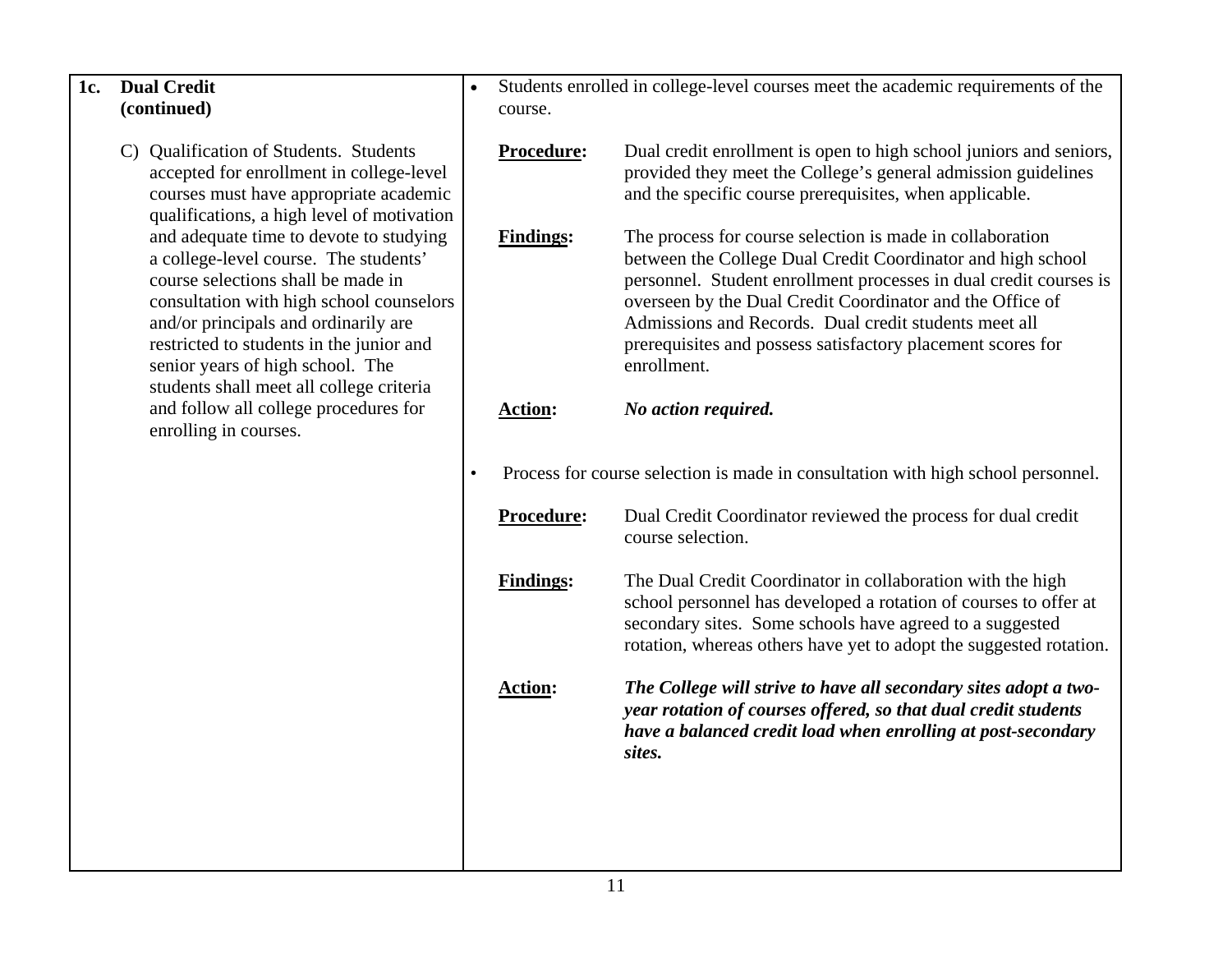- C) Qualification of Students. Students accepted for enrollment in college-level courses must have appropriate academic qualifications, a high level of motivation and adequate time to devote to studying a college-level course. The students' course selections shall be made in consultation with high school counselors and/or principals and ordinarily are restricted to students in the junior and senior years of high school. The students shall meet all college criteria and follow all college procedures for enrolling in courses.
- • Students enrolled in college-level courses meet the academic requirements of the course.
	- **Procedure:** Dual credit enrollment is open to high school juniors and seniors, provided they meet the College's general admission guidelines and the specific course prerequisites, when applicable. Findings: The process for course selection is made in collaboration between the College Dual Credit Coordinator and high school personnel. Student enrollment processes in dual credit courses is overseen by the Dual Credit Coordinator and the Office of Admissions and Records. Dual credit students meet all prerequisites and possess satisfactory placement scores for enrollment.
	- **Action:** *No action required.*
- Process for course selection is made in consultation with high school personnel.
	- **Procedure:** Dual Credit Coordinator reviewed the process for dual credit course selection.
	- **Findings:** The Dual Credit Coordinator in collaboration with the high school personnel has developed a rotation of courses to offer at secondary sites. Some schools have agreed to a suggested rotation, whereas others have yet to adopt the suggested rotation.
	- **Action:** *The College will strive to have all secondary sites adopt a twoyear rotation of courses offered, so that dual credit students have a balanced credit load when enrolling at post-secondary sites.*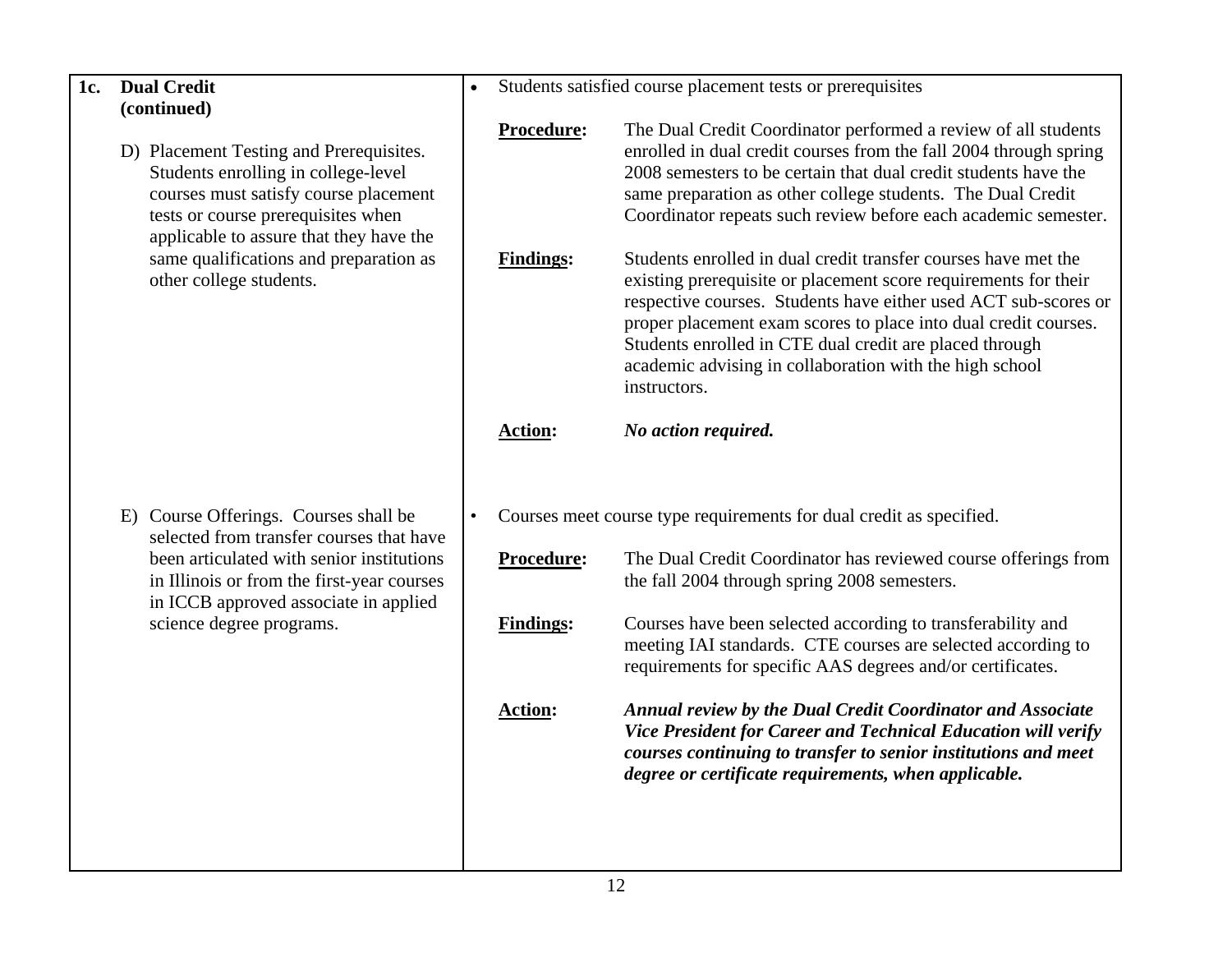D) Placement Testing and Prerequisites. Students enrolling in college-level courses must satisfy course placement tests or course prerequisites when applicable to assure that they have the same qualifications and preparation as other college students.

E) Course Offerings. Courses shall be selected from transfer courses that have been articulated with senior institutions in Illinois or from the first-year courses in ICCB approved associate in applied science degree programs.

•Students satisfied course placement tests or prerequisites

**Procedure:** The Dual Credit Coordinator performed a review of all students enrolled in dual credit courses from the fall 2004 through spring 2008 semesters to be certain that dual credit students have the same preparation as other college students. The Dual Credit Coordinator repeats such review before each academic semester. **Findings:** Students enrolled in dual credit transfer courses have met the existing prerequisite or placement score requirements for their respective courses. Students have either used ACT sub-scores or proper placement exam scores to place into dual credit courses. Students enrolled in CTE dual credit are placed through academic advising in collaboration with the high school instructors. **Action:** *No action required.*  • Courses meet course type requirements for dual credit as specified. **Procedure:** The Dual Credit Coordinator has reviewed course offerings from the fall 2004 through spring 2008 semesters. Findings: Courses have been selected according to transferability and meeting IAI standards. CTE courses are selected according to requirements for specific AAS degrees and/or certificates. **Action:** *Annual review by the Dual Credit Coordinator and Associate Vice President for Career and Technical Education will verify courses continuing to transfer to senior institutions and meet degree or certificate requirements, when applicable.*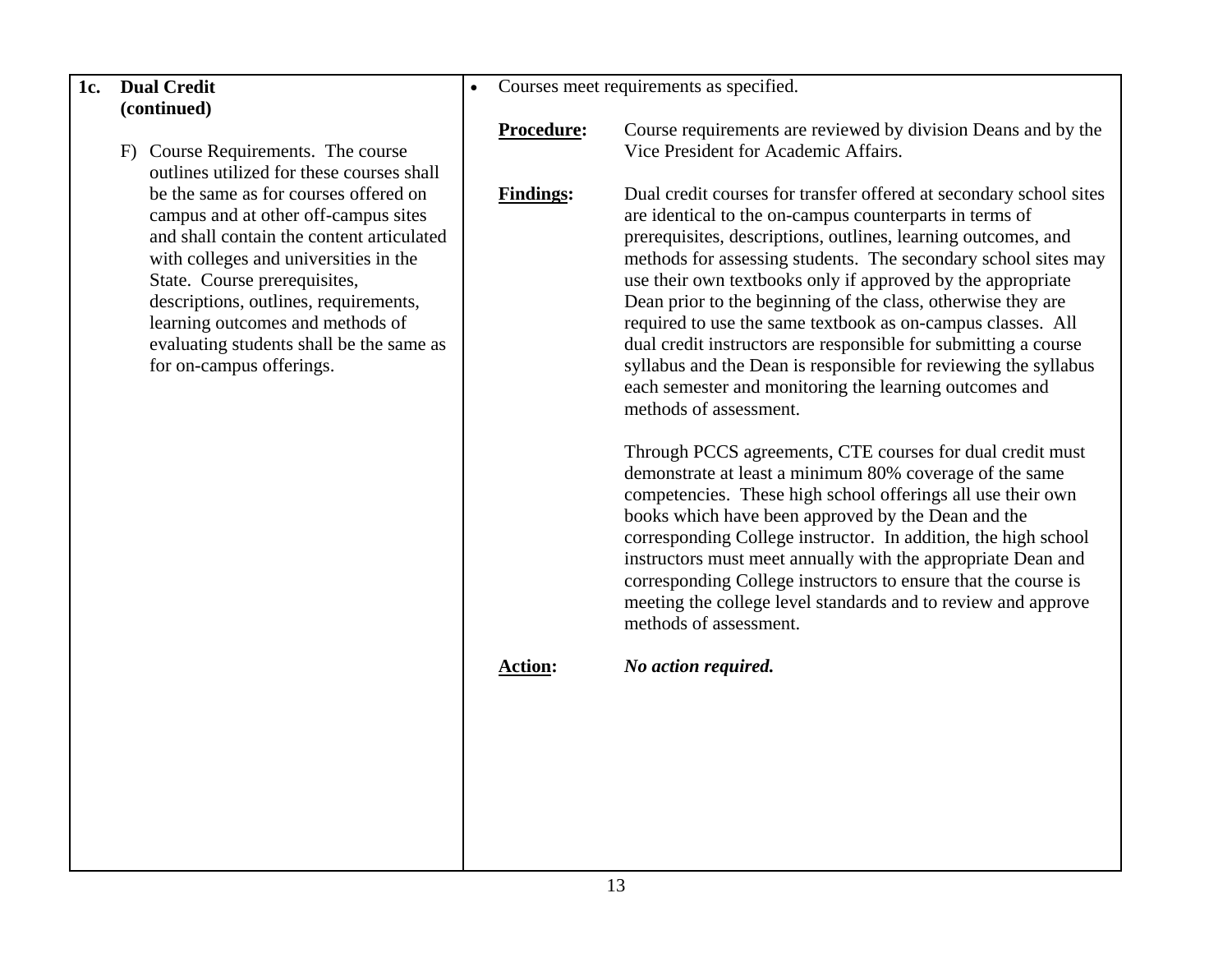F) Course Requirements. The course outlines utilized for these courses shall be the same as for courses offered on campus and at other off-campus sites and shall contain the content articulated with colleges and universities in the State. Course prerequisites, descriptions, outlines, requirements, learning outcomes and methods of evaluating students shall be the same as for on-campus offerings.

•Courses meet requirements as specified.

**Procedure:** Course requirements are reviewed by division Deans and by the Vice President for Academic Affairs.

**Findings:** Dual credit courses for transfer offered at secondary school sites are identical to the on-campus counterparts in terms of prerequisites, descriptions, outlines, learning outcomes, and methods for assessing students. The secondary school sites may use their own textbooks only if approved by the appropriate Dean prior to the beginning of the class, otherwise they are required to use the same textbook as on-campus classes. All dual credit instructors are responsible for submitting a course syllabus and the Dean is responsible for reviewing the syllabus each semester and monitoring the learning outcomes and methods of assessment.

> Through PCCS agreements, CTE courses for dual credit must demonstrate at least a minimum 80% coverage of the same competencies. These high school offerings all use their own books which have been approved by the Dean and the corresponding College instructor. In addition, the high school instructors must meet annually with the appropriate Dean and corresponding College instructors to ensure that the course is meeting the college level standards and to review and approve methods of assessment.

**Action:** *No action required.*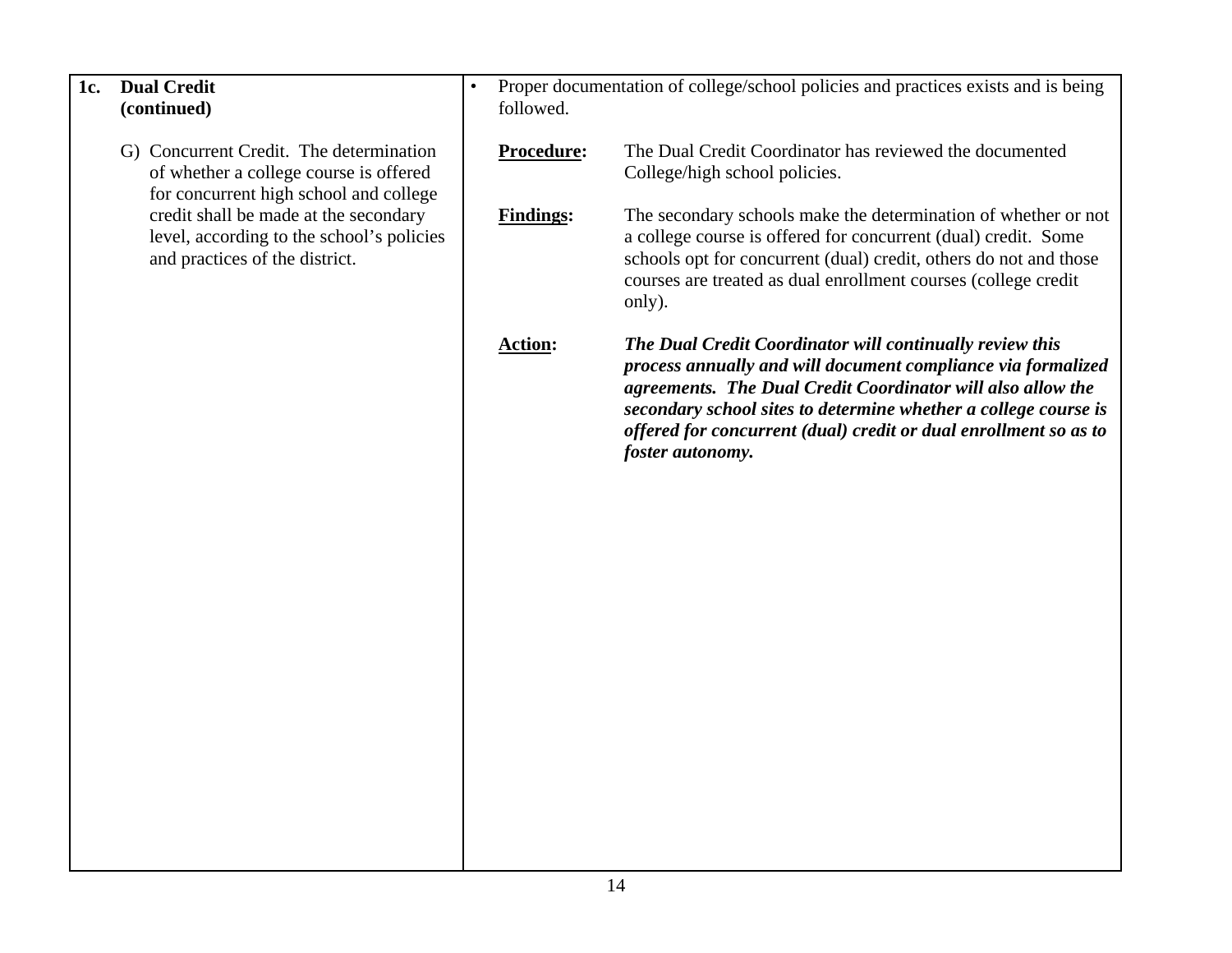| 1c. | <b>Dual Credit</b><br>(continued)                                                                                           | $\bullet$ | followed.        | Proper documentation of college/school policies and practices exists and is being                                                                                                                                                                                                                                                                  |
|-----|-----------------------------------------------------------------------------------------------------------------------------|-----------|------------------|----------------------------------------------------------------------------------------------------------------------------------------------------------------------------------------------------------------------------------------------------------------------------------------------------------------------------------------------------|
|     | G) Concurrent Credit. The determination<br>of whether a college course is offered<br>for concurrent high school and college |           | Procedure:       | The Dual Credit Coordinator has reviewed the documented<br>College/high school policies.                                                                                                                                                                                                                                                           |
|     | credit shall be made at the secondary<br>level, according to the school's policies<br>and practices of the district.        |           | <b>Findings:</b> | The secondary schools make the determination of whether or not<br>a college course is offered for concurrent (dual) credit. Some<br>schools opt for concurrent (dual) credit, others do not and those<br>courses are treated as dual enrollment courses (college credit<br>only).                                                                  |
|     |                                                                                                                             |           | <b>Action:</b>   | The Dual Credit Coordinator will continually review this<br>process annually and will document compliance via formalized<br>agreements. The Dual Credit Coordinator will also allow the<br>secondary school sites to determine whether a college course is<br>offered for concurrent (dual) credit or dual enrollment so as to<br>foster autonomy. |
|     |                                                                                                                             |           |                  |                                                                                                                                                                                                                                                                                                                                                    |
|     |                                                                                                                             |           |                  |                                                                                                                                                                                                                                                                                                                                                    |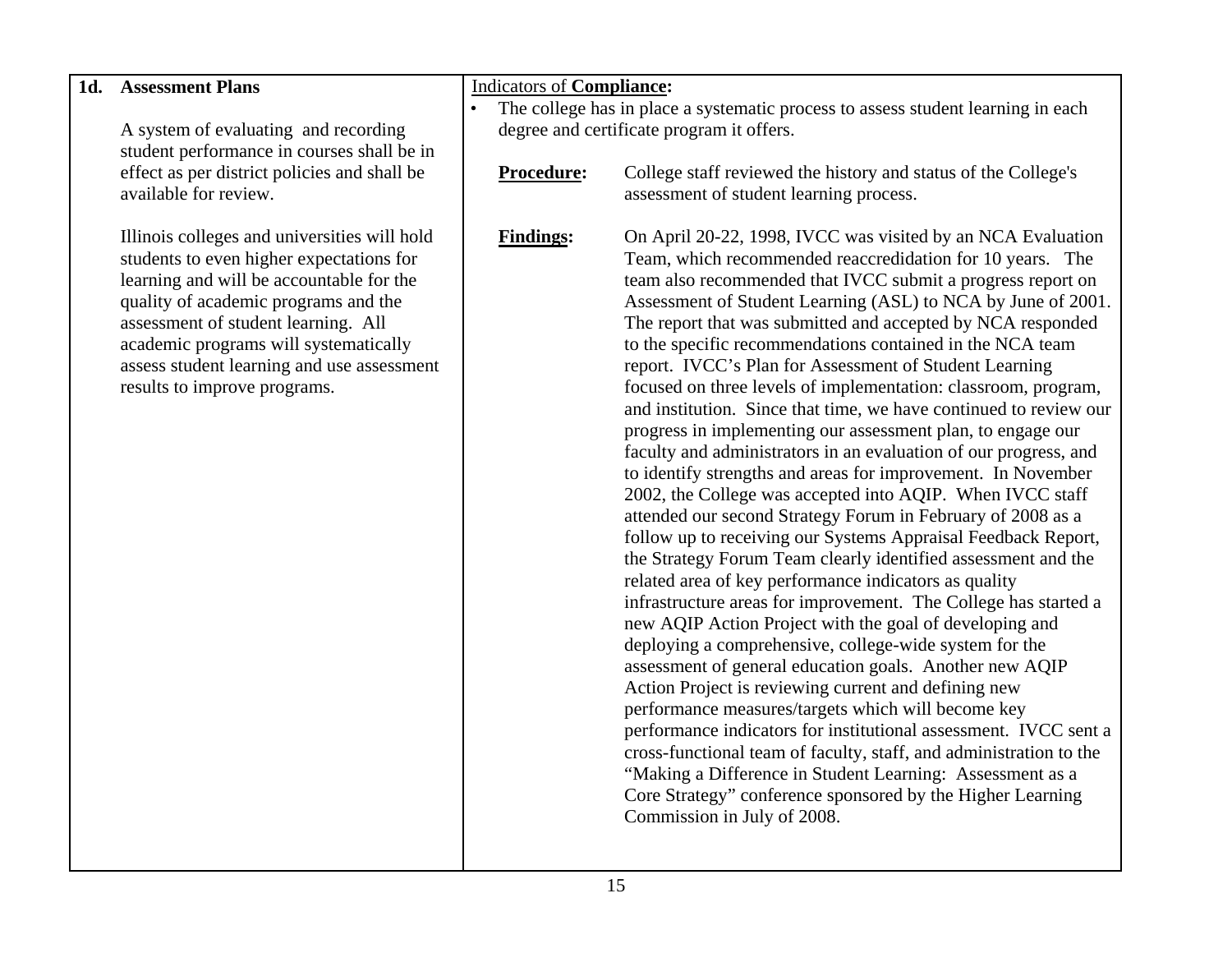| The college has in place a systematic process to assess student learning in each<br>degree and certificate program it offers.<br>A system of evaluating and recording<br>student performance in courses shall be in<br>effect as per district policies and shall be<br>Procedure:<br>College staff reviewed the history and status of the College's<br>available for review.<br>assessment of student learning process.<br>Illinois colleges and universities will hold<br><b>Findings:</b><br>On April 20-22, 1998, IVCC was visited by an NCA Evaluation<br>students to even higher expectations for<br>Team, which recommended reaccredidation for 10 years. The<br>learning and will be accountable for the<br>team also recommended that IVCC submit a progress report on<br>quality of academic programs and the<br>Assessment of Student Learning (ASL) to NCA by June of 2001.<br>assessment of student learning. All<br>The report that was submitted and accepted by NCA responded<br>academic programs will systematically<br>to the specific recommendations contained in the NCA team<br>assess student learning and use assessment<br>report. IVCC's Plan for Assessment of Student Learning<br>results to improve programs.<br>focused on three levels of implementation: classroom, program,<br>and institution. Since that time, we have continued to review our<br>progress in implementing our assessment plan, to engage our<br>faculty and administrators in an evaluation of our progress, and<br>to identify strengths and areas for improvement. In November<br>2002, the College was accepted into AQIP. When IVCC staff<br>attended our second Strategy Forum in February of 2008 as a<br>follow up to receiving our Systems Appraisal Feedback Report,<br>the Strategy Forum Team clearly identified assessment and the<br>related area of key performance indicators as quality<br>infrastructure areas for improvement. The College has started a<br>new AQIP Action Project with the goal of developing and<br>deploying a comprehensive, college-wide system for the | 1d. Assessment Plans | <b>Indicators of Compliance:</b> |                                                         |
|-----------------------------------------------------------------------------------------------------------------------------------------------------------------------------------------------------------------------------------------------------------------------------------------------------------------------------------------------------------------------------------------------------------------------------------------------------------------------------------------------------------------------------------------------------------------------------------------------------------------------------------------------------------------------------------------------------------------------------------------------------------------------------------------------------------------------------------------------------------------------------------------------------------------------------------------------------------------------------------------------------------------------------------------------------------------------------------------------------------------------------------------------------------------------------------------------------------------------------------------------------------------------------------------------------------------------------------------------------------------------------------------------------------------------------------------------------------------------------------------------------------------------------------------------------------------------------------------------------------------------------------------------------------------------------------------------------------------------------------------------------------------------------------------------------------------------------------------------------------------------------------------------------------------------------------------------------------------------------------------------------------------------------------------------------------------------------------------------------|----------------------|----------------------------------|---------------------------------------------------------|
|                                                                                                                                                                                                                                                                                                                                                                                                                                                                                                                                                                                                                                                                                                                                                                                                                                                                                                                                                                                                                                                                                                                                                                                                                                                                                                                                                                                                                                                                                                                                                                                                                                                                                                                                                                                                                                                                                                                                                                                                                                                                                                     |                      |                                  |                                                         |
|                                                                                                                                                                                                                                                                                                                                                                                                                                                                                                                                                                                                                                                                                                                                                                                                                                                                                                                                                                                                                                                                                                                                                                                                                                                                                                                                                                                                                                                                                                                                                                                                                                                                                                                                                                                                                                                                                                                                                                                                                                                                                                     |                      |                                  |                                                         |
|                                                                                                                                                                                                                                                                                                                                                                                                                                                                                                                                                                                                                                                                                                                                                                                                                                                                                                                                                                                                                                                                                                                                                                                                                                                                                                                                                                                                                                                                                                                                                                                                                                                                                                                                                                                                                                                                                                                                                                                                                                                                                                     |                      |                                  |                                                         |
|                                                                                                                                                                                                                                                                                                                                                                                                                                                                                                                                                                                                                                                                                                                                                                                                                                                                                                                                                                                                                                                                                                                                                                                                                                                                                                                                                                                                                                                                                                                                                                                                                                                                                                                                                                                                                                                                                                                                                                                                                                                                                                     |                      |                                  |                                                         |
|                                                                                                                                                                                                                                                                                                                                                                                                                                                                                                                                                                                                                                                                                                                                                                                                                                                                                                                                                                                                                                                                                                                                                                                                                                                                                                                                                                                                                                                                                                                                                                                                                                                                                                                                                                                                                                                                                                                                                                                                                                                                                                     |                      |                                  |                                                         |
|                                                                                                                                                                                                                                                                                                                                                                                                                                                                                                                                                                                                                                                                                                                                                                                                                                                                                                                                                                                                                                                                                                                                                                                                                                                                                                                                                                                                                                                                                                                                                                                                                                                                                                                                                                                                                                                                                                                                                                                                                                                                                                     |                      |                                  |                                                         |
|                                                                                                                                                                                                                                                                                                                                                                                                                                                                                                                                                                                                                                                                                                                                                                                                                                                                                                                                                                                                                                                                                                                                                                                                                                                                                                                                                                                                                                                                                                                                                                                                                                                                                                                                                                                                                                                                                                                                                                                                                                                                                                     |                      |                                  |                                                         |
|                                                                                                                                                                                                                                                                                                                                                                                                                                                                                                                                                                                                                                                                                                                                                                                                                                                                                                                                                                                                                                                                                                                                                                                                                                                                                                                                                                                                                                                                                                                                                                                                                                                                                                                                                                                                                                                                                                                                                                                                                                                                                                     |                      |                                  |                                                         |
|                                                                                                                                                                                                                                                                                                                                                                                                                                                                                                                                                                                                                                                                                                                                                                                                                                                                                                                                                                                                                                                                                                                                                                                                                                                                                                                                                                                                                                                                                                                                                                                                                                                                                                                                                                                                                                                                                                                                                                                                                                                                                                     |                      |                                  |                                                         |
|                                                                                                                                                                                                                                                                                                                                                                                                                                                                                                                                                                                                                                                                                                                                                                                                                                                                                                                                                                                                                                                                                                                                                                                                                                                                                                                                                                                                                                                                                                                                                                                                                                                                                                                                                                                                                                                                                                                                                                                                                                                                                                     |                      |                                  |                                                         |
|                                                                                                                                                                                                                                                                                                                                                                                                                                                                                                                                                                                                                                                                                                                                                                                                                                                                                                                                                                                                                                                                                                                                                                                                                                                                                                                                                                                                                                                                                                                                                                                                                                                                                                                                                                                                                                                                                                                                                                                                                                                                                                     |                      |                                  |                                                         |
|                                                                                                                                                                                                                                                                                                                                                                                                                                                                                                                                                                                                                                                                                                                                                                                                                                                                                                                                                                                                                                                                                                                                                                                                                                                                                                                                                                                                                                                                                                                                                                                                                                                                                                                                                                                                                                                                                                                                                                                                                                                                                                     |                      |                                  |                                                         |
|                                                                                                                                                                                                                                                                                                                                                                                                                                                                                                                                                                                                                                                                                                                                                                                                                                                                                                                                                                                                                                                                                                                                                                                                                                                                                                                                                                                                                                                                                                                                                                                                                                                                                                                                                                                                                                                                                                                                                                                                                                                                                                     |                      |                                  |                                                         |
|                                                                                                                                                                                                                                                                                                                                                                                                                                                                                                                                                                                                                                                                                                                                                                                                                                                                                                                                                                                                                                                                                                                                                                                                                                                                                                                                                                                                                                                                                                                                                                                                                                                                                                                                                                                                                                                                                                                                                                                                                                                                                                     |                      |                                  |                                                         |
|                                                                                                                                                                                                                                                                                                                                                                                                                                                                                                                                                                                                                                                                                                                                                                                                                                                                                                                                                                                                                                                                                                                                                                                                                                                                                                                                                                                                                                                                                                                                                                                                                                                                                                                                                                                                                                                                                                                                                                                                                                                                                                     |                      |                                  |                                                         |
|                                                                                                                                                                                                                                                                                                                                                                                                                                                                                                                                                                                                                                                                                                                                                                                                                                                                                                                                                                                                                                                                                                                                                                                                                                                                                                                                                                                                                                                                                                                                                                                                                                                                                                                                                                                                                                                                                                                                                                                                                                                                                                     |                      |                                  |                                                         |
|                                                                                                                                                                                                                                                                                                                                                                                                                                                                                                                                                                                                                                                                                                                                                                                                                                                                                                                                                                                                                                                                                                                                                                                                                                                                                                                                                                                                                                                                                                                                                                                                                                                                                                                                                                                                                                                                                                                                                                                                                                                                                                     |                      |                                  |                                                         |
|                                                                                                                                                                                                                                                                                                                                                                                                                                                                                                                                                                                                                                                                                                                                                                                                                                                                                                                                                                                                                                                                                                                                                                                                                                                                                                                                                                                                                                                                                                                                                                                                                                                                                                                                                                                                                                                                                                                                                                                                                                                                                                     |                      |                                  |                                                         |
|                                                                                                                                                                                                                                                                                                                                                                                                                                                                                                                                                                                                                                                                                                                                                                                                                                                                                                                                                                                                                                                                                                                                                                                                                                                                                                                                                                                                                                                                                                                                                                                                                                                                                                                                                                                                                                                                                                                                                                                                                                                                                                     |                      |                                  |                                                         |
|                                                                                                                                                                                                                                                                                                                                                                                                                                                                                                                                                                                                                                                                                                                                                                                                                                                                                                                                                                                                                                                                                                                                                                                                                                                                                                                                                                                                                                                                                                                                                                                                                                                                                                                                                                                                                                                                                                                                                                                                                                                                                                     |                      |                                  |                                                         |
|                                                                                                                                                                                                                                                                                                                                                                                                                                                                                                                                                                                                                                                                                                                                                                                                                                                                                                                                                                                                                                                                                                                                                                                                                                                                                                                                                                                                                                                                                                                                                                                                                                                                                                                                                                                                                                                                                                                                                                                                                                                                                                     |                      |                                  |                                                         |
|                                                                                                                                                                                                                                                                                                                                                                                                                                                                                                                                                                                                                                                                                                                                                                                                                                                                                                                                                                                                                                                                                                                                                                                                                                                                                                                                                                                                                                                                                                                                                                                                                                                                                                                                                                                                                                                                                                                                                                                                                                                                                                     |                      |                                  |                                                         |
|                                                                                                                                                                                                                                                                                                                                                                                                                                                                                                                                                                                                                                                                                                                                                                                                                                                                                                                                                                                                                                                                                                                                                                                                                                                                                                                                                                                                                                                                                                                                                                                                                                                                                                                                                                                                                                                                                                                                                                                                                                                                                                     |                      |                                  |                                                         |
|                                                                                                                                                                                                                                                                                                                                                                                                                                                                                                                                                                                                                                                                                                                                                                                                                                                                                                                                                                                                                                                                                                                                                                                                                                                                                                                                                                                                                                                                                                                                                                                                                                                                                                                                                                                                                                                                                                                                                                                                                                                                                                     |                      |                                  |                                                         |
|                                                                                                                                                                                                                                                                                                                                                                                                                                                                                                                                                                                                                                                                                                                                                                                                                                                                                                                                                                                                                                                                                                                                                                                                                                                                                                                                                                                                                                                                                                                                                                                                                                                                                                                                                                                                                                                                                                                                                                                                                                                                                                     |                      |                                  |                                                         |
|                                                                                                                                                                                                                                                                                                                                                                                                                                                                                                                                                                                                                                                                                                                                                                                                                                                                                                                                                                                                                                                                                                                                                                                                                                                                                                                                                                                                                                                                                                                                                                                                                                                                                                                                                                                                                                                                                                                                                                                                                                                                                                     |                      |                                  |                                                         |
|                                                                                                                                                                                                                                                                                                                                                                                                                                                                                                                                                                                                                                                                                                                                                                                                                                                                                                                                                                                                                                                                                                                                                                                                                                                                                                                                                                                                                                                                                                                                                                                                                                                                                                                                                                                                                                                                                                                                                                                                                                                                                                     |                      |                                  |                                                         |
|                                                                                                                                                                                                                                                                                                                                                                                                                                                                                                                                                                                                                                                                                                                                                                                                                                                                                                                                                                                                                                                                                                                                                                                                                                                                                                                                                                                                                                                                                                                                                                                                                                                                                                                                                                                                                                                                                                                                                                                                                                                                                                     |                      |                                  | assessment of general education goals. Another new AQIP |
| Action Project is reviewing current and defining new                                                                                                                                                                                                                                                                                                                                                                                                                                                                                                                                                                                                                                                                                                                                                                                                                                                                                                                                                                                                                                                                                                                                                                                                                                                                                                                                                                                                                                                                                                                                                                                                                                                                                                                                                                                                                                                                                                                                                                                                                                                |                      |                                  |                                                         |
| performance measures/targets which will become key                                                                                                                                                                                                                                                                                                                                                                                                                                                                                                                                                                                                                                                                                                                                                                                                                                                                                                                                                                                                                                                                                                                                                                                                                                                                                                                                                                                                                                                                                                                                                                                                                                                                                                                                                                                                                                                                                                                                                                                                                                                  |                      |                                  |                                                         |
| performance indicators for institutional assessment. IVCC sent a                                                                                                                                                                                                                                                                                                                                                                                                                                                                                                                                                                                                                                                                                                                                                                                                                                                                                                                                                                                                                                                                                                                                                                                                                                                                                                                                                                                                                                                                                                                                                                                                                                                                                                                                                                                                                                                                                                                                                                                                                                    |                      |                                  |                                                         |
| cross-functional team of faculty, staff, and administration to the                                                                                                                                                                                                                                                                                                                                                                                                                                                                                                                                                                                                                                                                                                                                                                                                                                                                                                                                                                                                                                                                                                                                                                                                                                                                                                                                                                                                                                                                                                                                                                                                                                                                                                                                                                                                                                                                                                                                                                                                                                  |                      |                                  |                                                         |
| "Making a Difference in Student Learning: Assessment as a                                                                                                                                                                                                                                                                                                                                                                                                                                                                                                                                                                                                                                                                                                                                                                                                                                                                                                                                                                                                                                                                                                                                                                                                                                                                                                                                                                                                                                                                                                                                                                                                                                                                                                                                                                                                                                                                                                                                                                                                                                           |                      |                                  |                                                         |
| Core Strategy" conference sponsored by the Higher Learning                                                                                                                                                                                                                                                                                                                                                                                                                                                                                                                                                                                                                                                                                                                                                                                                                                                                                                                                                                                                                                                                                                                                                                                                                                                                                                                                                                                                                                                                                                                                                                                                                                                                                                                                                                                                                                                                                                                                                                                                                                          |                      |                                  |                                                         |
| Commission in July of 2008.                                                                                                                                                                                                                                                                                                                                                                                                                                                                                                                                                                                                                                                                                                                                                                                                                                                                                                                                                                                                                                                                                                                                                                                                                                                                                                                                                                                                                                                                                                                                                                                                                                                                                                                                                                                                                                                                                                                                                                                                                                                                         |                      |                                  |                                                         |
|                                                                                                                                                                                                                                                                                                                                                                                                                                                                                                                                                                                                                                                                                                                                                                                                                                                                                                                                                                                                                                                                                                                                                                                                                                                                                                                                                                                                                                                                                                                                                                                                                                                                                                                                                                                                                                                                                                                                                                                                                                                                                                     |                      |                                  |                                                         |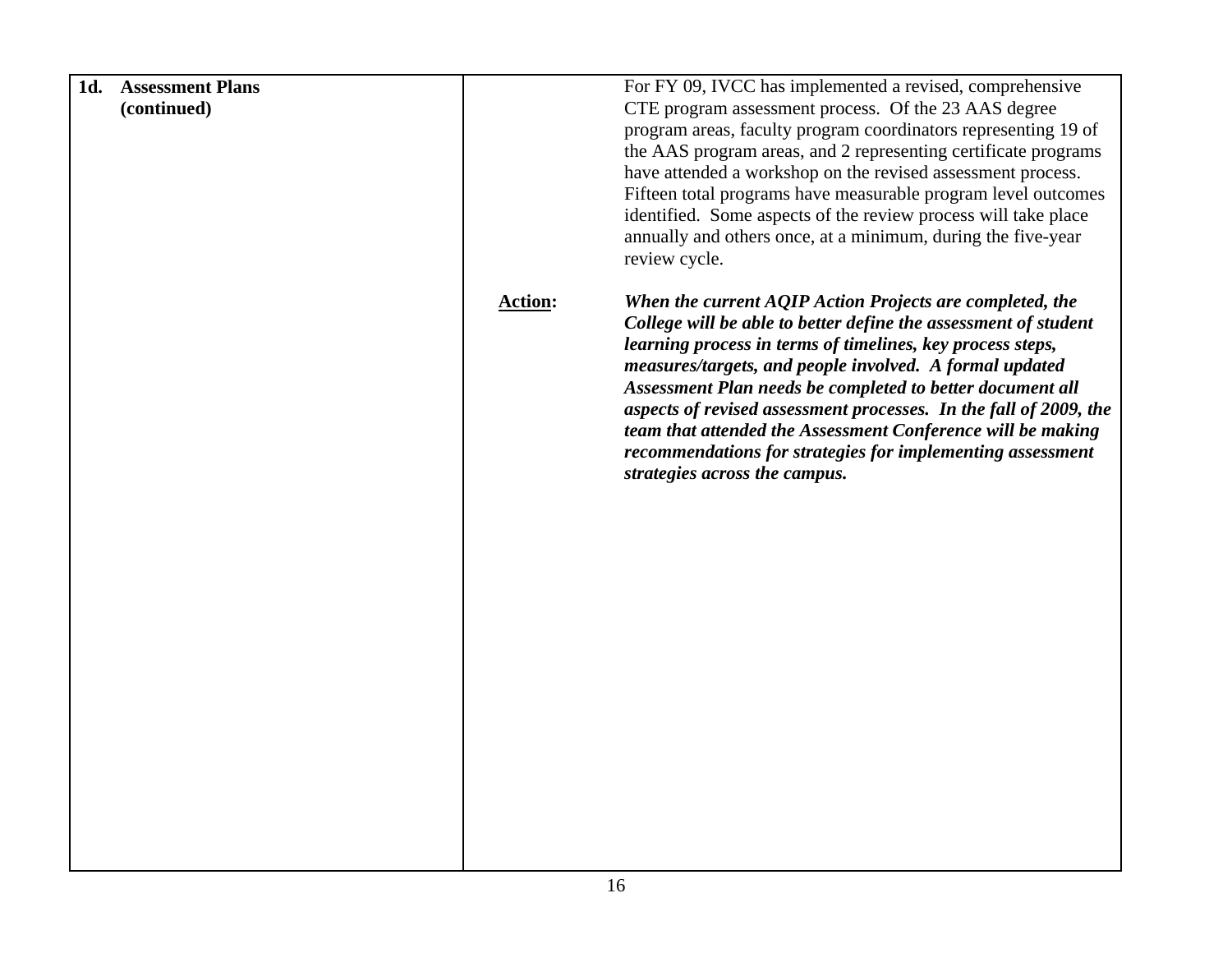| <b>Assessment Plans</b><br>1d. |                | For FY 09, IVCC has implemented a revised, comprehensive          |
|--------------------------------|----------------|-------------------------------------------------------------------|
| (continued)                    |                | CTE program assessment process. Of the 23 AAS degree              |
|                                |                | program areas, faculty program coordinators representing 19 of    |
|                                |                | the AAS program areas, and 2 representing certificate programs    |
|                                |                | have attended a workshop on the revised assessment process.       |
|                                |                | Fifteen total programs have measurable program level outcomes     |
|                                |                | identified. Some aspects of the review process will take place    |
|                                |                | annually and others once, at a minimum, during the five-year      |
|                                |                | review cycle.                                                     |
|                                |                |                                                                   |
|                                | <b>Action:</b> | When the current AQIP Action Projects are completed, the          |
|                                |                | College will be able to better define the assessment of student   |
|                                |                | learning process in terms of timelines, key process steps,        |
|                                |                | measures/targets, and people involved. A formal updated           |
|                                |                | Assessment Plan needs be completed to better document all         |
|                                |                | aspects of revised assessment processes. In the fall of 2009, the |
|                                |                | team that attended the Assessment Conference will be making       |
|                                |                | recommendations for strategies for implementing assessment        |
|                                |                | strategies across the campus.                                     |
|                                |                |                                                                   |
|                                |                |                                                                   |
|                                |                |                                                                   |
|                                |                |                                                                   |
|                                |                |                                                                   |
|                                |                |                                                                   |
|                                |                |                                                                   |
|                                |                |                                                                   |
|                                |                |                                                                   |
|                                |                |                                                                   |
|                                |                |                                                                   |
|                                |                |                                                                   |
|                                |                |                                                                   |
|                                |                |                                                                   |
|                                |                |                                                                   |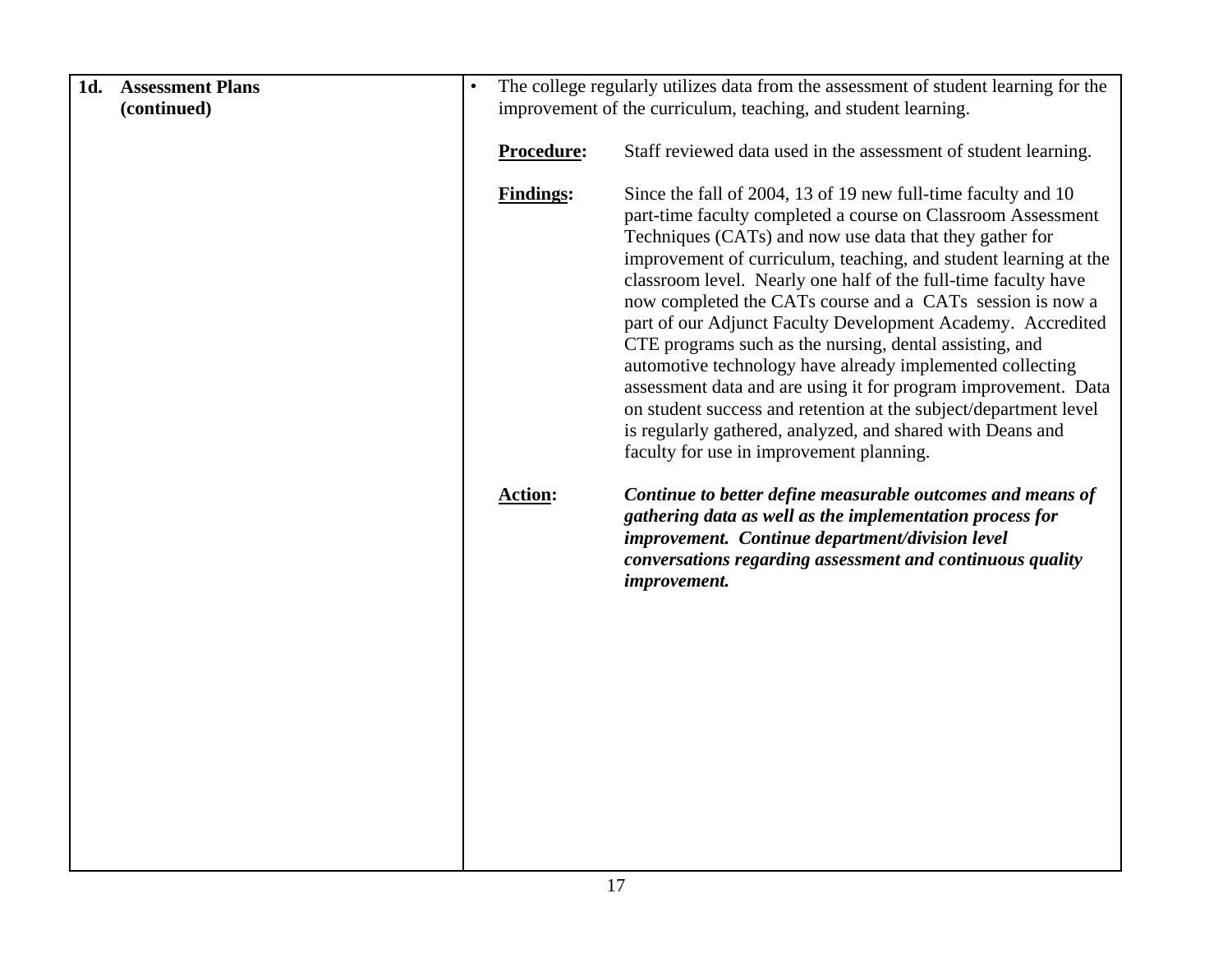| 1d. | <b>Assessment Plans</b> | $\bullet$ |                                                                | The college regularly utilizes data from the assessment of student learning for the                                      |
|-----|-------------------------|-----------|----------------------------------------------------------------|--------------------------------------------------------------------------------------------------------------------------|
|     | (continued)             |           | improvement of the curriculum, teaching, and student learning. |                                                                                                                          |
|     |                         |           |                                                                |                                                                                                                          |
|     |                         |           | Procedure:                                                     | Staff reviewed data used in the assessment of student learning.                                                          |
|     |                         |           |                                                                |                                                                                                                          |
|     |                         |           | <b>Findings:</b>                                               | Since the fall of 2004, 13 of 19 new full-time faculty and 10                                                            |
|     |                         |           |                                                                | part-time faculty completed a course on Classroom Assessment                                                             |
|     |                         |           |                                                                | Techniques (CATs) and now use data that they gather for                                                                  |
|     |                         |           |                                                                | improvement of curriculum, teaching, and student learning at the                                                         |
|     |                         |           |                                                                | classroom level. Nearly one half of the full-time faculty have                                                           |
|     |                         |           |                                                                | now completed the CATs course and a CATs session is now a<br>part of our Adjunct Faculty Development Academy. Accredited |
|     |                         |           |                                                                | CTE programs such as the nursing, dental assisting, and                                                                  |
|     |                         |           |                                                                | automotive technology have already implemented collecting                                                                |
|     |                         |           |                                                                | assessment data and are using it for program improvement. Data                                                           |
|     |                         |           |                                                                | on student success and retention at the subject/department level                                                         |
|     |                         |           |                                                                | is regularly gathered, analyzed, and shared with Deans and                                                               |
|     |                         |           |                                                                | faculty for use in improvement planning.                                                                                 |
|     |                         |           | <b>Action:</b>                                                 | Continue to better define measurable outcomes and means of                                                               |
|     |                         |           |                                                                | gathering data as well as the implementation process for                                                                 |
|     |                         |           |                                                                | improvement. Continue department/division level                                                                          |
|     |                         |           |                                                                | conversations regarding assessment and continuous quality                                                                |
|     |                         |           |                                                                | improvement.                                                                                                             |
|     |                         |           |                                                                |                                                                                                                          |
|     |                         |           |                                                                |                                                                                                                          |
|     |                         |           |                                                                |                                                                                                                          |
|     |                         |           |                                                                |                                                                                                                          |
|     |                         |           |                                                                |                                                                                                                          |
|     |                         |           |                                                                |                                                                                                                          |
|     |                         |           |                                                                |                                                                                                                          |
|     |                         |           |                                                                |                                                                                                                          |
|     |                         |           |                                                                |                                                                                                                          |
|     |                         |           |                                                                |                                                                                                                          |
|     |                         |           |                                                                |                                                                                                                          |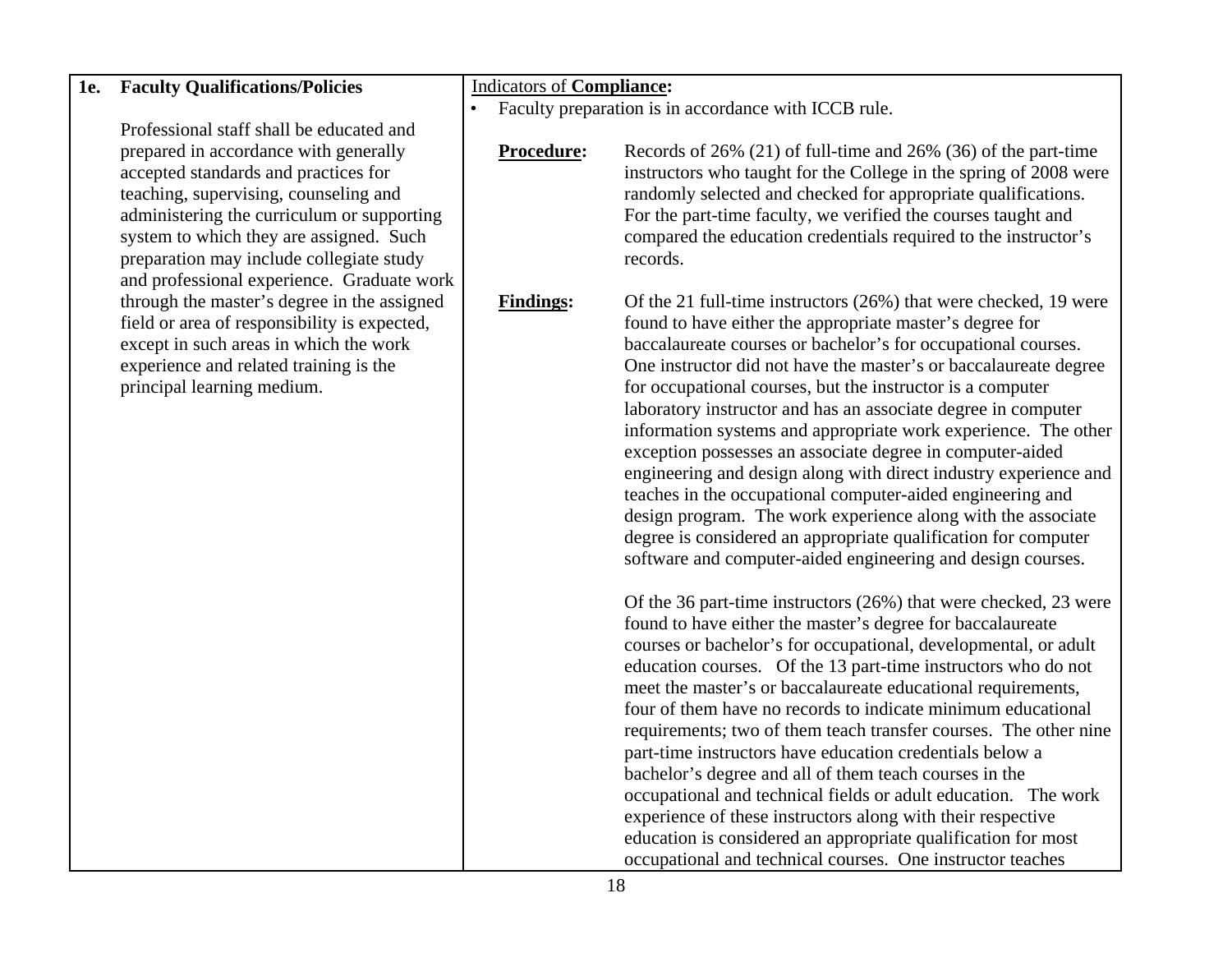#### **1e. Faculty Qualifications/Policies**

Professional staff shall be educated and prepared in accordance with generally accepted standards and practices for teaching, supervising, counseling and administering the curriculum or supporting system to which they are assigned. Such preparation may include collegiate study and professional experience. Graduate work through the master's degree in the assigned field or area of responsibility is expected, except in such areas in which the work experience and related training is the principal learning medium.

Indicators of **Compliance:** 

• Faculty preparation is in accordance with ICCB rule.

**Procedure:** Records of 26% (21) of full-time and 26% (36) of the part-time instructors who taught for the College in the spring of 2008 were randomly selected and checked for appropriate qualifications. For the part-time faculty, we verified the courses taught and compared the education credentials required to the instructor's records.

**Findings:** Of the 21 full-time instructors (26%) that were checked, 19 were found to have either the appropriate master's degree for baccalaureate courses or bachelor's for occupational courses. One instructor did not have the master's or baccalaureate degree for occupational courses, but the instructor is a computer laboratory instructor and has an associate degree in computer information systems and appropriate work experience. The other exception possesses an associate degree in computer-aided engineering and design along with direct industry experience and teaches in the occupational computer-aided engineering and design program. The work experience along with the associate degree is considered an appropriate qualification for computer software and computer-aided engineering and design courses.

> Of the 36 part-time instructors (26%) that were checked, 23 were found to have either the master's degree for baccalaureate courses or bachelor's for occupational, developmental, or adult education courses. Of the 13 part-time instructors who do not meet the master's or baccalaureate educational requirements, four of them have no records to indicate minimum educational requirements; two of them teach transfer courses. The other nine part-time instructors have education credentials below a bachelor's degree and all of them teach courses in the occupational and technical fields or adult education. The work experience of these instructors along with their respective education is considered an appropriate qualification for most occupational and technical courses. One instructor teaches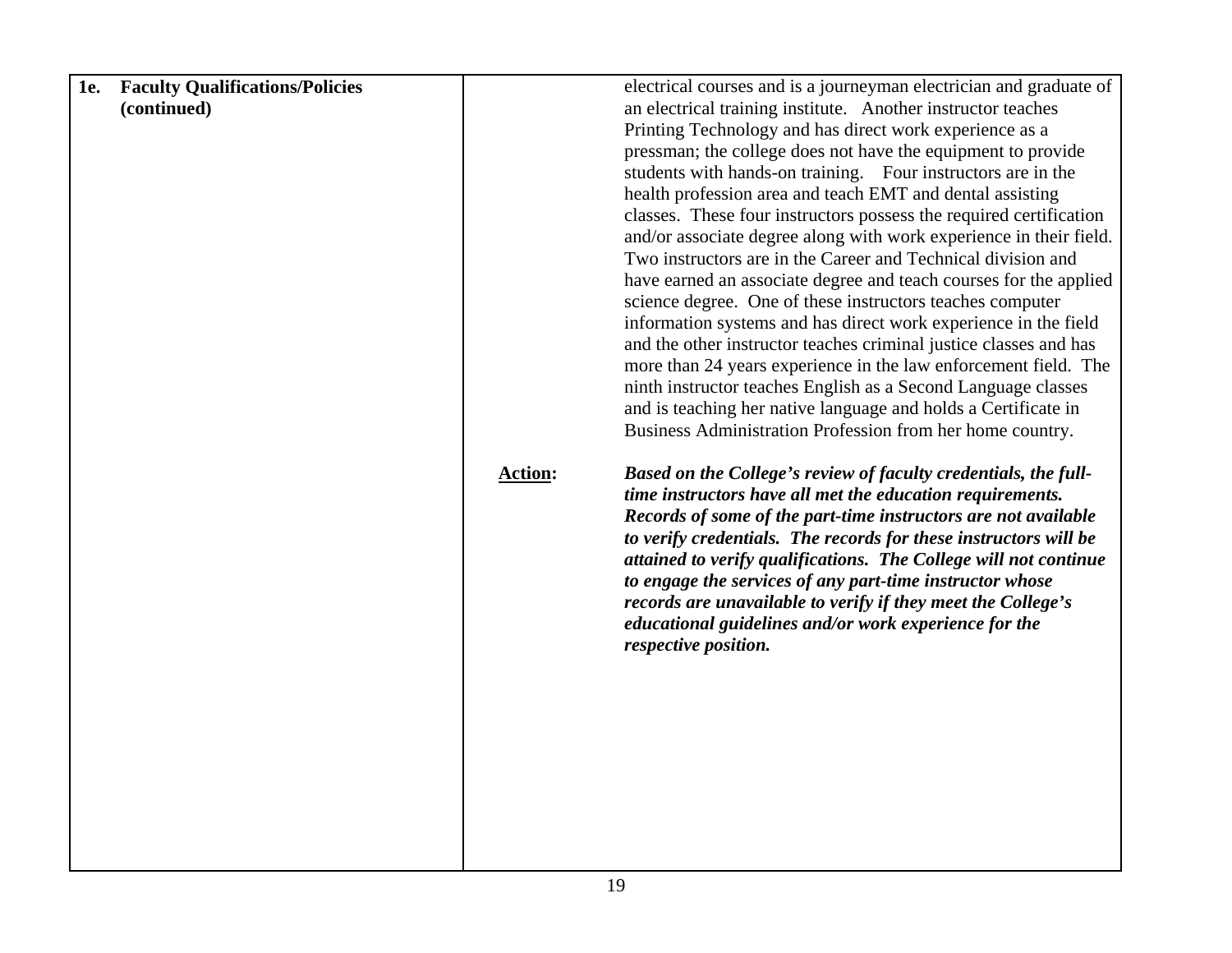| <b>Faculty Qualifications/Policies</b><br><b>1e.</b> |                | electrical courses and is a journeyman electrician and graduate of                                                                                                                                                                                                                                                                                                                                                                                                                                                                                  |
|------------------------------------------------------|----------------|-----------------------------------------------------------------------------------------------------------------------------------------------------------------------------------------------------------------------------------------------------------------------------------------------------------------------------------------------------------------------------------------------------------------------------------------------------------------------------------------------------------------------------------------------------|
| (continued)                                          |                | an electrical training institute. Another instructor teaches                                                                                                                                                                                                                                                                                                                                                                                                                                                                                        |
|                                                      |                | Printing Technology and has direct work experience as a                                                                                                                                                                                                                                                                                                                                                                                                                                                                                             |
|                                                      |                | pressman; the college does not have the equipment to provide                                                                                                                                                                                                                                                                                                                                                                                                                                                                                        |
|                                                      |                | students with hands-on training. Four instructors are in the                                                                                                                                                                                                                                                                                                                                                                                                                                                                                        |
|                                                      |                | health profession area and teach EMT and dental assisting                                                                                                                                                                                                                                                                                                                                                                                                                                                                                           |
|                                                      |                | classes. These four instructors possess the required certification                                                                                                                                                                                                                                                                                                                                                                                                                                                                                  |
|                                                      |                | and/or associate degree along with work experience in their field.                                                                                                                                                                                                                                                                                                                                                                                                                                                                                  |
|                                                      |                | Two instructors are in the Career and Technical division and                                                                                                                                                                                                                                                                                                                                                                                                                                                                                        |
|                                                      |                | have earned an associate degree and teach courses for the applied                                                                                                                                                                                                                                                                                                                                                                                                                                                                                   |
|                                                      |                | science degree. One of these instructors teaches computer                                                                                                                                                                                                                                                                                                                                                                                                                                                                                           |
|                                                      |                | information systems and has direct work experience in the field                                                                                                                                                                                                                                                                                                                                                                                                                                                                                     |
|                                                      |                | and the other instructor teaches criminal justice classes and has                                                                                                                                                                                                                                                                                                                                                                                                                                                                                   |
|                                                      |                | more than 24 years experience in the law enforcement field. The                                                                                                                                                                                                                                                                                                                                                                                                                                                                                     |
|                                                      |                | ninth instructor teaches English as a Second Language classes                                                                                                                                                                                                                                                                                                                                                                                                                                                                                       |
|                                                      |                | and is teaching her native language and holds a Certificate in                                                                                                                                                                                                                                                                                                                                                                                                                                                                                      |
|                                                      |                | Business Administration Profession from her home country.                                                                                                                                                                                                                                                                                                                                                                                                                                                                                           |
|                                                      | <b>Action:</b> | Based on the College's review of faculty credentials, the full-<br>time instructors have all met the education requirements.<br>Records of some of the part-time instructors are not available<br>to verify credentials. The records for these instructors will be<br>attained to verify qualifications. The College will not continue<br>to engage the services of any part-time instructor whose<br>records are unavailable to verify if they meet the College's<br>educational guidelines and/or work experience for the<br>respective position. |
|                                                      |                |                                                                                                                                                                                                                                                                                                                                                                                                                                                                                                                                                     |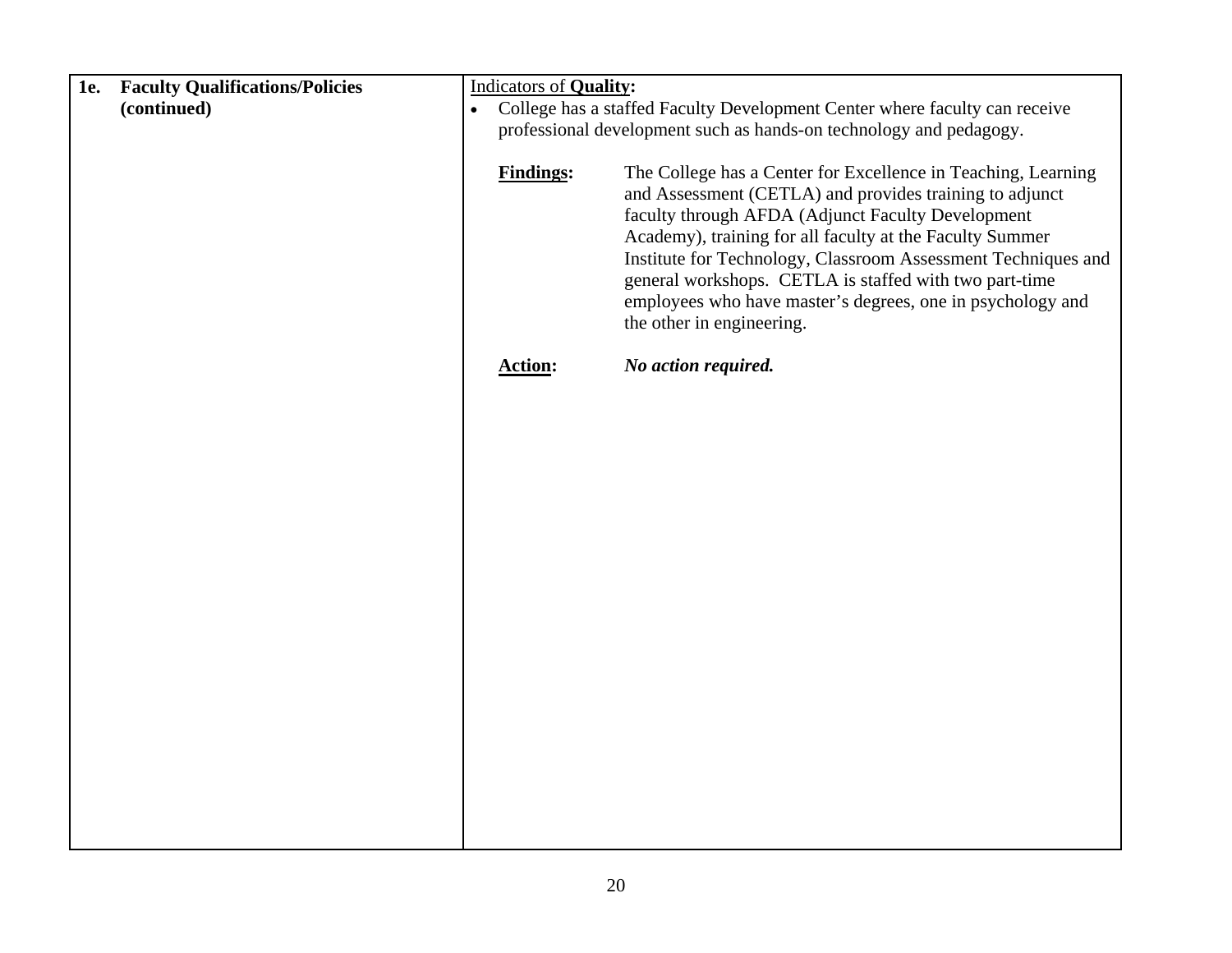| <b>1e.</b> | <b>Faculty Qualifications/Policies</b> |                                                                                         | <b>Indicators of Quality:</b>                                      |                                                                                                                                                                                                                                                                                                                                                                                                                                                                 |
|------------|----------------------------------------|-----------------------------------------------------------------------------------------|--------------------------------------------------------------------|-----------------------------------------------------------------------------------------------------------------------------------------------------------------------------------------------------------------------------------------------------------------------------------------------------------------------------------------------------------------------------------------------------------------------------------------------------------------|
|            | (continued)                            | College has a staffed Faculty Development Center where faculty can receive<br>$\bullet$ |                                                                    |                                                                                                                                                                                                                                                                                                                                                                                                                                                                 |
|            |                                        |                                                                                         | professional development such as hands-on technology and pedagogy. |                                                                                                                                                                                                                                                                                                                                                                                                                                                                 |
|            |                                        |                                                                                         |                                                                    |                                                                                                                                                                                                                                                                                                                                                                                                                                                                 |
|            |                                        |                                                                                         | <b>Findings:</b>                                                   | The College has a Center for Excellence in Teaching, Learning<br>and Assessment (CETLA) and provides training to adjunct<br>faculty through AFDA (Adjunct Faculty Development<br>Academy), training for all faculty at the Faculty Summer<br>Institute for Technology, Classroom Assessment Techniques and<br>general workshops. CETLA is staffed with two part-time<br>employees who have master's degrees, one in psychology and<br>the other in engineering. |
|            |                                        |                                                                                         | <b>Action:</b>                                                     | No action required.                                                                                                                                                                                                                                                                                                                                                                                                                                             |
|            |                                        |                                                                                         |                                                                    |                                                                                                                                                                                                                                                                                                                                                                                                                                                                 |
|            |                                        |                                                                                         |                                                                    |                                                                                                                                                                                                                                                                                                                                                                                                                                                                 |
|            |                                        |                                                                                         |                                                                    |                                                                                                                                                                                                                                                                                                                                                                                                                                                                 |
|            |                                        |                                                                                         |                                                                    |                                                                                                                                                                                                                                                                                                                                                                                                                                                                 |
|            |                                        |                                                                                         |                                                                    |                                                                                                                                                                                                                                                                                                                                                                                                                                                                 |
|            |                                        |                                                                                         |                                                                    |                                                                                                                                                                                                                                                                                                                                                                                                                                                                 |
|            |                                        |                                                                                         |                                                                    |                                                                                                                                                                                                                                                                                                                                                                                                                                                                 |
|            |                                        |                                                                                         |                                                                    |                                                                                                                                                                                                                                                                                                                                                                                                                                                                 |
|            |                                        |                                                                                         |                                                                    |                                                                                                                                                                                                                                                                                                                                                                                                                                                                 |
|            |                                        |                                                                                         |                                                                    |                                                                                                                                                                                                                                                                                                                                                                                                                                                                 |
|            |                                        |                                                                                         |                                                                    |                                                                                                                                                                                                                                                                                                                                                                                                                                                                 |
|            |                                        |                                                                                         |                                                                    |                                                                                                                                                                                                                                                                                                                                                                                                                                                                 |
|            |                                        |                                                                                         |                                                                    |                                                                                                                                                                                                                                                                                                                                                                                                                                                                 |
|            |                                        |                                                                                         |                                                                    |                                                                                                                                                                                                                                                                                                                                                                                                                                                                 |
|            |                                        |                                                                                         |                                                                    |                                                                                                                                                                                                                                                                                                                                                                                                                                                                 |
|            |                                        |                                                                                         |                                                                    |                                                                                                                                                                                                                                                                                                                                                                                                                                                                 |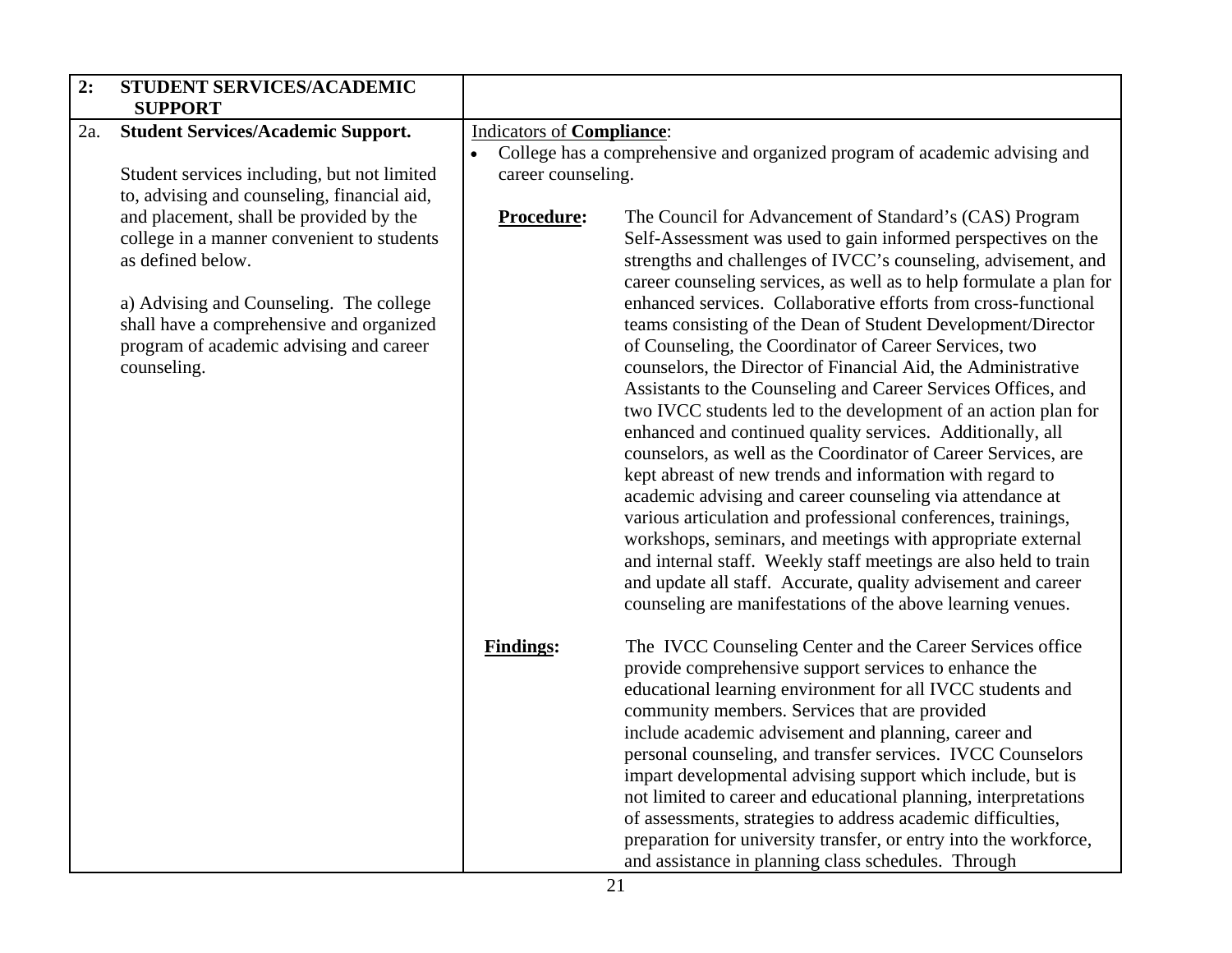| 2:  | STUDENT SERVICES/ACADEMIC                                                                                                                                                                                                                                   |                                                                     |                                                                                                                                                                                                                                                                                                                                                                                                                                                                                                                                                                                                                                                                                                                                                                                                                                                                                                                                                                                                                                                                                                                                                                                                                                                                 |
|-----|-------------------------------------------------------------------------------------------------------------------------------------------------------------------------------------------------------------------------------------------------------------|---------------------------------------------------------------------|-----------------------------------------------------------------------------------------------------------------------------------------------------------------------------------------------------------------------------------------------------------------------------------------------------------------------------------------------------------------------------------------------------------------------------------------------------------------------------------------------------------------------------------------------------------------------------------------------------------------------------------------------------------------------------------------------------------------------------------------------------------------------------------------------------------------------------------------------------------------------------------------------------------------------------------------------------------------------------------------------------------------------------------------------------------------------------------------------------------------------------------------------------------------------------------------------------------------------------------------------------------------|
|     | <b>SUPPORT</b>                                                                                                                                                                                                                                              |                                                                     |                                                                                                                                                                                                                                                                                                                                                                                                                                                                                                                                                                                                                                                                                                                                                                                                                                                                                                                                                                                                                                                                                                                                                                                                                                                                 |
| 2a. | <b>Student Services/Academic Support.</b><br>Student services including, but not limited<br>to, advising and counseling, financial aid,                                                                                                                     | <b>Indicators of Compliance:</b><br>$\bullet$<br>career counseling. | College has a comprehensive and organized program of academic advising and                                                                                                                                                                                                                                                                                                                                                                                                                                                                                                                                                                                                                                                                                                                                                                                                                                                                                                                                                                                                                                                                                                                                                                                      |
|     | and placement, shall be provided by the<br>college in a manner convenient to students<br>as defined below.<br>a) Advising and Counseling. The college<br>shall have a comprehensive and organized<br>program of academic advising and career<br>counseling. | Procedure:                                                          | The Council for Advancement of Standard's (CAS) Program<br>Self-Assessment was used to gain informed perspectives on the<br>strengths and challenges of IVCC's counseling, advisement, and<br>career counseling services, as well as to help formulate a plan for<br>enhanced services. Collaborative efforts from cross-functional<br>teams consisting of the Dean of Student Development/Director<br>of Counseling, the Coordinator of Career Services, two<br>counselors, the Director of Financial Aid, the Administrative<br>Assistants to the Counseling and Career Services Offices, and<br>two IVCC students led to the development of an action plan for<br>enhanced and continued quality services. Additionally, all<br>counselors, as well as the Coordinator of Career Services, are<br>kept abreast of new trends and information with regard to<br>academic advising and career counseling via attendance at<br>various articulation and professional conferences, trainings,<br>workshops, seminars, and meetings with appropriate external<br>and internal staff. Weekly staff meetings are also held to train<br>and update all staff. Accurate, quality advisement and career<br>counseling are manifestations of the above learning venues. |
|     |                                                                                                                                                                                                                                                             | <b>Findings:</b>                                                    | The IVCC Counseling Center and the Career Services office<br>provide comprehensive support services to enhance the<br>educational learning environment for all IVCC students and<br>community members. Services that are provided<br>include academic advisement and planning, career and<br>personal counseling, and transfer services. IVCC Counselors<br>impart developmental advising support which include, but is<br>not limited to career and educational planning, interpretations<br>of assessments, strategies to address academic difficulties,<br>preparation for university transfer, or entry into the workforce,<br>and assistance in planning class schedules. Through                                                                                                                                                                                                                                                                                                                                                                                                                                                                                                                                                                          |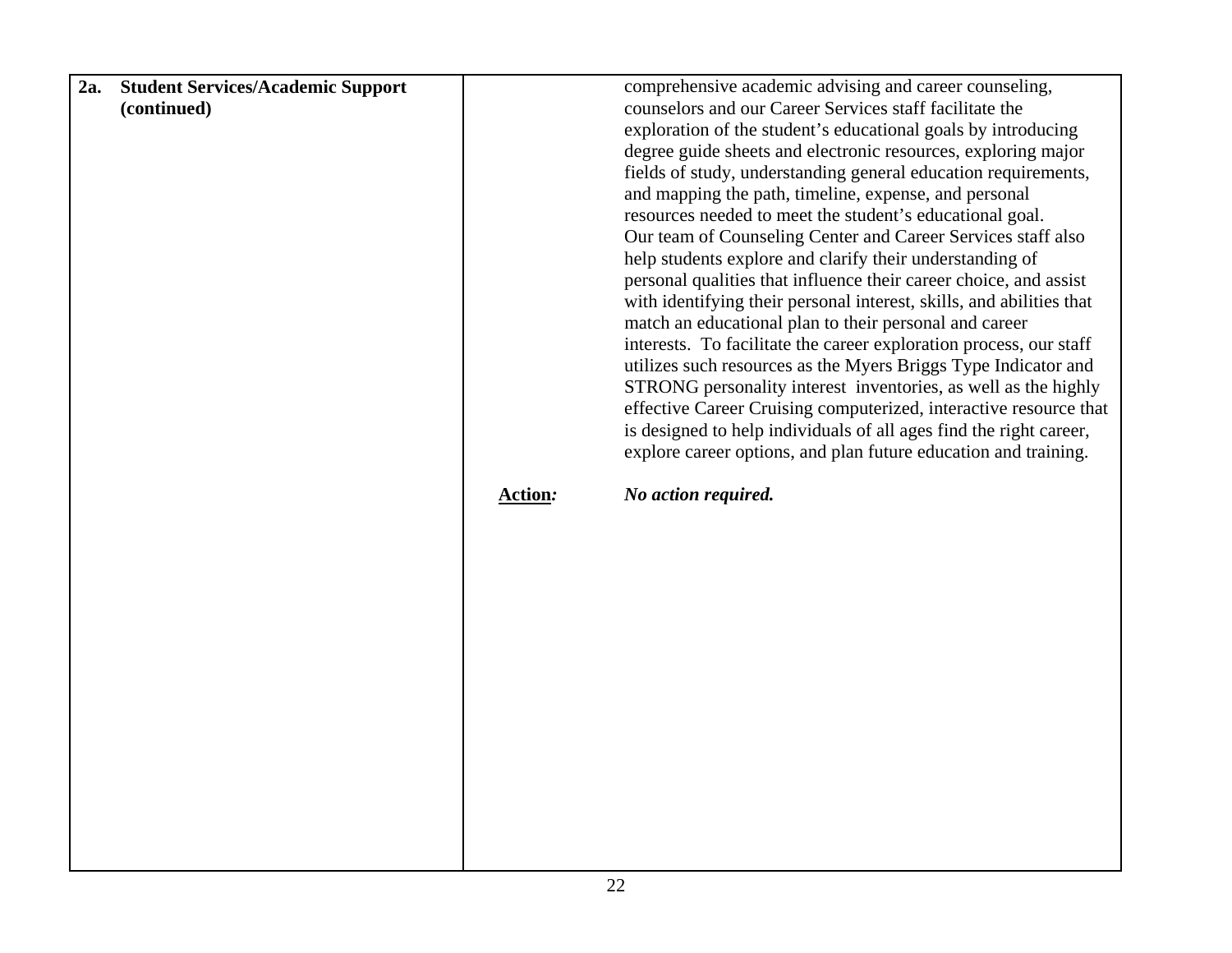| 2a. | <b>Student Services/Academic Support</b> |         | comprehensive academic advising and career counseling,               |
|-----|------------------------------------------|---------|----------------------------------------------------------------------|
|     | (continued)                              |         | counselors and our Career Services staff facilitate the              |
|     |                                          |         | exploration of the student's educational goals by introducing        |
|     |                                          |         | degree guide sheets and electronic resources, exploring major        |
|     |                                          |         | fields of study, understanding general education requirements,       |
|     |                                          |         | and mapping the path, timeline, expense, and personal                |
|     |                                          |         | resources needed to meet the student's educational goal.             |
|     |                                          |         | Our team of Counseling Center and Career Services staff also         |
|     |                                          |         | help students explore and clarify their understanding of             |
|     |                                          |         | personal qualities that influence their career choice, and assist    |
|     |                                          |         |                                                                      |
|     |                                          |         | with identifying their personal interest, skills, and abilities that |
|     |                                          |         | match an educational plan to their personal and career               |
|     |                                          |         | interests. To facilitate the career exploration process, our staff   |
|     |                                          |         | utilizes such resources as the Myers Briggs Type Indicator and       |
|     |                                          |         | STRONG personality interest inventories, as well as the highly       |
|     |                                          |         | effective Career Cruising computerized, interactive resource that    |
|     |                                          |         | is designed to help individuals of all ages find the right career,   |
|     |                                          |         | explore career options, and plan future education and training.      |
|     |                                          | Action: | No action required.                                                  |
|     |                                          |         |                                                                      |
|     |                                          |         |                                                                      |
|     |                                          |         |                                                                      |
|     |                                          |         |                                                                      |
|     |                                          |         |                                                                      |
|     |                                          |         |                                                                      |
|     |                                          |         |                                                                      |
|     |                                          |         |                                                                      |
|     |                                          |         |                                                                      |
|     |                                          |         |                                                                      |
|     |                                          |         |                                                                      |
|     |                                          |         |                                                                      |
|     |                                          |         |                                                                      |
|     |                                          |         |                                                                      |
|     |                                          |         |                                                                      |
|     |                                          |         |                                                                      |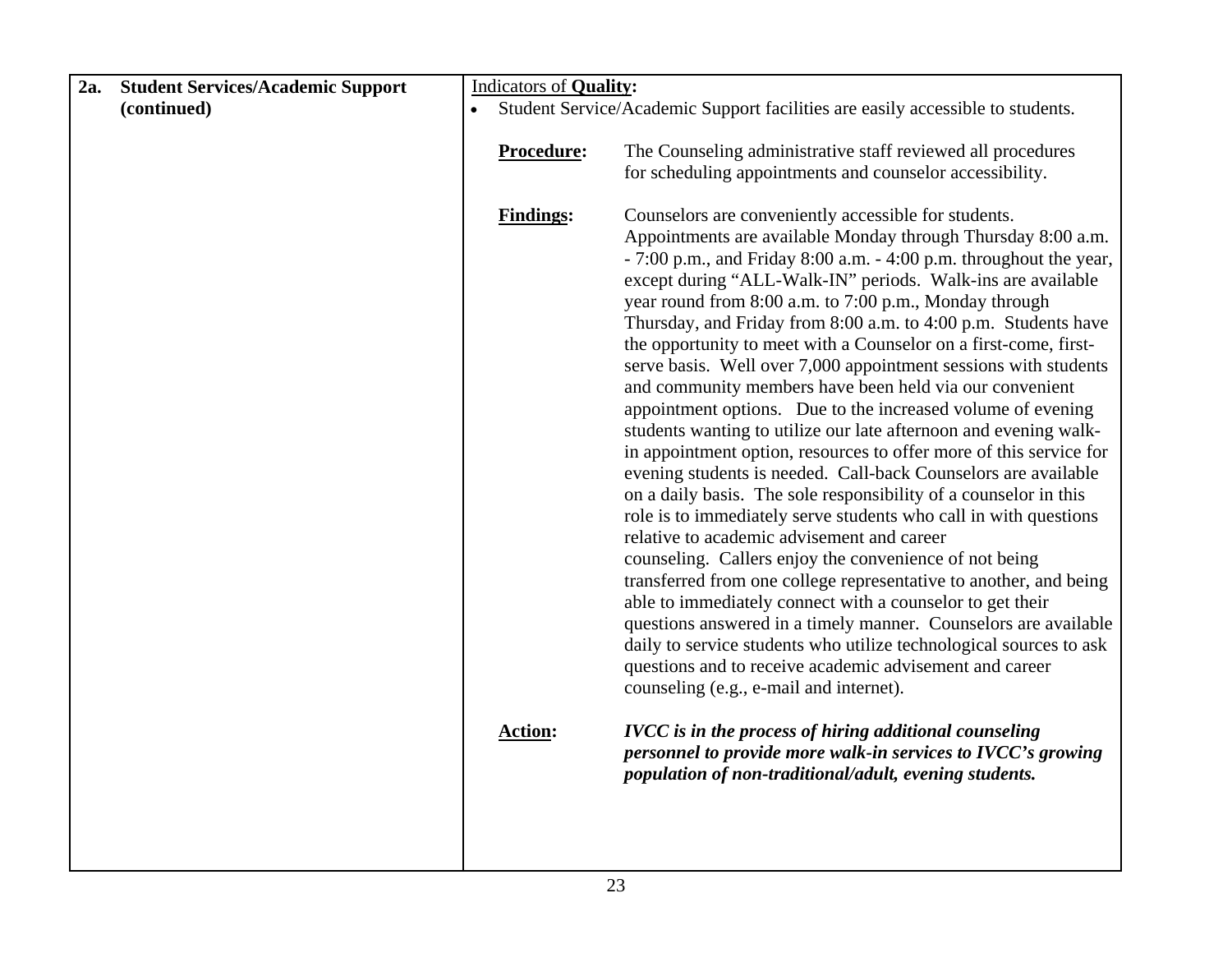| 2a. | <b>Student Services/Academic Support</b> | <b>Indicators of Quality:</b>  |                                                                                                                                                                                                                                                                                                                                                                                                                                                                                                                                                                                                                                                                                                                                                                                                                                                                                                                                                                                                                                                                                                                                                                                                                                                                                                                                                                                                                                             |
|-----|------------------------------------------|--------------------------------|---------------------------------------------------------------------------------------------------------------------------------------------------------------------------------------------------------------------------------------------------------------------------------------------------------------------------------------------------------------------------------------------------------------------------------------------------------------------------------------------------------------------------------------------------------------------------------------------------------------------------------------------------------------------------------------------------------------------------------------------------------------------------------------------------------------------------------------------------------------------------------------------------------------------------------------------------------------------------------------------------------------------------------------------------------------------------------------------------------------------------------------------------------------------------------------------------------------------------------------------------------------------------------------------------------------------------------------------------------------------------------------------------------------------------------------------|
|     | (continued)                              |                                | Student Service/Academic Support facilities are easily accessible to students.                                                                                                                                                                                                                                                                                                                                                                                                                                                                                                                                                                                                                                                                                                                                                                                                                                                                                                                                                                                                                                                                                                                                                                                                                                                                                                                                                              |
|     |                                          | Procedure:<br><b>Findings:</b> | The Counseling administrative staff reviewed all procedures<br>for scheduling appointments and counselor accessibility.<br>Counselors are conveniently accessible for students.                                                                                                                                                                                                                                                                                                                                                                                                                                                                                                                                                                                                                                                                                                                                                                                                                                                                                                                                                                                                                                                                                                                                                                                                                                                             |
|     |                                          |                                | Appointments are available Monday through Thursday 8:00 a.m.<br>- 7:00 p.m., and Friday 8:00 a.m. - 4:00 p.m. throughout the year,<br>except during "ALL-Walk-IN" periods. Walk-ins are available<br>year round from 8:00 a.m. to 7:00 p.m., Monday through<br>Thursday, and Friday from 8:00 a.m. to 4:00 p.m. Students have<br>the opportunity to meet with a Counselor on a first-come, first-<br>serve basis. Well over 7,000 appointment sessions with students<br>and community members have been held via our convenient<br>appointment options. Due to the increased volume of evening<br>students wanting to utilize our late afternoon and evening walk-<br>in appointment option, resources to offer more of this service for<br>evening students is needed. Call-back Counselors are available<br>on a daily basis. The sole responsibility of a counselor in this<br>role is to immediately serve students who call in with questions<br>relative to academic advisement and career<br>counseling. Callers enjoy the convenience of not being<br>transferred from one college representative to another, and being<br>able to immediately connect with a counselor to get their<br>questions answered in a timely manner. Counselors are available<br>daily to service students who utilize technological sources to ask<br>questions and to receive academic advisement and career<br>counseling (e.g., e-mail and internet). |
|     |                                          | <b>Action:</b>                 | <b>IVCC</b> is in the process of hiring additional counseling<br>personnel to provide more walk-in services to IVCC's growing<br>population of non-traditional/adult, evening students.                                                                                                                                                                                                                                                                                                                                                                                                                                                                                                                                                                                                                                                                                                                                                                                                                                                                                                                                                                                                                                                                                                                                                                                                                                                     |
|     |                                          |                                |                                                                                                                                                                                                                                                                                                                                                                                                                                                                                                                                                                                                                                                                                                                                                                                                                                                                                                                                                                                                                                                                                                                                                                                                                                                                                                                                                                                                                                             |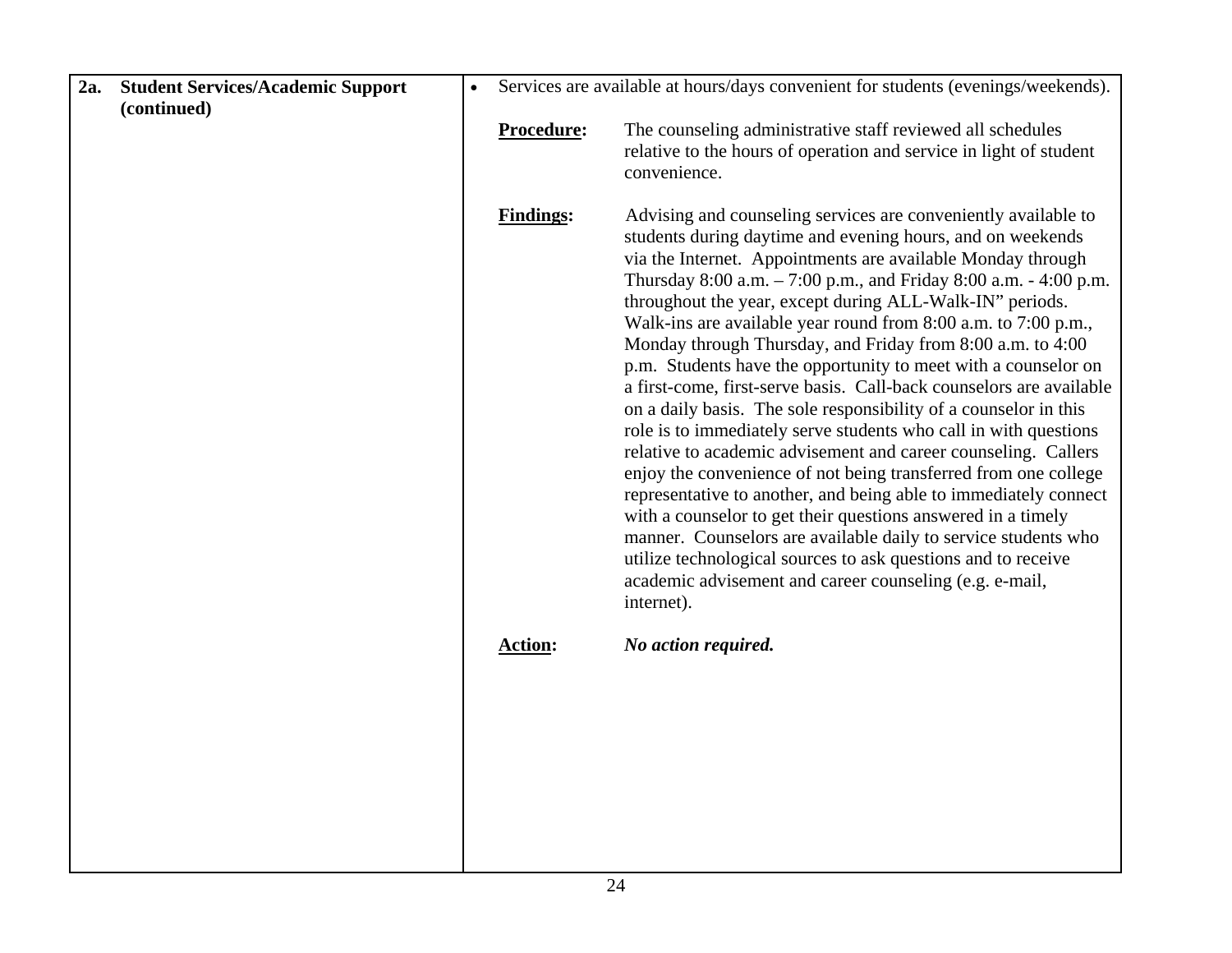| 2a. | <b>Student Services/Academic Support</b> | $\bullet$ |                  | Services are available at hours/days convenient for students (evenings/weekends).                                                                                                                                                                                                                                                                                                                                                                                                                                                                                                                                                                                                                                                                                                                                                                                                                                                                                                                                                                                                                                                                                                                                                 |
|-----|------------------------------------------|-----------|------------------|-----------------------------------------------------------------------------------------------------------------------------------------------------------------------------------------------------------------------------------------------------------------------------------------------------------------------------------------------------------------------------------------------------------------------------------------------------------------------------------------------------------------------------------------------------------------------------------------------------------------------------------------------------------------------------------------------------------------------------------------------------------------------------------------------------------------------------------------------------------------------------------------------------------------------------------------------------------------------------------------------------------------------------------------------------------------------------------------------------------------------------------------------------------------------------------------------------------------------------------|
|     | (continued)                              |           | Procedure:       | The counseling administrative staff reviewed all schedules                                                                                                                                                                                                                                                                                                                                                                                                                                                                                                                                                                                                                                                                                                                                                                                                                                                                                                                                                                                                                                                                                                                                                                        |
|     |                                          |           |                  | relative to the hours of operation and service in light of student<br>convenience.                                                                                                                                                                                                                                                                                                                                                                                                                                                                                                                                                                                                                                                                                                                                                                                                                                                                                                                                                                                                                                                                                                                                                |
|     |                                          |           | <b>Findings:</b> | Advising and counseling services are conveniently available to<br>students during daytime and evening hours, and on weekends<br>via the Internet. Appointments are available Monday through<br>Thursday 8:00 a.m. - 7:00 p.m., and Friday 8:00 a.m. - 4:00 p.m.<br>throughout the year, except during ALL-Walk-IN" periods.<br>Walk-ins are available year round from 8:00 a.m. to 7:00 p.m.,<br>Monday through Thursday, and Friday from 8:00 a.m. to 4:00<br>p.m. Students have the opportunity to meet with a counselor on<br>a first-come, first-serve basis. Call-back counselors are available<br>on a daily basis. The sole responsibility of a counselor in this<br>role is to immediately serve students who call in with questions<br>relative to academic advisement and career counseling. Callers<br>enjoy the convenience of not being transferred from one college<br>representative to another, and being able to immediately connect<br>with a counselor to get their questions answered in a timely<br>manner. Counselors are available daily to service students who<br>utilize technological sources to ask questions and to receive<br>academic advisement and career counseling (e.g. e-mail,<br>internet). |
|     |                                          |           | <b>Action:</b>   | No action required.                                                                                                                                                                                                                                                                                                                                                                                                                                                                                                                                                                                                                                                                                                                                                                                                                                                                                                                                                                                                                                                                                                                                                                                                               |
|     |                                          |           |                  |                                                                                                                                                                                                                                                                                                                                                                                                                                                                                                                                                                                                                                                                                                                                                                                                                                                                                                                                                                                                                                                                                                                                                                                                                                   |
|     |                                          |           |                  |                                                                                                                                                                                                                                                                                                                                                                                                                                                                                                                                                                                                                                                                                                                                                                                                                                                                                                                                                                                                                                                                                                                                                                                                                                   |
|     |                                          |           |                  |                                                                                                                                                                                                                                                                                                                                                                                                                                                                                                                                                                                                                                                                                                                                                                                                                                                                                                                                                                                                                                                                                                                                                                                                                                   |
|     |                                          |           |                  |                                                                                                                                                                                                                                                                                                                                                                                                                                                                                                                                                                                                                                                                                                                                                                                                                                                                                                                                                                                                                                                                                                                                                                                                                                   |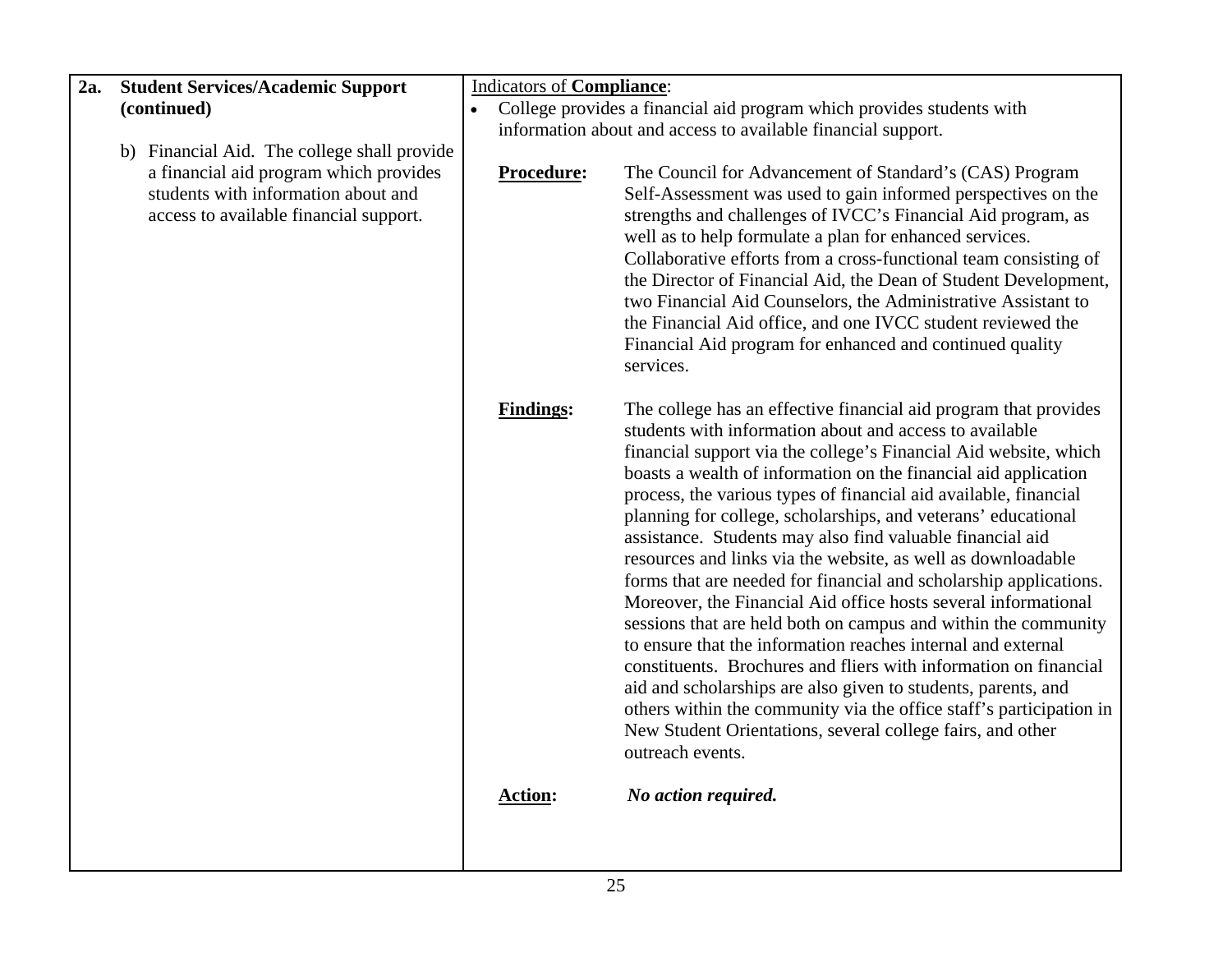| 2a. | <b>Student Services/Academic Support</b>                                                                                | <b>Indicators of Compliance:</b>   |                                                                                                                                                                                                                                                                                                                                                                                                                                                                                                                                                                                                                                                                                                                                                                                                                                                                                                                                                                                                                                                                                                                                    |  |
|-----|-------------------------------------------------------------------------------------------------------------------------|------------------------------------|------------------------------------------------------------------------------------------------------------------------------------------------------------------------------------------------------------------------------------------------------------------------------------------------------------------------------------------------------------------------------------------------------------------------------------------------------------------------------------------------------------------------------------------------------------------------------------------------------------------------------------------------------------------------------------------------------------------------------------------------------------------------------------------------------------------------------------------------------------------------------------------------------------------------------------------------------------------------------------------------------------------------------------------------------------------------------------------------------------------------------------|--|
|     | (continued)                                                                                                             | $\bullet$                          | College provides a financial aid program which provides students with                                                                                                                                                                                                                                                                                                                                                                                                                                                                                                                                                                                                                                                                                                                                                                                                                                                                                                                                                                                                                                                              |  |
|     |                                                                                                                         |                                    | information about and access to available financial support.                                                                                                                                                                                                                                                                                                                                                                                                                                                                                                                                                                                                                                                                                                                                                                                                                                                                                                                                                                                                                                                                       |  |
|     | b) Financial Aid. The college shall provide                                                                             |                                    |                                                                                                                                                                                                                                                                                                                                                                                                                                                                                                                                                                                                                                                                                                                                                                                                                                                                                                                                                                                                                                                                                                                                    |  |
|     | a financial aid program which provides<br>students with information about and<br>access to available financial support. | Procedure:                         | The Council for Advancement of Standard's (CAS) Program<br>Self-Assessment was used to gain informed perspectives on the<br>strengths and challenges of IVCC's Financial Aid program, as<br>well as to help formulate a plan for enhanced services.<br>Collaborative efforts from a cross-functional team consisting of<br>the Director of Financial Aid, the Dean of Student Development,<br>two Financial Aid Counselors, the Administrative Assistant to<br>the Financial Aid office, and one IVCC student reviewed the<br>Financial Aid program for enhanced and continued quality<br>services.                                                                                                                                                                                                                                                                                                                                                                                                                                                                                                                                |  |
|     |                                                                                                                         | <b>Findings:</b><br><b>Action:</b> | The college has an effective financial aid program that provides<br>students with information about and access to available<br>financial support via the college's Financial Aid website, which<br>boasts a wealth of information on the financial aid application<br>process, the various types of financial aid available, financial<br>planning for college, scholarships, and veterans' educational<br>assistance. Students may also find valuable financial aid<br>resources and links via the website, as well as downloadable<br>forms that are needed for financial and scholarship applications.<br>Moreover, the Financial Aid office hosts several informational<br>sessions that are held both on campus and within the community<br>to ensure that the information reaches internal and external<br>constituents. Brochures and fliers with information on financial<br>aid and scholarships are also given to students, parents, and<br>others within the community via the office staff's participation in<br>New Student Orientations, several college fairs, and other<br>outreach events.<br>No action required. |  |
|     |                                                                                                                         |                                    |                                                                                                                                                                                                                                                                                                                                                                                                                                                                                                                                                                                                                                                                                                                                                                                                                                                                                                                                                                                                                                                                                                                                    |  |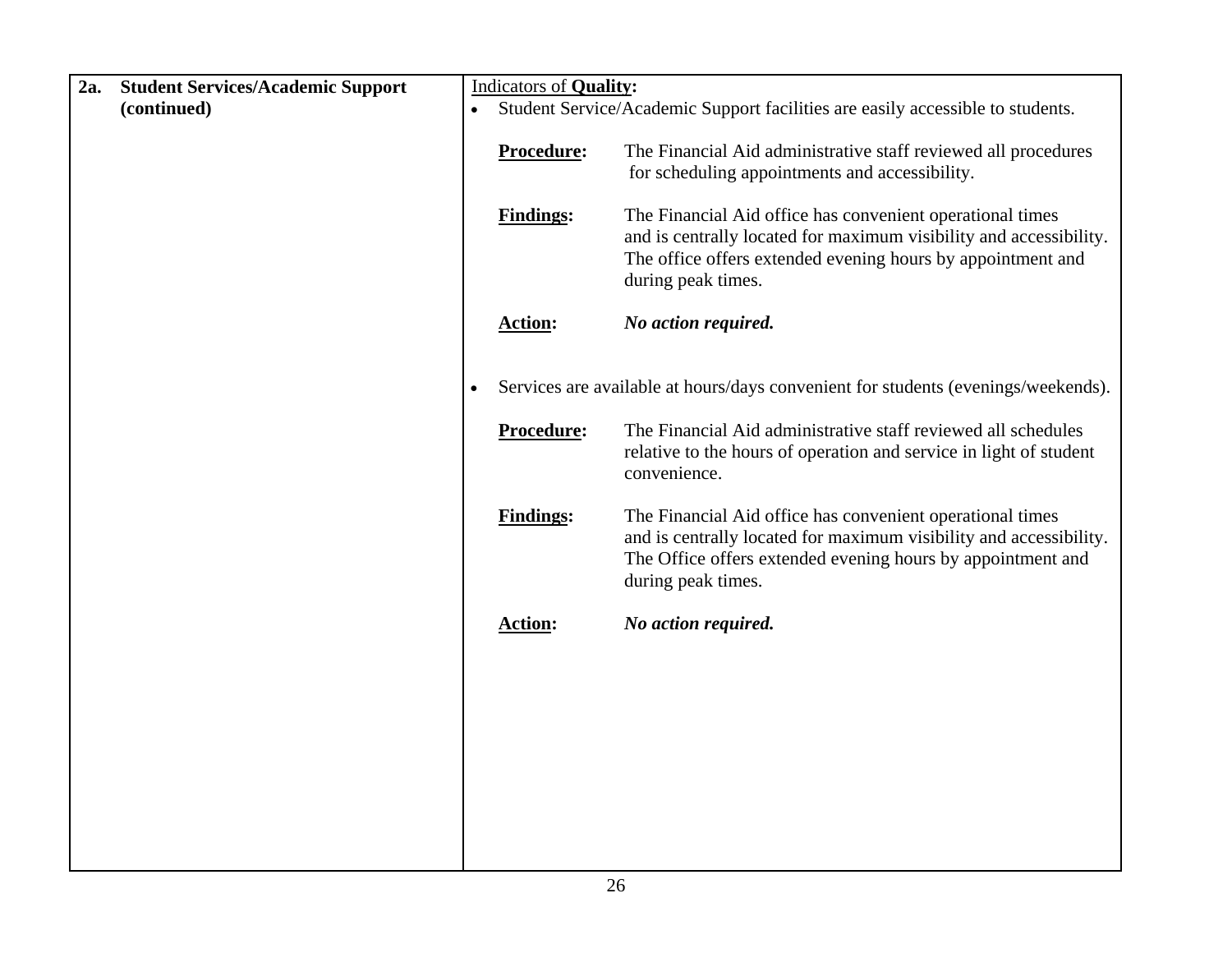| 2a. | <b>Student Services/Academic Support</b> |           | <b>Indicators of Quality:</b>  |                                                                                                                                                                                                                                                                                                                                          |
|-----|------------------------------------------|-----------|--------------------------------|------------------------------------------------------------------------------------------------------------------------------------------------------------------------------------------------------------------------------------------------------------------------------------------------------------------------------------------|
|     | (continued)                              | $\bullet$ |                                | Student Service/Academic Support facilities are easily accessible to students.                                                                                                                                                                                                                                                           |
|     |                                          |           | Procedure:<br><b>Findings:</b> | The Financial Aid administrative staff reviewed all procedures<br>for scheduling appointments and accessibility.<br>The Financial Aid office has convenient operational times<br>and is centrally located for maximum visibility and accessibility.<br>The office offers extended evening hours by appointment and<br>during peak times. |
|     |                                          |           | <b>Action:</b>                 | No action required.                                                                                                                                                                                                                                                                                                                      |
|     |                                          |           |                                |                                                                                                                                                                                                                                                                                                                                          |
|     |                                          |           |                                | Services are available at hours/days convenient for students (evenings/weekends).                                                                                                                                                                                                                                                        |
|     |                                          |           | Procedure:                     | The Financial Aid administrative staff reviewed all schedules<br>relative to the hours of operation and service in light of student<br>convenience.                                                                                                                                                                                      |
|     |                                          |           | <b>Findings:</b>               | The Financial Aid office has convenient operational times<br>and is centrally located for maximum visibility and accessibility.<br>The Office offers extended evening hours by appointment and<br>during peak times.                                                                                                                     |
|     |                                          |           | <b>Action:</b>                 | No action required.                                                                                                                                                                                                                                                                                                                      |
|     |                                          |           |                                |                                                                                                                                                                                                                                                                                                                                          |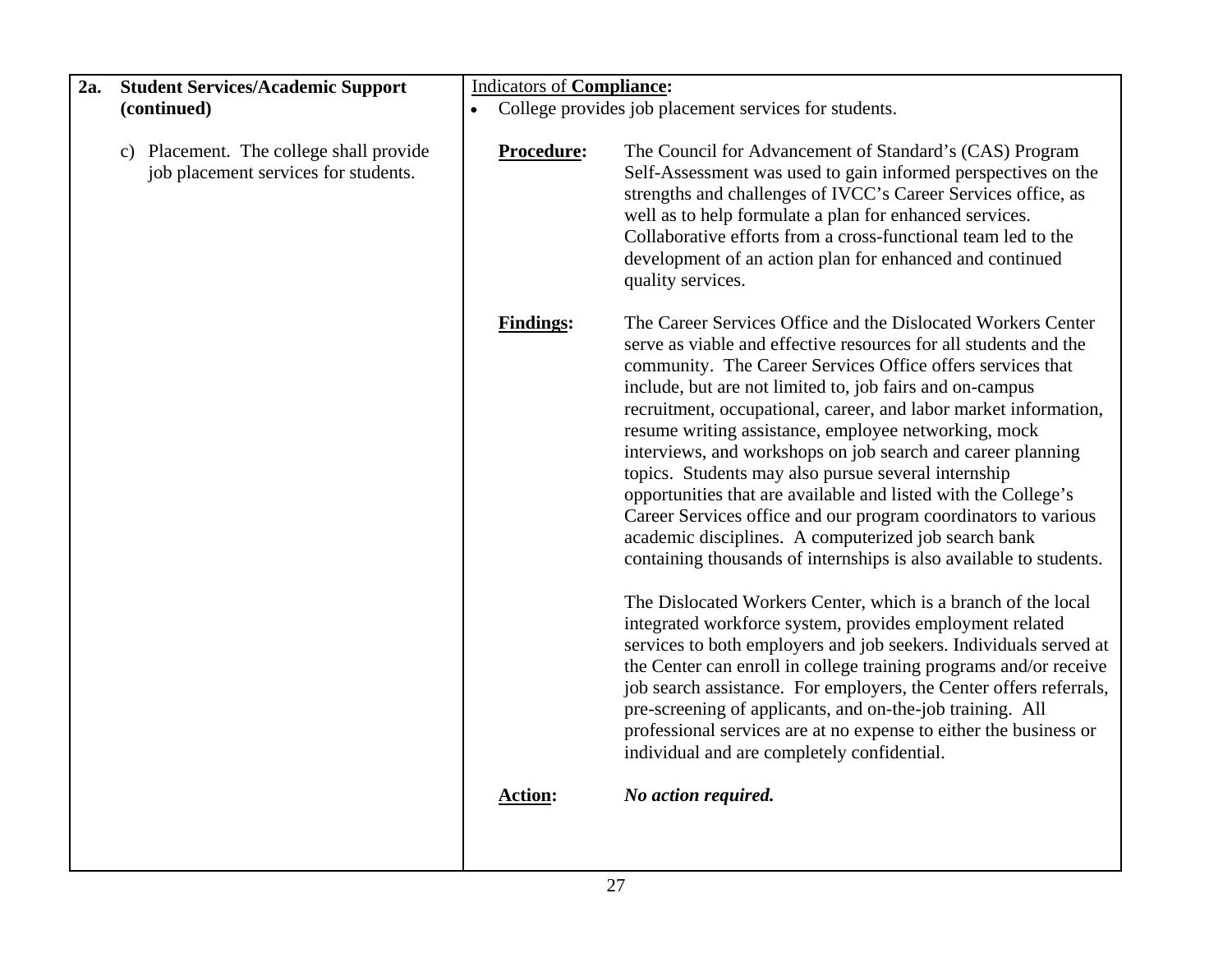| 2a. | <b>Student Services/Academic Support</b>                                        | <b>Indicators of Compliance:</b> |                                                                                                                                                                                                                                                                                                                                                                                                                                                                                                                                                                                                                                                                                                                                                                                |  |
|-----|---------------------------------------------------------------------------------|----------------------------------|--------------------------------------------------------------------------------------------------------------------------------------------------------------------------------------------------------------------------------------------------------------------------------------------------------------------------------------------------------------------------------------------------------------------------------------------------------------------------------------------------------------------------------------------------------------------------------------------------------------------------------------------------------------------------------------------------------------------------------------------------------------------------------|--|
|     | (continued)                                                                     | $\bullet$                        | College provides job placement services for students.                                                                                                                                                                                                                                                                                                                                                                                                                                                                                                                                                                                                                                                                                                                          |  |
|     | c) Placement. The college shall provide<br>job placement services for students. | Procedure:                       | The Council for Advancement of Standard's (CAS) Program<br>Self-Assessment was used to gain informed perspectives on the<br>strengths and challenges of IVCC's Career Services office, as<br>well as to help formulate a plan for enhanced services.<br>Collaborative efforts from a cross-functional team led to the<br>development of an action plan for enhanced and continued<br>quality services.                                                                                                                                                                                                                                                                                                                                                                         |  |
|     |                                                                                 | <b>Findings:</b>                 | The Career Services Office and the Dislocated Workers Center<br>serve as viable and effective resources for all students and the<br>community. The Career Services Office offers services that<br>include, but are not limited to, job fairs and on-campus<br>recruitment, occupational, career, and labor market information,<br>resume writing assistance, employee networking, mock<br>interviews, and workshops on job search and career planning<br>topics. Students may also pursue several internship<br>opportunities that are available and listed with the College's<br>Career Services office and our program coordinators to various<br>academic disciplines. A computerized job search bank<br>containing thousands of internships is also available to students. |  |
|     |                                                                                 |                                  | The Dislocated Workers Center, which is a branch of the local<br>integrated workforce system, provides employment related<br>services to both employers and job seekers. Individuals served at<br>the Center can enroll in college training programs and/or receive<br>job search assistance. For employers, the Center offers referrals,<br>pre-screening of applicants, and on-the-job training. All<br>professional services are at no expense to either the business or<br>individual and are completely confidential.                                                                                                                                                                                                                                                     |  |
|     |                                                                                 | <b>Action:</b>                   | No action required.                                                                                                                                                                                                                                                                                                                                                                                                                                                                                                                                                                                                                                                                                                                                                            |  |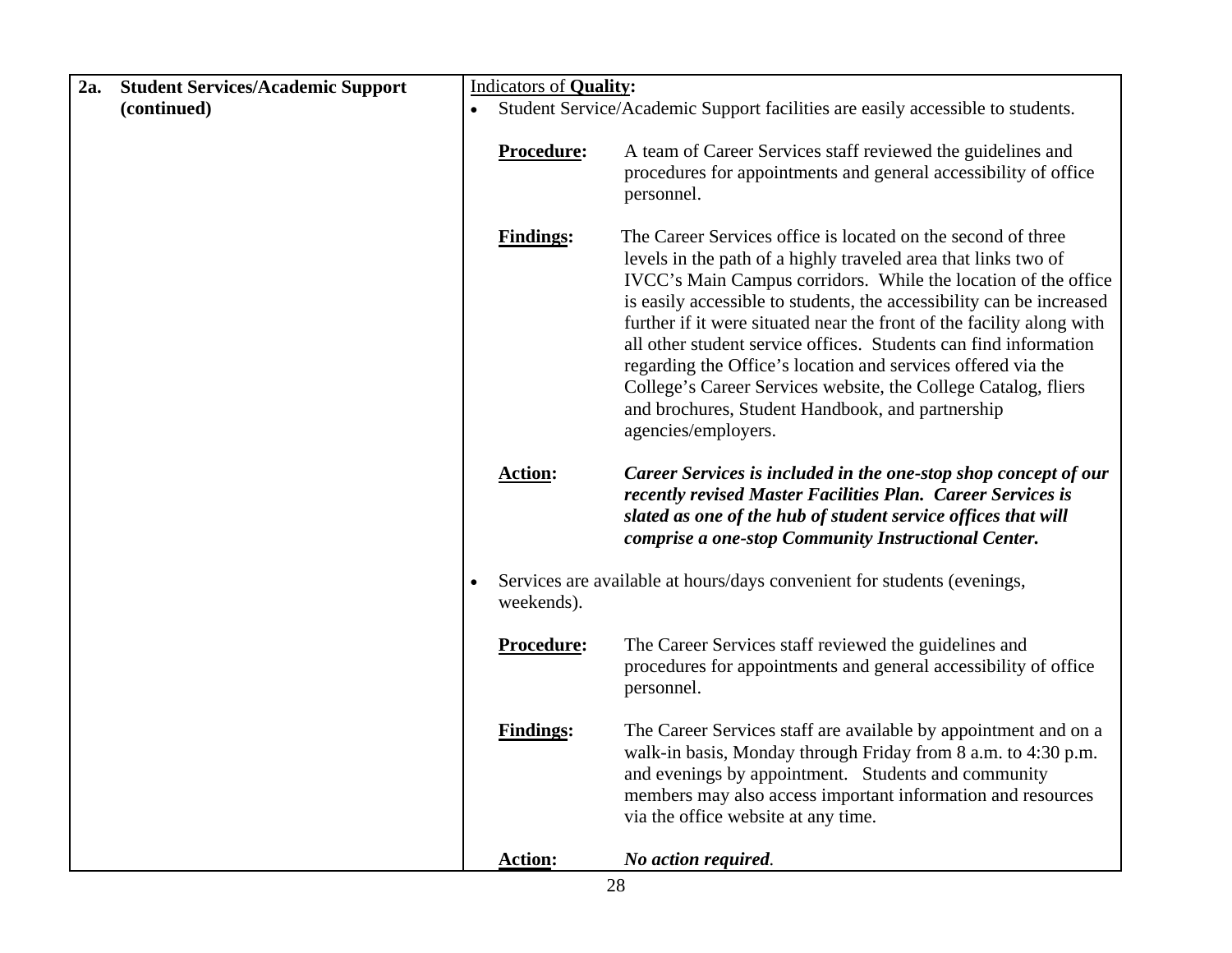| 2a.<br><b>Student Services/Academic Support</b> |                   | <b>Indicators of Quality:</b>                                                                                                                                                                                                                                                                                                                                                                                                                                                                                                                                                                                                      |  |  |
|-------------------------------------------------|-------------------|------------------------------------------------------------------------------------------------------------------------------------------------------------------------------------------------------------------------------------------------------------------------------------------------------------------------------------------------------------------------------------------------------------------------------------------------------------------------------------------------------------------------------------------------------------------------------------------------------------------------------------|--|--|
| (continued)                                     | $\bullet$         | Student Service/Academic Support facilities are easily accessible to students.                                                                                                                                                                                                                                                                                                                                                                                                                                                                                                                                                     |  |  |
|                                                 | Procedure:        | A team of Career Services staff reviewed the guidelines and<br>procedures for appointments and general accessibility of office<br>personnel.                                                                                                                                                                                                                                                                                                                                                                                                                                                                                       |  |  |
|                                                 | <b>Findings:</b>  | The Career Services office is located on the second of three<br>levels in the path of a highly traveled area that links two of<br>IVCC's Main Campus corridors. While the location of the office<br>is easily accessible to students, the accessibility can be increased<br>further if it were situated near the front of the facility along with<br>all other student service offices. Students can find information<br>regarding the Office's location and services offered via the<br>College's Career Services website, the College Catalog, fliers<br>and brochures, Student Handbook, and partnership<br>agencies/employers. |  |  |
|                                                 | <b>Action:</b>    | Career Services is included in the one-stop shop concept of our<br>recently revised Master Facilities Plan. Career Services is<br>slated as one of the hub of student service offices that will<br>comprise a one-stop Community Instructional Center.                                                                                                                                                                                                                                                                                                                                                                             |  |  |
|                                                 | weekends).        | Services are available at hours/days convenient for students (evenings,                                                                                                                                                                                                                                                                                                                                                                                                                                                                                                                                                            |  |  |
|                                                 | <b>Procedure:</b> | The Career Services staff reviewed the guidelines and<br>procedures for appointments and general accessibility of office<br>personnel.                                                                                                                                                                                                                                                                                                                                                                                                                                                                                             |  |  |
|                                                 | <b>Findings:</b>  | The Career Services staff are available by appointment and on a<br>walk-in basis, Monday through Friday from 8 a.m. to 4:30 p.m.<br>and evenings by appointment. Students and community<br>members may also access important information and resources<br>via the office website at any time.                                                                                                                                                                                                                                                                                                                                      |  |  |
|                                                 | <b>Action:</b>    | No action required.                                                                                                                                                                                                                                                                                                                                                                                                                                                                                                                                                                                                                |  |  |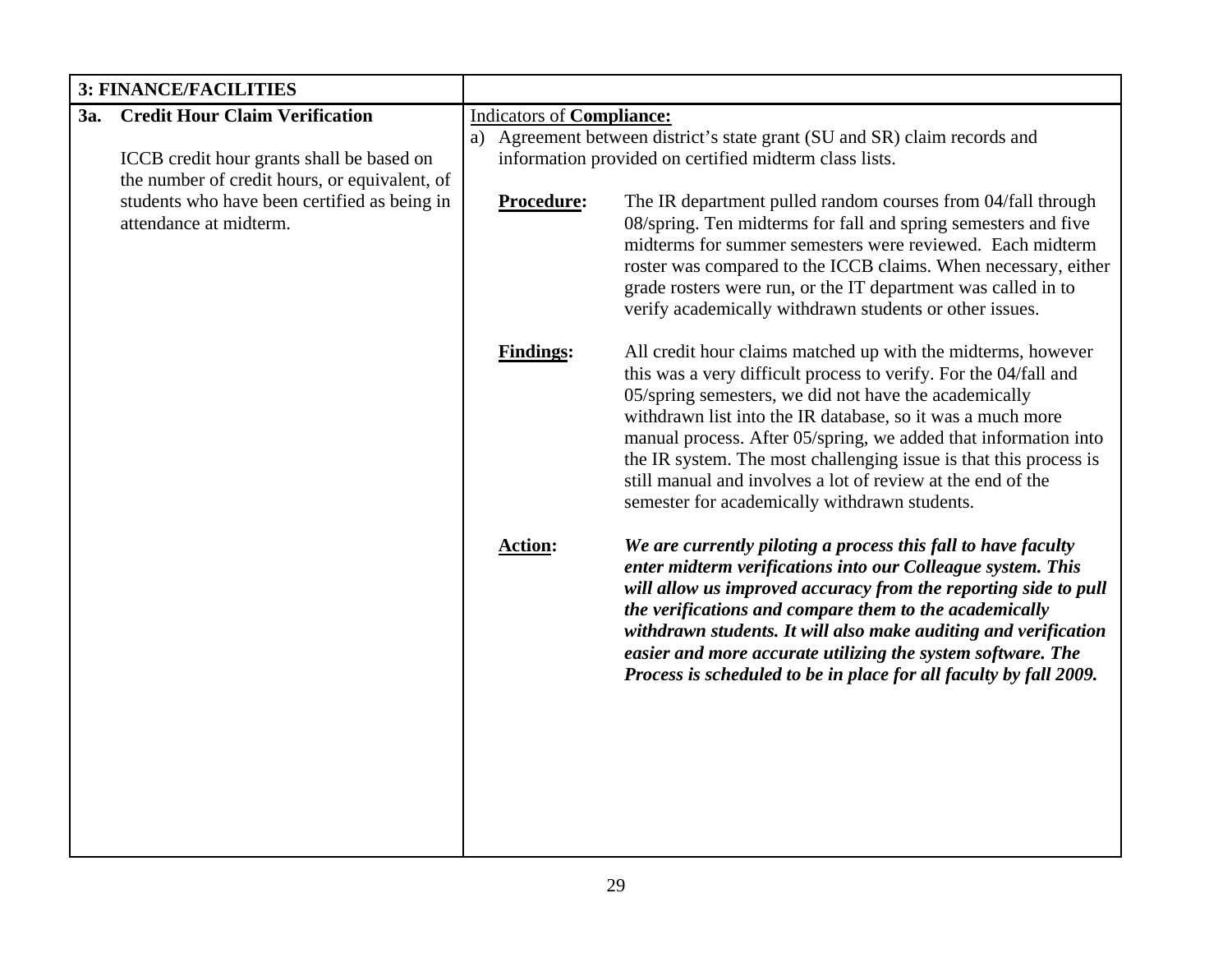| <b>3: FINANCE/FACILITIES</b> |                                                                        |                                                                           |                                                                                                                                                                                                                                                                                                                                                                                                                                                                                                                 |  |
|------------------------------|------------------------------------------------------------------------|---------------------------------------------------------------------------|-----------------------------------------------------------------------------------------------------------------------------------------------------------------------------------------------------------------------------------------------------------------------------------------------------------------------------------------------------------------------------------------------------------------------------------------------------------------------------------------------------------------|--|
| 3a.                          | <b>Credit Hour Claim Verification</b>                                  | <b>Indicators of Compliance:</b>                                          |                                                                                                                                                                                                                                                                                                                                                                                                                                                                                                                 |  |
|                              |                                                                        | a) Agreement between district's state grant (SU and SR) claim records and |                                                                                                                                                                                                                                                                                                                                                                                                                                                                                                                 |  |
|                              | ICCB credit hour grants shall be based on                              |                                                                           | information provided on certified midterm class lists.                                                                                                                                                                                                                                                                                                                                                                                                                                                          |  |
|                              | the number of credit hours, or equivalent, of                          |                                                                           |                                                                                                                                                                                                                                                                                                                                                                                                                                                                                                                 |  |
|                              | students who have been certified as being in<br>attendance at midterm. | Procedure:                                                                | The IR department pulled random courses from 04/fall through<br>08/spring. Ten midterms for fall and spring semesters and five<br>midterms for summer semesters were reviewed. Each midterm<br>roster was compared to the ICCB claims. When necessary, either<br>grade rosters were run, or the IT department was called in to<br>verify academically withdrawn students or other issues.                                                                                                                       |  |
|                              |                                                                        | <b>Findings:</b>                                                          | All credit hour claims matched up with the midterms, however<br>this was a very difficult process to verify. For the 04/fall and<br>05/spring semesters, we did not have the academically<br>withdrawn list into the IR database, so it was a much more<br>manual process. After 05/spring, we added that information into<br>the IR system. The most challenging issue is that this process is<br>still manual and involves a lot of review at the end of the<br>semester for academically withdrawn students. |  |
|                              |                                                                        | <b>Action:</b>                                                            | We are currently piloting a process this fall to have faculty<br>enter midterm verifications into our Colleague system. This<br>will allow us improved accuracy from the reporting side to pull<br>the verifications and compare them to the academically<br>withdrawn students. It will also make auditing and verification<br>easier and more accurate utilizing the system software. The<br>Process is scheduled to be in place for all faculty by fall 2009.                                                |  |
|                              |                                                                        |                                                                           |                                                                                                                                                                                                                                                                                                                                                                                                                                                                                                                 |  |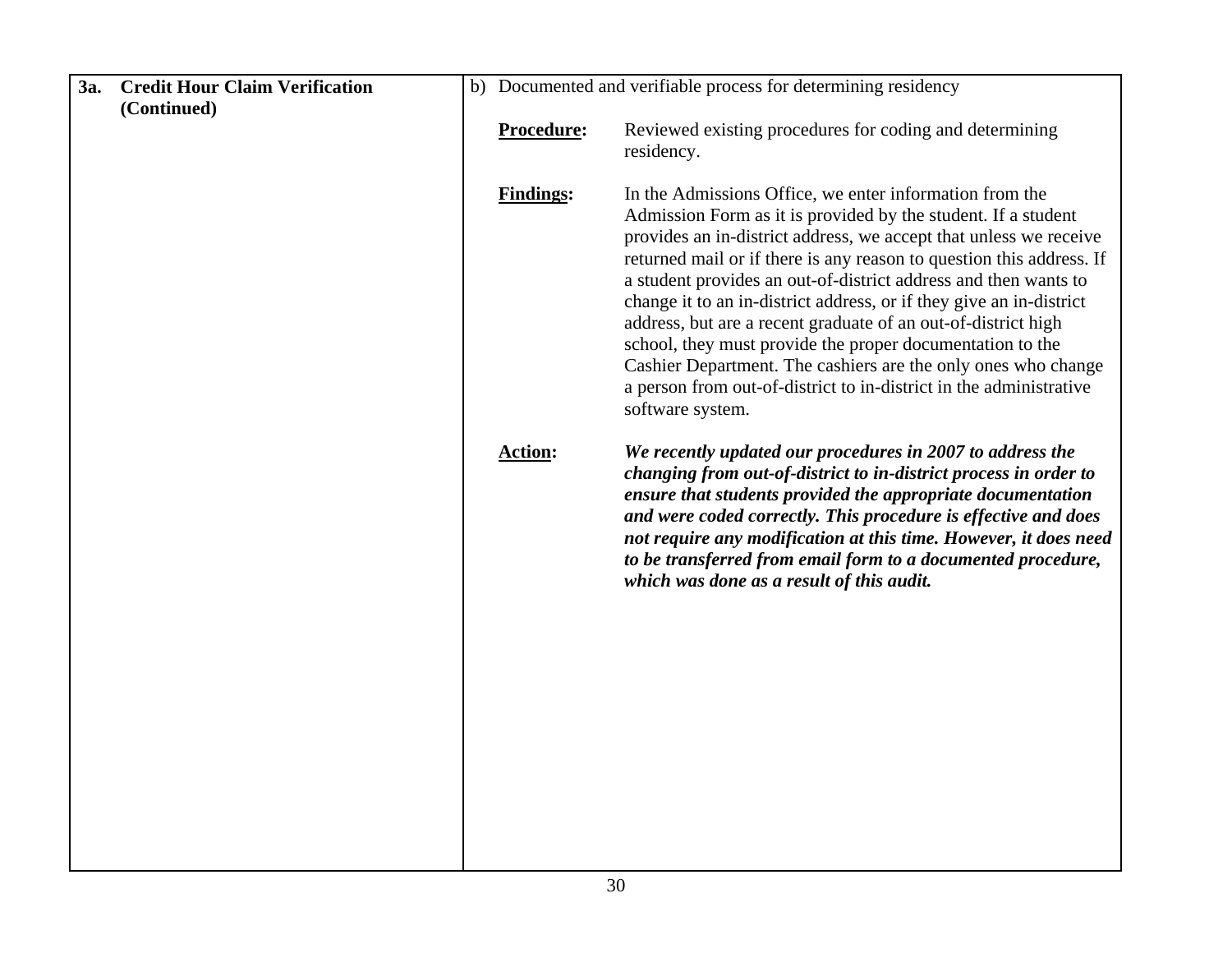| 3a. | <b>Credit Hour Claim Verification</b> | b) Documented and verifiable process for determining residency |                                                                                                                                                                                                                                                                                                                                                                                                                                                                                                                                                                                                                                                                                                          |
|-----|---------------------------------------|----------------------------------------------------------------|----------------------------------------------------------------------------------------------------------------------------------------------------------------------------------------------------------------------------------------------------------------------------------------------------------------------------------------------------------------------------------------------------------------------------------------------------------------------------------------------------------------------------------------------------------------------------------------------------------------------------------------------------------------------------------------------------------|
|     | (Continued)                           |                                                                |                                                                                                                                                                                                                                                                                                                                                                                                                                                                                                                                                                                                                                                                                                          |
|     |                                       | Procedure:                                                     | Reviewed existing procedures for coding and determining<br>residency.                                                                                                                                                                                                                                                                                                                                                                                                                                                                                                                                                                                                                                    |
|     |                                       | <b>Findings:</b>                                               | In the Admissions Office, we enter information from the<br>Admission Form as it is provided by the student. If a student<br>provides an in-district address, we accept that unless we receive<br>returned mail or if there is any reason to question this address. If<br>a student provides an out-of-district address and then wants to<br>change it to an in-district address, or if they give an in-district<br>address, but are a recent graduate of an out-of-district high<br>school, they must provide the proper documentation to the<br>Cashier Department. The cashiers are the only ones who change<br>a person from out-of-district to in-district in the administrative<br>software system. |
|     |                                       | <b>Action:</b>                                                 | We recently updated our procedures in 2007 to address the<br>changing from out-of-district to in-district process in order to<br>ensure that students provided the appropriate documentation<br>and were coded correctly. This procedure is effective and does<br>not require any modification at this time. However, it does need<br>to be transferred from email form to a documented procedure,<br>which was done as a result of this audit.                                                                                                                                                                                                                                                          |
|     |                                       |                                                                |                                                                                                                                                                                                                                                                                                                                                                                                                                                                                                                                                                                                                                                                                                          |
|     |                                       |                                                                |                                                                                                                                                                                                                                                                                                                                                                                                                                                                                                                                                                                                                                                                                                          |
|     |                                       |                                                                |                                                                                                                                                                                                                                                                                                                                                                                                                                                                                                                                                                                                                                                                                                          |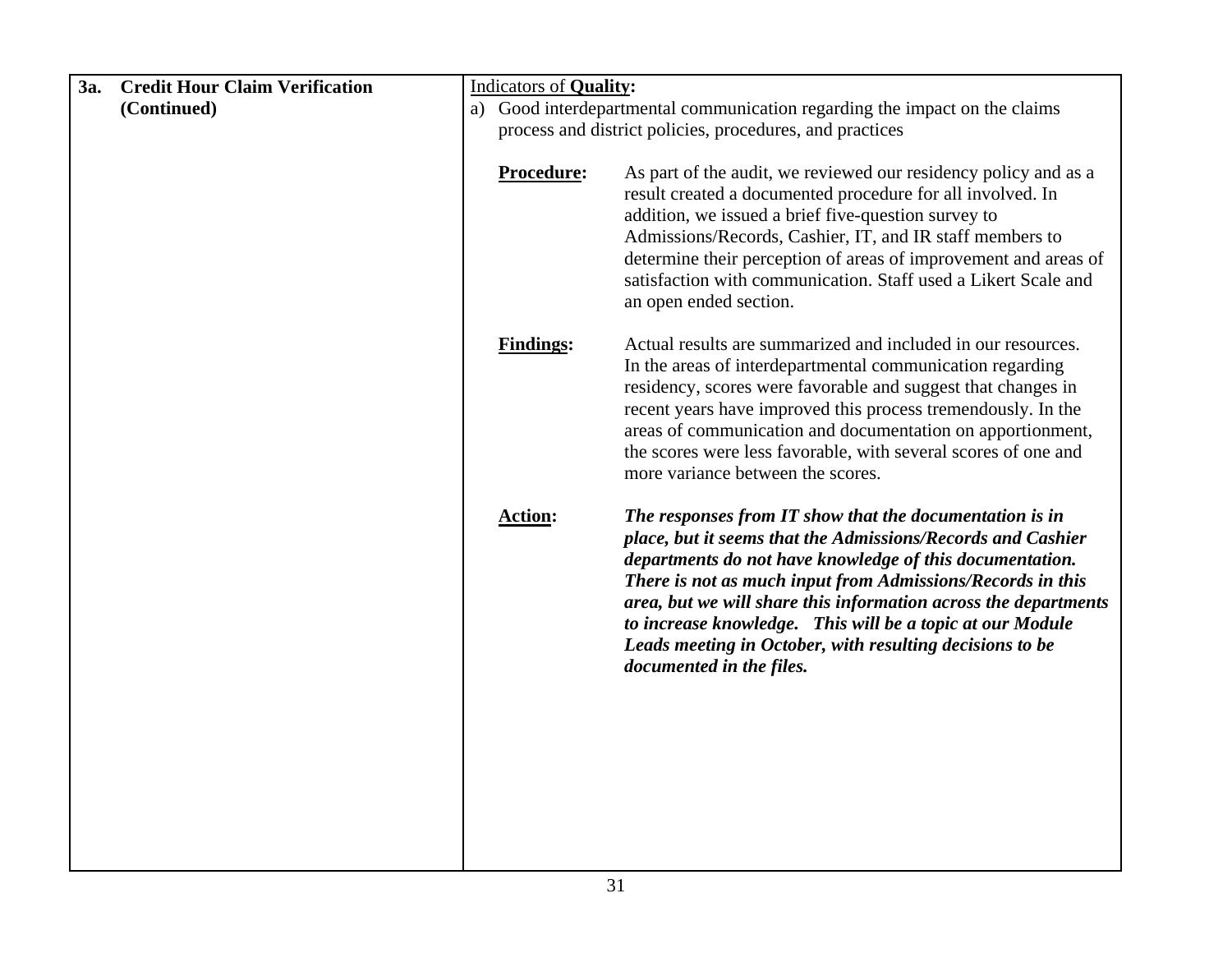| 3a. | <b>Credit Hour Claim Verification</b> | <b>Indicators of Quality:</b>                                                 |                                                                                                                                                                                                                                                                                                                                                                                                                                                                          |  |  |
|-----|---------------------------------------|-------------------------------------------------------------------------------|--------------------------------------------------------------------------------------------------------------------------------------------------------------------------------------------------------------------------------------------------------------------------------------------------------------------------------------------------------------------------------------------------------------------------------------------------------------------------|--|--|
|     | (Continued)                           | Good interdepartmental communication regarding the impact on the claims<br>a) |                                                                                                                                                                                                                                                                                                                                                                                                                                                                          |  |  |
|     |                                       |                                                                               | process and district policies, procedures, and practices                                                                                                                                                                                                                                                                                                                                                                                                                 |  |  |
|     |                                       |                                                                               |                                                                                                                                                                                                                                                                                                                                                                                                                                                                          |  |  |
|     |                                       | Procedure:                                                                    | As part of the audit, we reviewed our residency policy and as a<br>result created a documented procedure for all involved. In<br>addition, we issued a brief five-question survey to<br>Admissions/Records, Cashier, IT, and IR staff members to<br>determine their perception of areas of improvement and areas of<br>satisfaction with communication. Staff used a Likert Scale and<br>an open ended section.                                                          |  |  |
|     |                                       | <b>Findings:</b>                                                              | Actual results are summarized and included in our resources.<br>In the areas of interdepartmental communication regarding<br>residency, scores were favorable and suggest that changes in<br>recent years have improved this process tremendously. In the<br>areas of communication and documentation on apportionment,<br>the scores were less favorable, with several scores of one and<br>more variance between the scores.                                           |  |  |
|     |                                       | <b>Action:</b>                                                                | The responses from IT show that the documentation is in<br>place, but it seems that the Admissions/Records and Cashier<br>departments do not have knowledge of this documentation.<br>There is not as much input from Admissions/Records in this<br>area, but we will share this information across the departments<br>to increase knowledge. This will be a topic at our Module<br>Leads meeting in October, with resulting decisions to be<br>documented in the files. |  |  |
|     |                                       |                                                                               |                                                                                                                                                                                                                                                                                                                                                                                                                                                                          |  |  |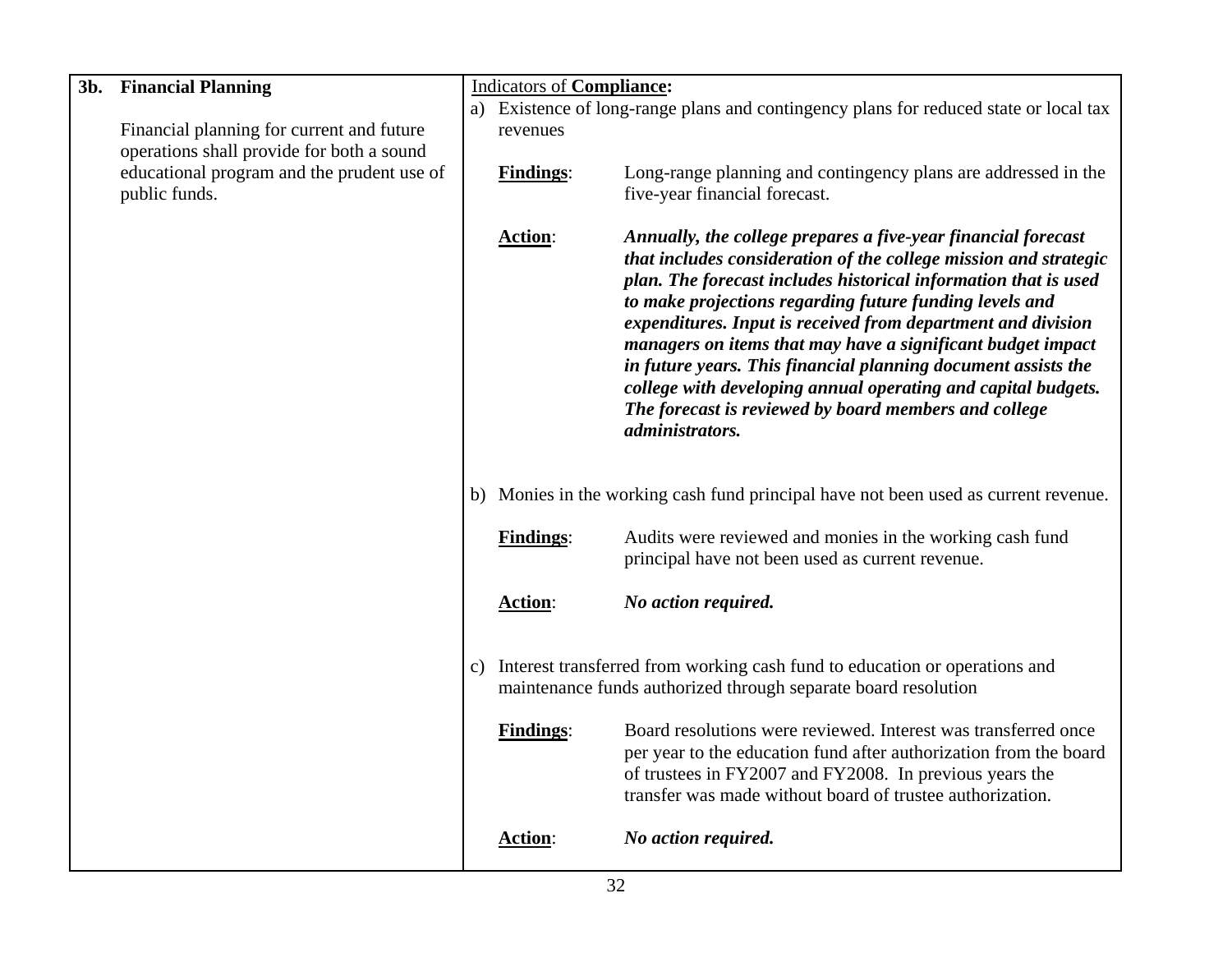| 3b. | <b>Financial Planning</b>                  | <b>Indicators of Compliance:</b> |                                                                                       |                                                                                                                                                                                                                                                                                                                                                                                                                                                                                                                                                                                                              |
|-----|--------------------------------------------|----------------------------------|---------------------------------------------------------------------------------------|--------------------------------------------------------------------------------------------------------------------------------------------------------------------------------------------------------------------------------------------------------------------------------------------------------------------------------------------------------------------------------------------------------------------------------------------------------------------------------------------------------------------------------------------------------------------------------------------------------------|
|     |                                            |                                  | a) Existence of long-range plans and contingency plans for reduced state or local tax |                                                                                                                                                                                                                                                                                                                                                                                                                                                                                                                                                                                                              |
|     | Financial planning for current and future  |                                  | revenues                                                                              |                                                                                                                                                                                                                                                                                                                                                                                                                                                                                                                                                                                                              |
|     | operations shall provide for both a sound  |                                  |                                                                                       |                                                                                                                                                                                                                                                                                                                                                                                                                                                                                                                                                                                                              |
|     | educational program and the prudent use of |                                  | <b>Findings:</b>                                                                      | Long-range planning and contingency plans are addressed in the                                                                                                                                                                                                                                                                                                                                                                                                                                                                                                                                               |
|     | public funds.                              |                                  |                                                                                       | five-year financial forecast.                                                                                                                                                                                                                                                                                                                                                                                                                                                                                                                                                                                |
|     |                                            |                                  | Action:                                                                               | Annually, the college prepares a five-year financial forecast<br>that includes consideration of the college mission and strategic<br>plan. The forecast includes historical information that is used<br>to make projections regarding future funding levels and<br>expenditures. Input is received from department and division<br>managers on items that may have a significant budget impact<br>in future years. This financial planning document assists the<br>college with developing annual operating and capital budgets.<br>The forecast is reviewed by board members and college<br>administrators. |
|     |                                            |                                  |                                                                                       | b) Monies in the working cash fund principal have not been used as current revenue.                                                                                                                                                                                                                                                                                                                                                                                                                                                                                                                          |
|     |                                            |                                  | <b>Findings:</b>                                                                      | Audits were reviewed and monies in the working cash fund<br>principal have not been used as current revenue.                                                                                                                                                                                                                                                                                                                                                                                                                                                                                                 |
|     |                                            |                                  | Action:                                                                               | No action required.                                                                                                                                                                                                                                                                                                                                                                                                                                                                                                                                                                                          |
|     |                                            | c)                               |                                                                                       | Interest transferred from working cash fund to education or operations and<br>maintenance funds authorized through separate board resolution                                                                                                                                                                                                                                                                                                                                                                                                                                                                 |
|     |                                            |                                  | <b>Findings:</b>                                                                      | Board resolutions were reviewed. Interest was transferred once<br>per year to the education fund after authorization from the board<br>of trustees in FY2007 and FY2008. In previous years the<br>transfer was made without board of trustee authorization.                                                                                                                                                                                                                                                                                                                                                  |
|     |                                            |                                  | <b>Action:</b>                                                                        | No action required.                                                                                                                                                                                                                                                                                                                                                                                                                                                                                                                                                                                          |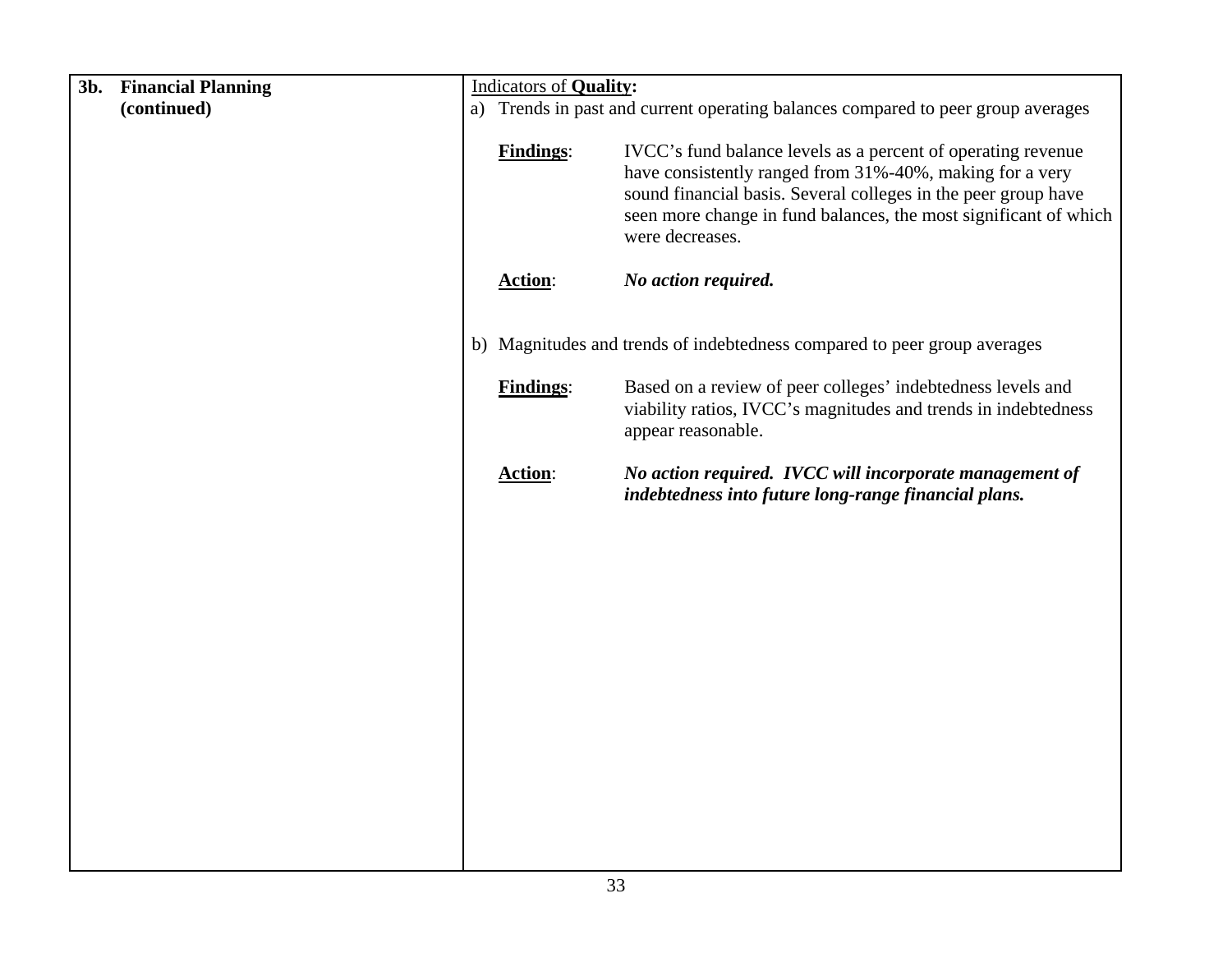| 3b.<br><b>Financial Planning</b> | <b>Indicators of Quality:</b>                                                    |                                                                                                                                                                                                                                                                                   |  |  |
|----------------------------------|----------------------------------------------------------------------------------|-----------------------------------------------------------------------------------------------------------------------------------------------------------------------------------------------------------------------------------------------------------------------------------|--|--|
| (continued)                      | a) Trends in past and current operating balances compared to peer group averages |                                                                                                                                                                                                                                                                                   |  |  |
|                                  | <b>Findings:</b>                                                                 | IVCC's fund balance levels as a percent of operating revenue<br>have consistently ranged from 31%-40%, making for a very<br>sound financial basis. Several colleges in the peer group have<br>seen more change in fund balances, the most significant of which<br>were decreases. |  |  |
|                                  | <b>Action:</b>                                                                   | No action required.                                                                                                                                                                                                                                                               |  |  |
|                                  |                                                                                  |                                                                                                                                                                                                                                                                                   |  |  |
|                                  |                                                                                  | b) Magnitudes and trends of indebtedness compared to peer group averages                                                                                                                                                                                                          |  |  |
|                                  | <b>Findings:</b>                                                                 | Based on a review of peer colleges' indebtedness levels and<br>viability ratios, IVCC's magnitudes and trends in indebtedness<br>appear reasonable.                                                                                                                               |  |  |
|                                  | <b>Action:</b>                                                                   | No action required. IVCC will incorporate management of<br>indebtedness into future long-range financial plans.                                                                                                                                                                   |  |  |
|                                  |                                                                                  |                                                                                                                                                                                                                                                                                   |  |  |
|                                  |                                                                                  |                                                                                                                                                                                                                                                                                   |  |  |
|                                  |                                                                                  |                                                                                                                                                                                                                                                                                   |  |  |
|                                  |                                                                                  |                                                                                                                                                                                                                                                                                   |  |  |
|                                  |                                                                                  |                                                                                                                                                                                                                                                                                   |  |  |
|                                  |                                                                                  |                                                                                                                                                                                                                                                                                   |  |  |
|                                  |                                                                                  |                                                                                                                                                                                                                                                                                   |  |  |
|                                  |                                                                                  |                                                                                                                                                                                                                                                                                   |  |  |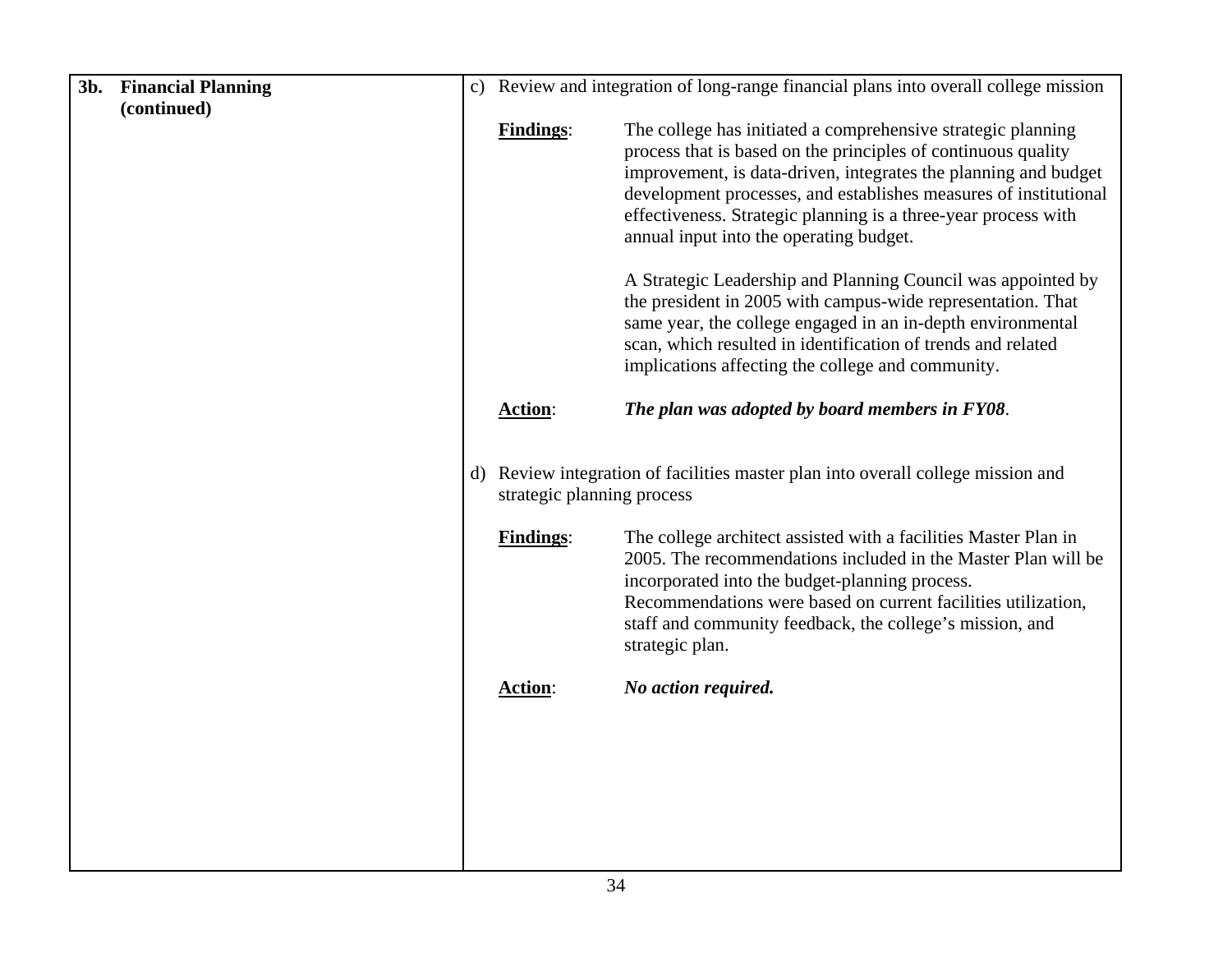| 3b. | <b>Financial Planning</b> |                                                | c) Review and integration of long-range financial plans into overall college mission                                                                                                                                                                                                                                                                                                                                   |
|-----|---------------------------|------------------------------------------------|------------------------------------------------------------------------------------------------------------------------------------------------------------------------------------------------------------------------------------------------------------------------------------------------------------------------------------------------------------------------------------------------------------------------|
|     | (continued)               |                                                |                                                                                                                                                                                                                                                                                                                                                                                                                        |
|     |                           | <b>Findings:</b>                               | The college has initiated a comprehensive strategic planning<br>process that is based on the principles of continuous quality<br>improvement, is data-driven, integrates the planning and budget<br>development processes, and establishes measures of institutional<br>effectiveness. Strategic planning is a three-year process with<br>annual input into the operating budget.                                      |
|     |                           |                                                | A Strategic Leadership and Planning Council was appointed by<br>the president in 2005 with campus-wide representation. That<br>same year, the college engaged in an in-depth environmental<br>scan, which resulted in identification of trends and related<br>implications affecting the college and community.                                                                                                        |
|     |                           | <b>Action:</b>                                 | The plan was adopted by board members in FY08.                                                                                                                                                                                                                                                                                                                                                                         |
|     |                           | strategic planning process<br><b>Findings:</b> | d) Review integration of facilities master plan into overall college mission and<br>The college architect assisted with a facilities Master Plan in<br>2005. The recommendations included in the Master Plan will be<br>incorporated into the budget-planning process.<br>Recommendations were based on current facilities utilization,<br>staff and community feedback, the college's mission, and<br>strategic plan. |
|     |                           | <b>Action:</b>                                 | No action required.                                                                                                                                                                                                                                                                                                                                                                                                    |
|     |                           |                                                |                                                                                                                                                                                                                                                                                                                                                                                                                        |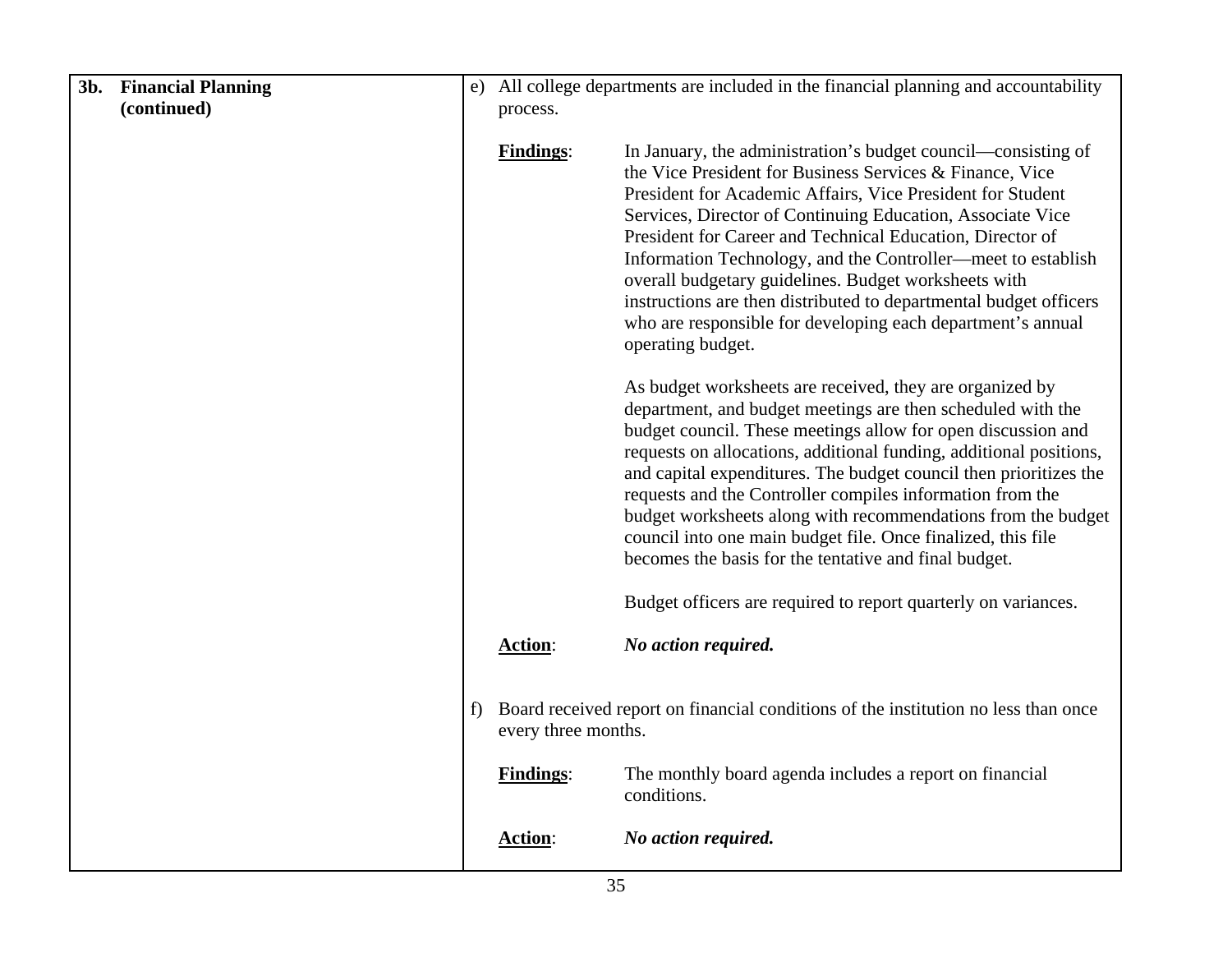| 3b. | <b>Financial Planning</b> | e)                   | All college departments are included in the financial planning and accountability |                                                                                                                                                                                                                                                                                                                                                                                                                                                                                                                                                                                          |
|-----|---------------------------|----------------------|-----------------------------------------------------------------------------------|------------------------------------------------------------------------------------------------------------------------------------------------------------------------------------------------------------------------------------------------------------------------------------------------------------------------------------------------------------------------------------------------------------------------------------------------------------------------------------------------------------------------------------------------------------------------------------------|
|     | (continued)               |                      | process.                                                                          |                                                                                                                                                                                                                                                                                                                                                                                                                                                                                                                                                                                          |
|     |                           |                      | <b>Findings:</b>                                                                  | In January, the administration's budget council—consisting of<br>the Vice President for Business Services & Finance, Vice<br>President for Academic Affairs, Vice President for Student<br>Services, Director of Continuing Education, Associate Vice<br>President for Career and Technical Education, Director of                                                                                                                                                                                                                                                                       |
|     |                           |                      |                                                                                   | Information Technology, and the Controller—meet to establish<br>overall budgetary guidelines. Budget worksheets with<br>instructions are then distributed to departmental budget officers<br>who are responsible for developing each department's annual<br>operating budget.                                                                                                                                                                                                                                                                                                            |
|     |                           |                      |                                                                                   | As budget worksheets are received, they are organized by<br>department, and budget meetings are then scheduled with the<br>budget council. These meetings allow for open discussion and<br>requests on allocations, additional funding, additional positions,<br>and capital expenditures. The budget council then prioritizes the<br>requests and the Controller compiles information from the<br>budget worksheets along with recommendations from the budget<br>council into one main budget file. Once finalized, this file<br>becomes the basis for the tentative and final budget. |
|     |                           |                      |                                                                                   | Budget officers are required to report quarterly on variances.                                                                                                                                                                                                                                                                                                                                                                                                                                                                                                                           |
|     |                           |                      | Action:                                                                           | No action required.                                                                                                                                                                                                                                                                                                                                                                                                                                                                                                                                                                      |
|     |                           | $\ddot{\phantom{1}}$ | every three months.                                                               | Board received report on financial conditions of the institution no less than once                                                                                                                                                                                                                                                                                                                                                                                                                                                                                                       |
|     |                           |                      | <b>Findings:</b>                                                                  | The monthly board agenda includes a report on financial<br>conditions.                                                                                                                                                                                                                                                                                                                                                                                                                                                                                                                   |
|     |                           |                      | <b>Action:</b>                                                                    | No action required.                                                                                                                                                                                                                                                                                                                                                                                                                                                                                                                                                                      |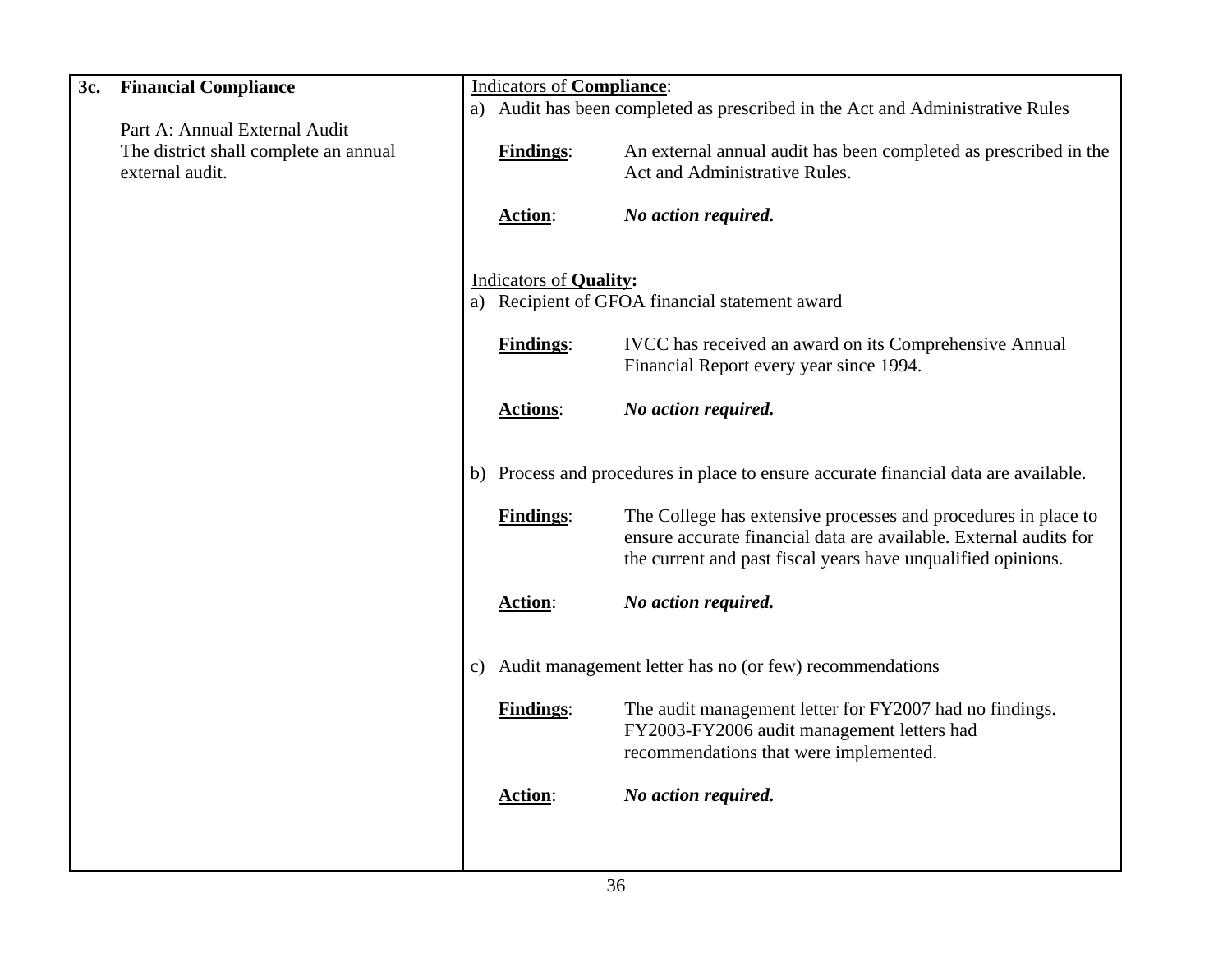| 3c. | <b>Financial Compliance</b>                                                               |    | <b>Indicators of Compliance:</b>                                              |                                                                                                                                                                                                     |
|-----|-------------------------------------------------------------------------------------------|----|-------------------------------------------------------------------------------|-----------------------------------------------------------------------------------------------------------------------------------------------------------------------------------------------------|
|     |                                                                                           |    | a) Audit has been completed as prescribed in the Act and Administrative Rules |                                                                                                                                                                                                     |
|     | Part A: Annual External Audit<br>The district shall complete an annual<br>external audit. |    | <b>Findings:</b>                                                              | An external annual audit has been completed as prescribed in the<br>Act and Administrative Rules.                                                                                                   |
|     |                                                                                           |    | <b>Action:</b>                                                                | No action required.                                                                                                                                                                                 |
|     |                                                                                           |    | <b>Indicators of Quality:</b>                                                 |                                                                                                                                                                                                     |
|     |                                                                                           |    |                                                                               | a) Recipient of GFOA financial statement award                                                                                                                                                      |
|     |                                                                                           |    | <b>Findings:</b>                                                              | IVCC has received an award on its Comprehensive Annual<br>Financial Report every year since 1994.                                                                                                   |
|     |                                                                                           |    | <b>Actions:</b>                                                               | No action required.                                                                                                                                                                                 |
|     |                                                                                           |    |                                                                               | b) Process and procedures in place to ensure accurate financial data are available.                                                                                                                 |
|     |                                                                                           |    | <b>Findings:</b>                                                              | The College has extensive processes and procedures in place to<br>ensure accurate financial data are available. External audits for<br>the current and past fiscal years have unqualified opinions. |
|     |                                                                                           |    | Action:                                                                       | No action required.                                                                                                                                                                                 |
|     |                                                                                           | C) |                                                                               | Audit management letter has no (or few) recommendations                                                                                                                                             |
|     |                                                                                           |    | <b>Findings:</b>                                                              | The audit management letter for FY2007 had no findings.<br>FY2003-FY2006 audit management letters had<br>recommendations that were implemented.                                                     |
|     |                                                                                           |    | Action:                                                                       | No action required.                                                                                                                                                                                 |
|     |                                                                                           |    |                                                                               |                                                                                                                                                                                                     |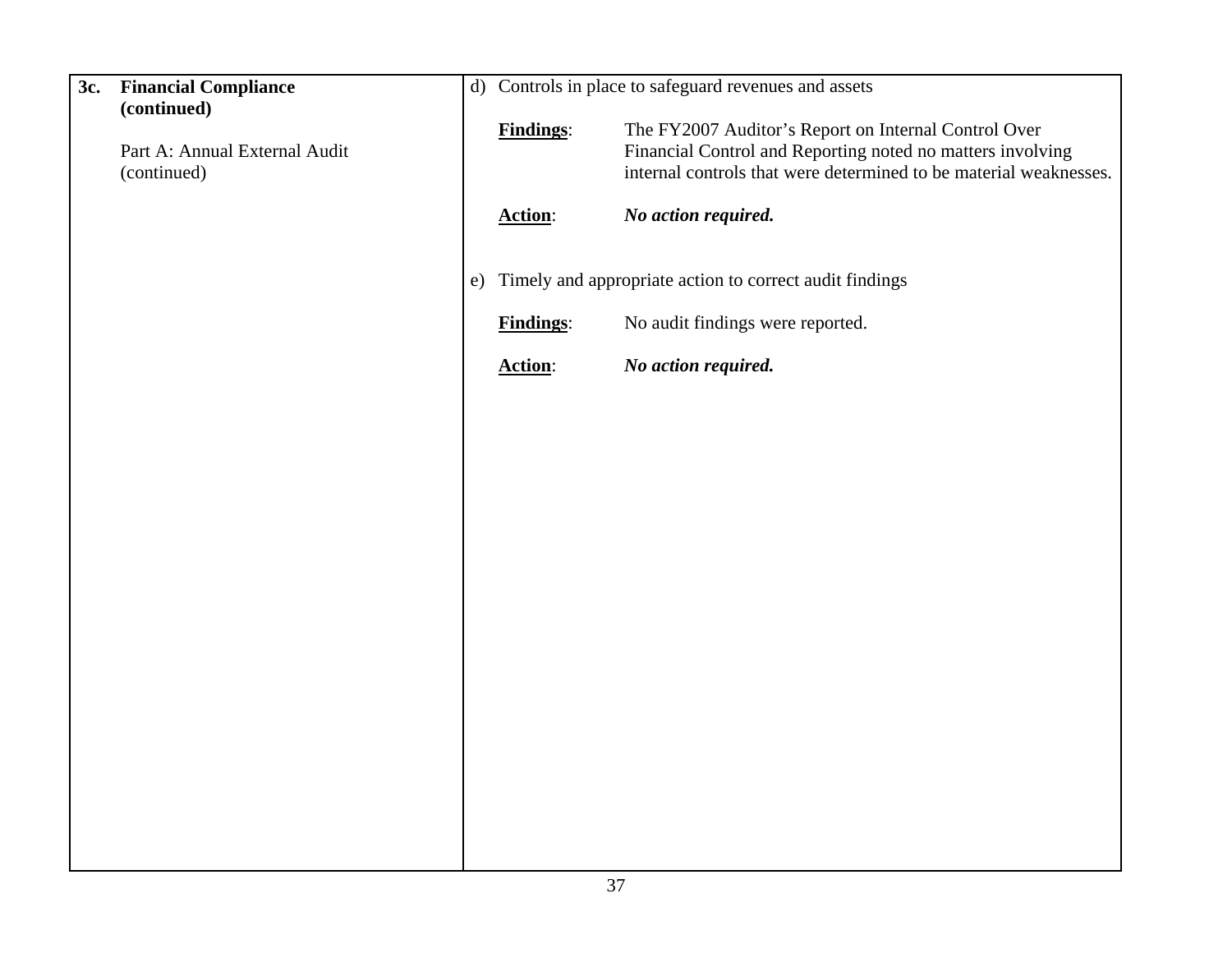| 3c. | <b>Financial Compliance</b>   |    |                  | d) Controls in place to safeguard revenues and assets             |
|-----|-------------------------------|----|------------------|-------------------------------------------------------------------|
|     | (continued)                   |    | <b>Findings:</b> | The FY2007 Auditor's Report on Internal Control Over              |
|     | Part A: Annual External Audit |    |                  | Financial Control and Reporting noted no matters involving        |
|     | (continued)                   |    |                  | internal controls that were determined to be material weaknesses. |
|     |                               |    | <b>Action:</b>   | No action required.                                               |
|     |                               | e) |                  | Timely and appropriate action to correct audit findings           |
|     |                               |    | <b>Findings:</b> | No audit findings were reported.                                  |
|     |                               |    | <b>Action:</b>   | No action required.                                               |
|     |                               |    |                  |                                                                   |
|     |                               |    |                  |                                                                   |
|     |                               |    |                  |                                                                   |
|     |                               |    |                  |                                                                   |
|     |                               |    |                  |                                                                   |
|     |                               |    |                  |                                                                   |
|     |                               |    |                  |                                                                   |
|     |                               |    |                  |                                                                   |
|     |                               |    |                  |                                                                   |
|     |                               |    |                  |                                                                   |
|     |                               |    |                  |                                                                   |
|     |                               |    |                  |                                                                   |
|     |                               |    |                  |                                                                   |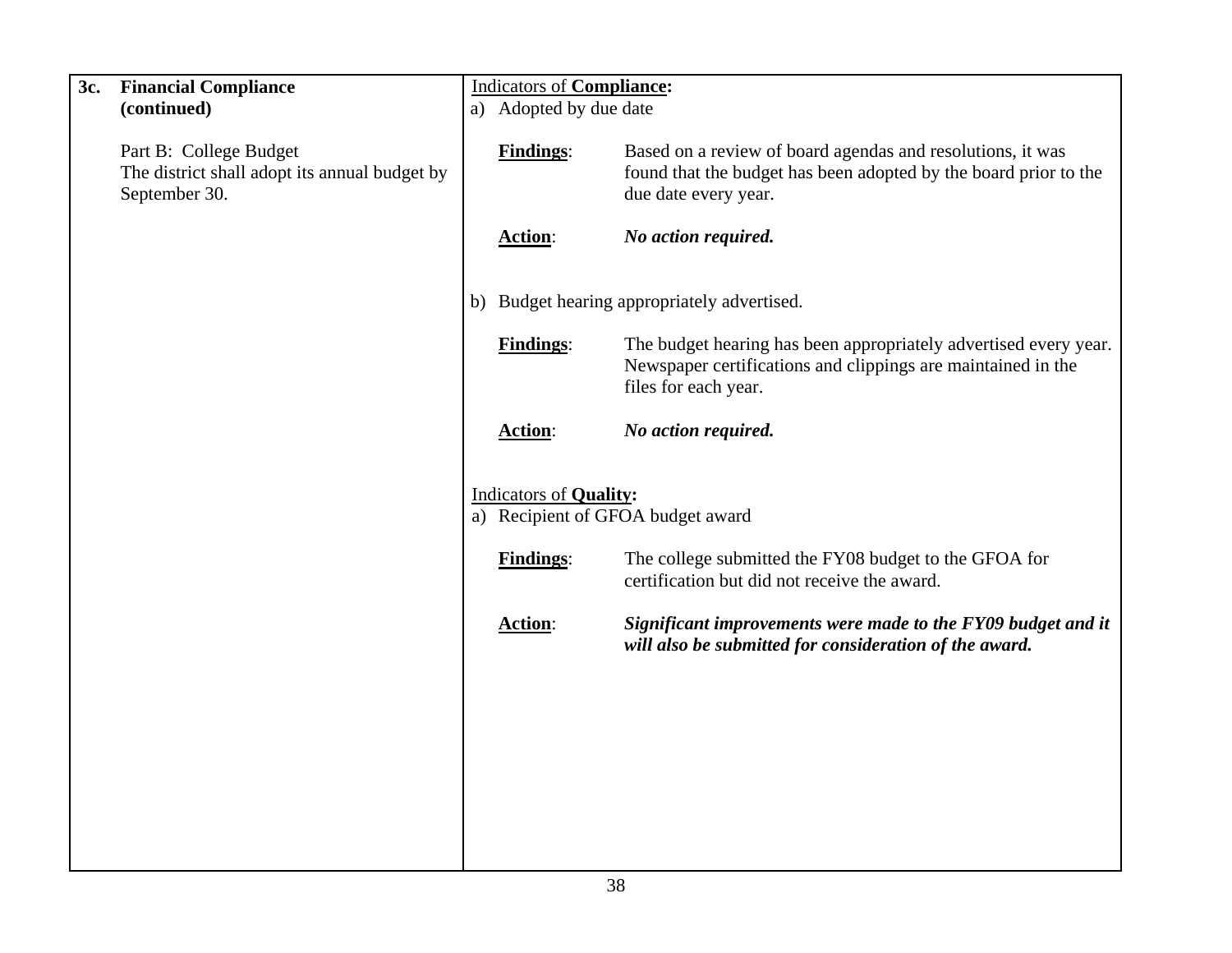| 3c. | <b>Financial Compliance</b>                                                              | <b>Indicators of Compliance:</b> |                                                                                                                                                          |
|-----|------------------------------------------------------------------------------------------|----------------------------------|----------------------------------------------------------------------------------------------------------------------------------------------------------|
|     | (continued)                                                                              | a) Adopted by due date           |                                                                                                                                                          |
|     | Part B: College Budget<br>The district shall adopt its annual budget by<br>September 30. | <b>Findings:</b>                 | Based on a review of board agendas and resolutions, it was<br>found that the budget has been adopted by the board prior to the<br>due date every year.   |
|     |                                                                                          | Action:                          | No action required.                                                                                                                                      |
|     |                                                                                          |                                  | b) Budget hearing appropriately advertised.                                                                                                              |
|     |                                                                                          | <b>Findings:</b>                 | The budget hearing has been appropriately advertised every year.<br>Newspaper certifications and clippings are maintained in the<br>files for each year. |
|     |                                                                                          | Action:                          | No action required.                                                                                                                                      |
|     |                                                                                          | <b>Indicators of Quality:</b>    | a) Recipient of GFOA budget award                                                                                                                        |
|     |                                                                                          |                                  |                                                                                                                                                          |
|     |                                                                                          | <b>Findings:</b>                 | The college submitted the FY08 budget to the GFOA for<br>certification but did not receive the award.                                                    |
|     |                                                                                          | <b>Action:</b>                   | Significant improvements were made to the FY09 budget and it<br>will also be submitted for consideration of the award.                                   |
|     |                                                                                          |                                  |                                                                                                                                                          |
|     |                                                                                          |                                  |                                                                                                                                                          |
|     |                                                                                          |                                  |                                                                                                                                                          |
|     |                                                                                          |                                  |                                                                                                                                                          |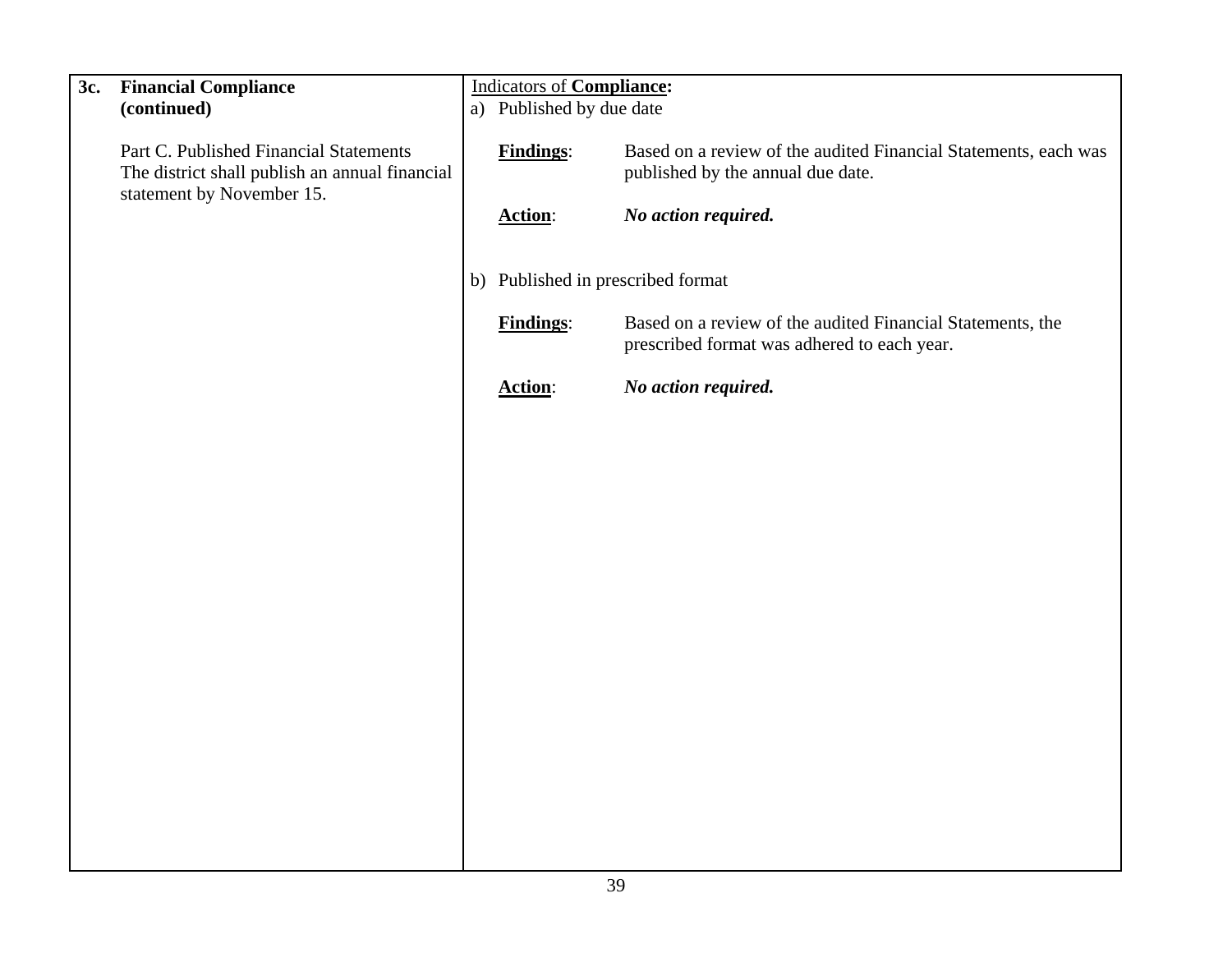| 3c. | <b>Financial Compliance</b><br>(continued)                                               | <b>Indicators of Compliance:</b><br>a) Published by due date |                                                                                                           |
|-----|------------------------------------------------------------------------------------------|--------------------------------------------------------------|-----------------------------------------------------------------------------------------------------------|
|     | Part C. Published Financial Statements<br>The district shall publish an annual financial | <b>Findings:</b>                                             | Based on a review of the audited Financial Statements, each was<br>published by the annual due date.      |
|     | statement by November 15.                                                                | <b>Action:</b>                                               | No action required.                                                                                       |
|     |                                                                                          | b) Published in prescribed format                            |                                                                                                           |
|     |                                                                                          | <b>Findings:</b>                                             | Based on a review of the audited Financial Statements, the<br>prescribed format was adhered to each year. |
|     |                                                                                          | Action:                                                      | No action required.                                                                                       |
|     |                                                                                          |                                                              |                                                                                                           |
|     |                                                                                          |                                                              |                                                                                                           |
|     |                                                                                          |                                                              |                                                                                                           |
|     |                                                                                          |                                                              |                                                                                                           |
|     |                                                                                          |                                                              |                                                                                                           |
|     |                                                                                          |                                                              |                                                                                                           |
|     |                                                                                          |                                                              |                                                                                                           |
|     |                                                                                          |                                                              |                                                                                                           |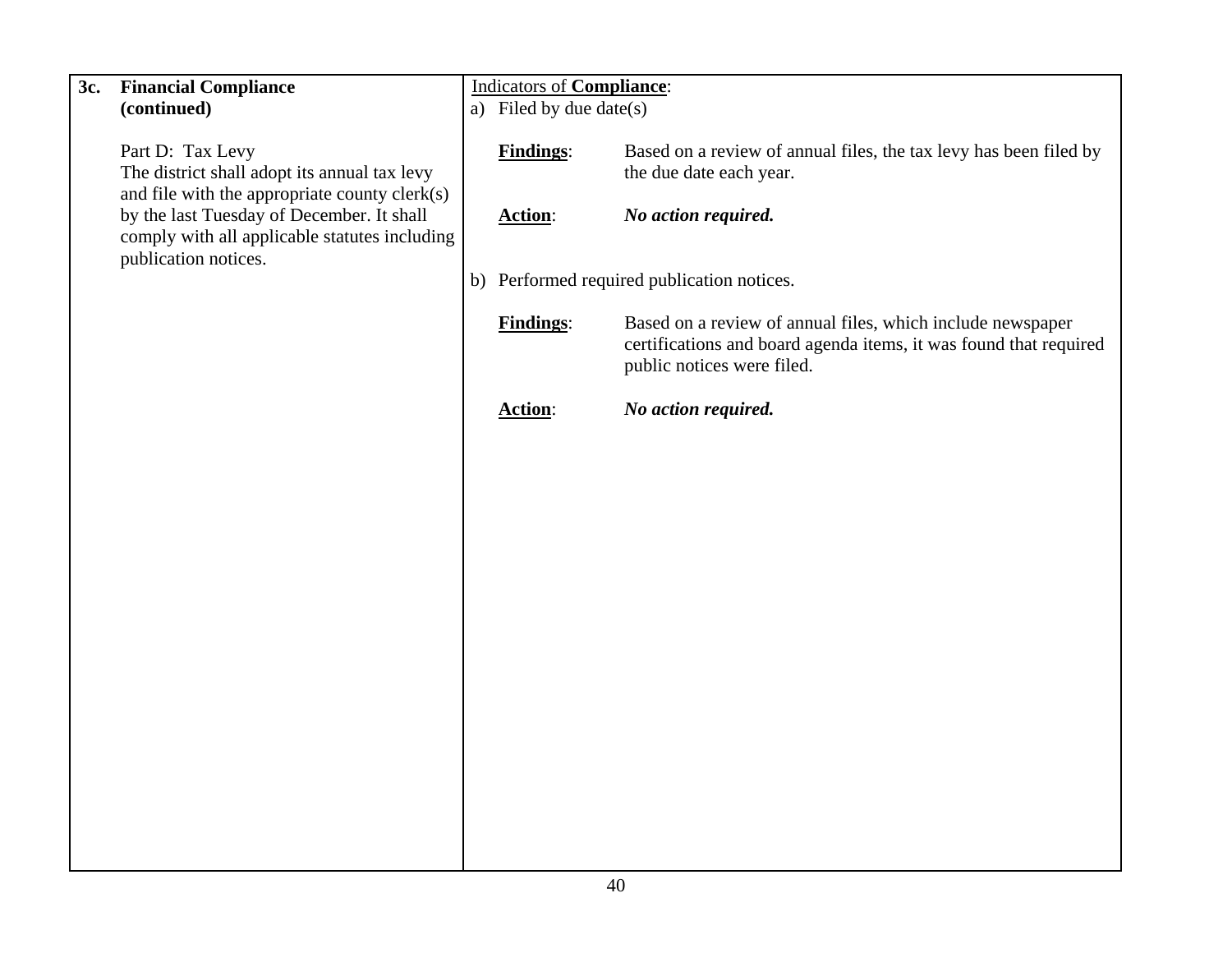| 3c. | <b>Financial Compliance</b>                                                                                       | <b>Indicators of Compliance:</b> |                                                                                                                                                               |
|-----|-------------------------------------------------------------------------------------------------------------------|----------------------------------|---------------------------------------------------------------------------------------------------------------------------------------------------------------|
|     | (continued)                                                                                                       | a) Filed by due date(s)          |                                                                                                                                                               |
|     | Part D: Tax Levy<br>The district shall adopt its annual tax levy<br>and file with the appropriate county clerk(s) | <b>Findings:</b>                 | Based on a review of annual files, the tax levy has been filed by<br>the due date each year.                                                                  |
|     | by the last Tuesday of December. It shall<br>comply with all applicable statutes including                        | Action:                          | No action required.                                                                                                                                           |
|     | publication notices.                                                                                              |                                  | b) Performed required publication notices.                                                                                                                    |
|     |                                                                                                                   | <b>Findings:</b>                 | Based on a review of annual files, which include newspaper<br>certifications and board agenda items, it was found that required<br>public notices were filed. |
|     |                                                                                                                   | <b>Action:</b>                   | No action required.                                                                                                                                           |
|     |                                                                                                                   |                                  |                                                                                                                                                               |
|     |                                                                                                                   |                                  |                                                                                                                                                               |
|     |                                                                                                                   |                                  |                                                                                                                                                               |
|     |                                                                                                                   |                                  |                                                                                                                                                               |
|     |                                                                                                                   |                                  |                                                                                                                                                               |
|     |                                                                                                                   |                                  |                                                                                                                                                               |
|     |                                                                                                                   |                                  |                                                                                                                                                               |
|     |                                                                                                                   |                                  |                                                                                                                                                               |
|     |                                                                                                                   |                                  |                                                                                                                                                               |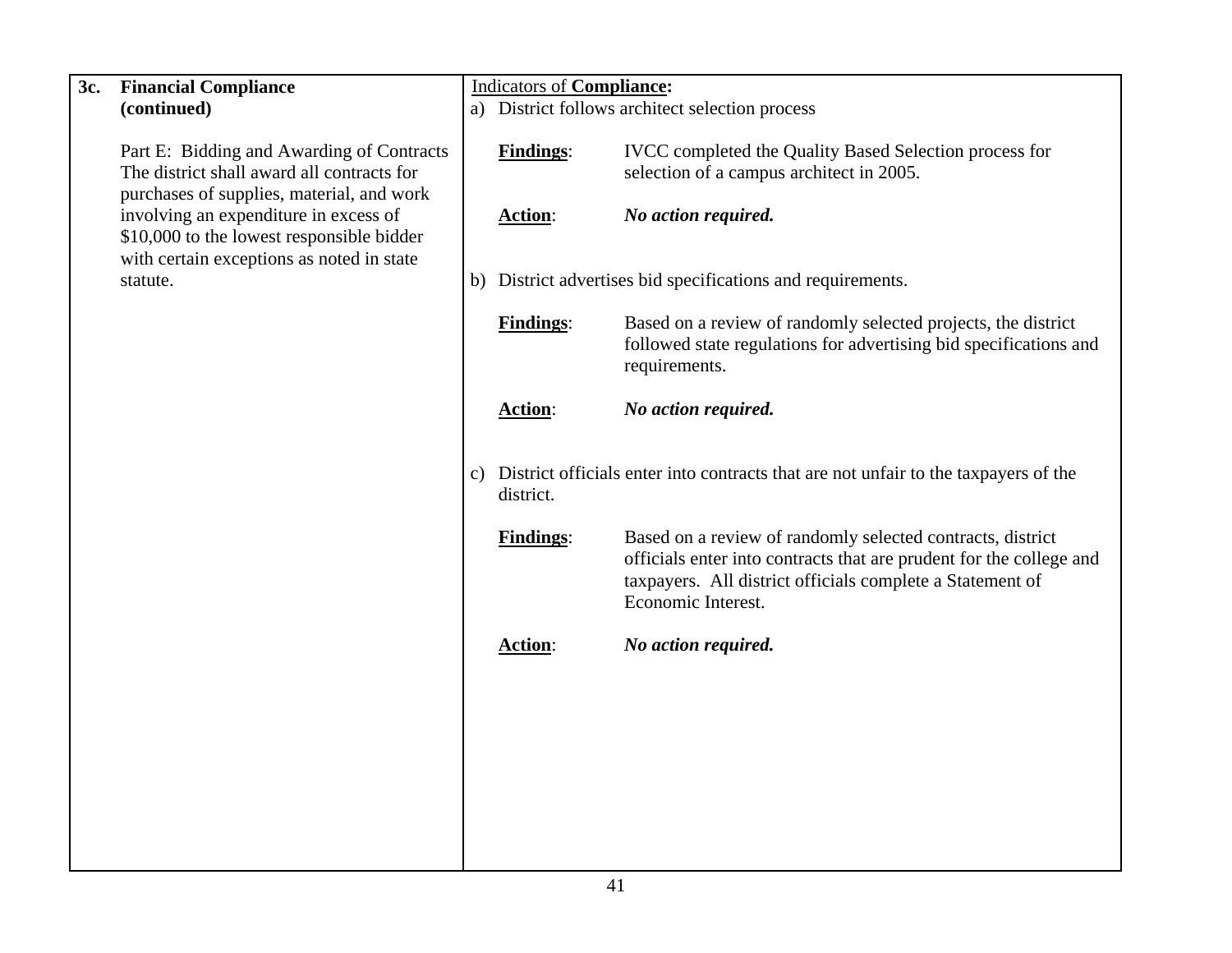| 3c. | <b>Financial Compliance</b>                                                                                                          | <b>Indicators of Compliance:</b> |                               |                                                                                                                                                        |  |
|-----|--------------------------------------------------------------------------------------------------------------------------------------|----------------------------------|-------------------------------|--------------------------------------------------------------------------------------------------------------------------------------------------------|--|
|     | (continued)                                                                                                                          |                                  |                               | a) District follows architect selection process                                                                                                        |  |
|     | Part E: Bidding and Awarding of Contracts<br>The district shall award all contracts for<br>purchases of supplies, material, and work |                                  | <b>Findings:</b>              | IVCC completed the Quality Based Selection process for<br>selection of a campus architect in 2005.                                                     |  |
|     | involving an expenditure in excess of<br>\$10,000 to the lowest responsible bidder<br>with certain exceptions as noted in state      |                                  | <b>Action:</b>                | No action required.                                                                                                                                    |  |
|     | statute.                                                                                                                             |                                  |                               | b) District advertises bid specifications and requirements.                                                                                            |  |
|     |                                                                                                                                      |                                  | <b>Findings:</b>              | Based on a review of randomly selected projects, the district<br>followed state regulations for advertising bid specifications and<br>requirements.    |  |
|     |                                                                                                                                      |                                  | <b>Action:</b>                | No action required.                                                                                                                                    |  |
|     |                                                                                                                                      |                                  | district.<br><b>Findings:</b> | c) District officials enter into contracts that are not unfair to the taxpayers of the<br>Based on a review of randomly selected contracts, district   |  |
|     |                                                                                                                                      |                                  |                               | officials enter into contracts that are prudent for the college and<br>taxpayers. All district officials complete a Statement of<br>Economic Interest. |  |
|     |                                                                                                                                      |                                  | Action:                       | No action required.                                                                                                                                    |  |
|     |                                                                                                                                      |                                  |                               |                                                                                                                                                        |  |
|     |                                                                                                                                      |                                  |                               |                                                                                                                                                        |  |
|     |                                                                                                                                      |                                  |                               |                                                                                                                                                        |  |
|     |                                                                                                                                      |                                  |                               |                                                                                                                                                        |  |
|     |                                                                                                                                      |                                  |                               |                                                                                                                                                        |  |
|     |                                                                                                                                      |                                  |                               |                                                                                                                                                        |  |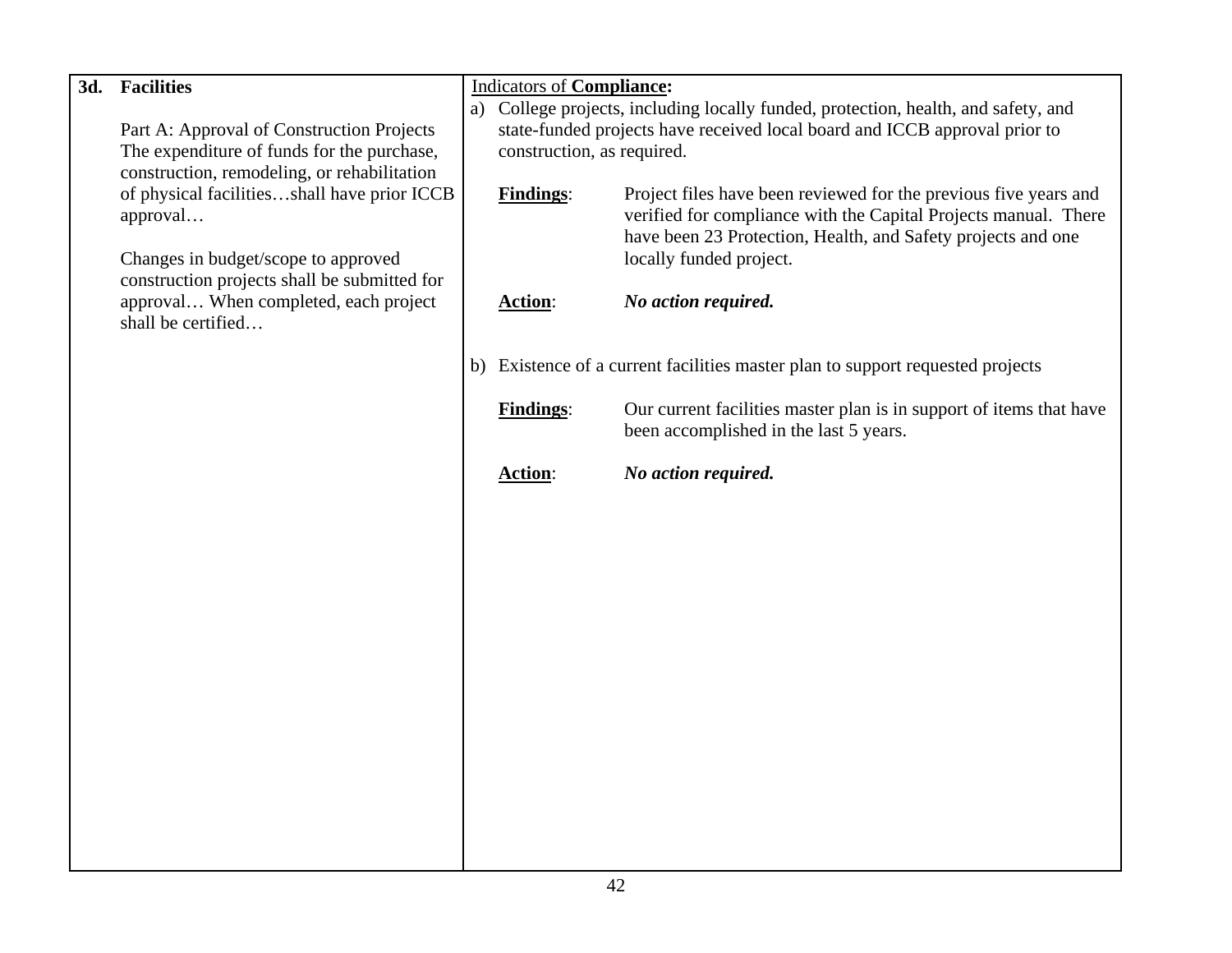| 3d. | <b>Facilities</b>                                                                   | <b>Indicators of Compliance:</b> |                                                                                    |
|-----|-------------------------------------------------------------------------------------|----------------------------------|------------------------------------------------------------------------------------|
|     |                                                                                     |                                  | a) College projects, including locally funded, protection, health, and safety, and |
|     | Part A: Approval of Construction Projects                                           |                                  | state-funded projects have received local board and ICCB approval prior to         |
|     | The expenditure of funds for the purchase,                                          | construction, as required.       |                                                                                    |
|     | construction, remodeling, or rehabilitation                                         |                                  |                                                                                    |
|     | of physical facilitiesshall have prior ICCB                                         | <b>Findings:</b>                 | Project files have been reviewed for the previous five years and                   |
|     | approval                                                                            |                                  | verified for compliance with the Capital Projects manual. There                    |
|     |                                                                                     |                                  | have been 23 Protection, Health, and Safety projects and one                       |
|     | Changes in budget/scope to approved<br>construction projects shall be submitted for |                                  | locally funded project.                                                            |
|     | approval When completed, each project                                               | <b>Action:</b>                   | No action required.                                                                |
|     | shall be certified                                                                  |                                  |                                                                                    |
|     |                                                                                     |                                  |                                                                                    |
|     |                                                                                     |                                  | b) Existence of a current facilities master plan to support requested projects     |
|     |                                                                                     |                                  |                                                                                    |
|     |                                                                                     | <b>Findings:</b>                 | Our current facilities master plan is in support of items that have                |
|     |                                                                                     |                                  | been accomplished in the last 5 years.                                             |
|     |                                                                                     |                                  |                                                                                    |
|     |                                                                                     | <b>Action:</b>                   | No action required.                                                                |
|     |                                                                                     |                                  |                                                                                    |
|     |                                                                                     |                                  |                                                                                    |
|     |                                                                                     |                                  |                                                                                    |
|     |                                                                                     |                                  |                                                                                    |
|     |                                                                                     |                                  |                                                                                    |
|     |                                                                                     |                                  |                                                                                    |
|     |                                                                                     |                                  |                                                                                    |
|     |                                                                                     |                                  |                                                                                    |
|     |                                                                                     |                                  |                                                                                    |
|     |                                                                                     |                                  |                                                                                    |
|     |                                                                                     |                                  |                                                                                    |
|     |                                                                                     |                                  |                                                                                    |
|     |                                                                                     |                                  |                                                                                    |
|     |                                                                                     |                                  |                                                                                    |
|     |                                                                                     |                                  |                                                                                    |
|     |                                                                                     |                                  |                                                                                    |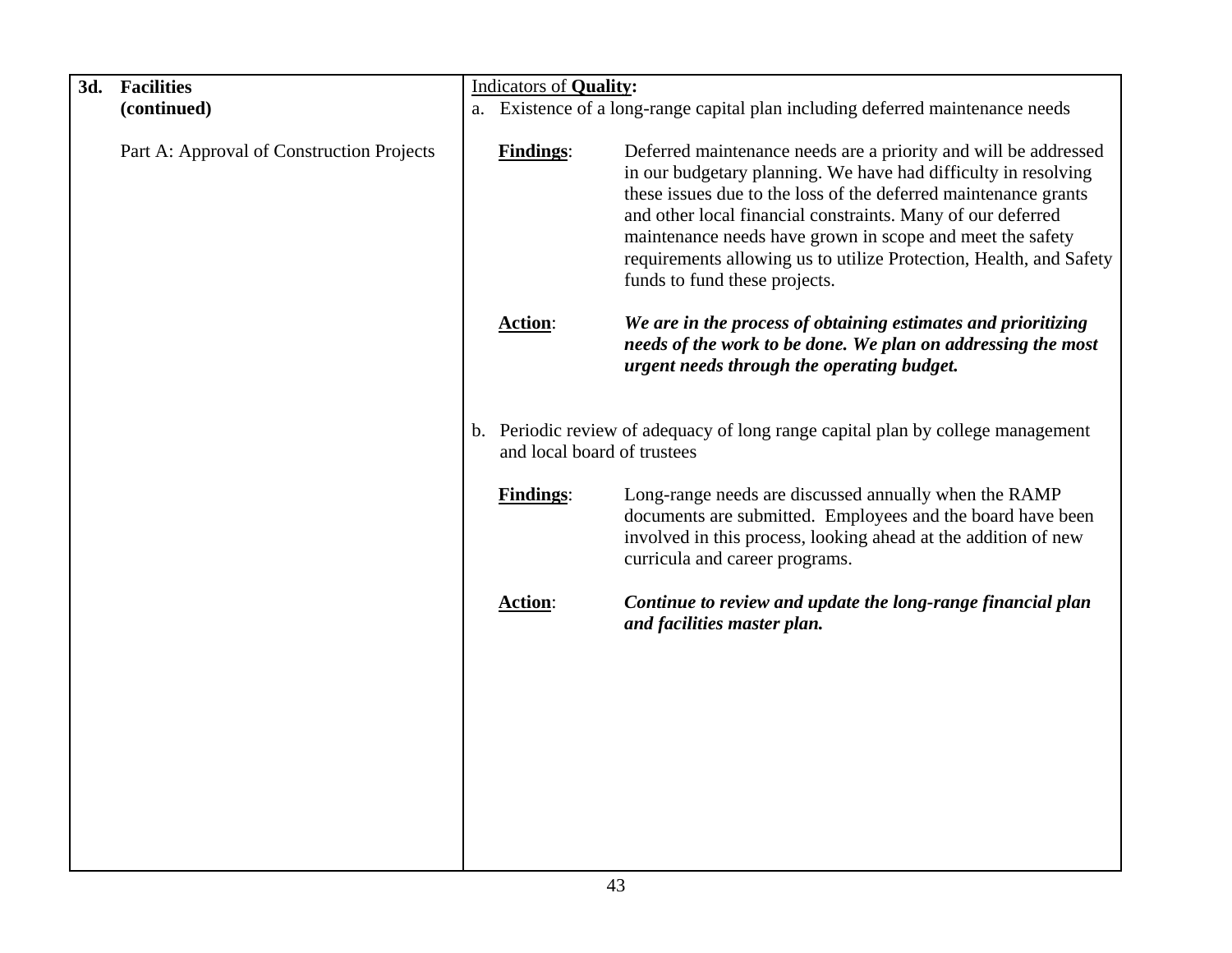| 3d. | <b>Facilities</b>                         | <b>Indicators of Quality:</b> |                                                                                                                                                                                                                                                                                                                                                                                                                                         |
|-----|-------------------------------------------|-------------------------------|-----------------------------------------------------------------------------------------------------------------------------------------------------------------------------------------------------------------------------------------------------------------------------------------------------------------------------------------------------------------------------------------------------------------------------------------|
|     | (continued)                               |                               | a. Existence of a long-range capital plan including deferred maintenance needs                                                                                                                                                                                                                                                                                                                                                          |
|     |                                           |                               |                                                                                                                                                                                                                                                                                                                                                                                                                                         |
|     | Part A: Approval of Construction Projects | <b>Findings:</b>              | Deferred maintenance needs are a priority and will be addressed<br>in our budgetary planning. We have had difficulty in resolving<br>these issues due to the loss of the deferred maintenance grants<br>and other local financial constraints. Many of our deferred<br>maintenance needs have grown in scope and meet the safety<br>requirements allowing us to utilize Protection, Health, and Safety<br>funds to fund these projects. |
|     |                                           | <b>Action:</b>                | We are in the process of obtaining estimates and prioritizing<br>needs of the work to be done. We plan on addressing the most<br>urgent needs through the operating budget.                                                                                                                                                                                                                                                             |
|     |                                           | and local board of trustees   | b. Periodic review of adequacy of long range capital plan by college management                                                                                                                                                                                                                                                                                                                                                         |
|     |                                           | <b>Findings:</b>              | Long-range needs are discussed annually when the RAMP<br>documents are submitted. Employees and the board have been<br>involved in this process, looking ahead at the addition of new<br>curricula and career programs.                                                                                                                                                                                                                 |
|     |                                           | Action:                       | Continue to review and update the long-range financial plan<br>and facilities master plan.                                                                                                                                                                                                                                                                                                                                              |
|     |                                           |                               |                                                                                                                                                                                                                                                                                                                                                                                                                                         |
|     |                                           |                               |                                                                                                                                                                                                                                                                                                                                                                                                                                         |
|     |                                           |                               |                                                                                                                                                                                                                                                                                                                                                                                                                                         |
|     |                                           |                               |                                                                                                                                                                                                                                                                                                                                                                                                                                         |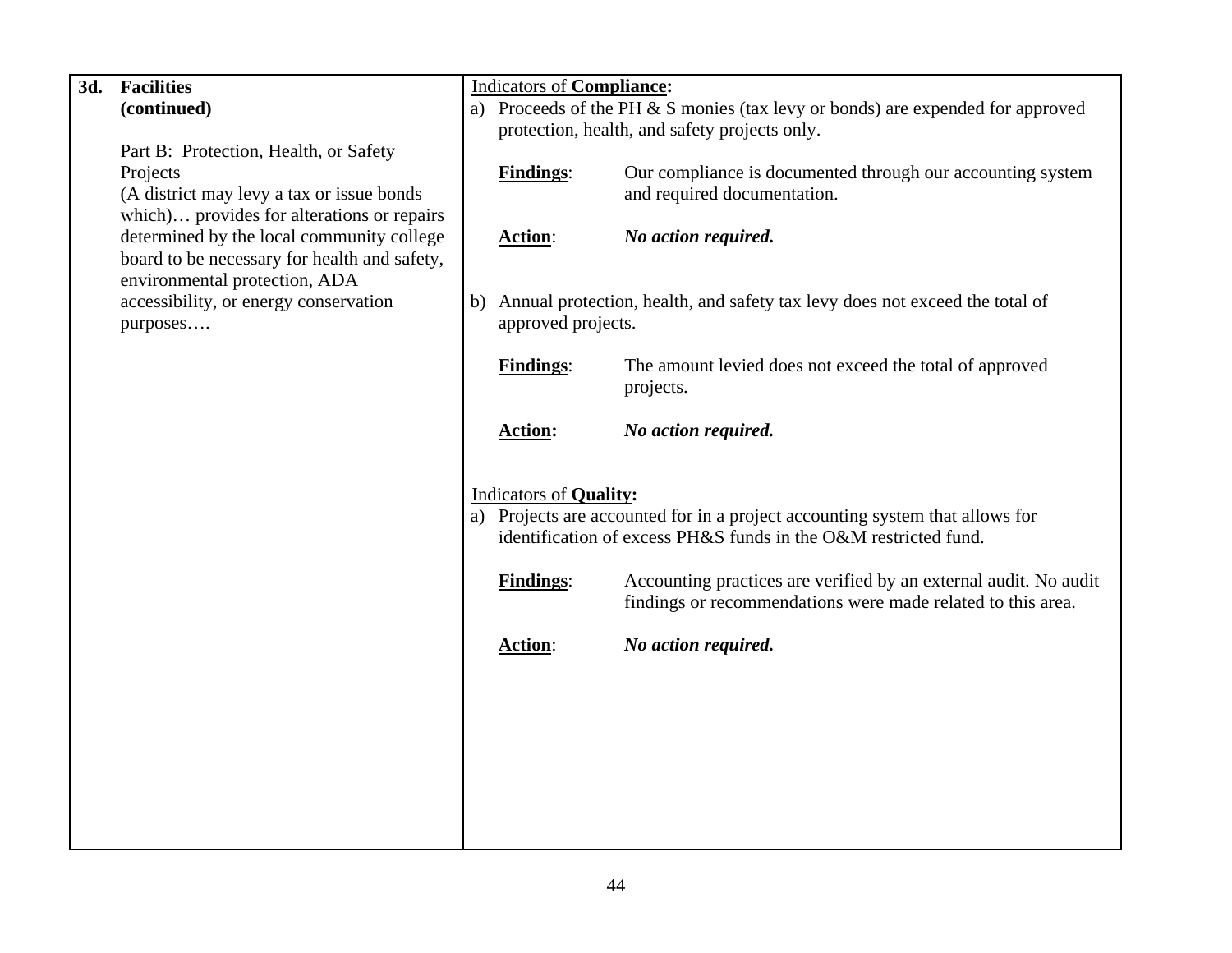| 3d. | <b>Facilities</b>                            |    | <b>Indicators of Compliance:</b>                                |                                                                                  |  |  |  |
|-----|----------------------------------------------|----|-----------------------------------------------------------------|----------------------------------------------------------------------------------|--|--|--|
|     | (continued)                                  |    |                                                                 | a) Proceeds of the PH $&$ S monies (tax levy or bonds) are expended for approved |  |  |  |
|     |                                              |    |                                                                 | protection, health, and safety projects only.                                    |  |  |  |
|     | Part B: Protection, Health, or Safety        |    |                                                                 |                                                                                  |  |  |  |
|     | Projects                                     |    | <b>Findings:</b>                                                | Our compliance is documented through our accounting system                       |  |  |  |
|     | (A district may levy a tax or issue bonds    |    |                                                                 | and required documentation.                                                      |  |  |  |
|     | which) provides for alterations or repairs   |    |                                                                 |                                                                                  |  |  |  |
|     | determined by the local community college    |    | Action:                                                         | No action required.                                                              |  |  |  |
|     | board to be necessary for health and safety, |    |                                                                 |                                                                                  |  |  |  |
|     | environmental protection, ADA                |    |                                                                 |                                                                                  |  |  |  |
|     | accessibility, or energy conservation        | b) |                                                                 | Annual protection, health, and safety tax levy does not exceed the total of      |  |  |  |
|     | purposes                                     |    | approved projects.                                              |                                                                                  |  |  |  |
|     |                                              |    |                                                                 |                                                                                  |  |  |  |
|     |                                              |    | <b>Findings:</b>                                                | The amount levied does not exceed the total of approved                          |  |  |  |
|     |                                              |    |                                                                 | projects.                                                                        |  |  |  |
|     |                                              |    |                                                                 |                                                                                  |  |  |  |
|     |                                              |    | <b>Action:</b>                                                  | No action required.                                                              |  |  |  |
|     |                                              |    |                                                                 |                                                                                  |  |  |  |
|     |                                              |    | <b>Indicators of Quality:</b>                                   |                                                                                  |  |  |  |
|     |                                              |    |                                                                 | a) Projects are accounted for in a project accounting system that allows for     |  |  |  |
|     |                                              |    | identification of excess PH&S funds in the O&M restricted fund. |                                                                                  |  |  |  |
|     |                                              |    |                                                                 |                                                                                  |  |  |  |
|     |                                              |    | <b>Findings:</b>                                                | Accounting practices are verified by an external audit. No audit                 |  |  |  |
|     |                                              |    |                                                                 | findings or recommendations were made related to this area.                      |  |  |  |
|     |                                              |    |                                                                 |                                                                                  |  |  |  |
|     |                                              |    | <b>Action:</b>                                                  | No action required.                                                              |  |  |  |
|     |                                              |    |                                                                 |                                                                                  |  |  |  |
|     |                                              |    |                                                                 |                                                                                  |  |  |  |
|     |                                              |    |                                                                 |                                                                                  |  |  |  |
|     |                                              |    |                                                                 |                                                                                  |  |  |  |
|     |                                              |    |                                                                 |                                                                                  |  |  |  |
|     |                                              |    |                                                                 |                                                                                  |  |  |  |
|     |                                              |    |                                                                 |                                                                                  |  |  |  |
|     |                                              |    |                                                                 |                                                                                  |  |  |  |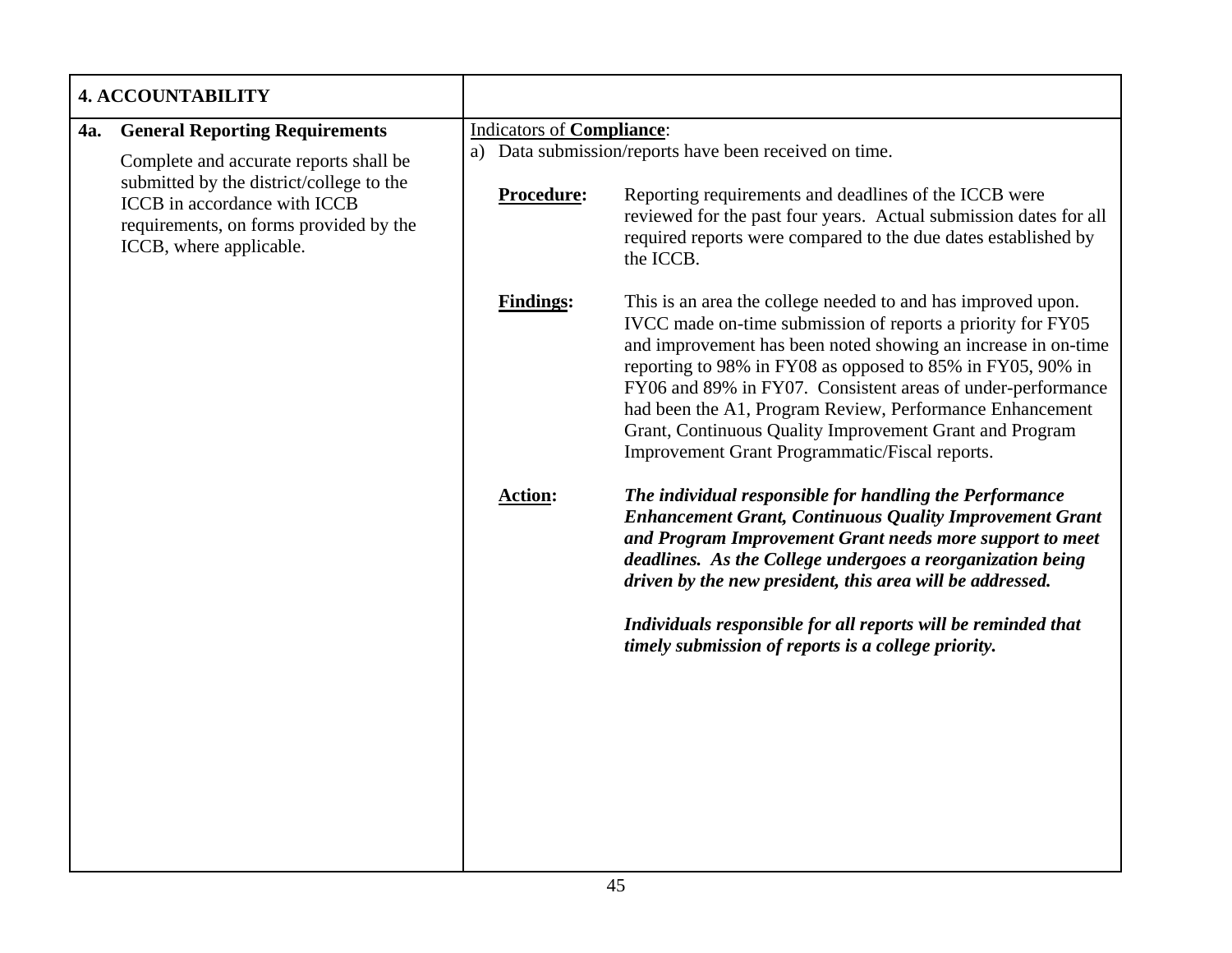|            | <b>4. ACCOUNTABILITY</b>                                                                                                                                                                                                         |            |                                                                                                                                                                                                                                                                     |                                                                                                                                                                                                                                                                                                                                                                                                                                                                                                    |  |
|------------|----------------------------------------------------------------------------------------------------------------------------------------------------------------------------------------------------------------------------------|------------|---------------------------------------------------------------------------------------------------------------------------------------------------------------------------------------------------------------------------------------------------------------------|----------------------------------------------------------------------------------------------------------------------------------------------------------------------------------------------------------------------------------------------------------------------------------------------------------------------------------------------------------------------------------------------------------------------------------------------------------------------------------------------------|--|
| <b>4a.</b> | <b>General Reporting Requirements</b><br>Complete and accurate reports shall be<br>submitted by the district/college to the<br>ICCB in accordance with ICCB<br>requirements, on forms provided by the<br>ICCB, where applicable. |            | Indicators of Compliance:                                                                                                                                                                                                                                           |                                                                                                                                                                                                                                                                                                                                                                                                                                                                                                    |  |
|            |                                                                                                                                                                                                                                  | Procedure: | a) Data submission/reports have been received on time.<br>Reporting requirements and deadlines of the ICCB were<br>reviewed for the past four years. Actual submission dates for all<br>required reports were compared to the due dates established by<br>the ICCB. |                                                                                                                                                                                                                                                                                                                                                                                                                                                                                                    |  |
|            |                                                                                                                                                                                                                                  |            | <b>Findings:</b>                                                                                                                                                                                                                                                    | This is an area the college needed to and has improved upon.<br>IVCC made on-time submission of reports a priority for FY05<br>and improvement has been noted showing an increase in on-time<br>reporting to 98% in FY08 as opposed to 85% in FY05, 90% in<br>FY06 and 89% in FY07. Consistent areas of under-performance<br>had been the A1, Program Review, Performance Enhancement<br>Grant, Continuous Quality Improvement Grant and Program<br>Improvement Grant Programmatic/Fiscal reports. |  |
|            |                                                                                                                                                                                                                                  |            | <b>Action:</b>                                                                                                                                                                                                                                                      | The individual responsible for handling the Performance<br><b>Enhancement Grant, Continuous Quality Improvement Grant</b><br>and Program Improvement Grant needs more support to meet<br>deadlines. As the College undergoes a reorganization being<br>driven by the new president, this area will be addressed.<br>Individuals responsible for all reports will be reminded that<br>timely submission of reports is a college priority.                                                           |  |
|            |                                                                                                                                                                                                                                  |            |                                                                                                                                                                                                                                                                     |                                                                                                                                                                                                                                                                                                                                                                                                                                                                                                    |  |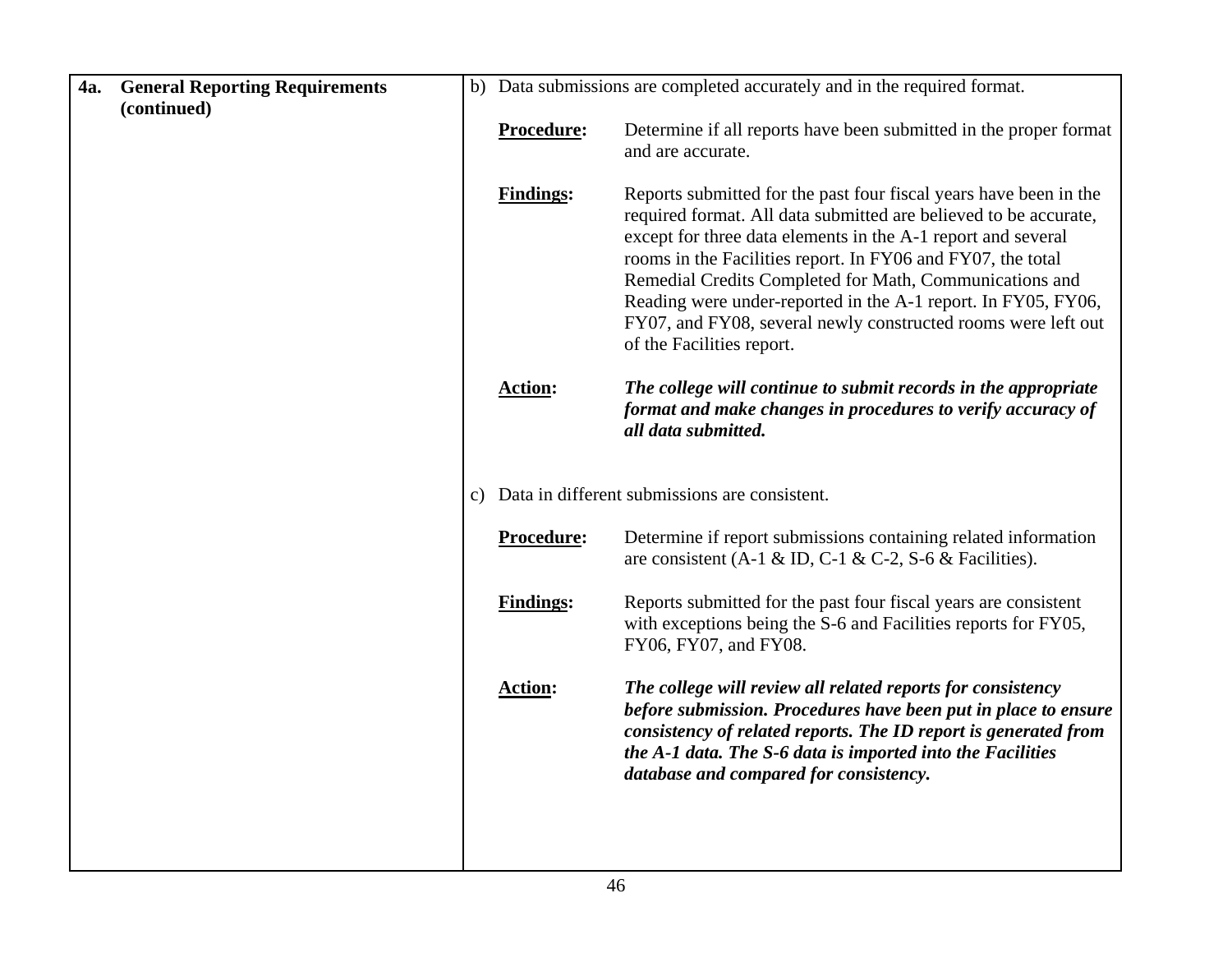| 4a. | <b>General Reporting Requirements</b> |                  | b) Data submissions are completed accurately and in the required format.                                                                                                                                                                                                                                                                                                                                                                                                                       |
|-----|---------------------------------------|------------------|------------------------------------------------------------------------------------------------------------------------------------------------------------------------------------------------------------------------------------------------------------------------------------------------------------------------------------------------------------------------------------------------------------------------------------------------------------------------------------------------|
|     | (continued)                           | Procedure:       | Determine if all reports have been submitted in the proper format                                                                                                                                                                                                                                                                                                                                                                                                                              |
|     |                                       |                  | and are accurate.                                                                                                                                                                                                                                                                                                                                                                                                                                                                              |
|     |                                       |                  |                                                                                                                                                                                                                                                                                                                                                                                                                                                                                                |
|     |                                       | <b>Findings:</b> | Reports submitted for the past four fiscal years have been in the<br>required format. All data submitted are believed to be accurate,<br>except for three data elements in the A-1 report and several<br>rooms in the Facilities report. In FY06 and FY07, the total<br>Remedial Credits Completed for Math, Communications and<br>Reading were under-reported in the A-1 report. In FY05, FY06,<br>FY07, and FY08, several newly constructed rooms were left out<br>of the Facilities report. |
|     |                                       | <b>Action:</b>   | The college will continue to submit records in the appropriate<br>format and make changes in procedures to verify accuracy of<br>all data submitted.                                                                                                                                                                                                                                                                                                                                           |
|     |                                       |                  | c) Data in different submissions are consistent.                                                                                                                                                                                                                                                                                                                                                                                                                                               |
|     |                                       | Procedure:       | Determine if report submissions containing related information<br>are consistent (A-1 & ID, C-1 & C-2, S-6 & Facilities).                                                                                                                                                                                                                                                                                                                                                                      |
|     |                                       | <b>Findings:</b> | Reports submitted for the past four fiscal years are consistent<br>with exceptions being the S-6 and Facilities reports for FY05,<br>FY06, FY07, and FY08.                                                                                                                                                                                                                                                                                                                                     |
|     |                                       | <b>Action:</b>   | The college will review all related reports for consistency<br>before submission. Procedures have been put in place to ensure<br>consistency of related reports. The ID report is generated from<br>the A-1 data. The S-6 data is imported into the Facilities<br>database and compared for consistency.                                                                                                                                                                                       |
|     |                                       |                  |                                                                                                                                                                                                                                                                                                                                                                                                                                                                                                |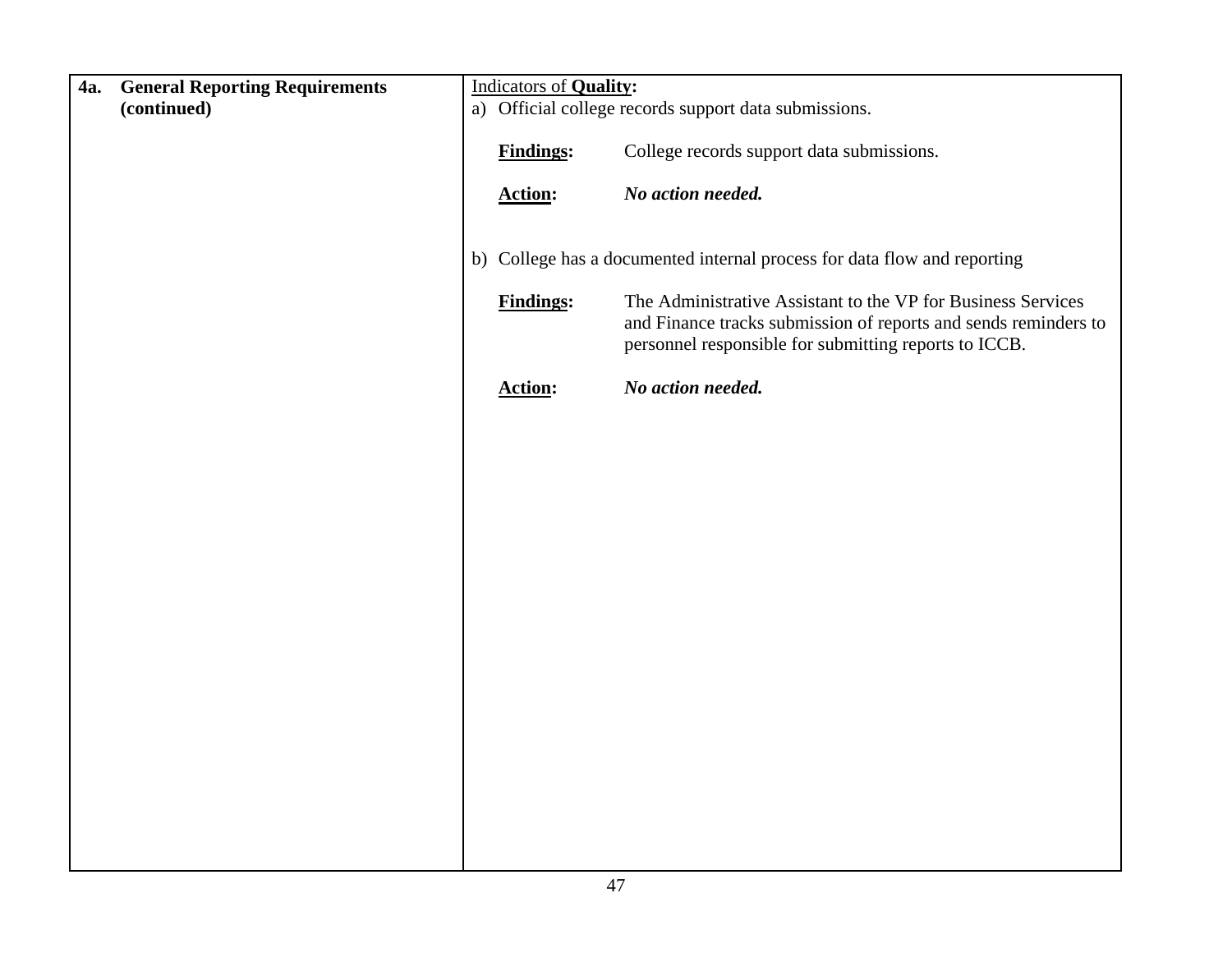| 4a. | <b>General Reporting Requirements</b> | <b>Indicators of Quality:</b> |                                                                          |
|-----|---------------------------------------|-------------------------------|--------------------------------------------------------------------------|
|     | (continued)                           |                               | a) Official college records support data submissions.                    |
|     |                                       |                               |                                                                          |
|     |                                       | <b>Findings:</b>              | College records support data submissions.                                |
|     |                                       |                               |                                                                          |
|     |                                       | <b>Action:</b>                | No action needed.                                                        |
|     |                                       |                               |                                                                          |
|     |                                       |                               |                                                                          |
|     |                                       |                               | b) College has a documented internal process for data flow and reporting |
|     |                                       |                               |                                                                          |
|     |                                       | <b>Findings:</b>              | The Administrative Assistant to the VP for Business Services             |
|     |                                       |                               | and Finance tracks submission of reports and sends reminders to          |
|     |                                       |                               | personnel responsible for submitting reports to ICCB.                    |
|     |                                       | <b>Action:</b>                | No action needed.                                                        |
|     |                                       |                               |                                                                          |
|     |                                       |                               |                                                                          |
|     |                                       |                               |                                                                          |
|     |                                       |                               |                                                                          |
|     |                                       |                               |                                                                          |
|     |                                       |                               |                                                                          |
|     |                                       |                               |                                                                          |
|     |                                       |                               |                                                                          |
|     |                                       |                               |                                                                          |
|     |                                       |                               |                                                                          |
|     |                                       |                               |                                                                          |
|     |                                       |                               |                                                                          |
|     |                                       |                               |                                                                          |
|     |                                       |                               |                                                                          |
|     |                                       |                               |                                                                          |
|     |                                       |                               |                                                                          |
|     |                                       |                               |                                                                          |
|     |                                       |                               |                                                                          |
|     |                                       |                               |                                                                          |
|     |                                       |                               |                                                                          |
|     |                                       |                               |                                                                          |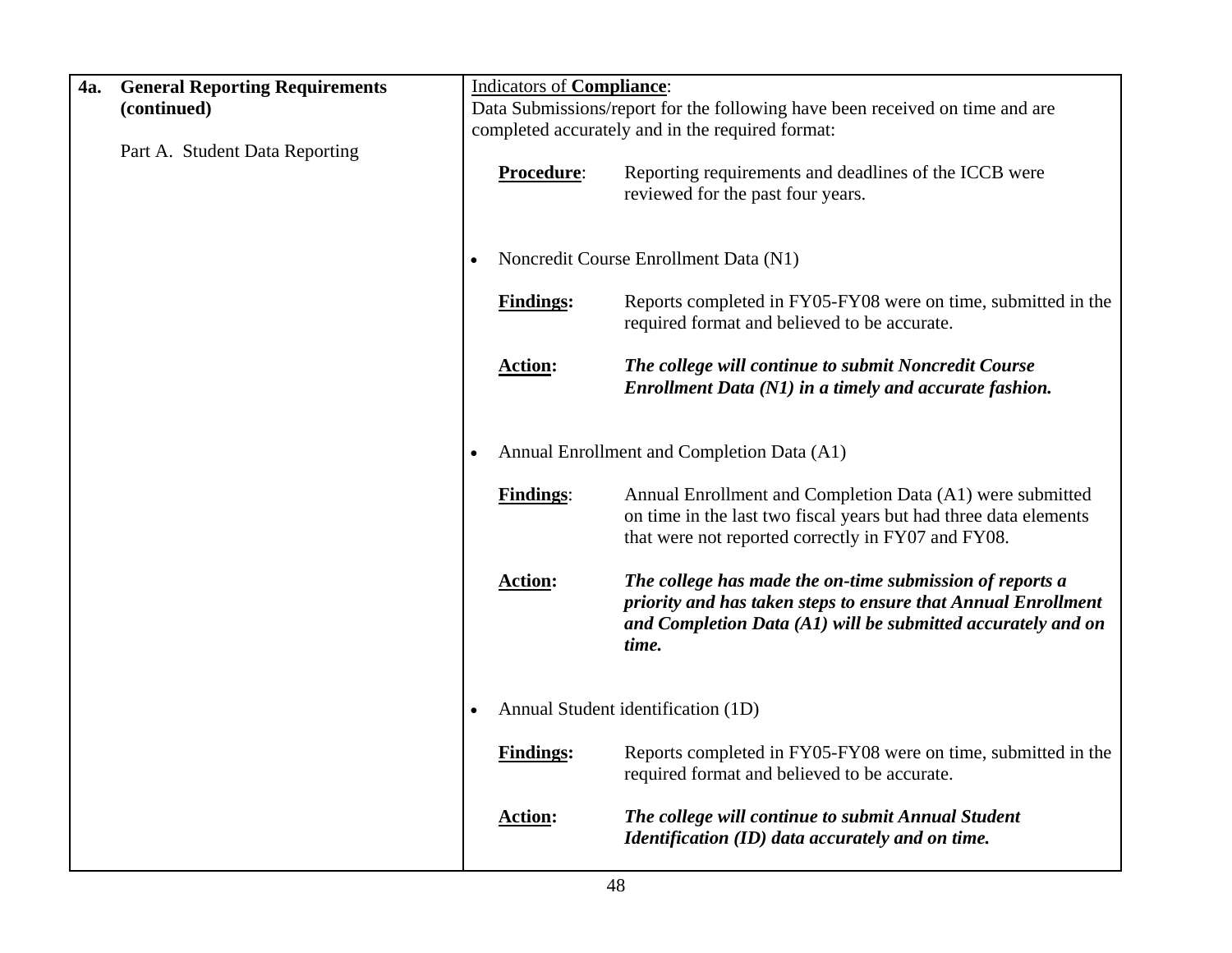| 4a. | <b>General Reporting Requirements</b> | Indicators of Compliance: |                                                                                                                                                                                                    |
|-----|---------------------------------------|---------------------------|----------------------------------------------------------------------------------------------------------------------------------------------------------------------------------------------------|
|     | (continued)                           |                           | Data Submissions/report for the following have been received on time and are                                                                                                                       |
|     |                                       |                           | completed accurately and in the required format:                                                                                                                                                   |
|     | Part A. Student Data Reporting        | Procedure:                | Reporting requirements and deadlines of the ICCB were<br>reviewed for the past four years.                                                                                                         |
|     |                                       |                           | Noncredit Course Enrollment Data (N1)                                                                                                                                                              |
|     |                                       | <b>Findings:</b>          | Reports completed in FY05-FY08 were on time, submitted in the<br>required format and believed to be accurate.                                                                                      |
|     |                                       | <b>Action:</b>            | The college will continue to submit Noncredit Course<br>Enrollment Data (N1) in a timely and accurate fashion.                                                                                     |
|     |                                       |                           | Annual Enrollment and Completion Data (A1)                                                                                                                                                         |
|     |                                       | <b>Findings:</b>          | Annual Enrollment and Completion Data (A1) were submitted<br>on time in the last two fiscal years but had three data elements<br>that were not reported correctly in FY07 and FY08.                |
|     |                                       | <b>Action:</b>            | The college has made the on-time submission of reports a<br>priority and has taken steps to ensure that Annual Enrollment<br>and Completion Data (A1) will be submitted accurately and on<br>time. |
|     |                                       |                           | Annual Student identification (1D)                                                                                                                                                                 |
|     |                                       | <b>Findings:</b>          | Reports completed in FY05-FY08 were on time, submitted in the<br>required format and believed to be accurate.                                                                                      |
|     |                                       | <b>Action:</b>            | The college will continue to submit Annual Student<br>Identification (ID) data accurately and on time.                                                                                             |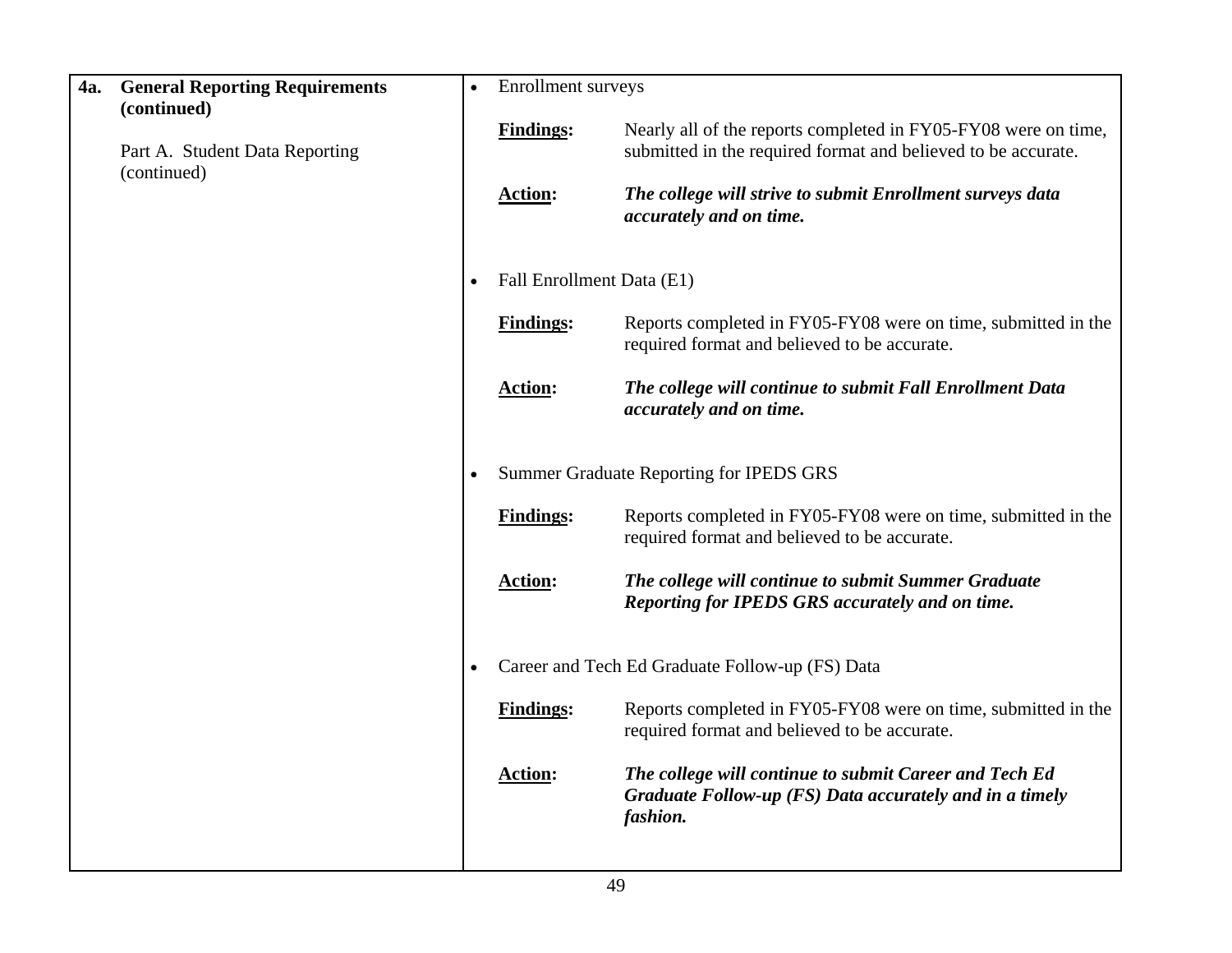| 4a. | <b>General Reporting Requirements</b><br>(continued) | Enrollment surveys        |                                                                                                                                 |
|-----|------------------------------------------------------|---------------------------|---------------------------------------------------------------------------------------------------------------------------------|
|     | Part A. Student Data Reporting<br>(continued)        | <b>Findings:</b>          | Nearly all of the reports completed in FY05-FY08 were on time,<br>submitted in the required format and believed to be accurate. |
|     |                                                      | <b>Action:</b>            | The college will strive to submit Enrollment surveys data<br>accurately and on time.                                            |
|     |                                                      | Fall Enrollment Data (E1) |                                                                                                                                 |
|     |                                                      | <b>Findings:</b>          | Reports completed in FY05-FY08 were on time, submitted in the<br>required format and believed to be accurate.                   |
|     |                                                      | <b>Action:</b>            | The college will continue to submit Fall Enrollment Data<br>accurately and on time.                                             |
|     |                                                      |                           | Summer Graduate Reporting for IPEDS GRS                                                                                         |
|     |                                                      | <b>Findings:</b>          | Reports completed in FY05-FY08 were on time, submitted in the<br>required format and believed to be accurate.                   |
|     |                                                      | <b>Action:</b>            | The college will continue to submit Summer Graduate<br>Reporting for IPEDS GRS accurately and on time.                          |
|     |                                                      |                           | Career and Tech Ed Graduate Follow-up (FS) Data                                                                                 |
|     |                                                      | <b>Findings:</b>          | Reports completed in FY05-FY08 were on time, submitted in the<br>required format and believed to be accurate.                   |
|     |                                                      | <b>Action:</b>            | The college will continue to submit Career and Tech Ed<br>Graduate Follow-up (FS) Data accurately and in a timely<br>fashion.   |
|     |                                                      |                           |                                                                                                                                 |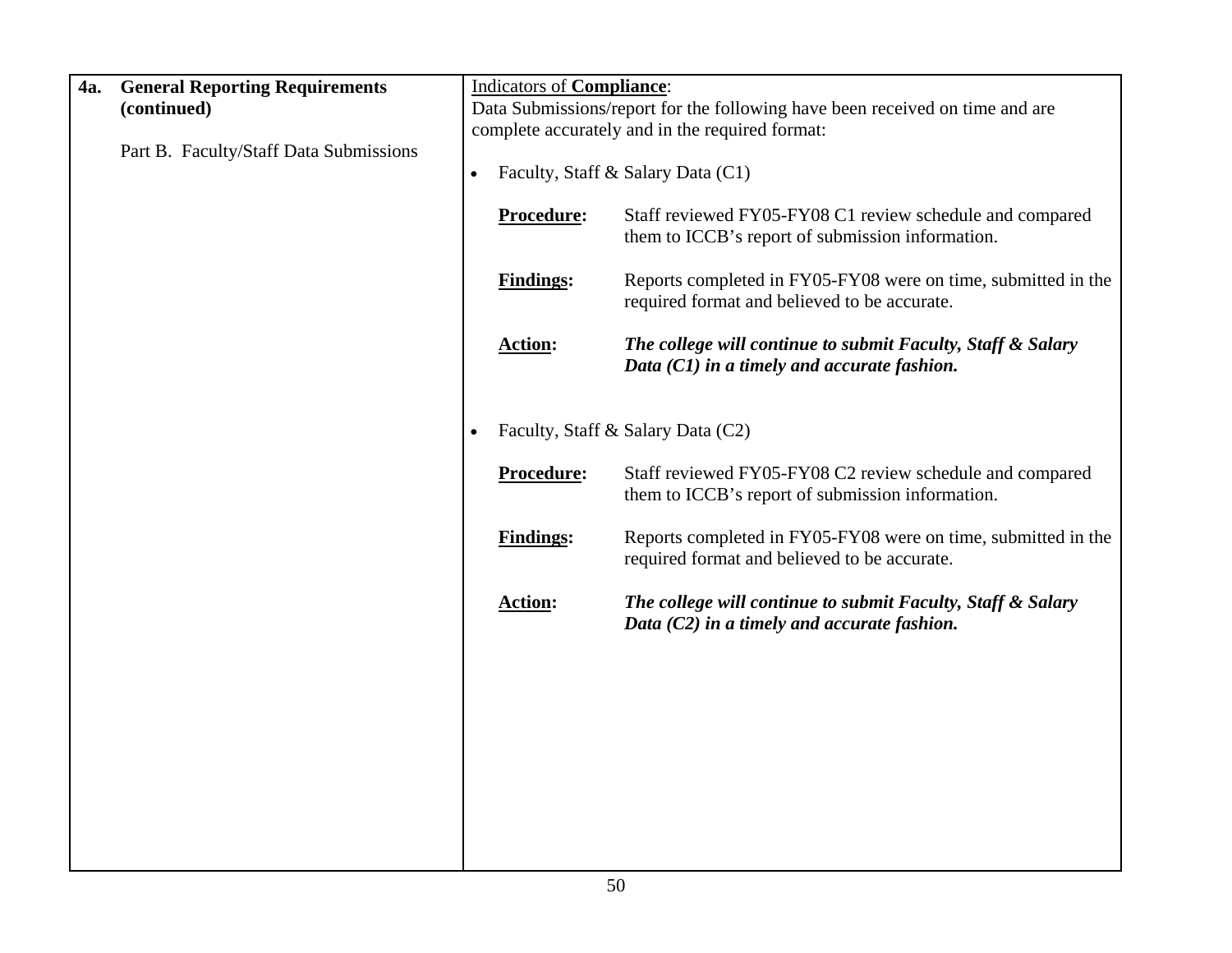| 4a. | <b>General Reporting Requirements</b>  |           | <b>Indicators of Compliance:</b> |                                                                                                               |
|-----|----------------------------------------|-----------|----------------------------------|---------------------------------------------------------------------------------------------------------------|
|     | (continued)                            |           |                                  | Data Submissions/report for the following have been received on time and are                                  |
|     | Part B. Faculty/Staff Data Submissions |           |                                  | complete accurately and in the required format:                                                               |
|     |                                        | $\bullet$ |                                  | Faculty, Staff & Salary Data (C1)                                                                             |
|     |                                        |           | Procedure:                       | Staff reviewed FY05-FY08 C1 review schedule and compared<br>them to ICCB's report of submission information.  |
|     |                                        |           | <b>Findings:</b>                 | Reports completed in FY05-FY08 were on time, submitted in the<br>required format and believed to be accurate. |
|     |                                        |           | <b>Action:</b>                   | The college will continue to submit Faculty, Staff & Salary<br>Data (C1) in a timely and accurate fashion.    |
|     |                                        | $\bullet$ |                                  | Faculty, Staff & Salary Data (C2)                                                                             |
|     |                                        |           | Procedure:                       | Staff reviewed FY05-FY08 C2 review schedule and compared<br>them to ICCB's report of submission information.  |
|     |                                        |           | <b>Findings:</b>                 | Reports completed in FY05-FY08 were on time, submitted in the<br>required format and believed to be accurate. |
|     |                                        |           | <b>Action:</b>                   | The college will continue to submit Faculty, Staff & Salary<br>Data (C2) in a timely and accurate fashion.    |
|     |                                        |           |                                  |                                                                                                               |
|     |                                        |           |                                  |                                                                                                               |
|     |                                        |           |                                  |                                                                                                               |
|     |                                        |           |                                  |                                                                                                               |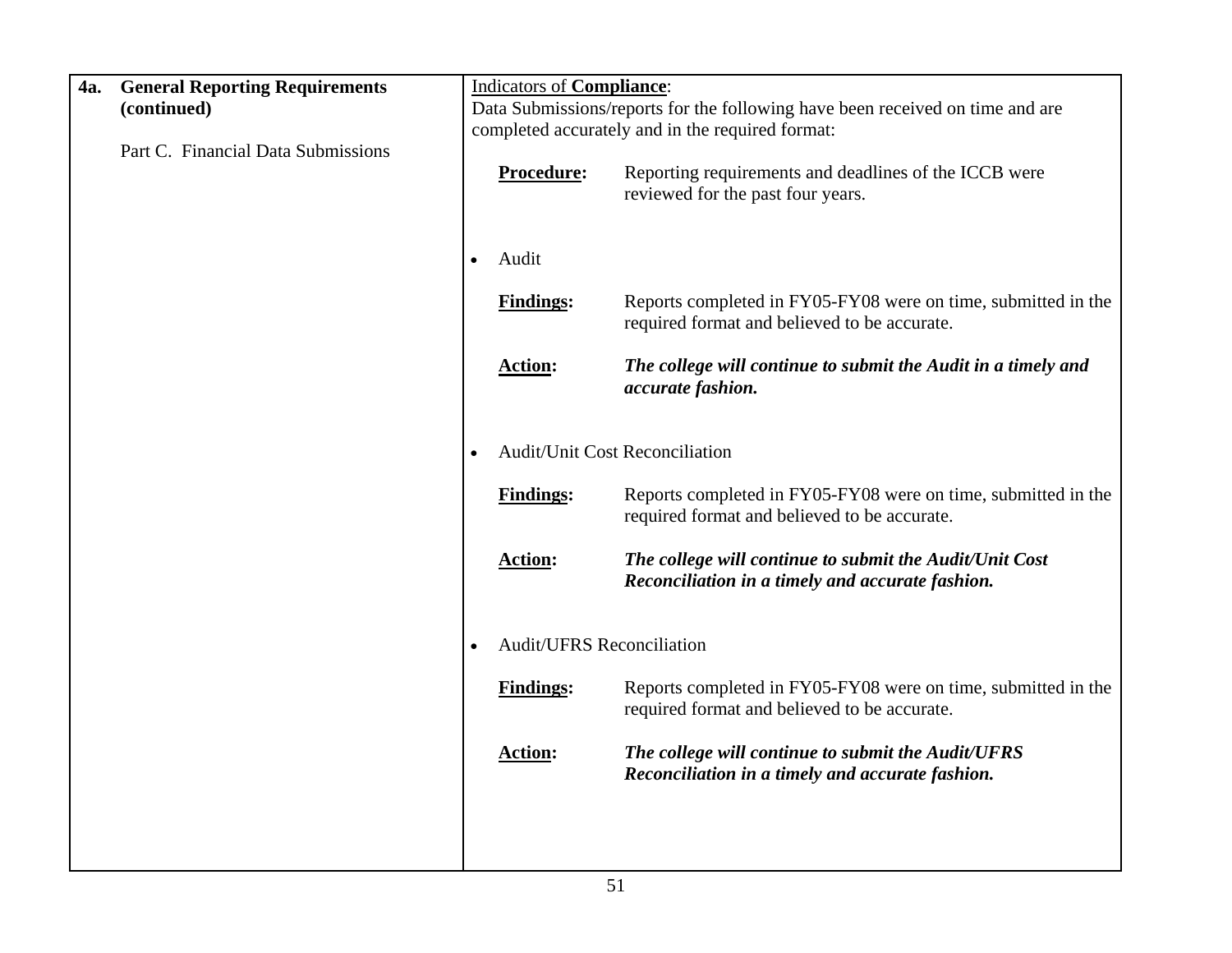| 4a. | <b>General Reporting Requirements</b> |           | <b>Indicators of Compliance:</b>                 |                                                                                                               |
|-----|---------------------------------------|-----------|--------------------------------------------------|---------------------------------------------------------------------------------------------------------------|
|     | (continued)                           |           |                                                  | Data Submissions/reports for the following have been received on time and are                                 |
|     |                                       |           | completed accurately and in the required format: |                                                                                                               |
|     | Part C. Financial Data Submissions    |           | Procedure:                                       | Reporting requirements and deadlines of the ICCB were<br>reviewed for the past four years.                    |
|     |                                       | $\bullet$ | Audit                                            |                                                                                                               |
|     |                                       |           | <b>Findings:</b>                                 | Reports completed in FY05-FY08 were on time, submitted in the<br>required format and believed to be accurate. |
|     |                                       |           | <b>Action:</b>                                   | The college will continue to submit the Audit in a timely and<br>accurate fashion.                            |
|     |                                       |           | <b>Audit/Unit Cost Reconciliation</b>            |                                                                                                               |
|     |                                       |           | <b>Findings:</b>                                 | Reports completed in FY05-FY08 were on time, submitted in the<br>required format and believed to be accurate. |
|     |                                       |           | <b>Action:</b>                                   | The college will continue to submit the Audit/Unit Cost<br>Reconciliation in a timely and accurate fashion.   |
|     |                                       |           | <b>Audit/UFRS Reconciliation</b>                 |                                                                                                               |
|     |                                       |           | <b>Findings:</b>                                 | Reports completed in FY05-FY08 were on time, submitted in the<br>required format and believed to be accurate. |
|     |                                       |           | <b>Action:</b>                                   | The college will continue to submit the Audit/UFRS<br>Reconciliation in a timely and accurate fashion.        |
|     |                                       |           |                                                  |                                                                                                               |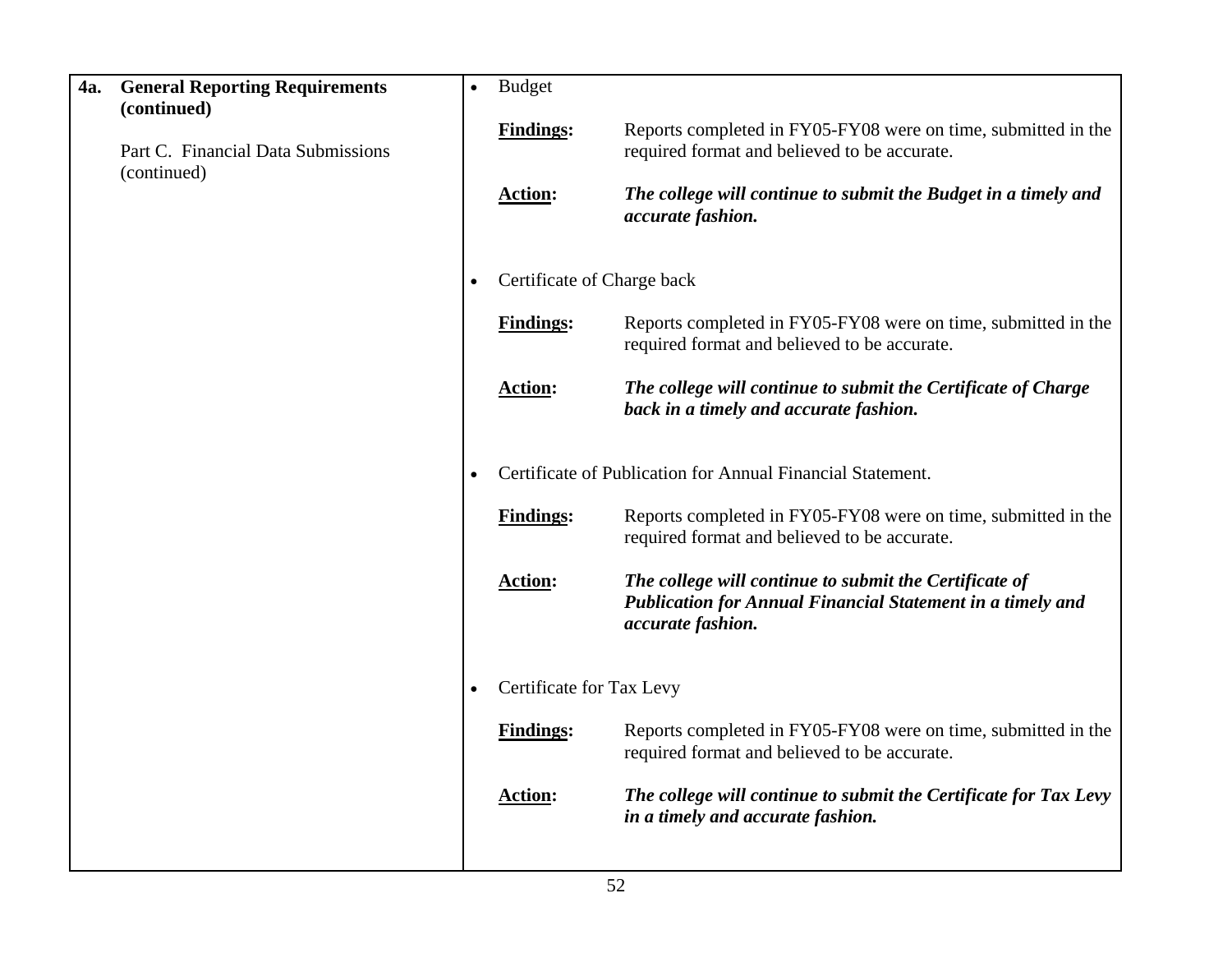| <b>4a.</b> | <b>General Reporting Requirements</b><br>(continued) | $\bullet$ | <b>Budget</b>              |                                                                                                                                                  |
|------------|------------------------------------------------------|-----------|----------------------------|--------------------------------------------------------------------------------------------------------------------------------------------------|
|            | Part C. Financial Data Submissions<br>(continued)    |           | <b>Findings:</b>           | Reports completed in FY05-FY08 were on time, submitted in the<br>required format and believed to be accurate.                                    |
|            |                                                      |           | <b>Action:</b>             | The college will continue to submit the Budget in a timely and<br>accurate fashion.                                                              |
|            |                                                      |           | Certificate of Charge back |                                                                                                                                                  |
|            |                                                      |           | <b>Findings:</b>           | Reports completed in FY05-FY08 were on time, submitted in the<br>required format and believed to be accurate.                                    |
|            |                                                      |           | <b>Action:</b>             | The college will continue to submit the Certificate of Charge<br>back in a timely and accurate fashion.                                          |
|            |                                                      |           |                            | Certificate of Publication for Annual Financial Statement.                                                                                       |
|            |                                                      |           | <b>Findings:</b>           | Reports completed in FY05-FY08 were on time, submitted in the<br>required format and believed to be accurate.                                    |
|            |                                                      |           | <b>Action:</b>             | The college will continue to submit the Certificate of<br><b>Publication for Annual Financial Statement in a timely and</b><br>accurate fashion. |
|            |                                                      | $\bullet$ | Certificate for Tax Levy   |                                                                                                                                                  |
|            |                                                      |           | <b>Findings:</b>           | Reports completed in FY05-FY08 were on time, submitted in the<br>required format and believed to be accurate.                                    |
|            |                                                      |           | <b>Action:</b>             | The college will continue to submit the Certificate for Tax Levy<br>in a timely and accurate fashion.                                            |
|            |                                                      |           |                            |                                                                                                                                                  |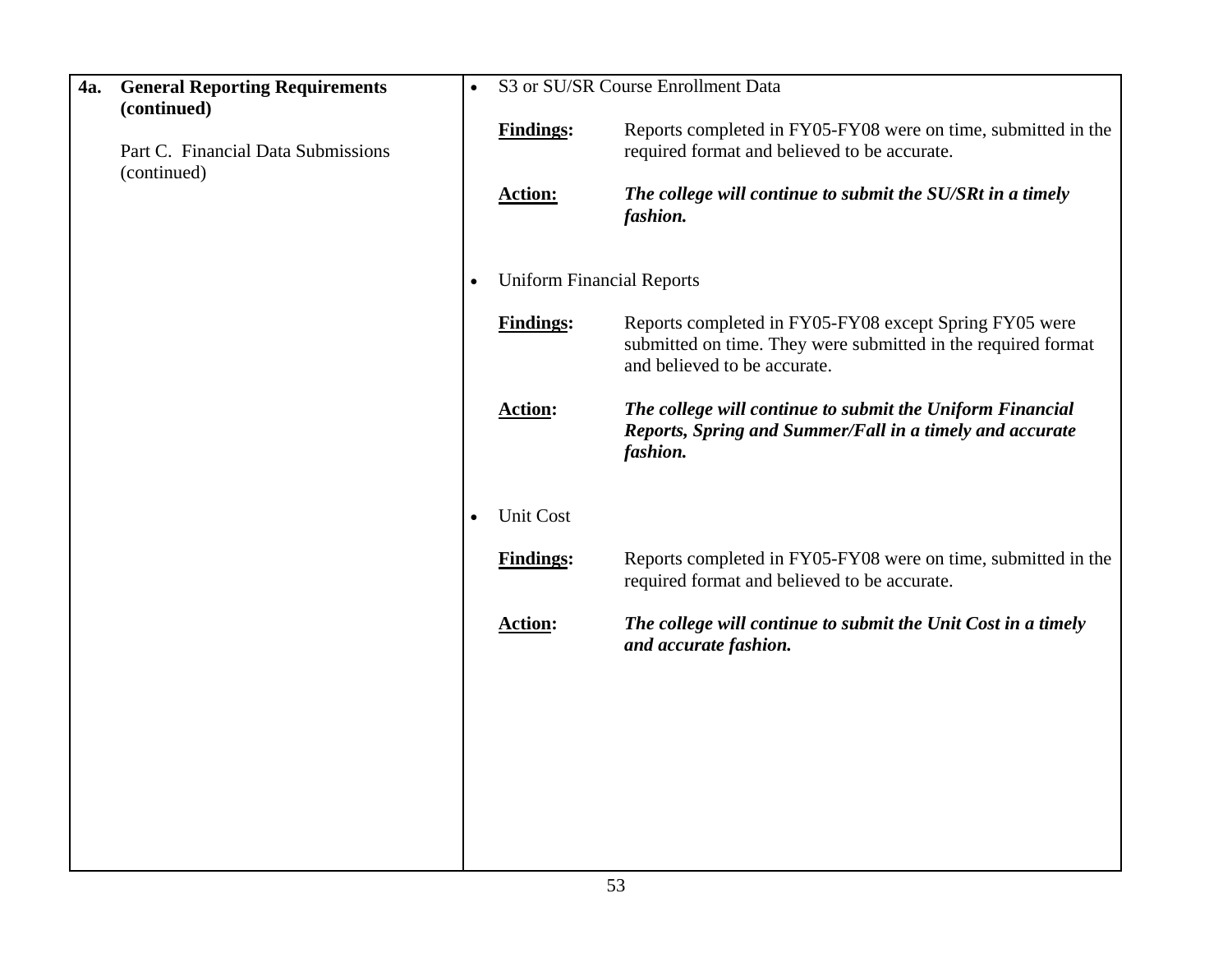| 4a. | <b>General Reporting Requirements</b><br>(continued) | $\bullet$ |                                    | S3 or SU/SR Course Enrollment Data                                                                                                                                                      |
|-----|------------------------------------------------------|-----------|------------------------------------|-----------------------------------------------------------------------------------------------------------------------------------------------------------------------------------------|
|     | Part C. Financial Data Submissions<br>(continued)    |           | <b>Findings:</b><br><b>Action:</b> | Reports completed in FY05-FY08 were on time, submitted in the<br>required format and believed to be accurate.<br>The college will continue to submit the SU/SRt in a timely<br>fashion. |
|     |                                                      | $\bullet$ | <b>Uniform Financial Reports</b>   |                                                                                                                                                                                         |
|     |                                                      |           | <b>Findings:</b>                   | Reports completed in FY05-FY08 except Spring FY05 were<br>submitted on time. They were submitted in the required format<br>and believed to be accurate.                                 |
|     |                                                      |           | <b>Action:</b>                     | The college will continue to submit the Uniform Financial<br>Reports, Spring and Summer/Fall in a timely and accurate<br>fashion.                                                       |
|     |                                                      |           | Unit Cost                          |                                                                                                                                                                                         |
|     |                                                      |           | <b>Findings:</b>                   | Reports completed in FY05-FY08 were on time, submitted in the<br>required format and believed to be accurate.                                                                           |
|     |                                                      |           | <b>Action:</b>                     | The college will continue to submit the Unit Cost in a timely<br>and accurate fashion.                                                                                                  |
|     |                                                      |           |                                    |                                                                                                                                                                                         |
|     |                                                      |           |                                    |                                                                                                                                                                                         |
|     |                                                      |           |                                    |                                                                                                                                                                                         |
|     |                                                      |           |                                    |                                                                                                                                                                                         |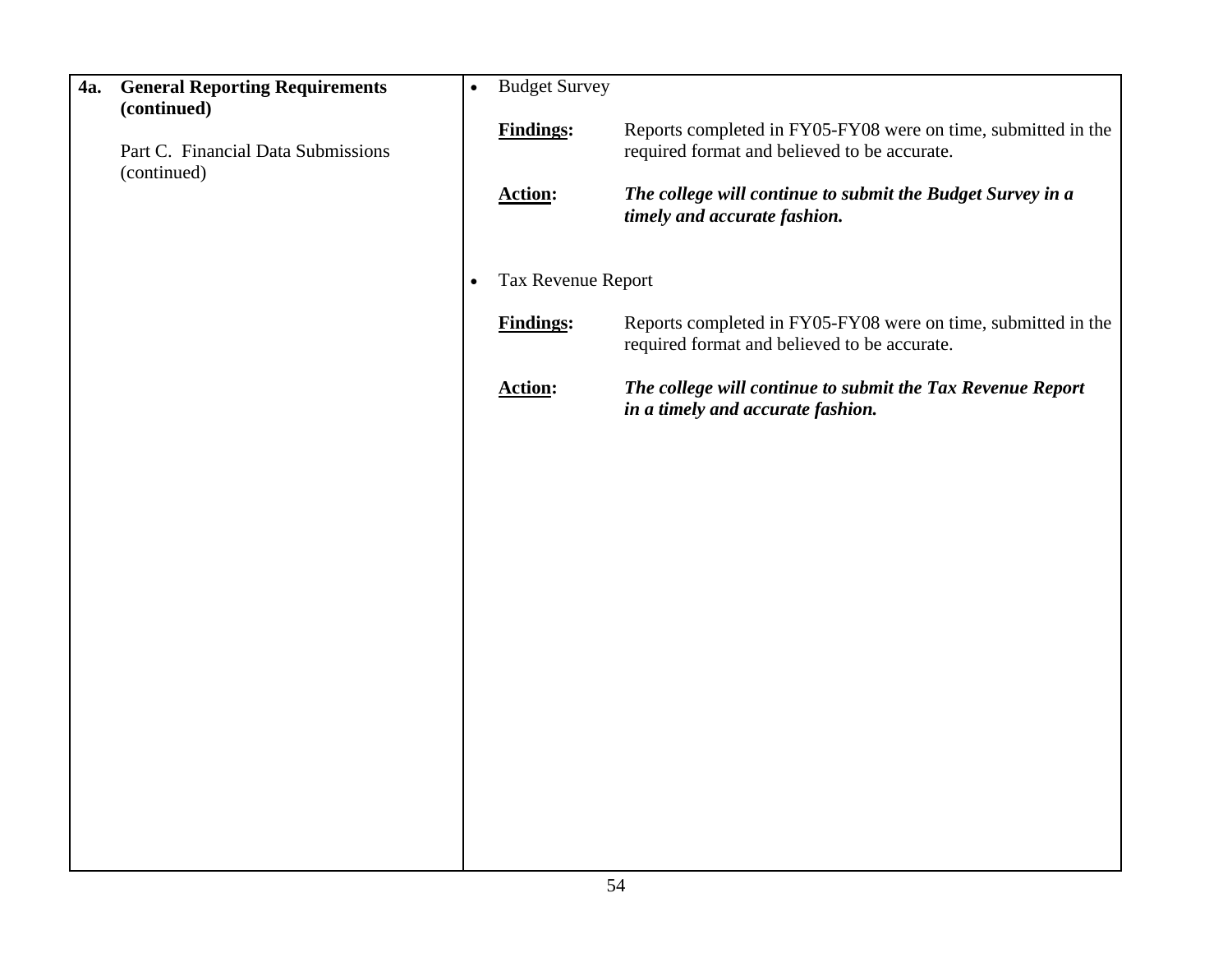| 4a. | <b>General Reporting Requirements</b><br>(continued) | $\bullet$ | <b>Budget Survey</b> |                                                                                                               |
|-----|------------------------------------------------------|-----------|----------------------|---------------------------------------------------------------------------------------------------------------|
|     | Part C. Financial Data Submissions<br>(continued)    |           | <b>Findings:</b>     | Reports completed in FY05-FY08 were on time, submitted in the<br>required format and believed to be accurate. |
|     |                                                      |           | <b>Action:</b>       | The college will continue to submit the Budget Survey in a<br>timely and accurate fashion.                    |
|     |                                                      | $\bullet$ | Tax Revenue Report   |                                                                                                               |
|     |                                                      |           | <b>Findings:</b>     | Reports completed in FY05-FY08 were on time, submitted in the<br>required format and believed to be accurate. |
|     |                                                      |           | <b>Action:</b>       | The college will continue to submit the Tax Revenue Report<br>in a timely and accurate fashion.               |
|     |                                                      |           |                      |                                                                                                               |
|     |                                                      |           |                      |                                                                                                               |
|     |                                                      |           |                      |                                                                                                               |
|     |                                                      |           |                      |                                                                                                               |
|     |                                                      |           |                      |                                                                                                               |
|     |                                                      |           |                      |                                                                                                               |
|     |                                                      |           |                      |                                                                                                               |
|     |                                                      |           |                      |                                                                                                               |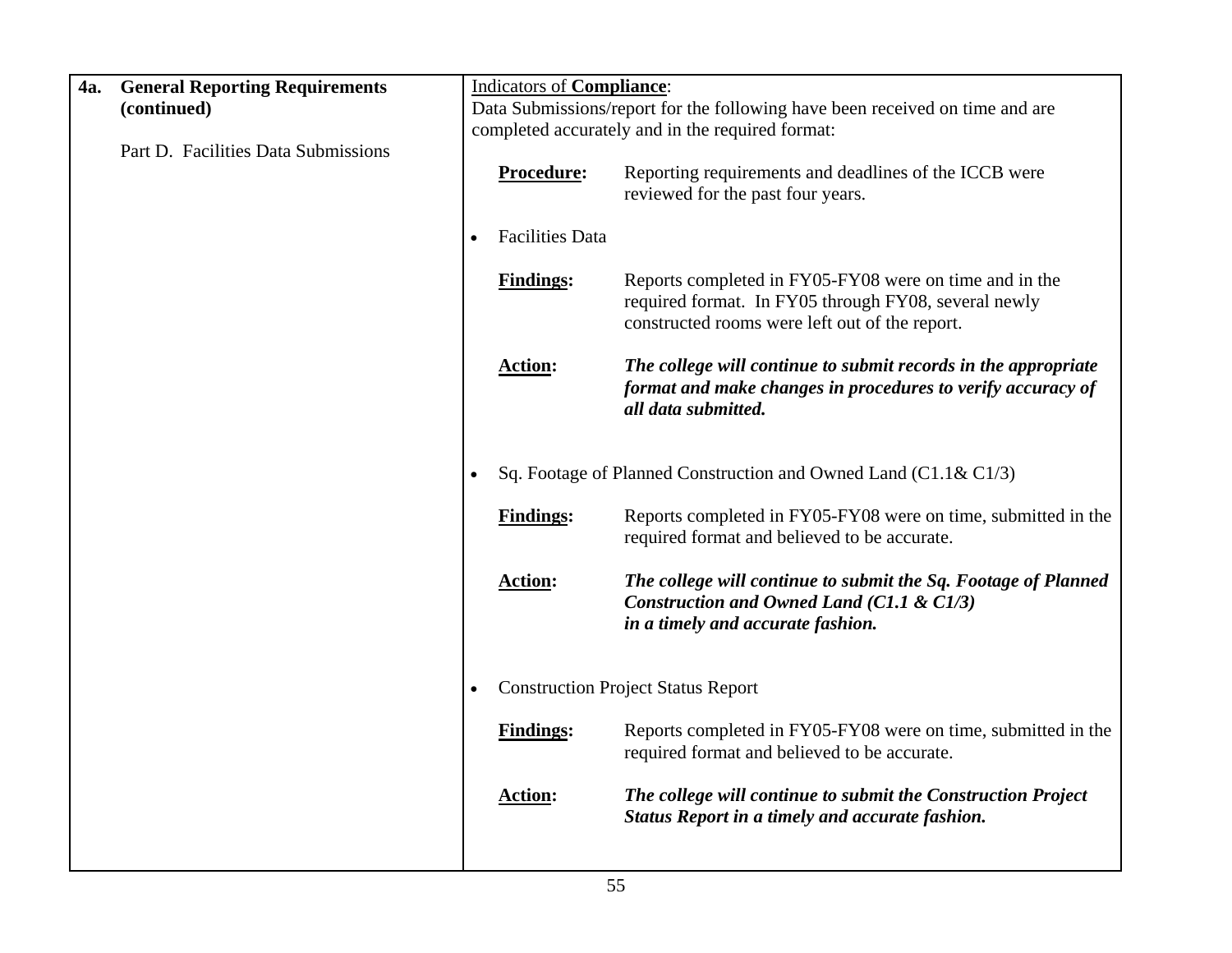| 4a. | <b>General Reporting Requirements</b> |           | <b>Indicators of Compliance:</b> |                                                                                                                                                                  |
|-----|---------------------------------------|-----------|----------------------------------|------------------------------------------------------------------------------------------------------------------------------------------------------------------|
|     | (continued)                           |           |                                  | Data Submissions/report for the following have been received on time and are                                                                                     |
|     |                                       |           |                                  | completed accurately and in the required format:                                                                                                                 |
|     | Part D. Facilities Data Submissions   |           | Procedure:                       | Reporting requirements and deadlines of the ICCB were<br>reviewed for the past four years.                                                                       |
|     |                                       |           | <b>Facilities Data</b>           |                                                                                                                                                                  |
|     |                                       |           | <b>Findings:</b>                 | Reports completed in FY05-FY08 were on time and in the<br>required format. In FY05 through FY08, several newly<br>constructed rooms were left out of the report. |
|     |                                       |           | <b>Action:</b>                   | The college will continue to submit records in the appropriate<br>format and make changes in procedures to verify accuracy of<br>all data submitted.             |
|     |                                       |           |                                  | Sq. Footage of Planned Construction and Owned Land (C1.1& C1/3)                                                                                                  |
|     |                                       |           | <b>Findings:</b>                 | Reports completed in FY05-FY08 were on time, submitted in the<br>required format and believed to be accurate.                                                    |
|     |                                       |           | <b>Action:</b>                   | The college will continue to submit the Sq. Footage of Planned<br>Construction and Owned Land (C1.1 & C1/3)<br>in a timely and accurate fashion.                 |
|     |                                       | $\bullet$ |                                  | <b>Construction Project Status Report</b>                                                                                                                        |
|     |                                       |           | <b>Findings:</b>                 | Reports completed in FY05-FY08 were on time, submitted in the<br>required format and believed to be accurate.                                                    |
|     |                                       |           | <b>Action:</b>                   | The college will continue to submit the Construction Project<br>Status Report in a timely and accurate fashion.                                                  |
|     |                                       |           |                                  |                                                                                                                                                                  |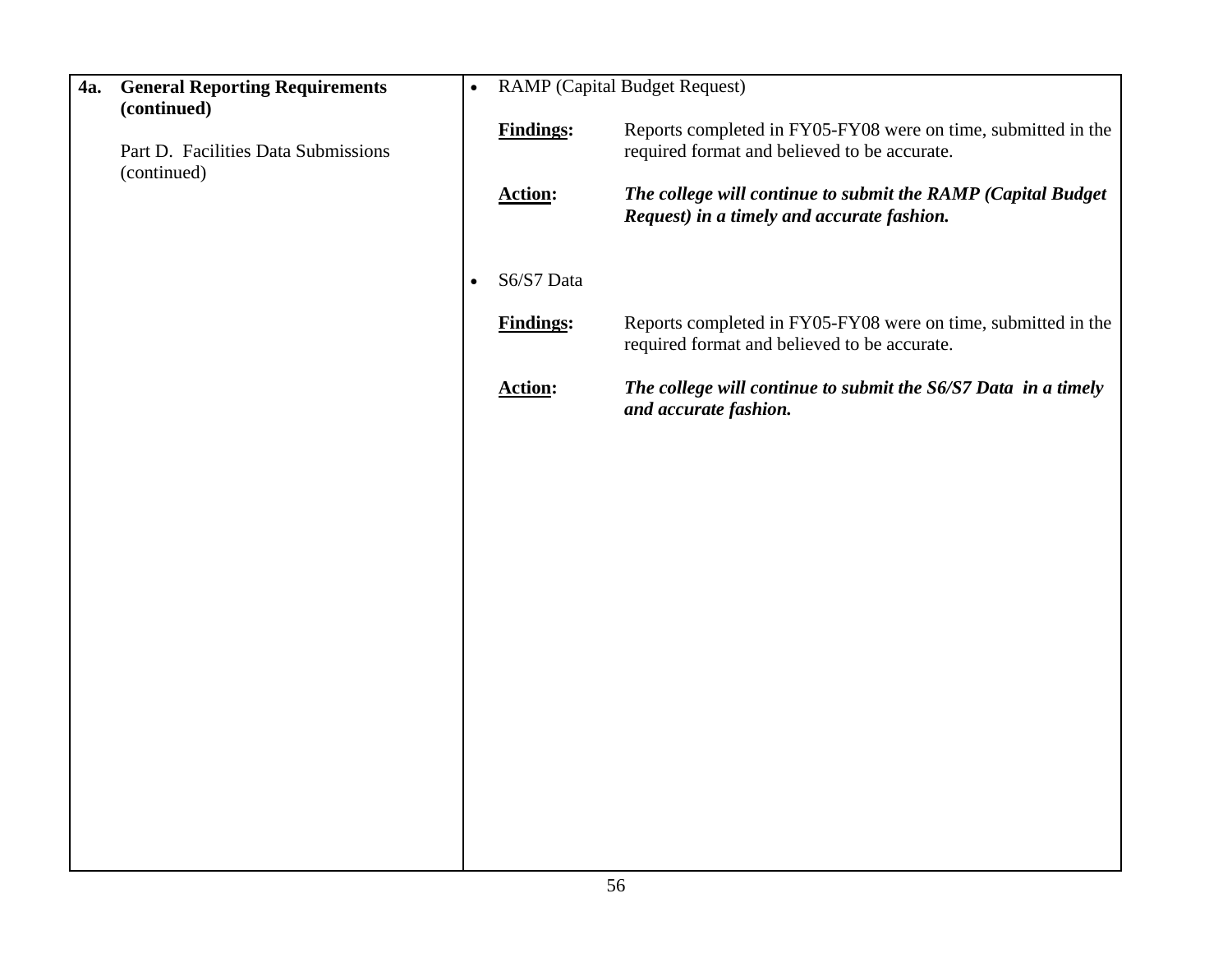| 4a. | <b>General Reporting Requirements</b><br>(continued) | $\bullet$ |                  | <b>RAMP</b> (Capital Budget Request)                                                                          |
|-----|------------------------------------------------------|-----------|------------------|---------------------------------------------------------------------------------------------------------------|
|     | Part D. Facilities Data Submissions<br>(continued)   |           | <b>Findings:</b> | Reports completed in FY05-FY08 were on time, submitted in the<br>required format and believed to be accurate. |
|     |                                                      |           | <b>Action:</b>   | The college will continue to submit the RAMP (Capital Budget<br>Request) in a timely and accurate fashion.    |
|     |                                                      | $\bullet$ | S6/S7 Data       |                                                                                                               |
|     |                                                      |           | <b>Findings:</b> | Reports completed in FY05-FY08 were on time, submitted in the<br>required format and believed to be accurate. |
|     |                                                      |           | <b>Action:</b>   | The college will continue to submit the S6/S7 Data in a timely<br>and accurate fashion.                       |
|     |                                                      |           |                  |                                                                                                               |
|     |                                                      |           |                  |                                                                                                               |
|     |                                                      |           |                  |                                                                                                               |
|     |                                                      |           |                  |                                                                                                               |
|     |                                                      |           |                  |                                                                                                               |
|     |                                                      |           |                  |                                                                                                               |
|     |                                                      |           |                  |                                                                                                               |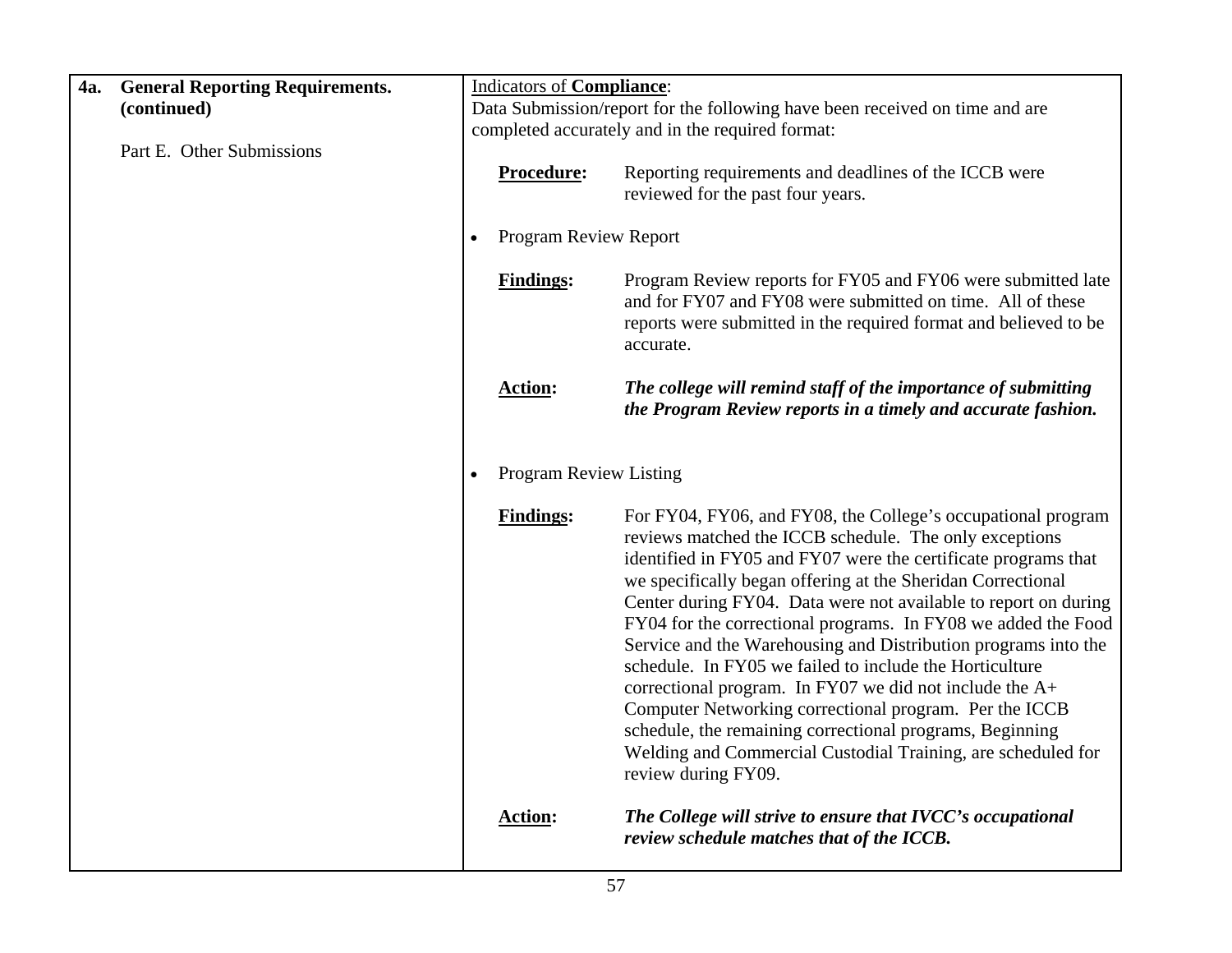| <b>General Reporting Requirements.</b><br>4a. | <b>Indicators of Compliance:</b>           |                                                                                                                                                                                                                                                                                                                                                                                                                                                                                                                                                                                                                                                                                                                                                                                                    |
|-----------------------------------------------|--------------------------------------------|----------------------------------------------------------------------------------------------------------------------------------------------------------------------------------------------------------------------------------------------------------------------------------------------------------------------------------------------------------------------------------------------------------------------------------------------------------------------------------------------------------------------------------------------------------------------------------------------------------------------------------------------------------------------------------------------------------------------------------------------------------------------------------------------------|
| (continued)                                   |                                            | Data Submission/report for the following have been received on time and are                                                                                                                                                                                                                                                                                                                                                                                                                                                                                                                                                                                                                                                                                                                        |
|                                               |                                            | completed accurately and in the required format:                                                                                                                                                                                                                                                                                                                                                                                                                                                                                                                                                                                                                                                                                                                                                   |
| Part E. Other Submissions                     | Procedure:                                 | Reporting requirements and deadlines of the ICCB were<br>reviewed for the past four years.                                                                                                                                                                                                                                                                                                                                                                                                                                                                                                                                                                                                                                                                                                         |
|                                               | Program Review Report                      |                                                                                                                                                                                                                                                                                                                                                                                                                                                                                                                                                                                                                                                                                                                                                                                                    |
|                                               | <b>Findings:</b>                           | Program Review reports for FY05 and FY06 were submitted late<br>and for FY07 and FY08 were submitted on time. All of these<br>reports were submitted in the required format and believed to be<br>accurate.                                                                                                                                                                                                                                                                                                                                                                                                                                                                                                                                                                                        |
|                                               | <b>Action:</b>                             | The college will remind staff of the importance of submitting<br>the Program Review reports in a timely and accurate fashion.                                                                                                                                                                                                                                                                                                                                                                                                                                                                                                                                                                                                                                                                      |
|                                               | <b>Program Review Listing</b><br>$\bullet$ |                                                                                                                                                                                                                                                                                                                                                                                                                                                                                                                                                                                                                                                                                                                                                                                                    |
|                                               | <b>Findings:</b>                           | For FY04, FY06, and FY08, the College's occupational program<br>reviews matched the ICCB schedule. The only exceptions<br>identified in FY05 and FY07 were the certificate programs that<br>we specifically began offering at the Sheridan Correctional<br>Center during FY04. Data were not available to report on during<br>FY04 for the correctional programs. In FY08 we added the Food<br>Service and the Warehousing and Distribution programs into the<br>schedule. In FY05 we failed to include the Horticulture<br>correctional program. In FY07 we did not include the $A+$<br>Computer Networking correctional program. Per the ICCB<br>schedule, the remaining correctional programs, Beginning<br>Welding and Commercial Custodial Training, are scheduled for<br>review during FY09. |
|                                               | <b>Action:</b>                             | The College will strive to ensure that IVCC's occupational<br>review schedule matches that of the ICCB.                                                                                                                                                                                                                                                                                                                                                                                                                                                                                                                                                                                                                                                                                            |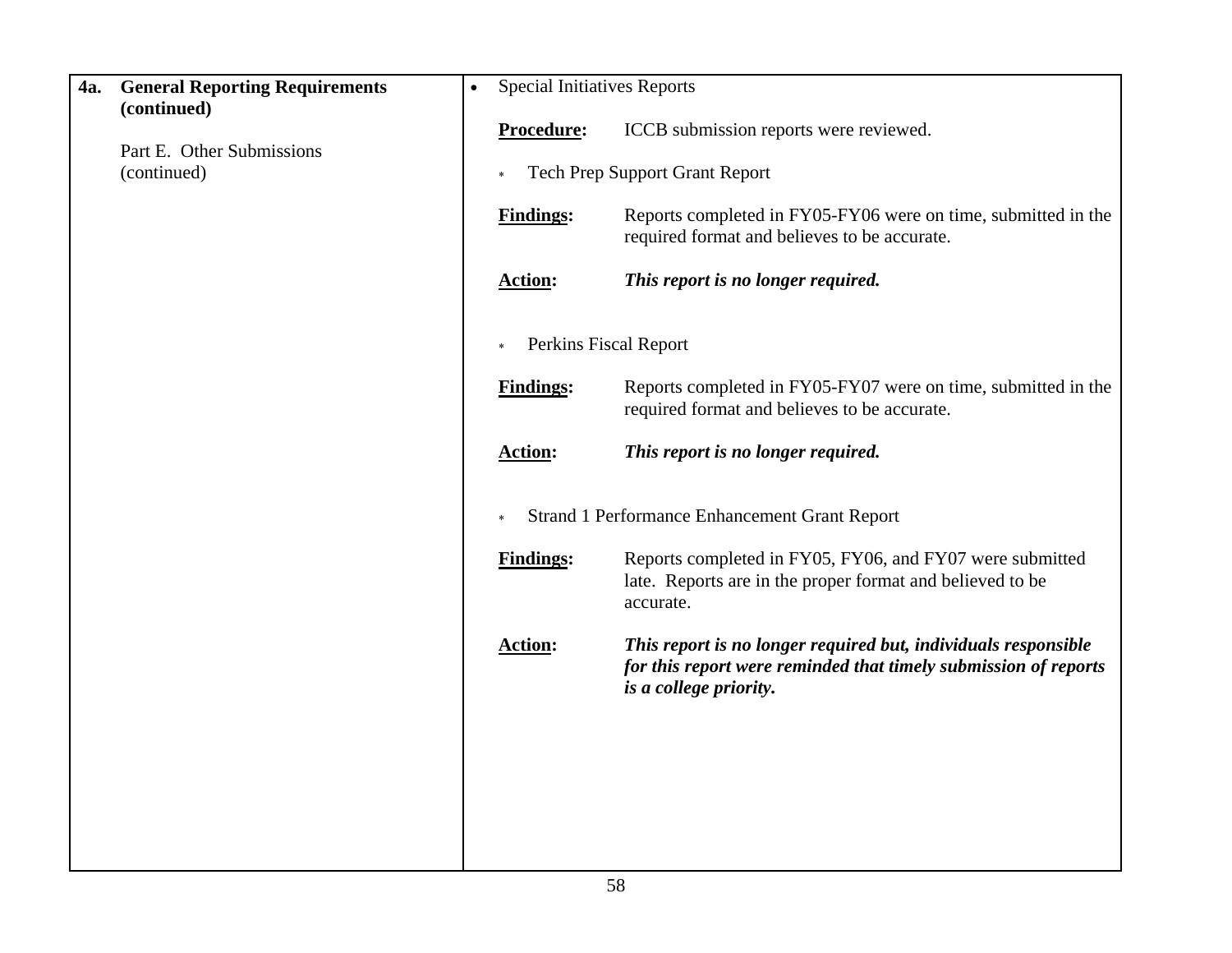| 4a. | <b>General Reporting Requirements</b><br>(continued) | <b>Special Initiatives Reports</b> |                                                                                                                                                             |  |  |  |
|-----|------------------------------------------------------|------------------------------------|-------------------------------------------------------------------------------------------------------------------------------------------------------------|--|--|--|
|     |                                                      | Procedure:                         | ICCB submission reports were reviewed.                                                                                                                      |  |  |  |
|     | Part E. Other Submissions<br>(continued)             | $\ast$                             | <b>Tech Prep Support Grant Report</b>                                                                                                                       |  |  |  |
|     |                                                      | <b>Findings:</b>                   | Reports completed in FY05-FY06 were on time, submitted in the<br>required format and believes to be accurate.                                               |  |  |  |
|     |                                                      | <b>Action:</b>                     | This report is no longer required.                                                                                                                          |  |  |  |
|     |                                                      | $\ast$                             | Perkins Fiscal Report                                                                                                                                       |  |  |  |
|     |                                                      | <b>Findings:</b>                   | Reports completed in FY05-FY07 were on time, submitted in the<br>required format and believes to be accurate.                                               |  |  |  |
|     |                                                      | <b>Action:</b>                     | This report is no longer required.                                                                                                                          |  |  |  |
|     |                                                      |                                    | <b>Strand 1 Performance Enhancement Grant Report</b>                                                                                                        |  |  |  |
|     |                                                      | <b>Findings:</b>                   | Reports completed in FY05, FY06, and FY07 were submitted<br>late. Reports are in the proper format and believed to be<br>accurate.                          |  |  |  |
|     |                                                      | <b>Action:</b>                     | This report is no longer required but, individuals responsible<br>for this report were reminded that timely submission of reports<br>is a college priority. |  |  |  |
|     |                                                      |                                    |                                                                                                                                                             |  |  |  |
|     |                                                      |                                    |                                                                                                                                                             |  |  |  |
|     |                                                      |                                    |                                                                                                                                                             |  |  |  |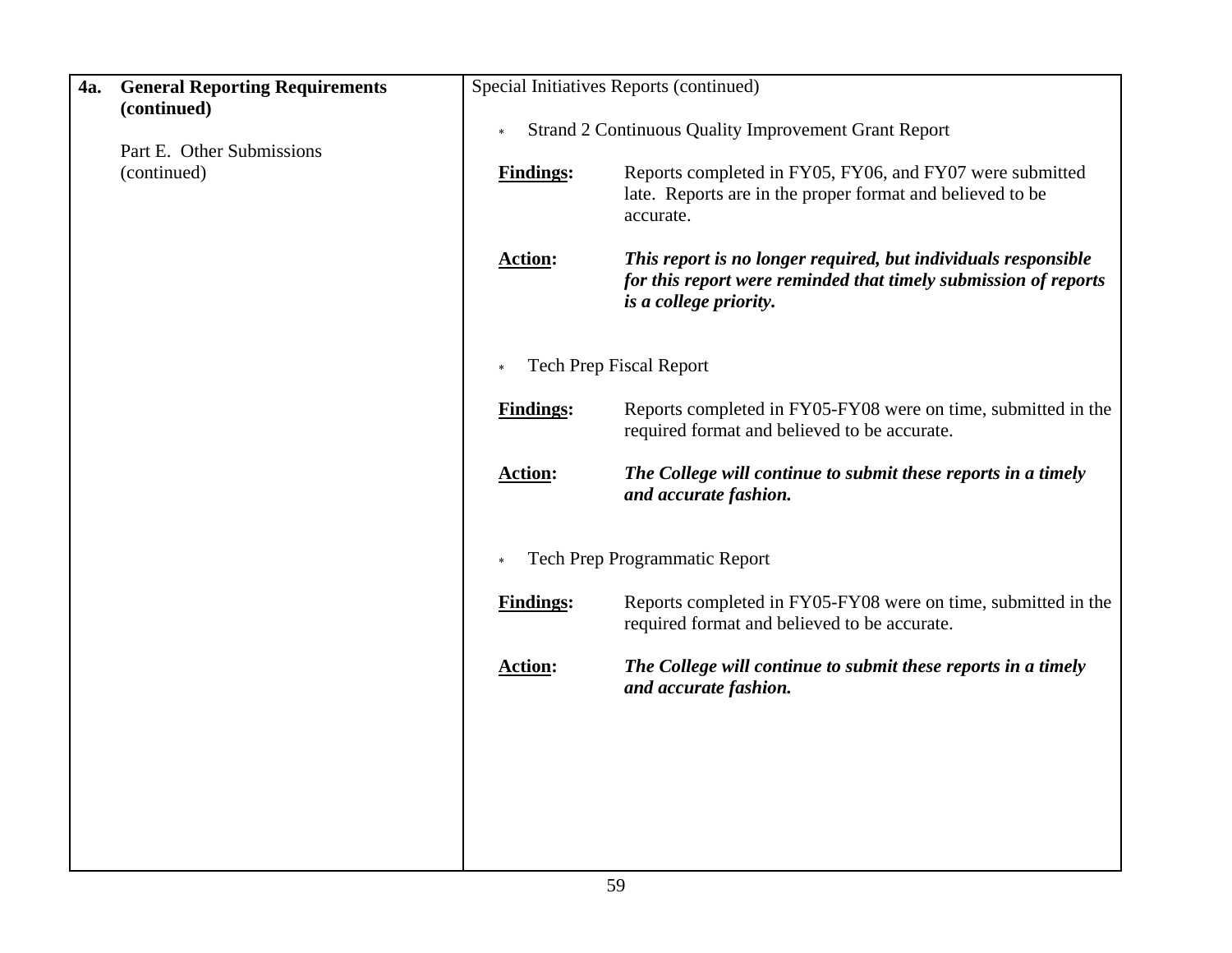| 4a. | <b>General Reporting Requirements</b><br>(continued) |                  | Special Initiatives Reports (continued)                                                                                                                     |
|-----|------------------------------------------------------|------------------|-------------------------------------------------------------------------------------------------------------------------------------------------------------|
|     |                                                      | $\ast$           | <b>Strand 2 Continuous Quality Improvement Grant Report</b>                                                                                                 |
|     | Part E. Other Submissions<br>(continued)             | <b>Findings:</b> | Reports completed in FY05, FY06, and FY07 were submitted<br>late. Reports are in the proper format and believed to be<br>accurate.                          |
|     |                                                      | <b>Action:</b>   | This report is no longer required, but individuals responsible<br>for this report were reminded that timely submission of reports<br>is a college priority. |
|     |                                                      |                  | <b>Tech Prep Fiscal Report</b>                                                                                                                              |
|     |                                                      | <b>Findings:</b> | Reports completed in FY05-FY08 were on time, submitted in the<br>required format and believed to be accurate.                                               |
|     |                                                      | <b>Action:</b>   | The College will continue to submit these reports in a timely<br>and accurate fashion.                                                                      |
|     |                                                      |                  | Tech Prep Programmatic Report                                                                                                                               |
|     |                                                      | <b>Findings:</b> | Reports completed in FY05-FY08 were on time, submitted in the<br>required format and believed to be accurate.                                               |
|     |                                                      | <b>Action:</b>   | The College will continue to submit these reports in a timely<br>and accurate fashion.                                                                      |
|     |                                                      |                  |                                                                                                                                                             |
|     |                                                      |                  |                                                                                                                                                             |
|     |                                                      |                  |                                                                                                                                                             |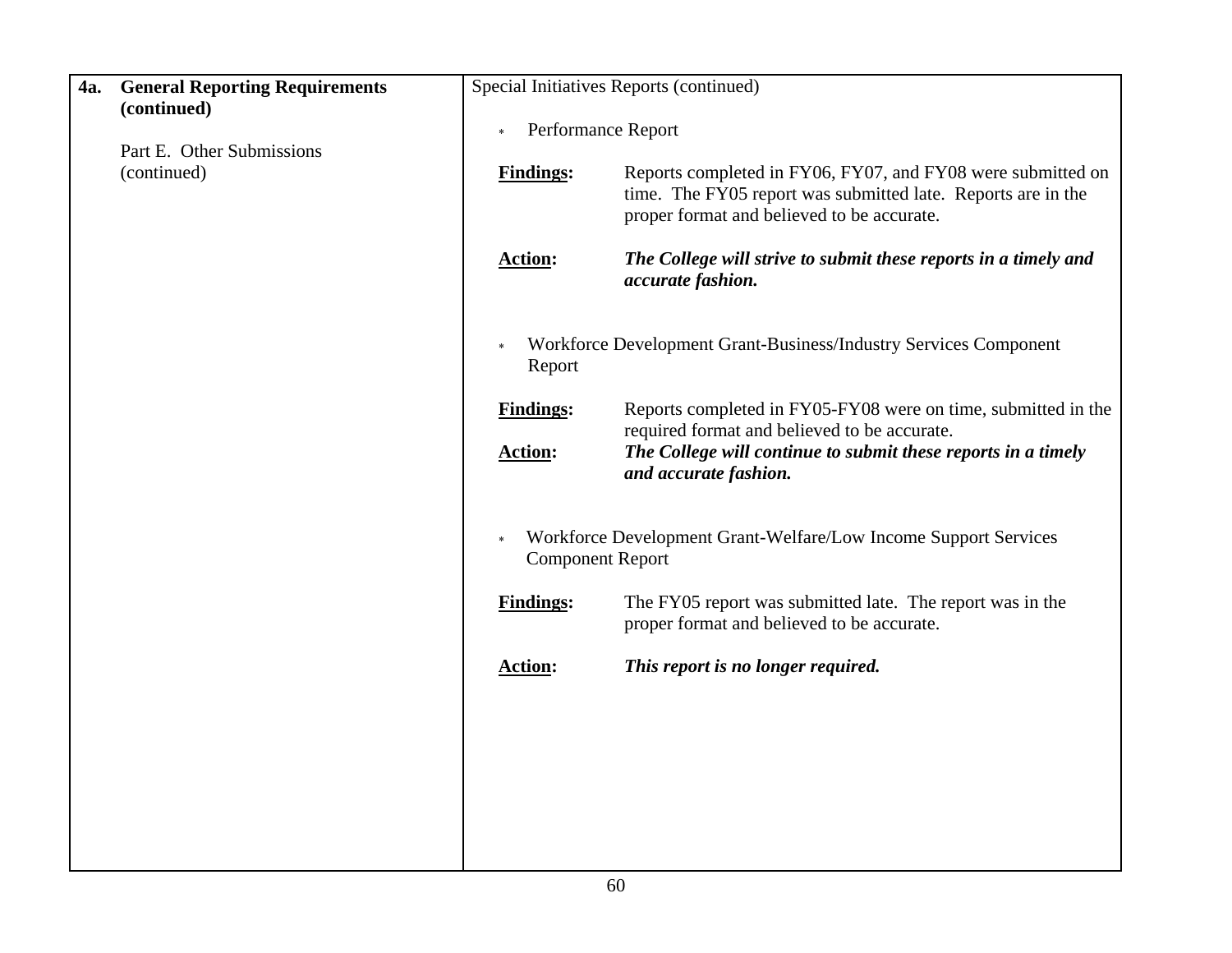| 4a. | <b>General Reporting Requirements</b><br>(continued) |                                    | Special Initiatives Reports (continued)                                                                                                                                                                 |
|-----|------------------------------------------------------|------------------------------------|---------------------------------------------------------------------------------------------------------------------------------------------------------------------------------------------------------|
|     |                                                      | Performance Report<br>$\ast$       |                                                                                                                                                                                                         |
|     | Part E. Other Submissions<br>(continued)             | <b>Findings:</b>                   | Reports completed in FY06, FY07, and FY08 were submitted on<br>time. The FY05 report was submitted late. Reports are in the<br>proper format and believed to be accurate.                               |
|     |                                                      | <b>Action:</b>                     | The College will strive to submit these reports in a timely and<br>accurate fashion.                                                                                                                    |
|     |                                                      | Report                             | Workforce Development Grant-Business/Industry Services Component                                                                                                                                        |
|     |                                                      | <b>Findings:</b><br><b>Action:</b> | Reports completed in FY05-FY08 were on time, submitted in the<br>required format and believed to be accurate.<br>The College will continue to submit these reports in a timely<br>and accurate fashion. |
|     |                                                      | <b>Component Report</b>            | Workforce Development Grant-Welfare/Low Income Support Services                                                                                                                                         |
|     |                                                      | <b>Findings:</b>                   | The FY05 report was submitted late. The report was in the<br>proper format and believed to be accurate.                                                                                                 |
|     |                                                      | <b>Action:</b>                     | This report is no longer required.                                                                                                                                                                      |
|     |                                                      |                                    |                                                                                                                                                                                                         |
|     |                                                      |                                    |                                                                                                                                                                                                         |
|     |                                                      |                                    |                                                                                                                                                                                                         |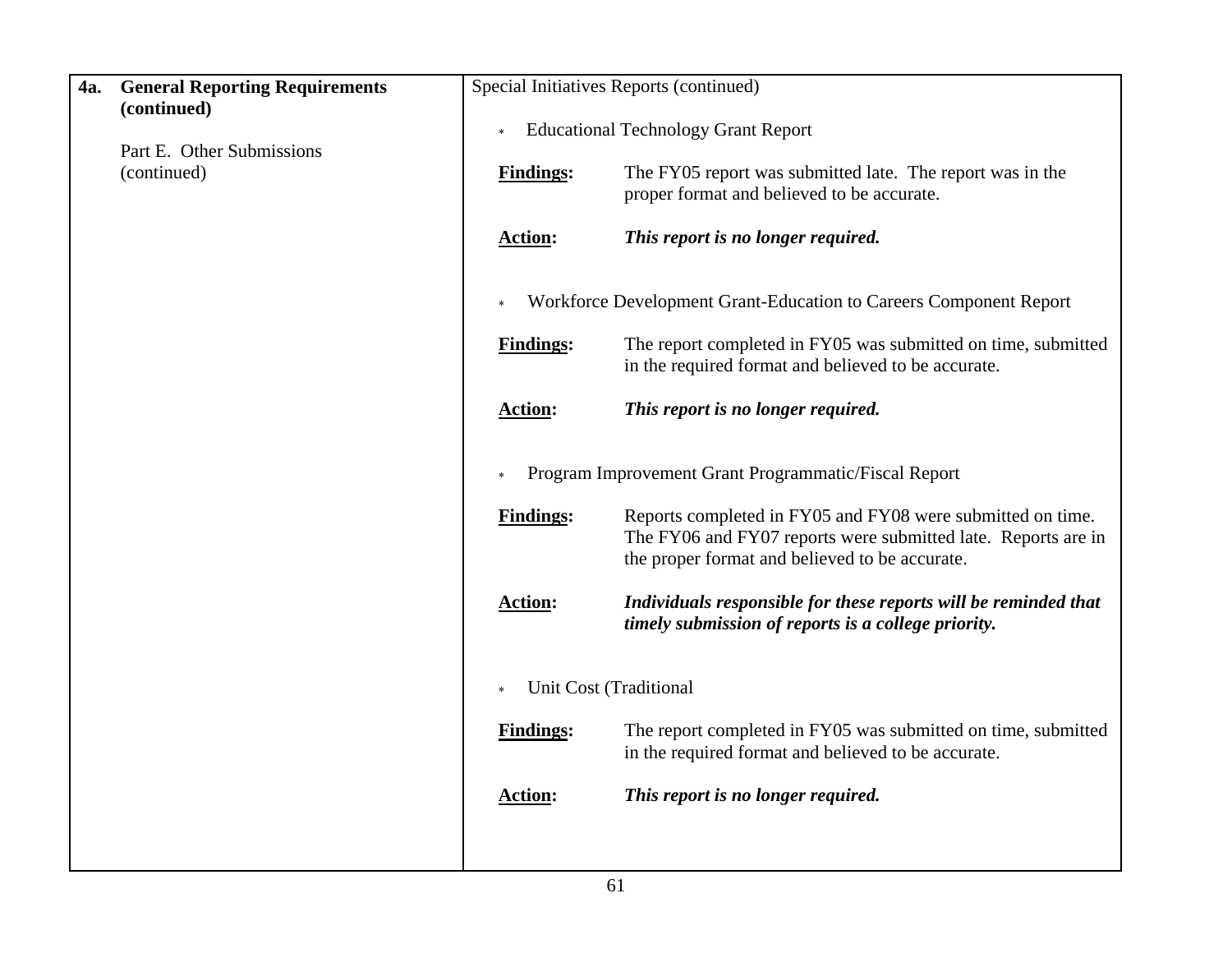| <b>4a.</b> | <b>General Reporting Requirements</b><br>(continued) | Special Initiatives Reports (continued) |                                                                                                                                                                               |  |  |
|------------|------------------------------------------------------|-----------------------------------------|-------------------------------------------------------------------------------------------------------------------------------------------------------------------------------|--|--|
|            | Part E. Other Submissions<br>(continued)             | $\ast$                                  | <b>Educational Technology Grant Report</b>                                                                                                                                    |  |  |
|            |                                                      | <b>Findings:</b>                        | The FY05 report was submitted late. The report was in the<br>proper format and believed to be accurate.                                                                       |  |  |
|            |                                                      | <b>Action:</b>                          | This report is no longer required.                                                                                                                                            |  |  |
|            |                                                      |                                         | Workforce Development Grant-Education to Careers Component Report                                                                                                             |  |  |
|            |                                                      | <b>Findings:</b>                        | The report completed in FY05 was submitted on time, submitted<br>in the required format and believed to be accurate.                                                          |  |  |
|            |                                                      | <b>Action:</b>                          | This report is no longer required.                                                                                                                                            |  |  |
|            |                                                      |                                         | Program Improvement Grant Programmatic/Fiscal Report                                                                                                                          |  |  |
|            |                                                      | <b>Findings:</b>                        | Reports completed in FY05 and FY08 were submitted on time.<br>The FY06 and FY07 reports were submitted late. Reports are in<br>the proper format and believed to be accurate. |  |  |
|            |                                                      | <b>Action:</b>                          | Individuals responsible for these reports will be reminded that<br>timely submission of reports is a college priority.                                                        |  |  |
|            |                                                      |                                         | Unit Cost (Traditional                                                                                                                                                        |  |  |
|            |                                                      | <b>Findings:</b>                        | The report completed in FY05 was submitted on time, submitted<br>in the required format and believed to be accurate.                                                          |  |  |
|            |                                                      | <b>Action:</b>                          | This report is no longer required.                                                                                                                                            |  |  |
|            |                                                      |                                         |                                                                                                                                                                               |  |  |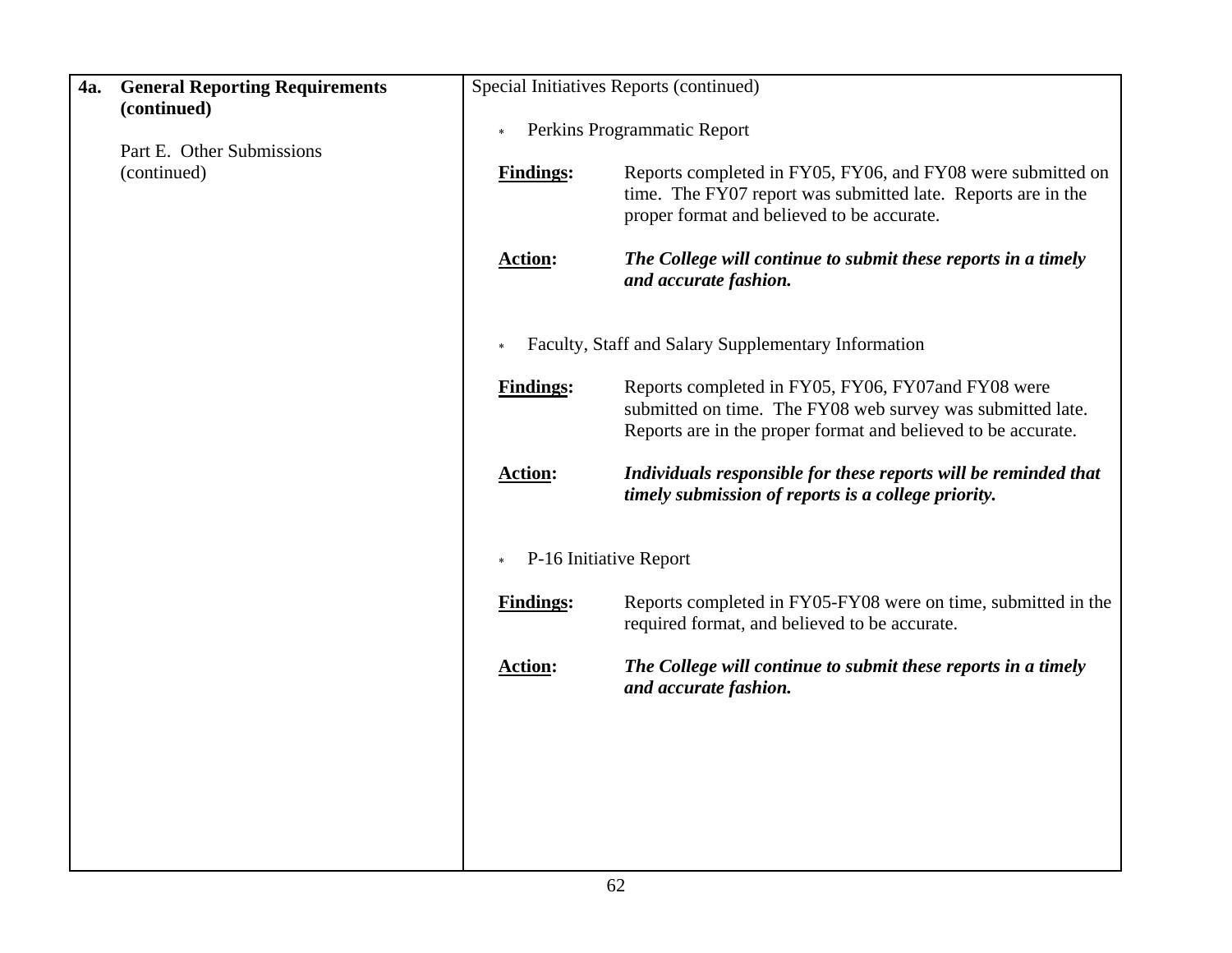| 4a. | <b>General Reporting Requirements</b> |                  | Special Initiatives Reports (continued)                                                                                                                                           |
|-----|---------------------------------------|------------------|-----------------------------------------------------------------------------------------------------------------------------------------------------------------------------------|
|     | (continued)                           | $\ast$           | Perkins Programmatic Report                                                                                                                                                       |
|     | Part E. Other Submissions             |                  |                                                                                                                                                                                   |
|     | (continued)                           | <b>Findings:</b> | Reports completed in FY05, FY06, and FY08 were submitted on<br>time. The FY07 report was submitted late. Reports are in the<br>proper format and believed to be accurate.         |
|     |                                       | <b>Action:</b>   | The College will continue to submit these reports in a timely<br>and accurate fashion.                                                                                            |
|     |                                       |                  | Faculty, Staff and Salary Supplementary Information                                                                                                                               |
|     |                                       | <b>Findings:</b> | Reports completed in FY05, FY06, FY07and FY08 were<br>submitted on time. The FY08 web survey was submitted late.<br>Reports are in the proper format and believed to be accurate. |
|     |                                       | <b>Action:</b>   | Individuals responsible for these reports will be reminded that<br>timely submission of reports is a college priority.                                                            |
|     |                                       | $\ast$           | P-16 Initiative Report                                                                                                                                                            |
|     |                                       | <b>Findings:</b> | Reports completed in FY05-FY08 were on time, submitted in the<br>required format, and believed to be accurate.                                                                    |
|     |                                       | <b>Action:</b>   | The College will continue to submit these reports in a timely<br>and accurate fashion.                                                                                            |
|     |                                       |                  |                                                                                                                                                                                   |
|     |                                       |                  |                                                                                                                                                                                   |
|     |                                       |                  |                                                                                                                                                                                   |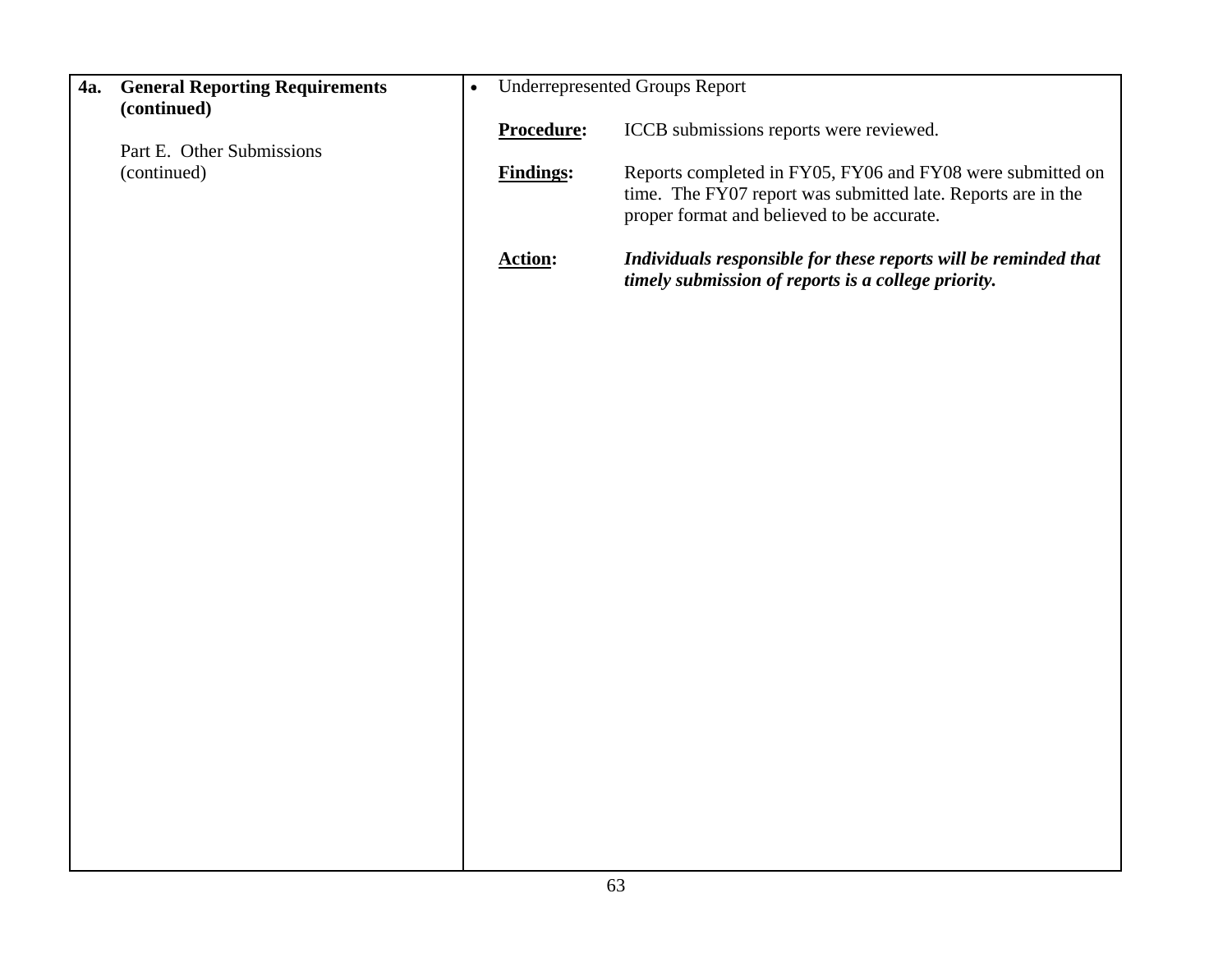| 4a. | <b>General Reporting Requirements</b><br>(continued) | $\bullet$ |                  | <b>Underrepresented Groups Report</b>                                                                                                                                    |
|-----|------------------------------------------------------|-----------|------------------|--------------------------------------------------------------------------------------------------------------------------------------------------------------------------|
|     | Part E. Other Submissions                            |           | Procedure:       | ICCB submissions reports were reviewed.                                                                                                                                  |
|     | (continued)                                          |           | <b>Findings:</b> | Reports completed in FY05, FY06 and FY08 were submitted on<br>time. The FY07 report was submitted late. Reports are in the<br>proper format and believed to be accurate. |
|     |                                                      |           | <b>Action:</b>   | Individuals responsible for these reports will be reminded that<br>timely submission of reports is a college priority.                                                   |
|     |                                                      |           |                  |                                                                                                                                                                          |
|     |                                                      |           |                  |                                                                                                                                                                          |
|     |                                                      |           |                  |                                                                                                                                                                          |
|     |                                                      |           |                  |                                                                                                                                                                          |
|     |                                                      |           |                  |                                                                                                                                                                          |
|     |                                                      |           |                  |                                                                                                                                                                          |
|     |                                                      |           |                  |                                                                                                                                                                          |
|     |                                                      |           |                  |                                                                                                                                                                          |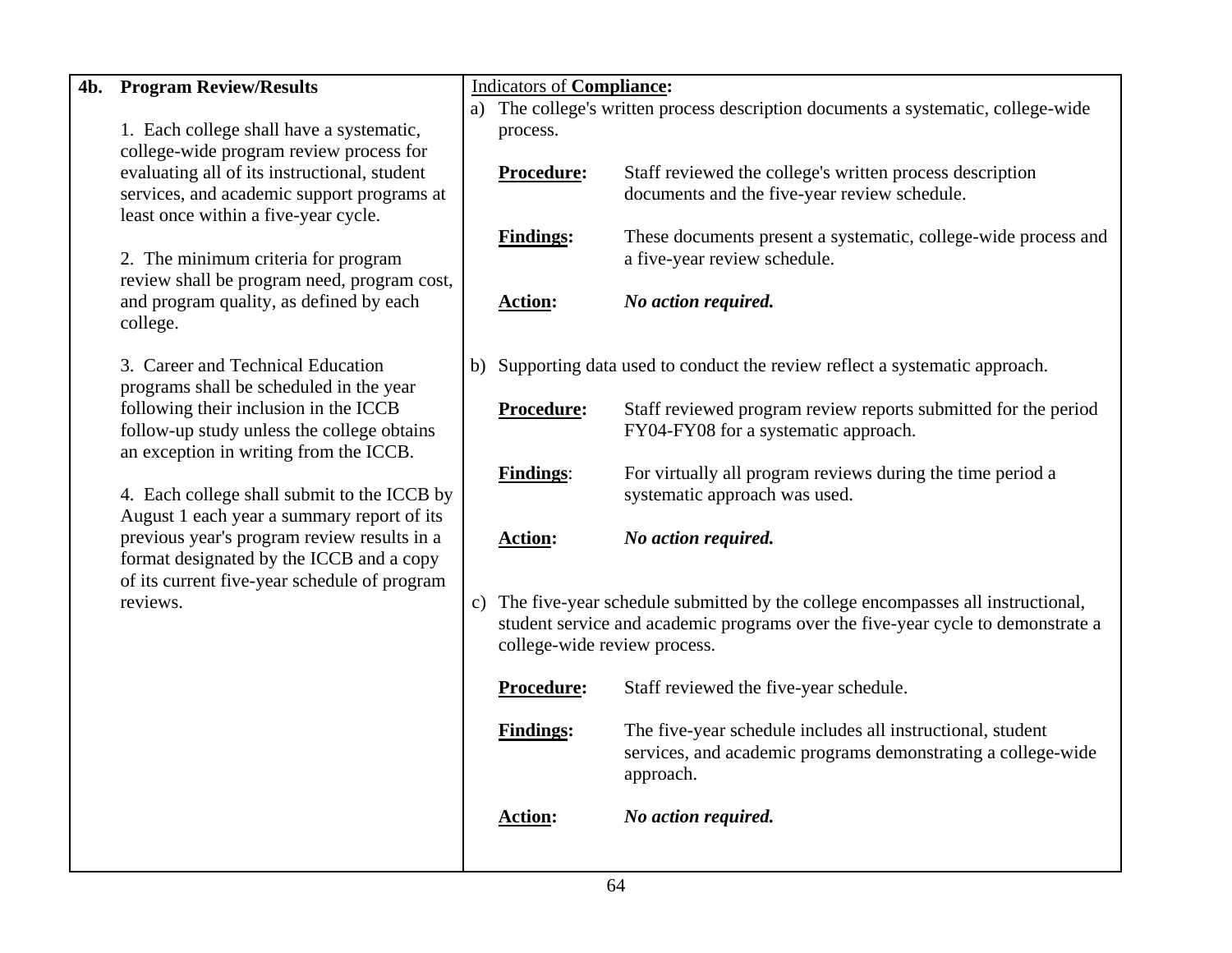| 4b. | <b>Program Review/Results</b>                                                                                                                                                                                                        |  | <b>Indicators of Compliance:</b>                                                  |                                                                                                                            |  |  |
|-----|--------------------------------------------------------------------------------------------------------------------------------------------------------------------------------------------------------------------------------------|--|-----------------------------------------------------------------------------------|----------------------------------------------------------------------------------------------------------------------------|--|--|
|     |                                                                                                                                                                                                                                      |  |                                                                                   | a) The college's written process description documents a systematic, college-wide                                          |  |  |
|     | 1. Each college shall have a systematic,                                                                                                                                                                                             |  | process.                                                                          |                                                                                                                            |  |  |
|     | college-wide program review process for<br>evaluating all of its instructional, student                                                                                                                                              |  | Procedure:                                                                        | Staff reviewed the college's written process description                                                                   |  |  |
|     | services, and academic support programs at                                                                                                                                                                                           |  |                                                                                   | documents and the five-year review schedule.                                                                               |  |  |
|     | least once within a five-year cycle.                                                                                                                                                                                                 |  |                                                                                   |                                                                                                                            |  |  |
|     |                                                                                                                                                                                                                                      |  | <b>Findings:</b>                                                                  | These documents present a systematic, college-wide process and                                                             |  |  |
|     | 2. The minimum criteria for program                                                                                                                                                                                                  |  |                                                                                   | a five-year review schedule.                                                                                               |  |  |
|     | review shall be program need, program cost,                                                                                                                                                                                          |  |                                                                                   |                                                                                                                            |  |  |
|     | and program quality, as defined by each                                                                                                                                                                                              |  | <b>Action:</b>                                                                    | No action required.                                                                                                        |  |  |
|     | college.                                                                                                                                                                                                                             |  |                                                                                   |                                                                                                                            |  |  |
|     | 3. Career and Technical Education                                                                                                                                                                                                    |  | b) Supporting data used to conduct the review reflect a systematic approach.      |                                                                                                                            |  |  |
|     | programs shall be scheduled in the year                                                                                                                                                                                              |  |                                                                                   |                                                                                                                            |  |  |
|     | following their inclusion in the ICCB                                                                                                                                                                                                |  | Procedure:                                                                        | Staff reviewed program review reports submitted for the period                                                             |  |  |
|     | follow-up study unless the college obtains                                                                                                                                                                                           |  |                                                                                   | FY04-FY08 for a systematic approach.                                                                                       |  |  |
|     | an exception in writing from the ICCB.                                                                                                                                                                                               |  |                                                                                   |                                                                                                                            |  |  |
|     | 4. Each college shall submit to the ICCB by<br>August 1 each year a summary report of its<br>previous year's program review results in a<br>format designated by the ICCB and a copy<br>of its current five-year schedule of program |  | <b>Findings:</b>                                                                  | For virtually all program reviews during the time period a<br>systematic approach was used.                                |  |  |
|     |                                                                                                                                                                                                                                      |  |                                                                                   |                                                                                                                            |  |  |
|     |                                                                                                                                                                                                                                      |  | <b>Action:</b>                                                                    | No action required.                                                                                                        |  |  |
|     |                                                                                                                                                                                                                                      |  |                                                                                   |                                                                                                                            |  |  |
|     |                                                                                                                                                                                                                                      |  |                                                                                   |                                                                                                                            |  |  |
|     | reviews.                                                                                                                                                                                                                             |  | c) The five-year schedule submitted by the college encompasses all instructional, |                                                                                                                            |  |  |
|     |                                                                                                                                                                                                                                      |  |                                                                                   | student service and academic programs over the five-year cycle to demonstrate a                                            |  |  |
|     |                                                                                                                                                                                                                                      |  | college-wide review process.                                                      |                                                                                                                            |  |  |
|     |                                                                                                                                                                                                                                      |  | Procedure:                                                                        | Staff reviewed the five-year schedule.                                                                                     |  |  |
|     |                                                                                                                                                                                                                                      |  |                                                                                   |                                                                                                                            |  |  |
|     |                                                                                                                                                                                                                                      |  | <b>Findings:</b>                                                                  | The five-year schedule includes all instructional, student<br>services, and academic programs demonstrating a college-wide |  |  |
|     |                                                                                                                                                                                                                                      |  |                                                                                   | approach.                                                                                                                  |  |  |
|     |                                                                                                                                                                                                                                      |  |                                                                                   |                                                                                                                            |  |  |
|     |                                                                                                                                                                                                                                      |  | <b>Action:</b>                                                                    | No action required.                                                                                                        |  |  |
|     |                                                                                                                                                                                                                                      |  |                                                                                   |                                                                                                                            |  |  |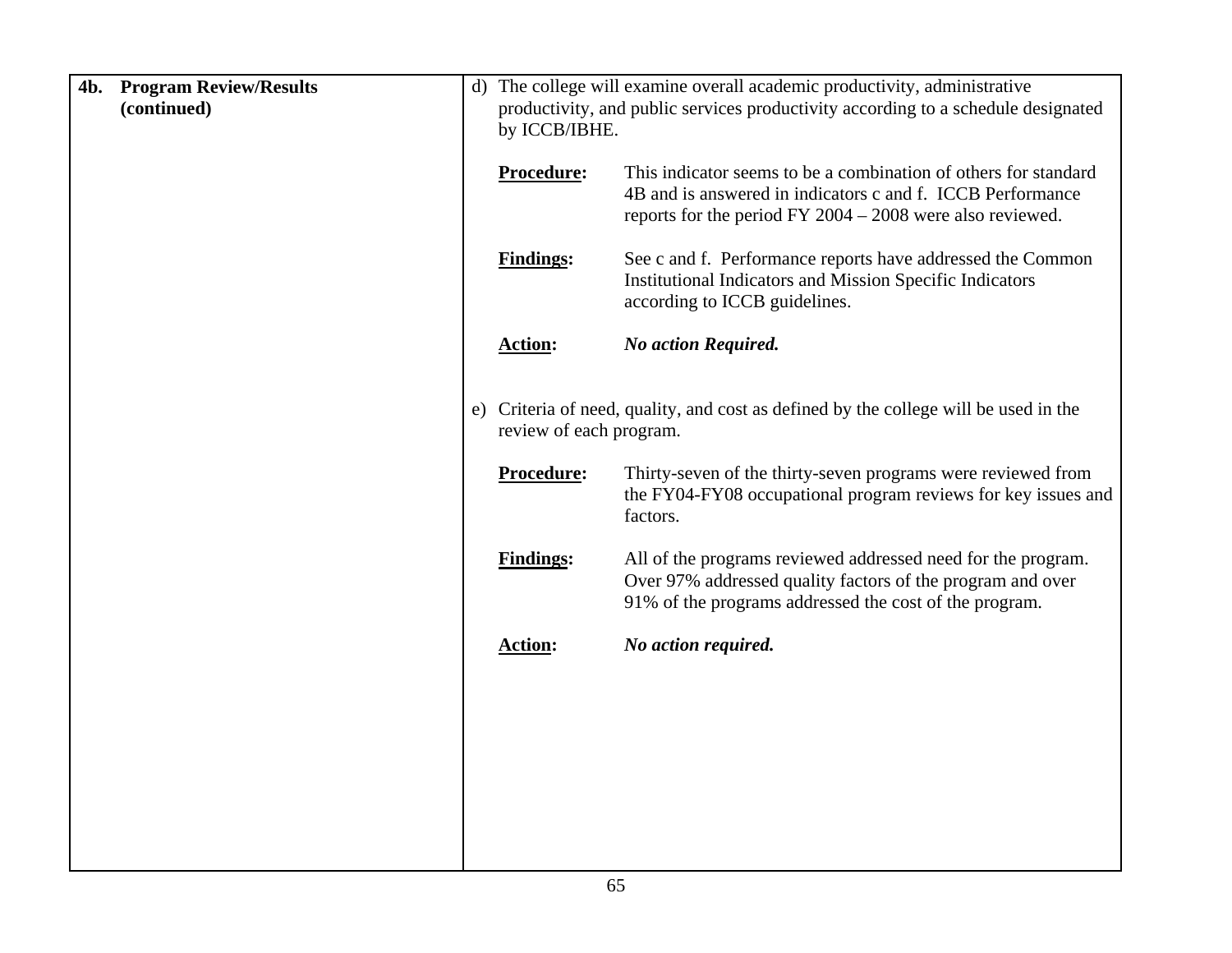| <b>Program Review/Results</b><br>4b.<br>(continued) | $\mathbf{d}$ |                         | The college will examine overall academic productivity, administrative<br>productivity, and public services productivity according to a schedule designated                                  |  |
|-----------------------------------------------------|--------------|-------------------------|----------------------------------------------------------------------------------------------------------------------------------------------------------------------------------------------|--|
|                                                     |              |                         | by ICCB/IBHE.                                                                                                                                                                                |  |
|                                                     |              | <b>Procedure:</b>       | This indicator seems to be a combination of others for standard<br>4B and is answered in indicators c and f. ICCB Performance<br>reports for the period FY $2004 - 2008$ were also reviewed. |  |
|                                                     |              | <b>Findings:</b>        | See c and f. Performance reports have addressed the Common<br><b>Institutional Indicators and Mission Specific Indicators</b><br>according to ICCB guidelines.                               |  |
|                                                     |              | <b>Action:</b>          | <b>No action Required.</b>                                                                                                                                                                   |  |
|                                                     |              | review of each program. | e) Criteria of need, quality, and cost as defined by the college will be used in the                                                                                                         |  |
|                                                     |              | Procedure:              | Thirty-seven of the thirty-seven programs were reviewed from<br>the FY04-FY08 occupational program reviews for key issues and<br>factors.                                                    |  |
|                                                     |              | <b>Findings:</b>        | All of the programs reviewed addressed need for the program.<br>Over 97% addressed quality factors of the program and over<br>91% of the programs addressed the cost of the program.         |  |
|                                                     |              | <b>Action:</b>          | No action required.                                                                                                                                                                          |  |
|                                                     |              |                         |                                                                                                                                                                                              |  |
|                                                     |              |                         |                                                                                                                                                                                              |  |
|                                                     |              |                         |                                                                                                                                                                                              |  |
|                                                     |              |                         |                                                                                                                                                                                              |  |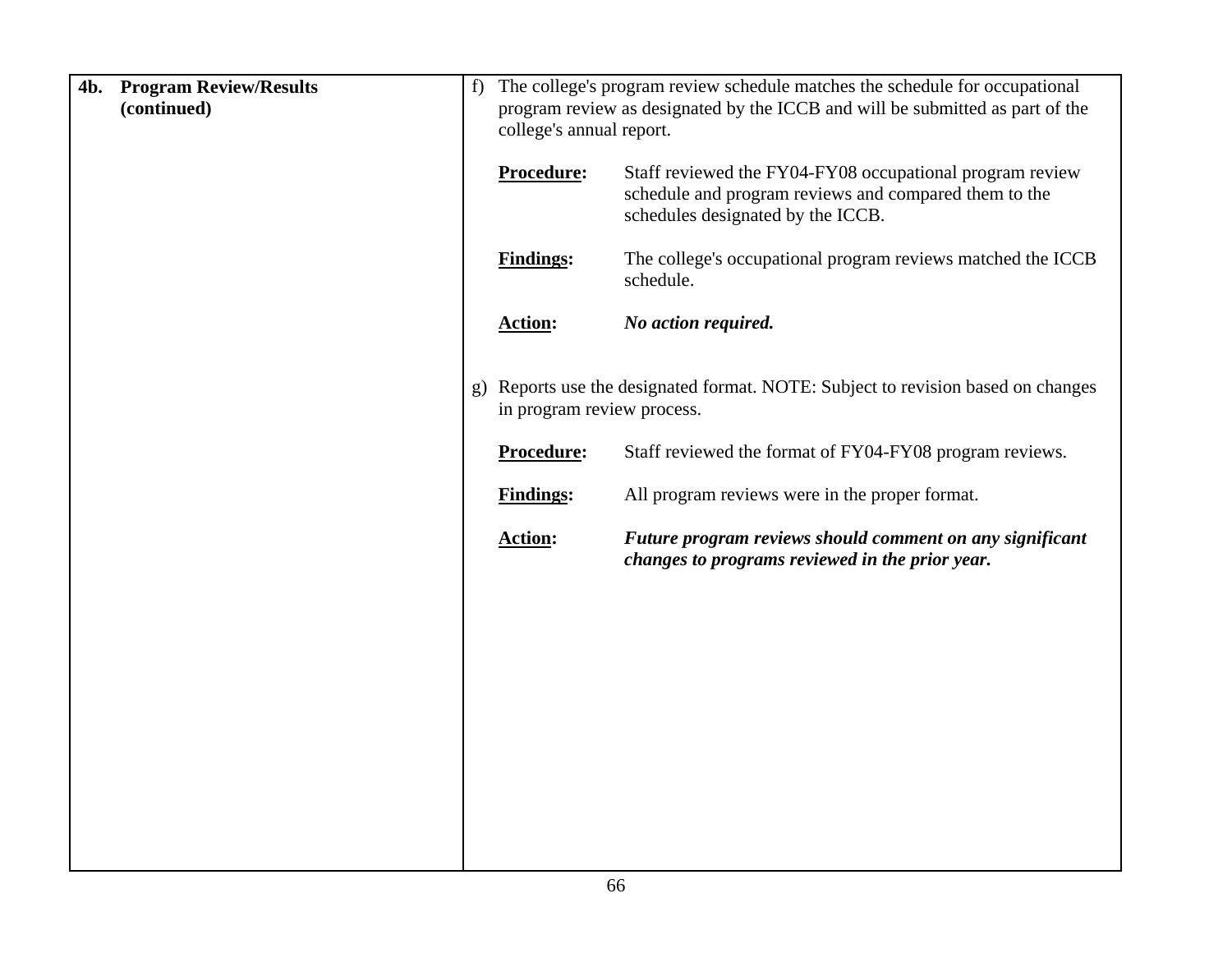| The college's program review schedule matches the schedule for occupational<br>program review as designated by the ICCB and will be submitted as part of the<br>college's annual report. |  |
|------------------------------------------------------------------------------------------------------------------------------------------------------------------------------------------|--|
| Staff reviewed the FY04-FY08 occupational program review<br>schedule and program reviews and compared them to the                                                                        |  |
| The college's occupational program reviews matched the ICCB                                                                                                                              |  |
|                                                                                                                                                                                          |  |
| Reports use the designated format. NOTE: Subject to revision based on changes                                                                                                            |  |
| Staff reviewed the format of FY04-FY08 program reviews.                                                                                                                                  |  |
|                                                                                                                                                                                          |  |
| Future program reviews should comment on any significant                                                                                                                                 |  |
|                                                                                                                                                                                          |  |
|                                                                                                                                                                                          |  |
|                                                                                                                                                                                          |  |
|                                                                                                                                                                                          |  |
|                                                                                                                                                                                          |  |
|                                                                                                                                                                                          |  |
|                                                                                                                                                                                          |  |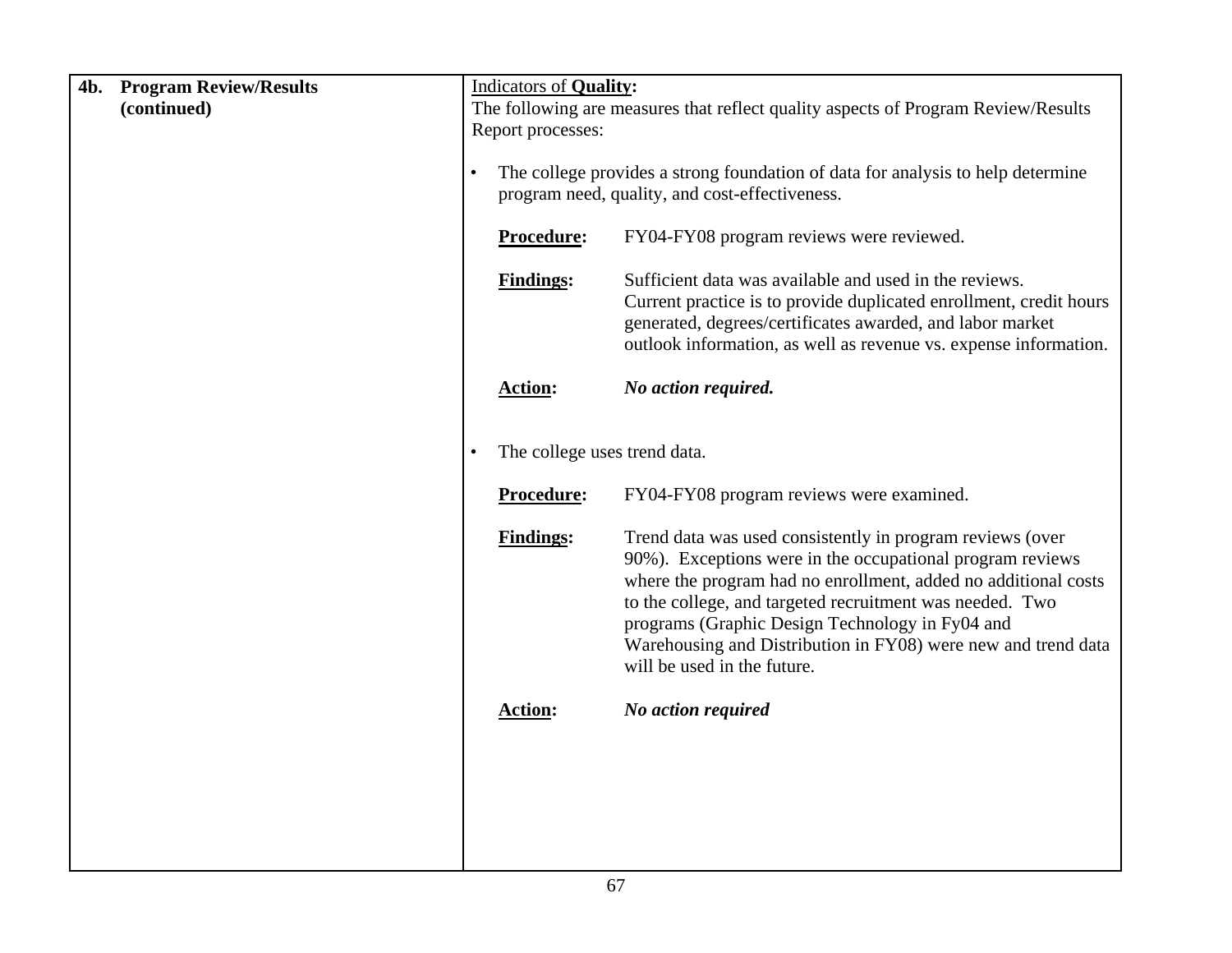| 4b. | <b>Program Review/Results</b> |           | <b>Indicators of Quality:</b>                                                                                                     |                                                                                                                                                                                                                                                                                                                                                                                                         |  |  |
|-----|-------------------------------|-----------|-----------------------------------------------------------------------------------------------------------------------------------|---------------------------------------------------------------------------------------------------------------------------------------------------------------------------------------------------------------------------------------------------------------------------------------------------------------------------------------------------------------------------------------------------------|--|--|
|     | (continued)                   |           | The following are measures that reflect quality aspects of Program Review/Results                                                 |                                                                                                                                                                                                                                                                                                                                                                                                         |  |  |
|     |                               |           | Report processes:                                                                                                                 |                                                                                                                                                                                                                                                                                                                                                                                                         |  |  |
|     |                               | $\bullet$ | The college provides a strong foundation of data for analysis to help determine<br>program need, quality, and cost-effectiveness. |                                                                                                                                                                                                                                                                                                                                                                                                         |  |  |
|     |                               |           | Procedure:                                                                                                                        | FY04-FY08 program reviews were reviewed.                                                                                                                                                                                                                                                                                                                                                                |  |  |
|     |                               |           | <b>Findings:</b>                                                                                                                  | Sufficient data was available and used in the reviews.<br>Current practice is to provide duplicated enrollment, credit hours<br>generated, degrees/certificates awarded, and labor market<br>outlook information, as well as revenue vs. expense information.                                                                                                                                           |  |  |
|     |                               |           | <b>Action:</b>                                                                                                                    | No action required.                                                                                                                                                                                                                                                                                                                                                                                     |  |  |
|     |                               | $\bullet$ | The college uses trend data.                                                                                                      |                                                                                                                                                                                                                                                                                                                                                                                                         |  |  |
|     |                               |           | Procedure:                                                                                                                        | FY04-FY08 program reviews were examined.                                                                                                                                                                                                                                                                                                                                                                |  |  |
|     |                               |           | <b>Findings:</b>                                                                                                                  | Trend data was used consistently in program reviews (over<br>90%). Exceptions were in the occupational program reviews<br>where the program had no enrollment, added no additional costs<br>to the college, and targeted recruitment was needed. Two<br>programs (Graphic Design Technology in Fy04 and<br>Warehousing and Distribution in FY08) were new and trend data<br>will be used in the future. |  |  |
|     |                               |           | <b>Action:</b>                                                                                                                    | No action required                                                                                                                                                                                                                                                                                                                                                                                      |  |  |
|     |                               |           |                                                                                                                                   |                                                                                                                                                                                                                                                                                                                                                                                                         |  |  |
|     |                               |           |                                                                                                                                   |                                                                                                                                                                                                                                                                                                                                                                                                         |  |  |
|     |                               |           |                                                                                                                                   |                                                                                                                                                                                                                                                                                                                                                                                                         |  |  |
|     |                               |           |                                                                                                                                   |                                                                                                                                                                                                                                                                                                                                                                                                         |  |  |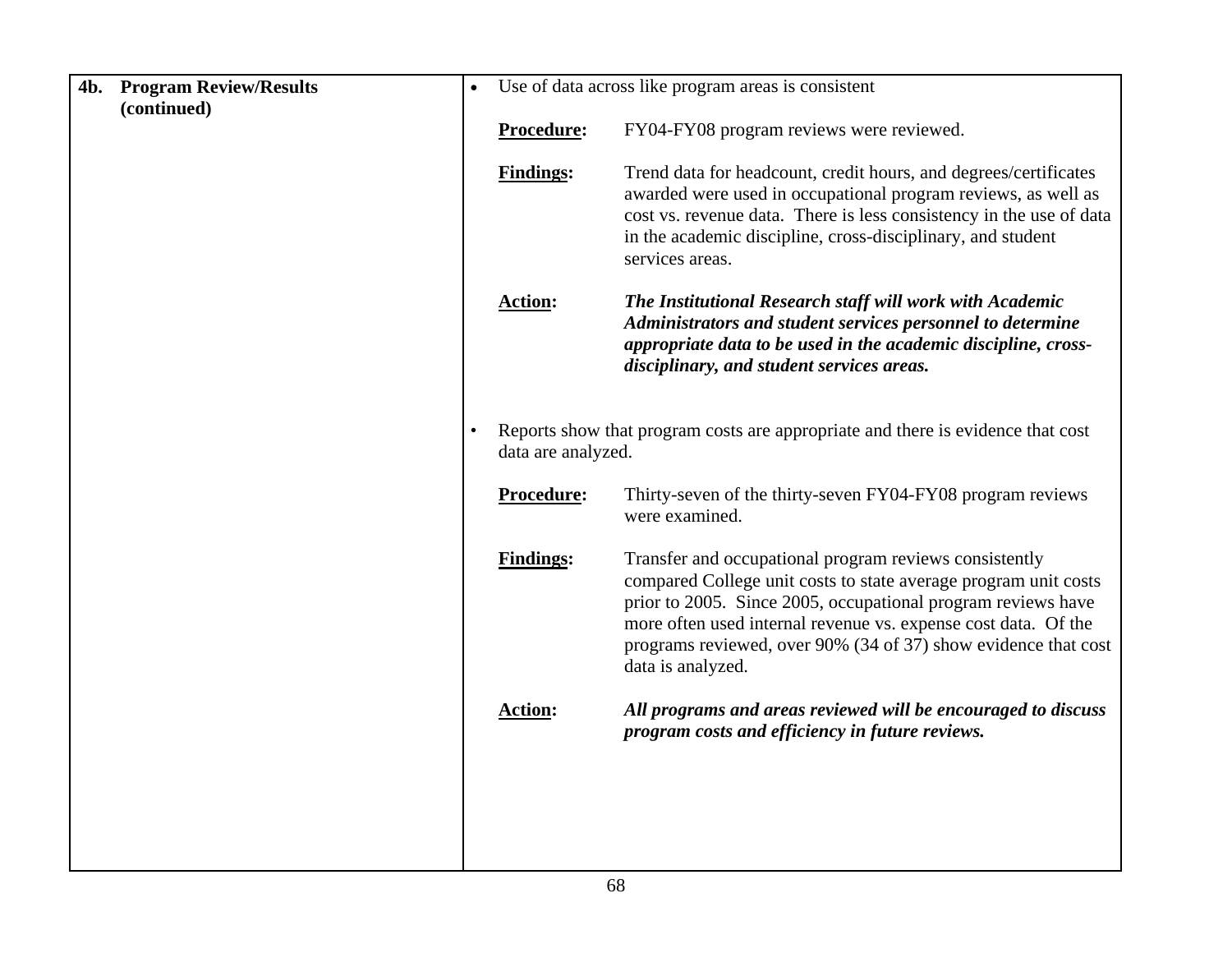| 4b. | <b>Program Review/Results</b> | $\bullet$ |                    | Use of data across like program areas is consistent                                                                                                                                                                                                                                                                                                |
|-----|-------------------------------|-----------|--------------------|----------------------------------------------------------------------------------------------------------------------------------------------------------------------------------------------------------------------------------------------------------------------------------------------------------------------------------------------------|
|     | (continued)                   |           |                    |                                                                                                                                                                                                                                                                                                                                                    |
|     |                               |           | Procedure:         | FY04-FY08 program reviews were reviewed.                                                                                                                                                                                                                                                                                                           |
|     |                               |           | <b>Findings:</b>   | Trend data for headcount, credit hours, and degrees/certificates<br>awarded were used in occupational program reviews, as well as<br>cost vs. revenue data. There is less consistency in the use of data<br>in the academic discipline, cross-disciplinary, and student<br>services areas.                                                         |
|     |                               |           | <b>Action:</b>     | The Institutional Research staff will work with Academic<br>Administrators and student services personnel to determine<br>appropriate data to be used in the academic discipline, cross-<br>disciplinary, and student services areas.                                                                                                              |
|     |                               |           | data are analyzed. | Reports show that program costs are appropriate and there is evidence that cost                                                                                                                                                                                                                                                                    |
|     |                               |           | Procedure:         | Thirty-seven of the thirty-seven FY04-FY08 program reviews<br>were examined.                                                                                                                                                                                                                                                                       |
|     |                               |           | <b>Findings:</b>   | Transfer and occupational program reviews consistently<br>compared College unit costs to state average program unit costs<br>prior to 2005. Since 2005, occupational program reviews have<br>more often used internal revenue vs. expense cost data. Of the<br>programs reviewed, over 90% (34 of 37) show evidence that cost<br>data is analyzed. |
|     |                               |           | <b>Action:</b>     | All programs and areas reviewed will be encouraged to discuss<br>program costs and efficiency in future reviews.                                                                                                                                                                                                                                   |
|     |                               |           |                    |                                                                                                                                                                                                                                                                                                                                                    |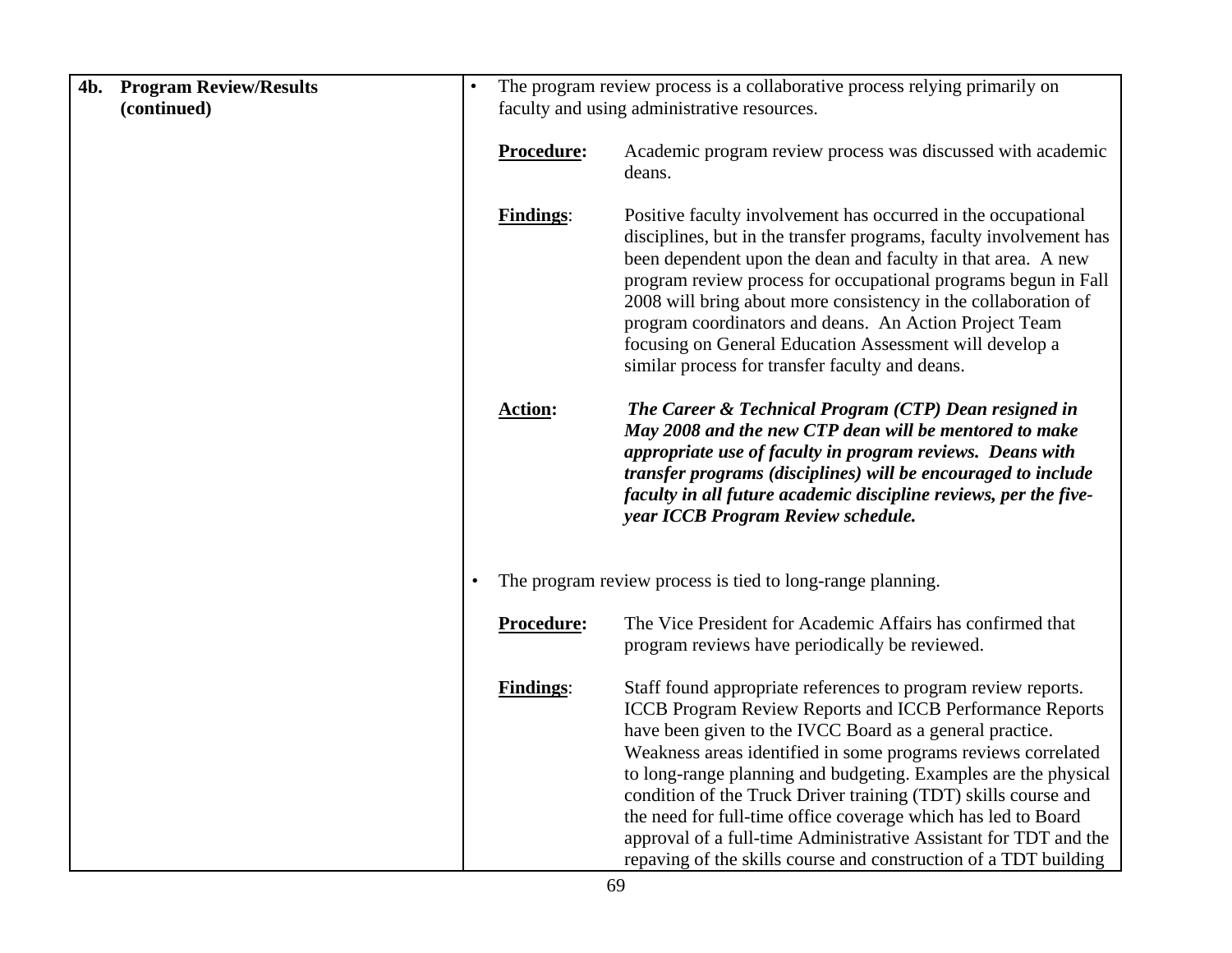| 4b.<br><b>Program Review/Results</b> | $\bullet$ | The program review process is a collaborative process relying primarily on |                                                                                                                                                                                                                                                                                                                                                                                                                                                                                                                                                                                                             |  |
|--------------------------------------|-----------|----------------------------------------------------------------------------|-------------------------------------------------------------------------------------------------------------------------------------------------------------------------------------------------------------------------------------------------------------------------------------------------------------------------------------------------------------------------------------------------------------------------------------------------------------------------------------------------------------------------------------------------------------------------------------------------------------|--|
| (continued)                          |           | faculty and using administrative resources.                                |                                                                                                                                                                                                                                                                                                                                                                                                                                                                                                                                                                                                             |  |
|                                      |           | Procedure:                                                                 | Academic program review process was discussed with academic<br>deans.                                                                                                                                                                                                                                                                                                                                                                                                                                                                                                                                       |  |
|                                      |           | <b>Findings:</b>                                                           | Positive faculty involvement has occurred in the occupational<br>disciplines, but in the transfer programs, faculty involvement has<br>been dependent upon the dean and faculty in that area. A new<br>program review process for occupational programs begun in Fall<br>2008 will bring about more consistency in the collaboration of<br>program coordinators and deans. An Action Project Team<br>focusing on General Education Assessment will develop a<br>similar process for transfer faculty and deans.                                                                                             |  |
|                                      |           | <b>Action:</b>                                                             | The Career & Technical Program (CTP) Dean resigned in<br>May 2008 and the new CTP dean will be mentored to make<br>appropriate use of faculty in program reviews. Deans with<br>transfer programs (disciplines) will be encouraged to include<br>faculty in all future academic discipline reviews, per the five-<br>year ICCB Program Review schedule.                                                                                                                                                                                                                                                     |  |
|                                      |           |                                                                            | The program review process is tied to long-range planning.                                                                                                                                                                                                                                                                                                                                                                                                                                                                                                                                                  |  |
|                                      |           | Procedure:                                                                 | The Vice President for Academic Affairs has confirmed that<br>program reviews have periodically be reviewed.                                                                                                                                                                                                                                                                                                                                                                                                                                                                                                |  |
|                                      |           | <b>Findings:</b>                                                           | Staff found appropriate references to program review reports.<br><b>ICCB Program Review Reports and ICCB Performance Reports</b><br>have been given to the IVCC Board as a general practice.<br>Weakness areas identified in some programs reviews correlated<br>to long-range planning and budgeting. Examples are the physical<br>condition of the Truck Driver training (TDT) skills course and<br>the need for full-time office coverage which has led to Board<br>approval of a full-time Administrative Assistant for TDT and the<br>repaving of the skills course and construction of a TDT building |  |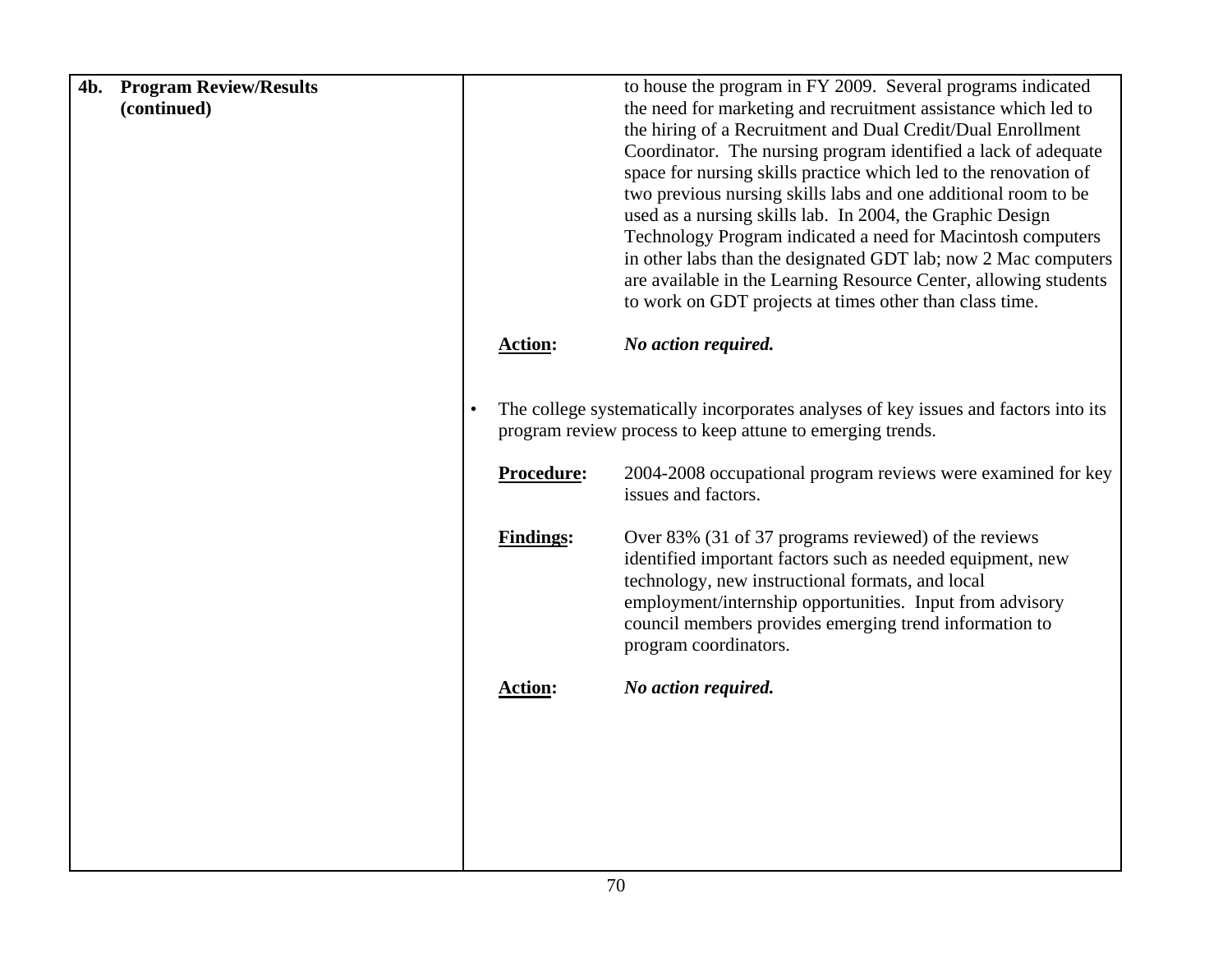| 4b. | <b>Program Review/Results</b> |           |                  | to house the program in FY 2009. Several programs indicated                                                                                      |
|-----|-------------------------------|-----------|------------------|--------------------------------------------------------------------------------------------------------------------------------------------------|
|     | (continued)                   |           |                  | the need for marketing and recruitment assistance which led to                                                                                   |
|     |                               |           |                  | the hiring of a Recruitment and Dual Credit/Dual Enrollment                                                                                      |
|     |                               |           |                  | Coordinator. The nursing program identified a lack of adequate                                                                                   |
|     |                               |           |                  | space for nursing skills practice which led to the renovation of                                                                                 |
|     |                               |           |                  | two previous nursing skills labs and one additional room to be                                                                                   |
|     |                               |           |                  | used as a nursing skills lab. In 2004, the Graphic Design                                                                                        |
|     |                               |           |                  | Technology Program indicated a need for Macintosh computers                                                                                      |
|     |                               |           |                  | in other labs than the designated GDT lab; now 2 Mac computers                                                                                   |
|     |                               |           |                  | are available in the Learning Resource Center, allowing students                                                                                 |
|     |                               |           |                  | to work on GDT projects at times other than class time.                                                                                          |
|     |                               |           | <b>Action:</b>   | No action required.                                                                                                                              |
|     |                               |           |                  |                                                                                                                                                  |
|     |                               | $\bullet$ |                  | The college systematically incorporates analyses of key issues and factors into its<br>program review process to keep attune to emerging trends. |
|     |                               |           | Procedure:       | 2004-2008 occupational program reviews were examined for key<br>issues and factors.                                                              |
|     |                               |           | <b>Findings:</b> | Over 83% (31 of 37 programs reviewed) of the reviews                                                                                             |
|     |                               |           |                  | identified important factors such as needed equipment, new<br>technology, new instructional formats, and local                                   |
|     |                               |           |                  | employment/internship opportunities. Input from advisory                                                                                         |
|     |                               |           |                  | council members provides emerging trend information to                                                                                           |
|     |                               |           |                  | program coordinators.                                                                                                                            |
|     |                               |           |                  |                                                                                                                                                  |
|     |                               |           | <b>Action:</b>   | No action required.                                                                                                                              |
|     |                               |           |                  |                                                                                                                                                  |
|     |                               |           |                  |                                                                                                                                                  |
|     |                               |           |                  |                                                                                                                                                  |
|     |                               |           |                  |                                                                                                                                                  |
|     |                               |           |                  |                                                                                                                                                  |
|     |                               |           |                  |                                                                                                                                                  |
|     |                               |           |                  |                                                                                                                                                  |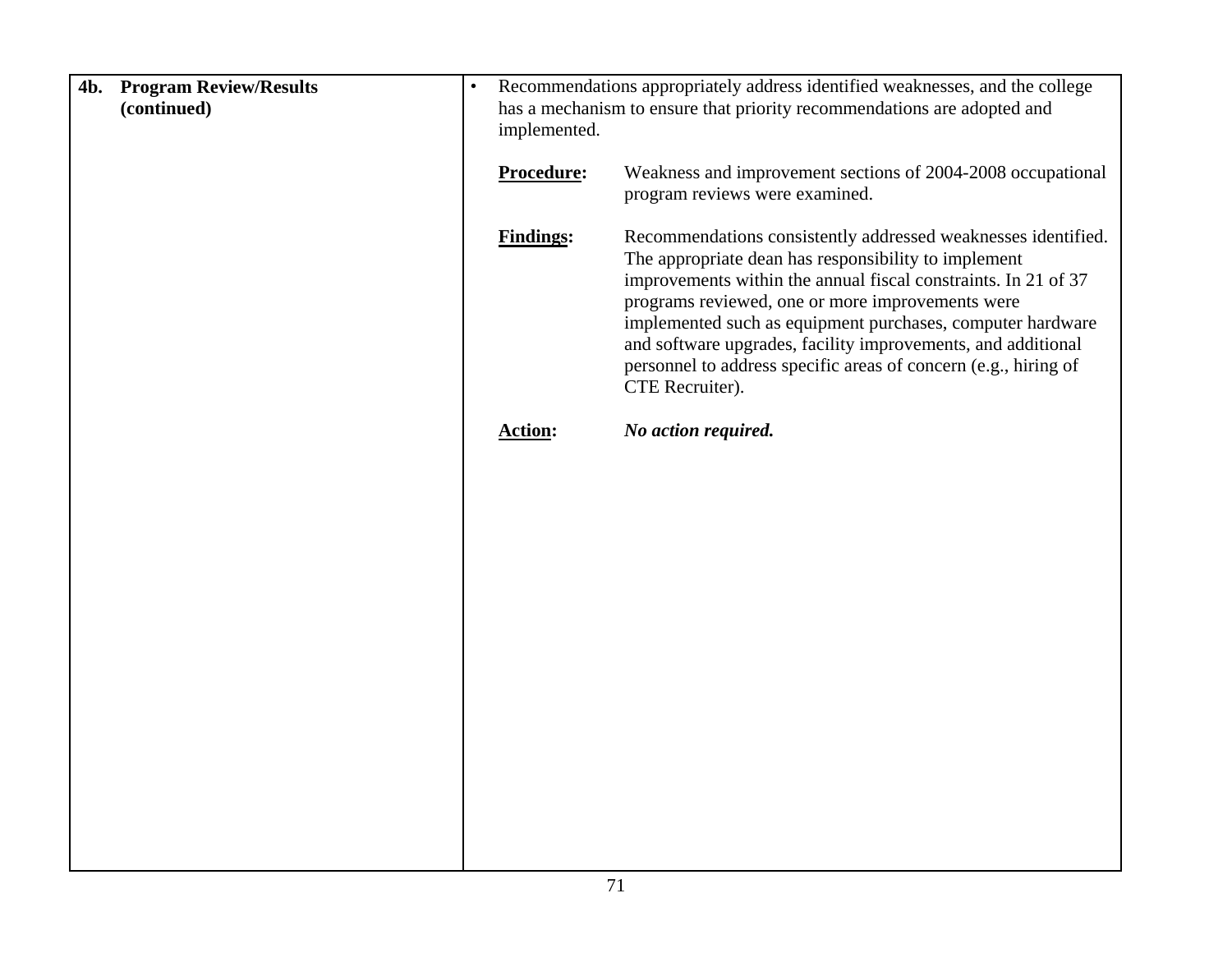| 4b. Program Review/Results<br>(continued) | $\bullet$ | Recommendations appropriately address identified weaknesses, and the college<br>has a mechanism to ensure that priority recommendations are adopted and<br>implemented. |                                                                                                                                                                                                                                                                                                                                                                                                                                                                 |
|-------------------------------------------|-----------|-------------------------------------------------------------------------------------------------------------------------------------------------------------------------|-----------------------------------------------------------------------------------------------------------------------------------------------------------------------------------------------------------------------------------------------------------------------------------------------------------------------------------------------------------------------------------------------------------------------------------------------------------------|
|                                           |           | Procedure:                                                                                                                                                              | Weakness and improvement sections of 2004-2008 occupational<br>program reviews were examined.                                                                                                                                                                                                                                                                                                                                                                   |
|                                           |           | <b>Findings:</b>                                                                                                                                                        | Recommendations consistently addressed weaknesses identified.<br>The appropriate dean has responsibility to implement<br>improvements within the annual fiscal constraints. In 21 of 37<br>programs reviewed, one or more improvements were<br>implemented such as equipment purchases, computer hardware<br>and software upgrades, facility improvements, and additional<br>personnel to address specific areas of concern (e.g., hiring of<br>CTE Recruiter). |
|                                           |           | <b>Action:</b>                                                                                                                                                          | No action required.                                                                                                                                                                                                                                                                                                                                                                                                                                             |
|                                           |           |                                                                                                                                                                         |                                                                                                                                                                                                                                                                                                                                                                                                                                                                 |
|                                           |           |                                                                                                                                                                         |                                                                                                                                                                                                                                                                                                                                                                                                                                                                 |
|                                           |           |                                                                                                                                                                         |                                                                                                                                                                                                                                                                                                                                                                                                                                                                 |
|                                           |           |                                                                                                                                                                         |                                                                                                                                                                                                                                                                                                                                                                                                                                                                 |
|                                           |           |                                                                                                                                                                         |                                                                                                                                                                                                                                                                                                                                                                                                                                                                 |
|                                           |           |                                                                                                                                                                         |                                                                                                                                                                                                                                                                                                                                                                                                                                                                 |
|                                           |           |                                                                                                                                                                         |                                                                                                                                                                                                                                                                                                                                                                                                                                                                 |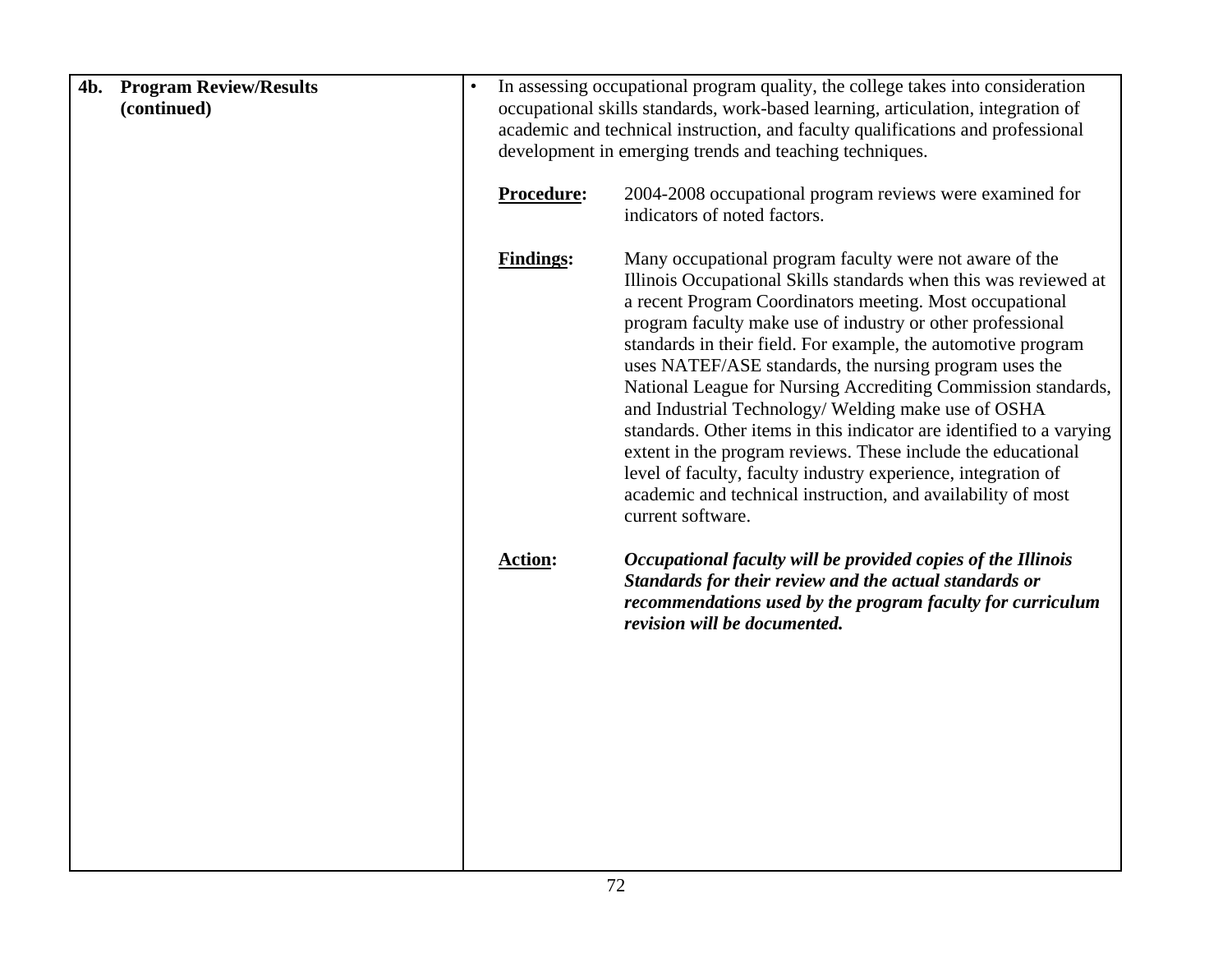| 4b. | <b>Program Review/Results</b><br>(continued) | In assessing occupational program quality, the college takes into consideration<br>occupational skills standards, work-based learning, articulation, integration of<br>academic and technical instruction, and faculty qualifications and professional<br>development in emerging trends and teaching techniques. |                                                                                                                                                                                                                                                                                                                                                                                                                                                                                                                                                                                                                                                                                                                                                                                                        |
|-----|----------------------------------------------|-------------------------------------------------------------------------------------------------------------------------------------------------------------------------------------------------------------------------------------------------------------------------------------------------------------------|--------------------------------------------------------------------------------------------------------------------------------------------------------------------------------------------------------------------------------------------------------------------------------------------------------------------------------------------------------------------------------------------------------------------------------------------------------------------------------------------------------------------------------------------------------------------------------------------------------------------------------------------------------------------------------------------------------------------------------------------------------------------------------------------------------|
|     |                                              | Procedure:                                                                                                                                                                                                                                                                                                        | 2004-2008 occupational program reviews were examined for<br>indicators of noted factors.                                                                                                                                                                                                                                                                                                                                                                                                                                                                                                                                                                                                                                                                                                               |
|     |                                              | <b>Findings:</b>                                                                                                                                                                                                                                                                                                  | Many occupational program faculty were not aware of the<br>Illinois Occupational Skills standards when this was reviewed at<br>a recent Program Coordinators meeting. Most occupational<br>program faculty make use of industry or other professional<br>standards in their field. For example, the automotive program<br>uses NATEF/ASE standards, the nursing program uses the<br>National League for Nursing Accrediting Commission standards,<br>and Industrial Technology/ Welding make use of OSHA<br>standards. Other items in this indicator are identified to a varying<br>extent in the program reviews. These include the educational<br>level of faculty, faculty industry experience, integration of<br>academic and technical instruction, and availability of most<br>current software. |
|     |                                              | <b>Action:</b>                                                                                                                                                                                                                                                                                                    | Occupational faculty will be provided copies of the Illinois<br>Standards for their review and the actual standards or<br>recommendations used by the program faculty for curriculum<br>revision will be documented.                                                                                                                                                                                                                                                                                                                                                                                                                                                                                                                                                                                   |
|     |                                              |                                                                                                                                                                                                                                                                                                                   |                                                                                                                                                                                                                                                                                                                                                                                                                                                                                                                                                                                                                                                                                                                                                                                                        |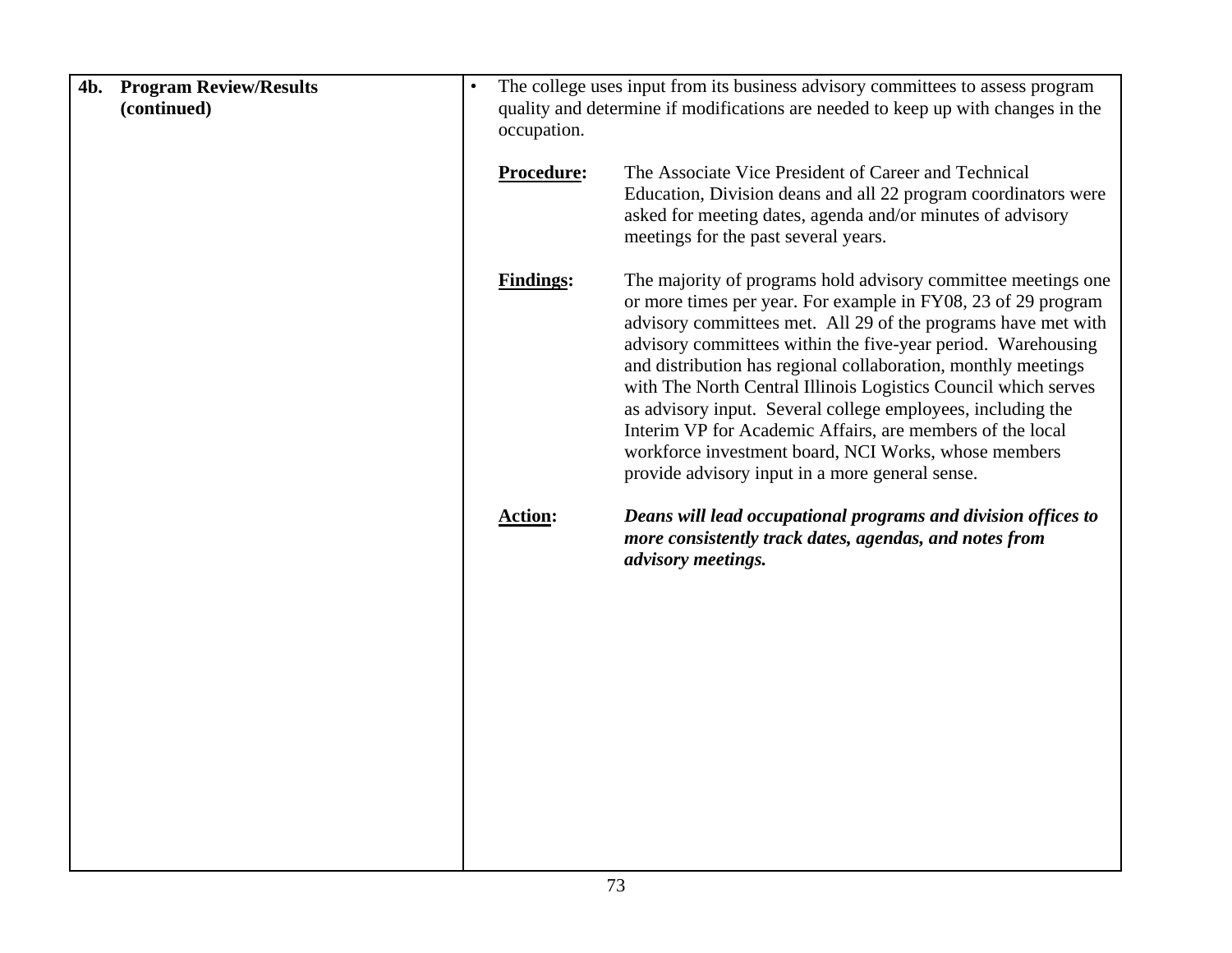| <b>Program Review/Results</b><br>4b.<br>(continued) | The college uses input from its business advisory committees to assess program<br>quality and determine if modifications are needed to keep up with changes in the<br>occupation. |                                                                                                                                                                                                                                                                                                                                                                                                                                                                                                                                                                                                                                           |  |  |
|-----------------------------------------------------|-----------------------------------------------------------------------------------------------------------------------------------------------------------------------------------|-------------------------------------------------------------------------------------------------------------------------------------------------------------------------------------------------------------------------------------------------------------------------------------------------------------------------------------------------------------------------------------------------------------------------------------------------------------------------------------------------------------------------------------------------------------------------------------------------------------------------------------------|--|--|
|                                                     | Procedure:                                                                                                                                                                        | The Associate Vice President of Career and Technical<br>Education, Division deans and all 22 program coordinators were<br>asked for meeting dates, agenda and/or minutes of advisory<br>meetings for the past several years.                                                                                                                                                                                                                                                                                                                                                                                                              |  |  |
|                                                     | <b>Findings:</b>                                                                                                                                                                  | The majority of programs hold advisory committee meetings one<br>or more times per year. For example in FY08, 23 of 29 program<br>advisory committees met. All 29 of the programs have met with<br>advisory committees within the five-year period. Warehousing<br>and distribution has regional collaboration, monthly meetings<br>with The North Central Illinois Logistics Council which serves<br>as advisory input. Several college employees, including the<br>Interim VP for Academic Affairs, are members of the local<br>workforce investment board, NCI Works, whose members<br>provide advisory input in a more general sense. |  |  |
|                                                     | <b>Action:</b>                                                                                                                                                                    | Deans will lead occupational programs and division offices to<br>more consistently track dates, agendas, and notes from<br>advisory meetings.                                                                                                                                                                                                                                                                                                                                                                                                                                                                                             |  |  |
|                                                     |                                                                                                                                                                                   |                                                                                                                                                                                                                                                                                                                                                                                                                                                                                                                                                                                                                                           |  |  |
|                                                     |                                                                                                                                                                                   |                                                                                                                                                                                                                                                                                                                                                                                                                                                                                                                                                                                                                                           |  |  |
|                                                     |                                                                                                                                                                                   |                                                                                                                                                                                                                                                                                                                                                                                                                                                                                                                                                                                                                                           |  |  |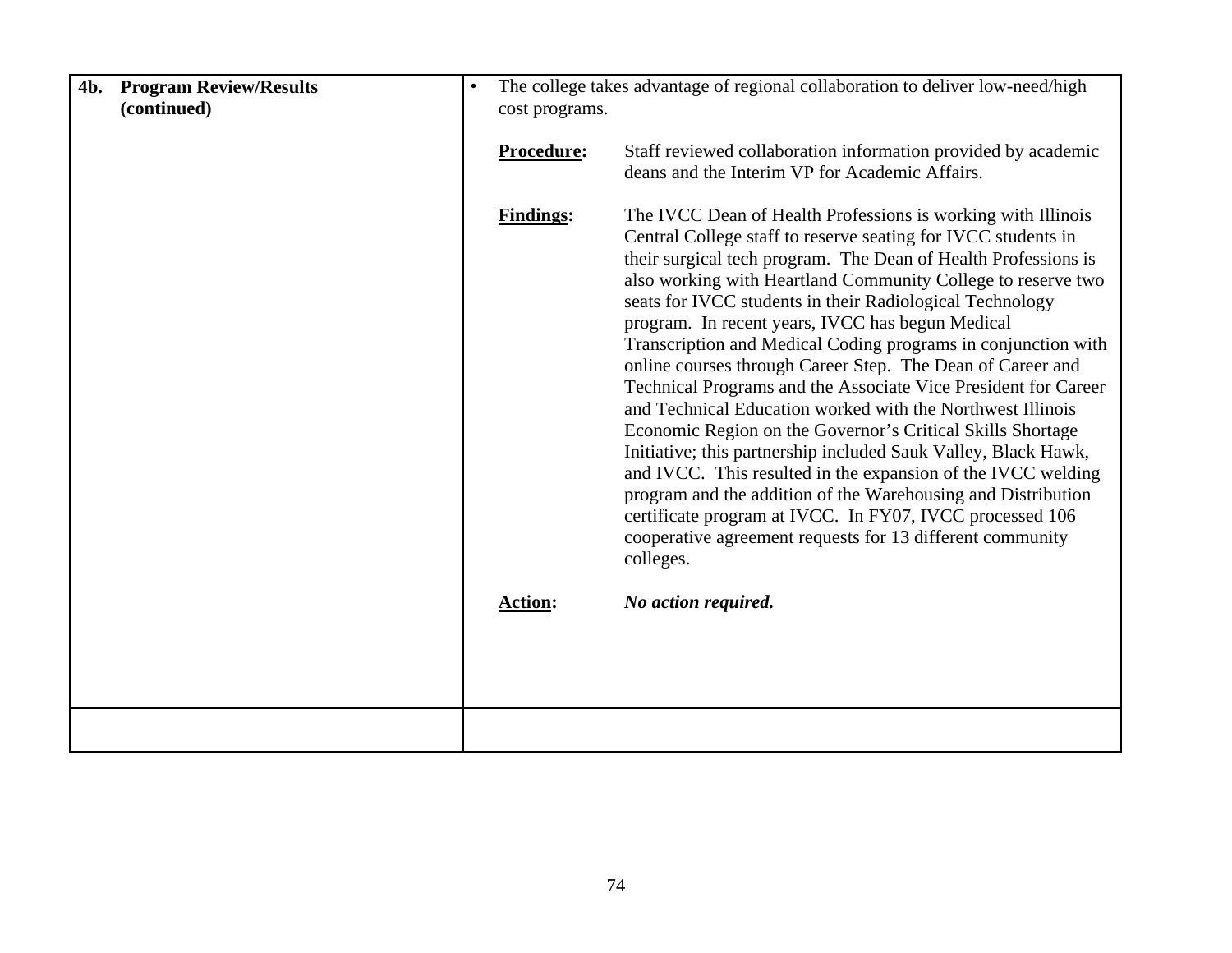| <b>4b.</b> Program Review/Results<br>(continued) | $\bullet$ | cost programs.   | The college takes advantage of regional collaboration to deliver low-need/high                                                                                                                                                                                                                                                                                                                                                                                                                                                                                                                                                                                                                                                                                                                                                                                                                                                                                                                                                                       |
|--------------------------------------------------|-----------|------------------|------------------------------------------------------------------------------------------------------------------------------------------------------------------------------------------------------------------------------------------------------------------------------------------------------------------------------------------------------------------------------------------------------------------------------------------------------------------------------------------------------------------------------------------------------------------------------------------------------------------------------------------------------------------------------------------------------------------------------------------------------------------------------------------------------------------------------------------------------------------------------------------------------------------------------------------------------------------------------------------------------------------------------------------------------|
|                                                  |           | Procedure:       | Staff reviewed collaboration information provided by academic<br>deans and the Interim VP for Academic Affairs.                                                                                                                                                                                                                                                                                                                                                                                                                                                                                                                                                                                                                                                                                                                                                                                                                                                                                                                                      |
|                                                  |           | <b>Findings:</b> | The IVCC Dean of Health Professions is working with Illinois<br>Central College staff to reserve seating for IVCC students in<br>their surgical tech program. The Dean of Health Professions is<br>also working with Heartland Community College to reserve two<br>seats for IVCC students in their Radiological Technology<br>program. In recent years, IVCC has begun Medical<br>Transcription and Medical Coding programs in conjunction with<br>online courses through Career Step. The Dean of Career and<br>Technical Programs and the Associate Vice President for Career<br>and Technical Education worked with the Northwest Illinois<br>Economic Region on the Governor's Critical Skills Shortage<br>Initiative; this partnership included Sauk Valley, Black Hawk,<br>and IVCC. This resulted in the expansion of the IVCC welding<br>program and the addition of the Warehousing and Distribution<br>certificate program at IVCC. In FY07, IVCC processed 106<br>cooperative agreement requests for 13 different community<br>colleges. |
|                                                  |           | <b>Action:</b>   | No action required.                                                                                                                                                                                                                                                                                                                                                                                                                                                                                                                                                                                                                                                                                                                                                                                                                                                                                                                                                                                                                                  |
|                                                  |           |                  |                                                                                                                                                                                                                                                                                                                                                                                                                                                                                                                                                                                                                                                                                                                                                                                                                                                                                                                                                                                                                                                      |
|                                                  |           |                  |                                                                                                                                                                                                                                                                                                                                                                                                                                                                                                                                                                                                                                                                                                                                                                                                                                                                                                                                                                                                                                                      |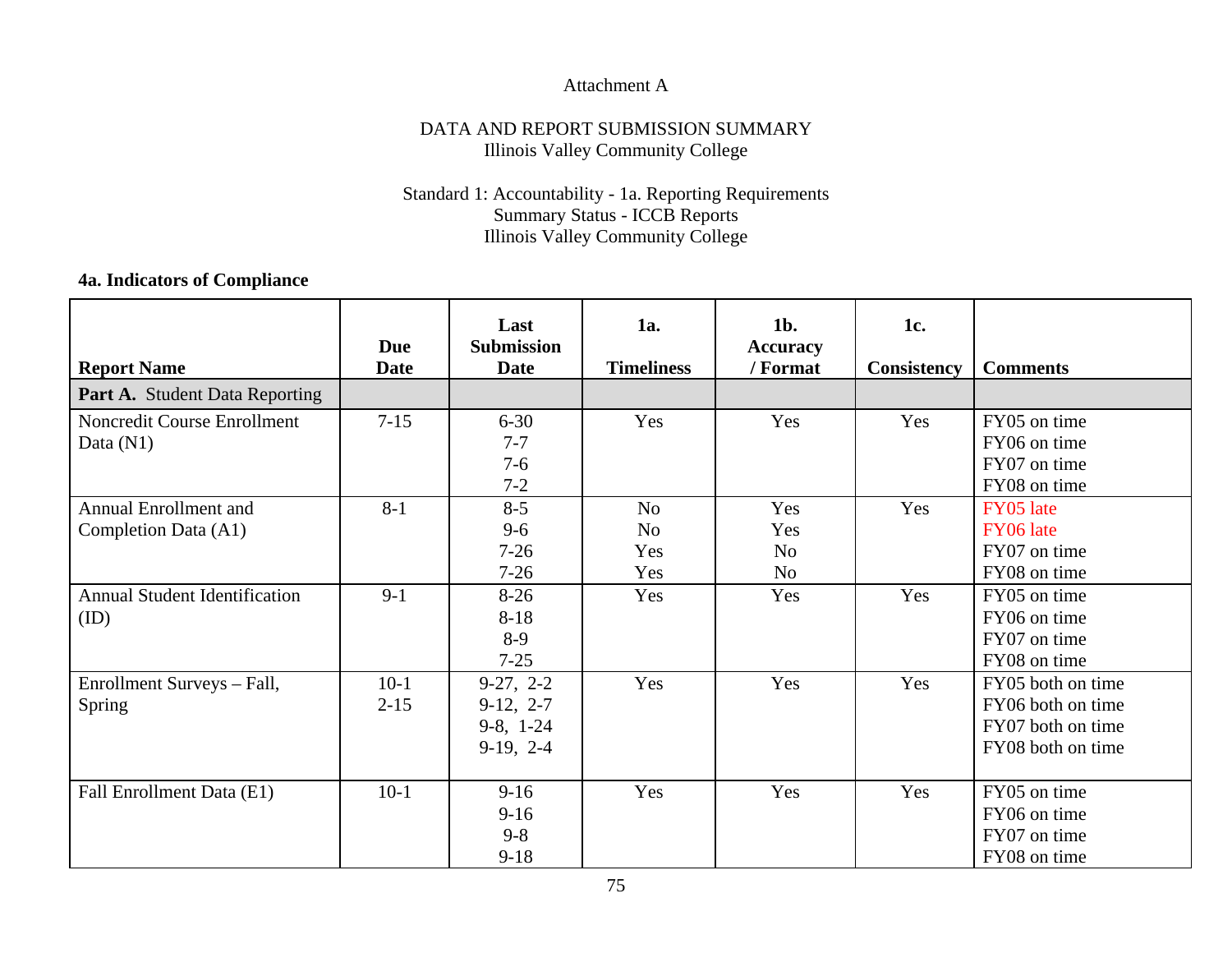## Attachment A

## DATA AND REPORT SUBMISSION SUMMARY Illinois Valley Community College

## Standard 1: Accountability - 1a. Reporting Requirements Summary Status - ICCB Reports Illinois Valley Community College

## **4a. Indicators of Compliance**

|                                      | <b>Due</b>  | Last<br><b>Submission</b> | 1a.               | $1b$ .<br><b>Accuracy</b> | 1c.                |                   |
|--------------------------------------|-------------|---------------------------|-------------------|---------------------------|--------------------|-------------------|
| <b>Report Name</b>                   | <b>Date</b> | <b>Date</b>               | <b>Timeliness</b> | / Format                  | <b>Consistency</b> | <b>Comments</b>   |
| Part A. Student Data Reporting       |             |                           |                   |                           |                    |                   |
| Noncredit Course Enrollment          | $7 - 15$    | $6 - 30$                  | Yes               | Yes                       | Yes                | FY05 on time      |
| Data $(N1)$                          |             | $7 - 7$                   |                   |                           |                    | FY06 on time      |
|                                      |             | $7 - 6$                   |                   |                           |                    | FY07 on time      |
|                                      |             | $7 - 2$                   |                   |                           |                    | FY08 on time      |
| Annual Enrollment and                | $8 - 1$     | $8 - 5$                   | N <sub>0</sub>    | Yes                       | Yes                | FY05 late         |
| Completion Data (A1)                 |             | $9 - 6$                   | N <sub>0</sub>    | Yes                       |                    | FY06 late         |
|                                      |             | $7 - 26$                  | Yes               | N <sub>o</sub>            |                    | FY07 on time      |
|                                      |             | $7 - 26$                  | Yes               | N <sub>o</sub>            |                    | FY08 on time      |
| <b>Annual Student Identification</b> | $9-1$       | $8-26$                    | Yes               | Yes                       | Yes                | FY05 on time      |
| (ID)                                 |             | $8 - 18$                  |                   |                           |                    | FY06 on time      |
|                                      |             | $8-9$                     |                   |                           |                    | FY07 on time      |
|                                      |             | $7 - 25$                  |                   |                           |                    | FY08 on time      |
| Enrollment Surveys - Fall,           | $10-1$      | $9-27, 2-2$               | Yes               | Yes                       | Yes                | FY05 both on time |
| <b>Spring</b>                        | $2 - 15$    | $9-12, 2-7$               |                   |                           |                    | FY06 both on time |
|                                      |             | $9-8, 1-24$               |                   |                           |                    | FY07 both on time |
|                                      |             | $9-19, 2-4$               |                   |                           |                    | FY08 both on time |
|                                      |             |                           |                   |                           |                    |                   |
| Fall Enrollment Data (E1)            | $10-1$      | $9-16$                    | Yes               | Yes                       | Yes                | FY05 on time      |
|                                      |             | $9-16$                    |                   |                           |                    | FY06 on time      |
|                                      |             | $9 - 8$                   |                   |                           |                    | FY07 on time      |
|                                      |             | $9 - 18$                  |                   |                           |                    | FY08 on time      |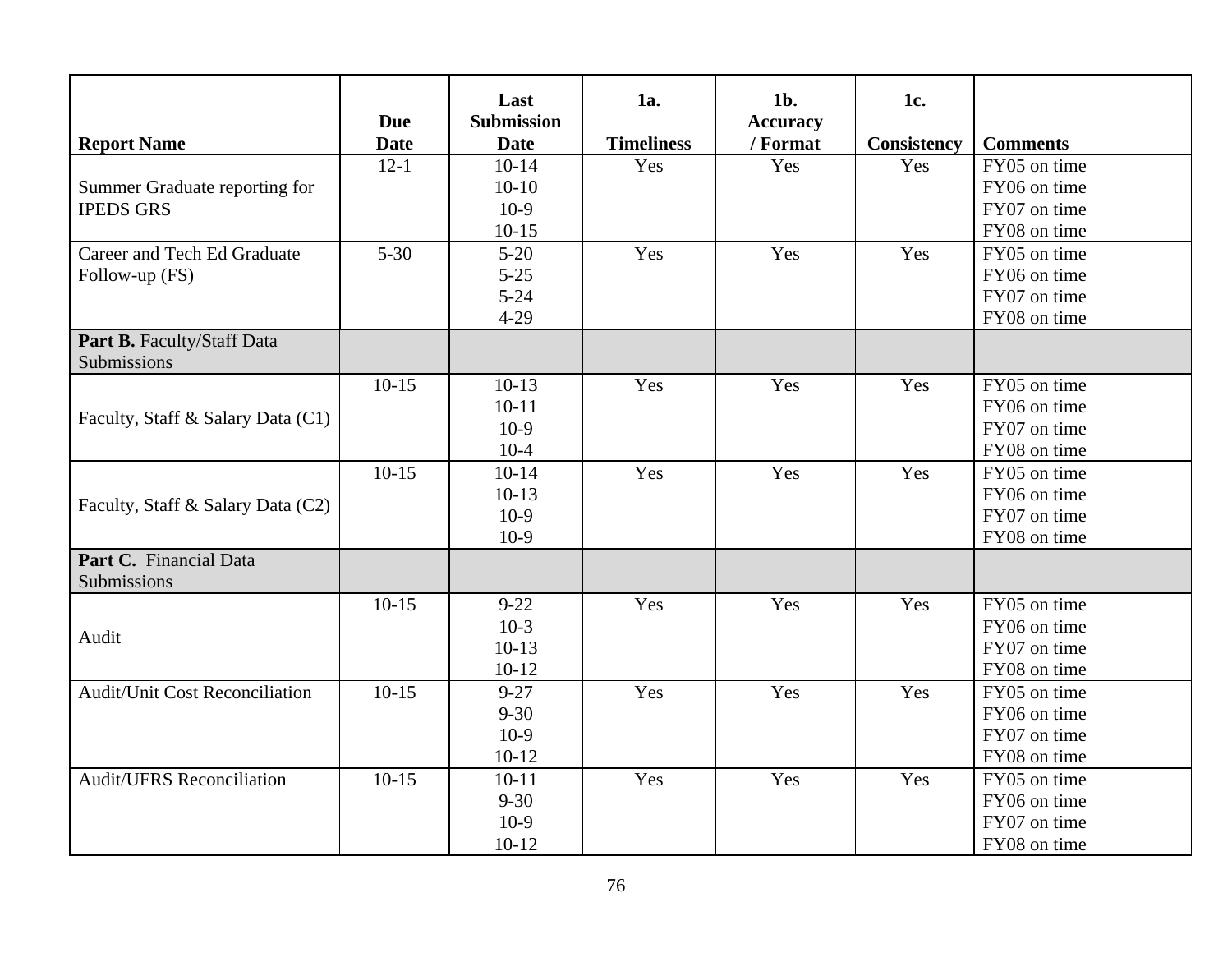| <b>Report Name</b>                        | <b>Due</b><br><b>Date</b> | Last<br><b>Submission</b><br><b>Date</b> | 1a.<br><b>Timeliness</b> | $1b$ .<br><b>Accuracy</b><br>/ Format | 1c.<br><b>Consistency</b> | <b>Comments</b> |
|-------------------------------------------|---------------------------|------------------------------------------|--------------------------|---------------------------------------|---------------------------|-----------------|
|                                           | $12 - 1$                  | $10-14$                                  | Yes                      | Yes                                   | Yes                       | FY05 on time    |
| Summer Graduate reporting for             |                           | $10-10$                                  |                          |                                       |                           | FY06 on time    |
| <b>IPEDS GRS</b>                          |                           | $10-9$                                   |                          |                                       |                           | FY07 on time    |
|                                           |                           | $10-15$                                  |                          |                                       |                           | FY08 on time    |
| Career and Tech Ed Graduate               | $5 - 30$                  | $5 - 20$                                 | Yes                      | Yes                                   | Yes                       | FY05 on time    |
| Follow-up (FS)                            |                           | $5 - 25$                                 |                          |                                       |                           | FY06 on time    |
|                                           |                           | $5 - 24$                                 |                          |                                       |                           | FY07 on time    |
|                                           |                           | $4 - 29$                                 |                          |                                       |                           | FY08 on time    |
| Part B. Faculty/Staff Data<br>Submissions |                           |                                          |                          |                                       |                           |                 |
|                                           | $10-15$                   | $10-13$                                  | Yes                      | Yes                                   | Yes                       | FY05 on time    |
|                                           |                           | $10 - 11$                                |                          |                                       |                           | FY06 on time    |
| Faculty, Staff & Salary Data (C1)         |                           | $10-9$                                   |                          |                                       |                           | FY07 on time    |
|                                           |                           | $10-4$                                   |                          |                                       |                           | FY08 on time    |
|                                           | $10-15$                   | $10-14$                                  | Yes                      | Yes                                   | Yes                       | FY05 on time    |
| Faculty, Staff & Salary Data (C2)         |                           | $10-13$                                  |                          |                                       |                           | FY06 on time    |
|                                           |                           | $10-9$                                   |                          |                                       |                           | FY07 on time    |
|                                           |                           | $10-9$                                   |                          |                                       |                           | FY08 on time    |
| Part C. Financial Data<br>Submissions     |                           |                                          |                          |                                       |                           |                 |
|                                           | $10-15$                   | $9 - 22$                                 | Yes                      | Yes                                   | Yes                       | FY05 on time    |
| Audit                                     |                           | $10-3$                                   |                          |                                       |                           | FY06 on time    |
|                                           |                           | $10-13$                                  |                          |                                       |                           | FY07 on time    |
|                                           |                           | $10-12$                                  |                          |                                       |                           | FY08 on time    |
| <b>Audit/Unit Cost Reconciliation</b>     | $10-15$                   | $9 - 27$                                 | Yes                      | Yes                                   | Yes                       | FY05 on time    |
|                                           |                           | $9 - 30$                                 |                          |                                       |                           | FY06 on time    |
|                                           |                           | $10-9$                                   |                          |                                       |                           | FY07 on time    |
|                                           |                           | $10-12$                                  |                          |                                       |                           | FY08 on time    |
| <b>Audit/UFRS Reconciliation</b>          | $10-15$                   | $10 - 11$                                | Yes                      | Yes                                   | Yes                       | FY05 on time    |
|                                           |                           | $9 - 30$                                 |                          |                                       |                           | FY06 on time    |
|                                           |                           | $10-9$                                   |                          |                                       |                           | FY07 on time    |
|                                           |                           | $10-12$                                  |                          |                                       |                           | FY08 on time    |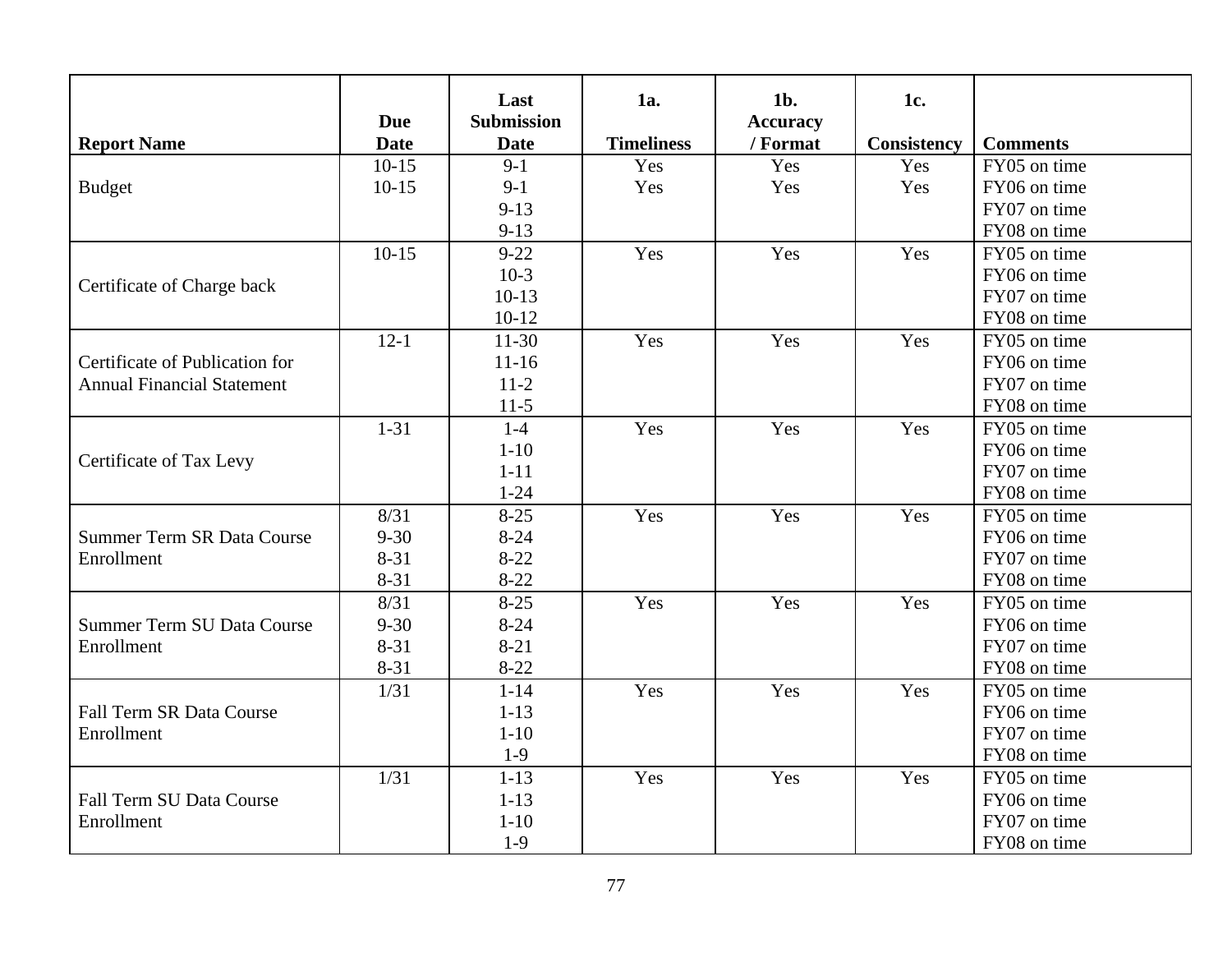| <b>Report Name</b>                | <b>Due</b><br><b>Date</b> | Last<br><b>Submission</b><br><b>Date</b> | <b>1a.</b><br><b>Timeliness</b> | $1b$ .<br><b>Accuracy</b><br>/ Format | 1c.<br><b>Consistency</b> | <b>Comments</b> |
|-----------------------------------|---------------------------|------------------------------------------|---------------------------------|---------------------------------------|---------------------------|-----------------|
|                                   | $10-15$                   | $9-1$                                    | Yes                             | Yes                                   | Yes                       | FY05 on time    |
| <b>Budget</b>                     | $10-15$                   | $9-1$                                    | Yes                             | Yes                                   | Yes                       | FY06 on time    |
|                                   |                           | $9 - 13$                                 |                                 |                                       |                           | FY07 on time    |
|                                   |                           | $9 - 13$                                 |                                 |                                       |                           | FY08 on time    |
|                                   | $10-15$                   | $9 - 22$                                 | Yes                             | Yes                                   | Yes                       | FY05 on time    |
|                                   |                           | $10-3$                                   |                                 |                                       |                           | FY06 on time    |
| Certificate of Charge back        |                           | $10-13$                                  |                                 |                                       |                           | FY07 on time    |
|                                   |                           | $10-12$                                  |                                 |                                       |                           | FY08 on time    |
|                                   | $12 - 1$                  | $11-30$                                  | Yes                             | Yes                                   | Yes                       | FY05 on time    |
| Certificate of Publication for    |                           | $11 - 16$                                |                                 |                                       |                           | FY06 on time    |
| <b>Annual Financial Statement</b> |                           | $11-2$                                   |                                 |                                       |                           | FY07 on time    |
|                                   |                           | $11-5$                                   |                                 |                                       |                           | FY08 on time    |
|                                   | $1 - 31$                  | $1-4$                                    | Yes                             | Yes                                   | Yes                       | FY05 on time    |
| Certificate of Tax Levy           |                           | $1 - 10$                                 |                                 |                                       |                           | FY06 on time    |
|                                   |                           | $1 - 11$                                 |                                 |                                       |                           | FY07 on time    |
|                                   |                           | $1 - 24$                                 |                                 |                                       |                           | FY08 on time    |
|                                   | 8/31                      | $8 - 25$                                 | Yes                             | Yes                                   | Yes                       | FY05 on time    |
| Summer Term SR Data Course        | $9 - 30$                  | $8 - 24$                                 |                                 |                                       |                           | FY06 on time    |
| Enrollment                        | $8 - 31$                  | $8-22$                                   |                                 |                                       |                           | FY07 on time    |
|                                   | $8 - 31$                  | $8 - 22$                                 |                                 |                                       |                           | FY08 on time    |
|                                   | 8/31                      | $8 - 25$                                 | Yes                             | Yes                                   | Yes                       | FY05 on time    |
| <b>Summer Term SU Data Course</b> | $9 - 30$                  | $8 - 24$                                 |                                 |                                       |                           | FY06 on time    |
| Enrollment                        | $8 - 31$                  | $8 - 21$                                 |                                 |                                       |                           | FY07 on time    |
|                                   | $8 - 31$                  | $8 - 22$                                 |                                 |                                       |                           | FY08 on time    |
|                                   | 1/31                      | $1 - 14$                                 | Yes                             | Yes                                   | Yes                       | FY05 on time    |
| <b>Fall Term SR Data Course</b>   |                           | $1 - 13$                                 |                                 |                                       |                           | FY06 on time    |
| Enrollment                        |                           | $1 - 10$                                 |                                 |                                       |                           | FY07 on time    |
|                                   |                           | $1-9$                                    |                                 |                                       |                           | FY08 on time    |
|                                   | 1/31                      | $1-13$                                   | Yes                             | Yes                                   | Yes                       | FY05 on time    |
| <b>Fall Term SU Data Course</b>   |                           | $1 - 13$                                 |                                 |                                       |                           | FY06 on time    |
| Enrollment                        |                           | $1 - 10$                                 |                                 |                                       |                           | FY07 on time    |
|                                   |                           | $1-9$                                    |                                 |                                       |                           | FY08 on time    |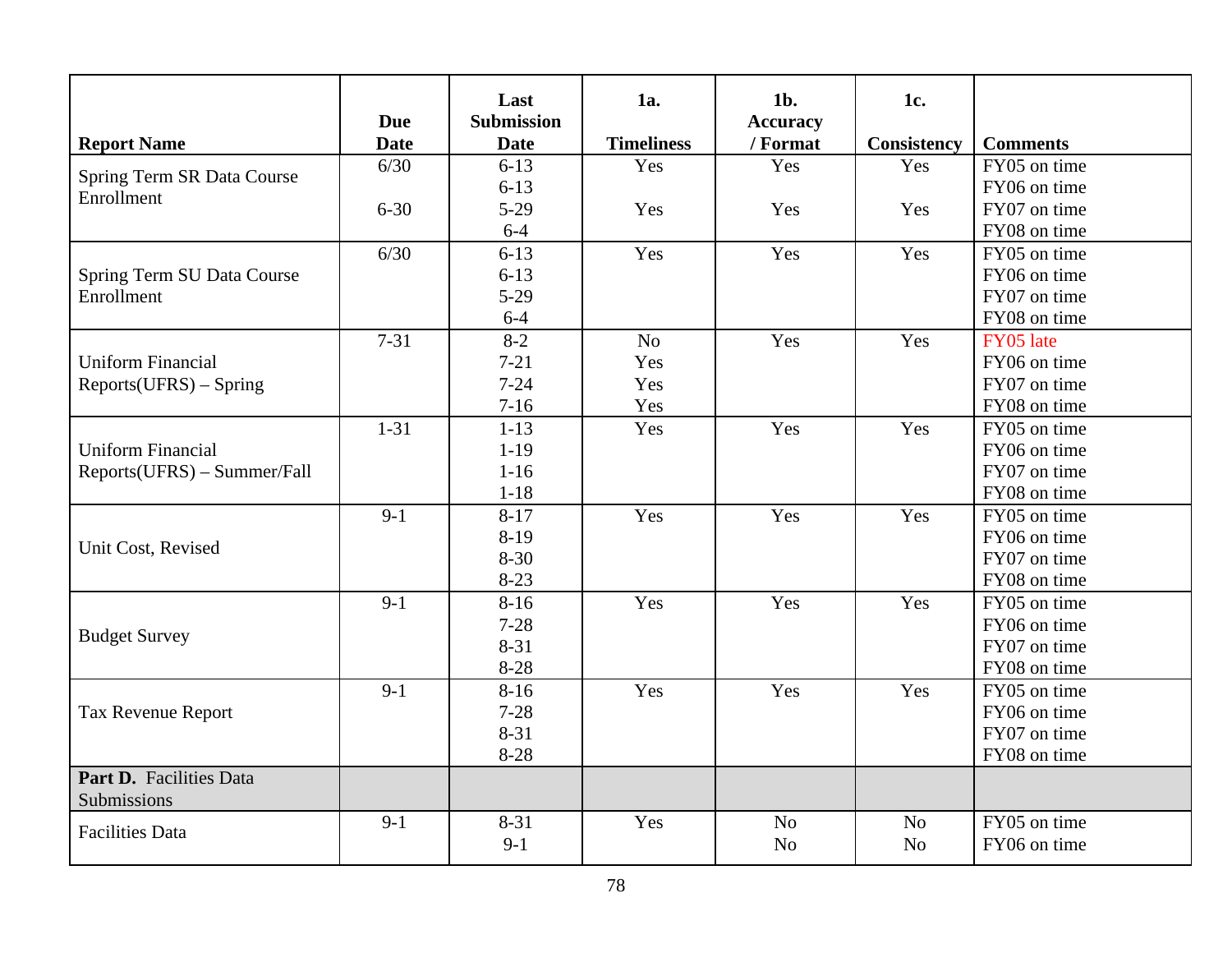| <b>Report Name</b>                     | <b>Due</b><br><b>Date</b> | Last<br><b>Submission</b><br><b>Date</b> | 1a.<br><b>Timeliness</b> | $1b$ .<br><b>Accuracy</b><br>/ Format | 1c.<br><b>Consistency</b> | <b>Comments</b> |
|----------------------------------------|---------------------------|------------------------------------------|--------------------------|---------------------------------------|---------------------------|-----------------|
|                                        | 6/30                      | $6 - 13$                                 | Yes                      | Yes                                   | Yes                       | FY05 on time    |
| Spring Term SR Data Course             |                           | $6 - 13$                                 |                          |                                       |                           | FY06 on time    |
| Enrollment                             | $6 - 30$                  | $5-29$                                   | Yes                      | Yes                                   | Yes                       | FY07 on time    |
|                                        |                           | $6 - 4$                                  |                          |                                       |                           | FY08 on time    |
|                                        | 6/30                      | $6 - 13$                                 | Yes                      | Yes                                   | Yes                       | FY05 on time    |
| Spring Term SU Data Course             |                           | $6 - 13$                                 |                          |                                       |                           | FY06 on time    |
| Enrollment                             |                           | $5-29$                                   |                          |                                       |                           | FY07 on time    |
|                                        |                           | $6 - 4$                                  |                          |                                       |                           | FY08 on time    |
|                                        | $7 - 31$                  | $8 - 2$                                  | N <sub>o</sub>           | Yes                                   | Yes                       | FY05 late       |
| <b>Uniform Financial</b>               |                           | $7 - 21$                                 | Yes                      |                                       |                           | FY06 on time    |
| $Reports(UFRS) - Spring$               |                           | $7 - 24$                                 | Yes                      |                                       |                           | FY07 on time    |
|                                        |                           | $7 - 16$                                 | Yes                      |                                       |                           | FY08 on time    |
|                                        | $1 - 31$                  | $1 - 13$                                 | Yes                      | Yes                                   | Yes                       | FY05 on time    |
| <b>Uniform Financial</b>               |                           | $1-19$                                   |                          |                                       |                           | FY06 on time    |
| Reports(UFRS) - Summer/Fall            |                           | $1 - 16$                                 |                          |                                       |                           | FY07 on time    |
|                                        |                           | $1 - 18$                                 |                          |                                       |                           | FY08 on time    |
|                                        | $9-1$                     | $8 - 17$                                 | Yes                      | Yes                                   | Yes                       | FY05 on time    |
|                                        |                           | $8-19$                                   |                          |                                       |                           | FY06 on time    |
| Unit Cost, Revised                     |                           | $8 - 30$                                 |                          |                                       |                           | FY07 on time    |
|                                        |                           | $8 - 23$                                 |                          |                                       |                           | FY08 on time    |
|                                        | $9-1$                     | $8 - 16$                                 | Yes                      | Yes                                   | Yes                       | FY05 on time    |
|                                        |                           | $7 - 28$                                 |                          |                                       |                           | FY06 on time    |
| <b>Budget Survey</b>                   |                           | $8 - 31$                                 |                          |                                       |                           | FY07 on time    |
|                                        |                           | 8-28                                     |                          |                                       |                           | FY08 on time    |
|                                        | $9-1$                     | $8 - 16$                                 | Yes                      | Yes                                   | Yes                       | FY05 on time    |
| Tax Revenue Report                     |                           | $7 - 28$                                 |                          |                                       |                           | FY06 on time    |
|                                        |                           | $8 - 31$                                 |                          |                                       |                           | FY07 on time    |
|                                        |                           | 8-28                                     |                          |                                       |                           | FY08 on time    |
| Part D. Facilities Data<br>Submissions |                           |                                          |                          |                                       |                           |                 |
| <b>Facilities Data</b>                 | $9-1$                     | $8 - 31$                                 | Yes                      | N <sub>o</sub>                        | N <sub>o</sub>            | FY05 on time    |
|                                        |                           | $9-1$                                    |                          | N <sub>o</sub>                        | N <sub>o</sub>            | FY06 on time    |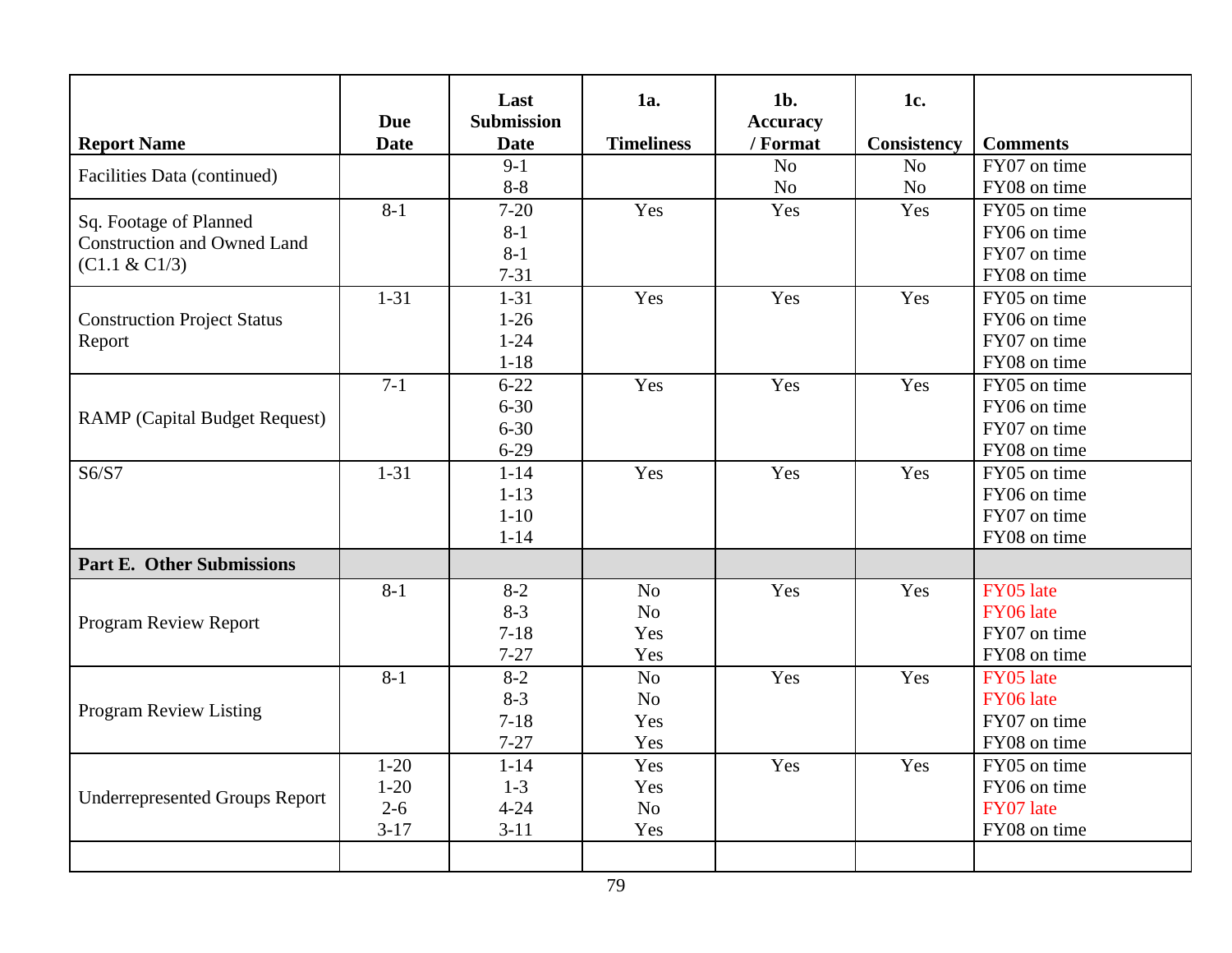| <b>Report Name</b>                    | <b>Due</b><br><b>Date</b> | Last<br><b>Submission</b><br><b>Date</b> | 1a.<br><b>Timeliness</b> | $1b$ .<br><b>Accuracy</b><br>/ Format | 1c.<br><b>Consistency</b> | <b>Comments</b> |
|---------------------------------------|---------------------------|------------------------------------------|--------------------------|---------------------------------------|---------------------------|-----------------|
| Facilities Data (continued)           |                           | $9-1$                                    |                          | N <sub>o</sub>                        | N <sub>o</sub>            | FY07 on time    |
|                                       |                           | $8 - 8$                                  |                          | N <sub>o</sub>                        | N <sub>o</sub>            | FY08 on time    |
| Sq. Footage of Planned                | $8 - 1$                   | $7-20$                                   | Yes                      | Yes                                   | Yes                       | FY05 on time    |
| <b>Construction and Owned Land</b>    |                           | $8-1$                                    |                          |                                       |                           | FY06 on time    |
| (C1.1 & C1/3)                         |                           | $8 - 1$                                  |                          |                                       |                           | FY07 on time    |
|                                       |                           | $7 - 31$                                 |                          |                                       |                           | FY08 on time    |
|                                       | $1 - 31$                  | $1 - 31$                                 | Yes                      | Yes                                   | Yes                       | FY05 on time    |
| <b>Construction Project Status</b>    |                           | $1-26$                                   |                          |                                       |                           | FY06 on time    |
| Report                                |                           | $1 - 24$                                 |                          |                                       |                           | FY07 on time    |
|                                       |                           | $1 - 18$                                 |                          |                                       |                           | FY08 on time    |
|                                       | $7-1$                     | $6 - 22$                                 | Yes                      | Yes                                   | Yes                       | FY05 on time    |
| <b>RAMP</b> (Capital Budget Request)  |                           | $6 - 30$                                 |                          |                                       |                           | FY06 on time    |
|                                       |                           | $6 - 30$                                 |                          |                                       |                           | FY07 on time    |
|                                       |                           | $6 - 29$                                 |                          |                                       |                           | FY08 on time    |
| S6/S7                                 | $1 - 31$                  | $1 - 14$                                 | Yes                      | Yes                                   | Yes                       | FY05 on time    |
|                                       |                           | $1-13$                                   |                          |                                       |                           | FY06 on time    |
|                                       |                           | $1 - 10$                                 |                          |                                       |                           | FY07 on time    |
|                                       |                           | $1 - 14$                                 |                          |                                       |                           | FY08 on time    |
| <b>Part E. Other Submissions</b>      |                           |                                          |                          |                                       |                           |                 |
|                                       | $8 - 1$                   | $8 - 2$                                  | N <sub>o</sub>           | Yes                                   | Yes                       | FY05 late       |
| <b>Program Review Report</b>          |                           | $8 - 3$                                  | N <sub>o</sub>           |                                       |                           | FY06 late       |
|                                       |                           | $7 - 18$                                 | Yes                      |                                       |                           | FY07 on time    |
|                                       |                           | $7 - 27$                                 | Yes                      |                                       |                           | FY08 on time    |
|                                       | $8 - 1$                   | $8 - 2$                                  | N <sub>o</sub>           | Yes                                   | Yes                       | FY05 late       |
|                                       |                           | $8 - 3$                                  | N <sub>o</sub>           |                                       |                           | FY06 late       |
| <b>Program Review Listing</b>         |                           | $7 - 18$                                 | Yes                      |                                       |                           | FY07 on time    |
|                                       |                           | $7 - 27$                                 | Yes                      |                                       |                           | FY08 on time    |
|                                       | $1 - 20$                  | $1 - 14$                                 | Yes                      | Yes                                   | Yes                       | FY05 on time    |
|                                       | $1 - 20$                  | $1 - 3$                                  | Yes                      |                                       |                           | FY06 on time    |
| <b>Underrepresented Groups Report</b> | $2 - 6$                   | $4 - 24$                                 | N <sub>o</sub>           |                                       |                           | FY07 late       |
|                                       | $3-17$                    | $3 - 11$                                 | Yes                      |                                       |                           | FY08 on time    |
|                                       |                           |                                          |                          |                                       |                           |                 |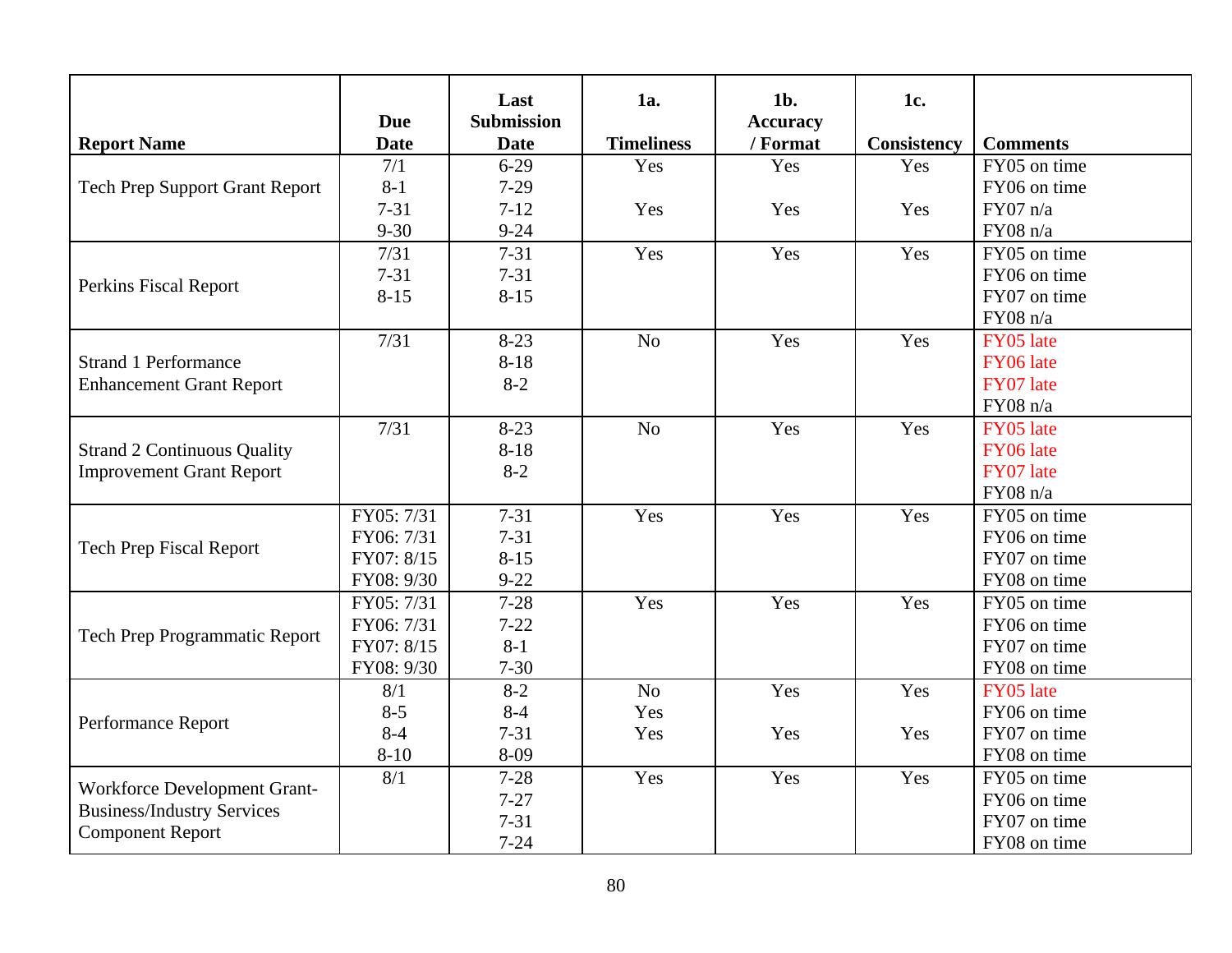| <b>Report Name</b>                    | <b>Due</b><br><b>Date</b> | Last<br><b>Submission</b><br><b>Date</b> | 1a.<br><b>Timeliness</b> | $1b$ .<br><b>Accuracy</b><br>/ Format | 1c.<br>Consistency | <b>Comments</b> |
|---------------------------------------|---------------------------|------------------------------------------|--------------------------|---------------------------------------|--------------------|-----------------|
|                                       | 7/1                       | $6 - 29$                                 | Yes                      | Yes                                   | Yes                | FY05 on time    |
| <b>Tech Prep Support Grant Report</b> | $8 - 1$                   | $7-29$                                   |                          |                                       |                    | FY06 on time    |
|                                       | $7 - 31$                  | $7 - 12$                                 | Yes                      | Yes                                   | Yes                | FY07 n/a        |
|                                       | $9 - 30$                  | $9 - 24$                                 |                          |                                       |                    | FY08 n/a        |
|                                       | 7/31                      | $7 - 31$                                 | Yes                      | Yes                                   | Yes                | FY05 on time    |
|                                       | $7 - 31$                  | $7 - 31$                                 |                          |                                       |                    | FY06 on time    |
| Perkins Fiscal Report                 | $8 - 15$                  | $8 - 15$                                 |                          |                                       |                    | FY07 on time    |
|                                       |                           |                                          |                          |                                       |                    | FY08 n/a        |
|                                       | 7/31                      | $8 - 23$                                 | N <sub>o</sub>           | Yes                                   | Yes                | FY05 late       |
| <b>Strand 1 Performance</b>           |                           | $8 - 18$                                 |                          |                                       |                    | FY06 late       |
| <b>Enhancement Grant Report</b>       |                           | $8 - 2$                                  |                          |                                       |                    | FY07 late       |
|                                       |                           |                                          |                          |                                       |                    | FY08 n/a        |
|                                       | 7/31                      | $8 - 23$                                 | No                       | Yes                                   | Yes                | FY05 late       |
| <b>Strand 2 Continuous Quality</b>    |                           | $8 - 18$                                 |                          |                                       |                    | FY06 late       |
| <b>Improvement Grant Report</b>       |                           | $8 - 2$                                  |                          |                                       |                    | FY07 late       |
|                                       |                           |                                          |                          |                                       |                    | FY08 n/a        |
|                                       | FY05: 7/31                | $7 - 31$                                 | Yes                      | Yes                                   | Yes                | FY05 on time    |
| <b>Tech Prep Fiscal Report</b>        | FY06: 7/31                | $7 - 31$                                 |                          |                                       |                    | FY06 on time    |
|                                       | FY07: 8/15                | $8 - 15$                                 |                          |                                       |                    | FY07 on time    |
|                                       | FY08: 9/30                | $9 - 22$                                 |                          |                                       |                    | FY08 on time    |
|                                       | FY05: 7/31                | $7 - 28$                                 | Yes                      | Yes                                   | Yes                | FY05 on time    |
| <b>Tech Prep Programmatic Report</b>  | FY06: 7/31                | $7 - 22$                                 |                          |                                       |                    | FY06 on time    |
|                                       | FY07: 8/15                | $8 - 1$                                  |                          |                                       |                    | FY07 on time    |
|                                       | FY08: 9/30                | $7 - 30$                                 |                          |                                       |                    | FY08 on time    |
|                                       | 8/1                       | $8-2$                                    | No                       | Yes                                   | Yes                | FY05 late       |
| Performance Report                    | $8 - 5$                   | $8 - 4$                                  | Yes                      |                                       |                    | FY06 on time    |
|                                       | $8 - 4$                   | $7 - 31$                                 | Yes                      | Yes                                   | Yes                | FY07 on time    |
|                                       | $8 - 10$                  | 8-09                                     |                          |                                       |                    | FY08 on time    |
| Workforce Development Grant-          | 8/1                       | $7 - 28$                                 | Yes                      | Yes                                   | Yes                | FY05 on time    |
| <b>Business/Industry Services</b>     |                           | $7 - 27$                                 |                          |                                       |                    | FY06 on time    |
| <b>Component Report</b>               |                           | $7 - 31$                                 |                          |                                       |                    | FY07 on time    |
|                                       |                           | $7 - 24$                                 |                          |                                       |                    | FY08 on time    |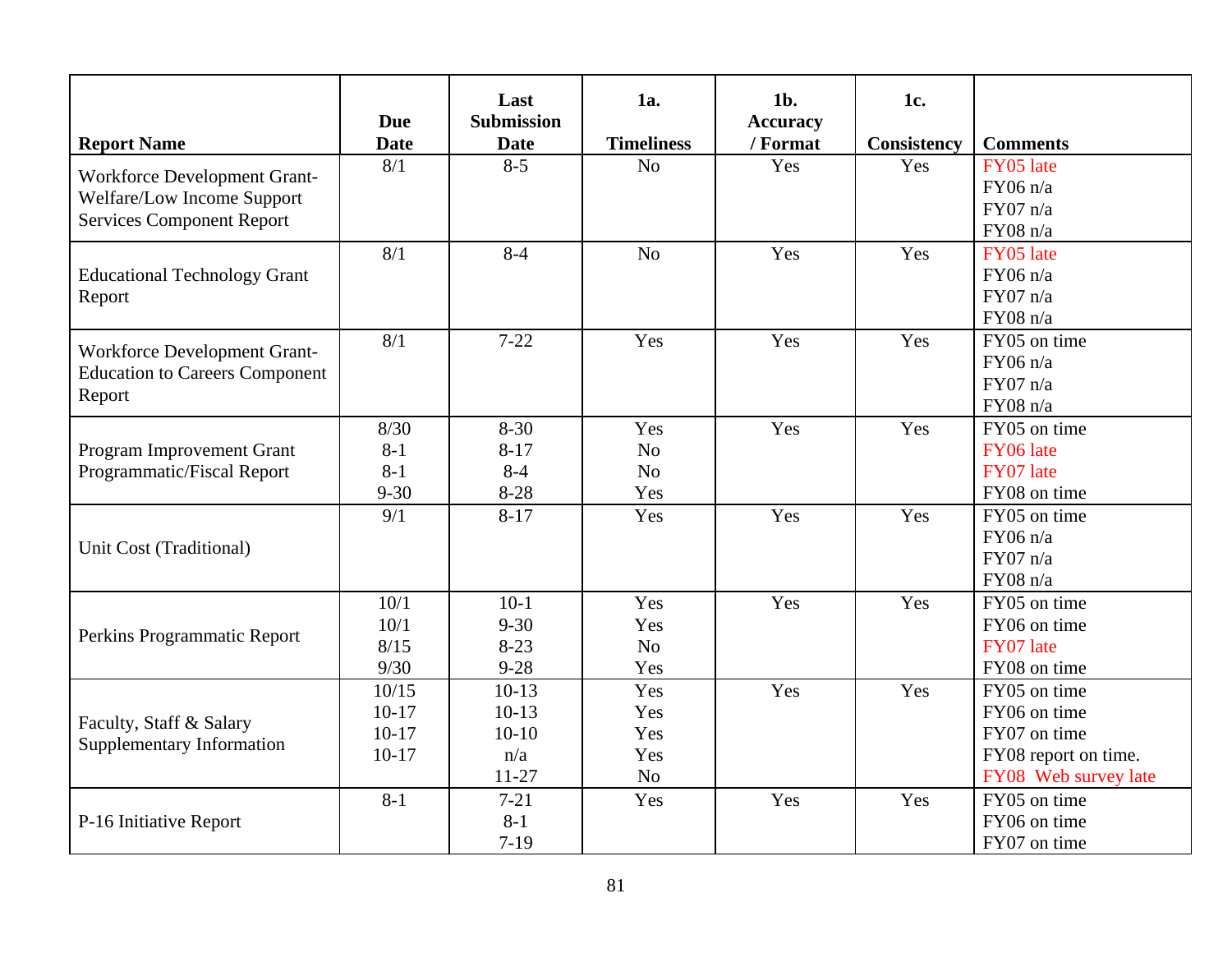| <b>Report Name</b>                                                                             | <b>Due</b><br><b>Date</b>              | Last<br><b>Submission</b><br><b>Date</b>          | 1a.<br><b>Timeliness</b>                       | $1b$ .<br><b>Accuracy</b><br>/ Format | 1c.<br>Consistency | <b>Comments</b>                                                                              |
|------------------------------------------------------------------------------------------------|----------------------------------------|---------------------------------------------------|------------------------------------------------|---------------------------------------|--------------------|----------------------------------------------------------------------------------------------|
| Workforce Development Grant-<br>Welfare/Low Income Support<br><b>Services Component Report</b> | 8/1                                    | $8 - 5$                                           | N <sub>o</sub>                                 | Yes                                   | Yes                | FY05 late<br>FY06 n/a<br>FY07 n/a<br>FY08 n/a                                                |
| <b>Educational Technology Grant</b><br>Report                                                  | 8/1                                    | $8 - 4$                                           | N <sub>o</sub>                                 | Yes                                   | Yes                | FY05 late<br>FY06 n/a<br>FY07 n/a<br>FY08 n/a                                                |
| Workforce Development Grant-<br><b>Education to Careers Component</b><br>Report                | 8/1                                    | $7 - 22$                                          | Yes                                            | Yes                                   | Yes                | FY05 on time<br>FY06 n/a<br>FY07 n/a<br>FY08 n/a                                             |
| Program Improvement Grant<br>Programmatic/Fiscal Report                                        | 8/30<br>$8-1$<br>$8 - 1$<br>$9 - 30$   | $8 - 30$<br>$8 - 17$<br>$8 - 4$<br>$8 - 28$       | Yes<br>N <sub>o</sub><br>N <sub>o</sub><br>Yes | Yes                                   | Yes                | FY05 on time<br>FY06 late<br>FY07 late<br>FY08 on time                                       |
| Unit Cost (Traditional)                                                                        | 9/1                                    | $8-17$                                            | Yes                                            | Yes                                   | Yes                | FY05 on time<br>FY06 n/a<br>FY07 n/a<br>FY08 n/a                                             |
| Perkins Programmatic Report                                                                    | 10/1<br>10/1<br>8/15<br>9/30           | $10-1$<br>$9 - 30$<br>$8 - 23$<br>$9 - 28$        | Yes<br>Yes<br>N <sub>o</sub><br>Yes            | Yes                                   | Yes                | FY05 on time<br>FY06 on time<br>FY07 late<br>FY08 on time                                    |
| Faculty, Staff & Salary<br><b>Supplementary Information</b>                                    | 10/15<br>$10-17$<br>$10-17$<br>$10-17$ | $10-13$<br>$10-13$<br>$10-10$<br>n/a<br>$11 - 27$ | Yes<br>Yes<br>Yes<br>Yes<br>N <sub>o</sub>     | Yes                                   | Yes                | FY05 on time<br>FY06 on time<br>FY07 on time<br>FY08 report on time.<br>FY08 Web survey late |
| P-16 Initiative Report                                                                         | $8 - 1$                                | $7 - 21$<br>$8 - 1$<br>$7 - 19$                   | Yes                                            | Yes                                   | Yes                | FY05 on time<br>FY06 on time<br>FY07 on time                                                 |